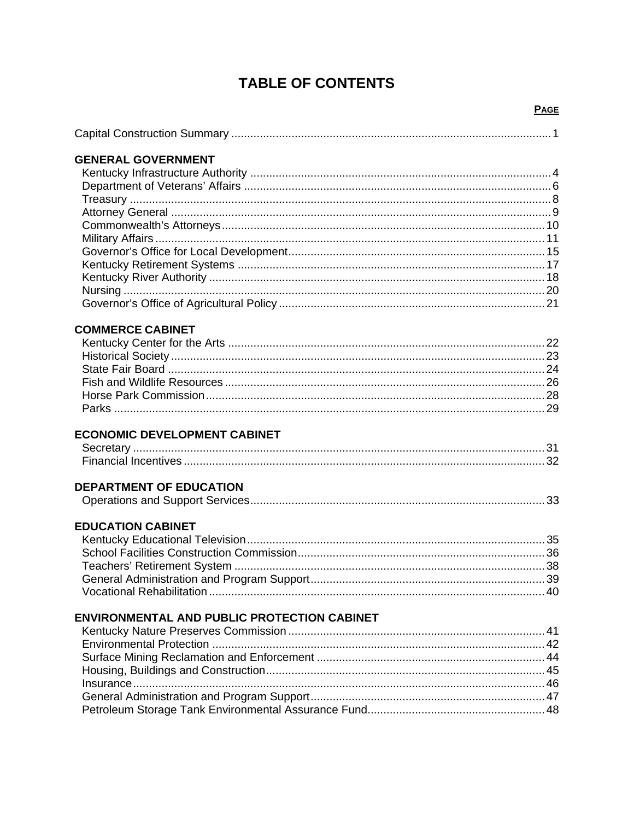# **TABLE OF CONTENTS**

## **PAGE**

| <b>GENERAL GOVERNMENT</b>                   |  |
|---------------------------------------------|--|
|                                             |  |
|                                             |  |
|                                             |  |
|                                             |  |
|                                             |  |
|                                             |  |
|                                             |  |
|                                             |  |
|                                             |  |
|                                             |  |
|                                             |  |
|                                             |  |
|                                             |  |
| <b>COMMERCE CABINET</b>                     |  |
|                                             |  |
|                                             |  |
|                                             |  |
|                                             |  |
|                                             |  |
|                                             |  |
|                                             |  |
| <b>ECONOMIC DEVELOPMENT CABINET</b>         |  |
|                                             |  |
|                                             |  |
| <b>DEPARTMENT OF EDUCATION</b>              |  |
|                                             |  |
|                                             |  |
| <b>EDUCATION CABINET</b>                    |  |
|                                             |  |
|                                             |  |
|                                             |  |
|                                             |  |
|                                             |  |
|                                             |  |
| ENVIRONMENTAL AND PUBLIC PROTECTION CABINET |  |
|                                             |  |
|                                             |  |
|                                             |  |
|                                             |  |
|                                             |  |
|                                             |  |
|                                             |  |
|                                             |  |
|                                             |  |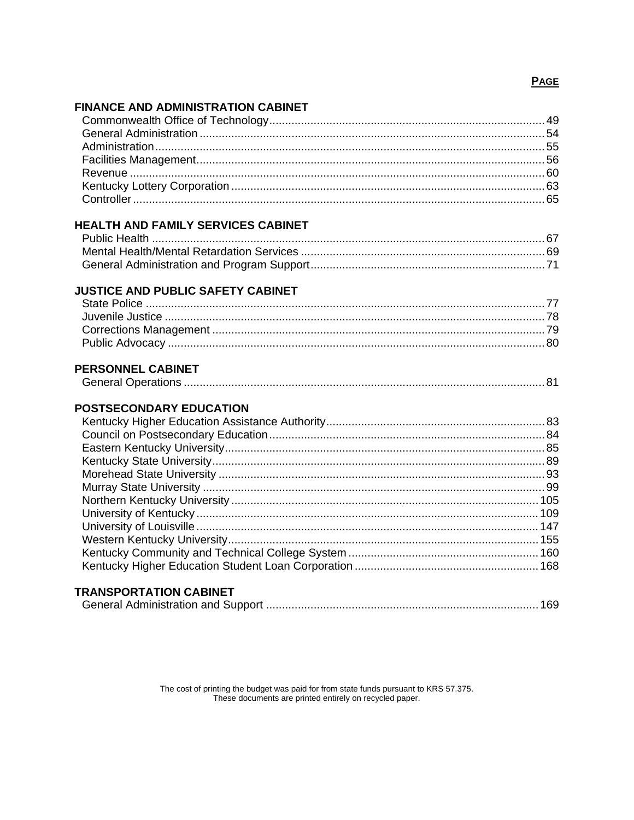# **PAGE**

# **FINANCE AND ADMINISTRATION CABINET**

| <b>HEALTH AND FAMILY SERVICES CABINET</b> |  |
|-------------------------------------------|--|
|                                           |  |
|                                           |  |
|                                           |  |
| <b>JUSTICE AND PUBLIC SAFETY CABINET</b>  |  |
|                                           |  |
|                                           |  |
|                                           |  |
|                                           |  |
|                                           |  |
| <b>PERSONNEL CABINET</b>                  |  |
|                                           |  |
| <b>POSTSECONDARY EDUCATION</b>            |  |
|                                           |  |
|                                           |  |
|                                           |  |
|                                           |  |
|                                           |  |
|                                           |  |
|                                           |  |
|                                           |  |
|                                           |  |
|                                           |  |
|                                           |  |
|                                           |  |
|                                           |  |

# **TRANSPORTATION CABINET**

The cost of printing the budget was paid for from state funds pursuant to KRS 57.375.<br>These documents are printed entirely on recycled paper.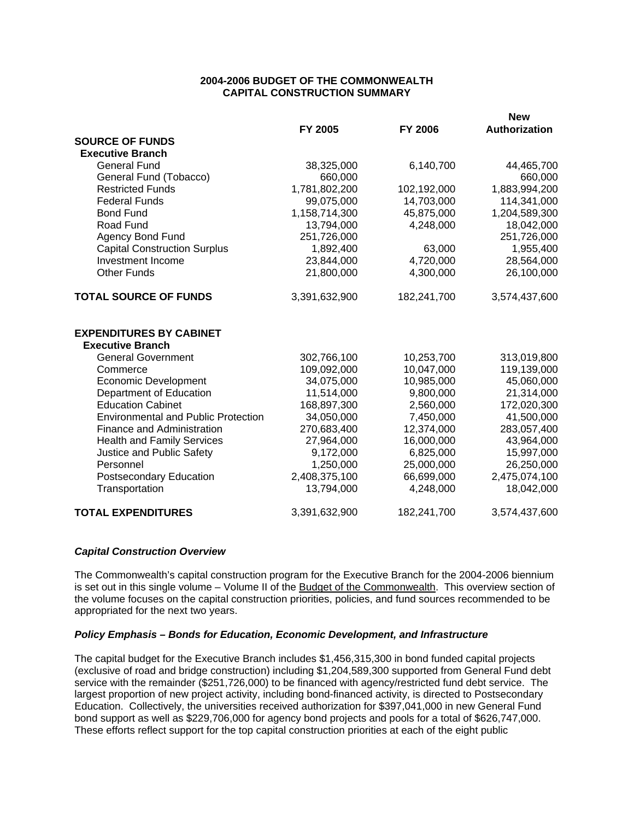#### **2004-2006 BUDGET OF THE COMMONWEALTH CAPITAL CONSTRUCTION SUMMARY**

|                                                      |               |                          | <b>New</b>    |
|------------------------------------------------------|---------------|--------------------------|---------------|
|                                                      | FY 2005       | <b>FY 2006</b>           | Authorization |
| <b>SOURCE OF FUNDS</b>                               |               |                          |               |
| <b>Executive Branch</b>                              |               |                          |               |
| <b>General Fund</b>                                  | 38,325,000    | 6,140,700                | 44,465,700    |
| General Fund (Tobacco)                               | 660,000       |                          | 660,000       |
| <b>Restricted Funds</b>                              | 1,781,802,200 | 102,192,000              | 1,883,994,200 |
| <b>Federal Funds</b>                                 | 99,075,000    | 14,703,000               | 114,341,000   |
| <b>Bond Fund</b>                                     | 1,158,714,300 | 45,875,000               | 1,204,589,300 |
| Road Fund                                            | 13,794,000    | 4,248,000                | 18,042,000    |
| <b>Agency Bond Fund</b>                              | 251,726,000   |                          | 251,726,000   |
| <b>Capital Construction Surplus</b>                  | 1,892,400     | 63,000                   | 1,955,400     |
| Investment Income                                    | 23,844,000    | 4,720,000                | 28,564,000    |
| <b>Other Funds</b>                                   | 21,800,000    | 4,300,000                | 26,100,000    |
| <b>TOTAL SOURCE OF FUNDS</b>                         | 3,391,632,900 | 182,241,700              | 3,574,437,600 |
| <b>EXPENDITURES BY CABINET</b>                       |               |                          |               |
| <b>Executive Branch</b><br><b>General Government</b> | 302,766,100   | 10,253,700               | 313,019,800   |
| Commerce                                             | 109,092,000   | 10,047,000               | 119,139,000   |
| <b>Economic Development</b>                          | 34,075,000    | 10,985,000               | 45,060,000    |
| Department of Education                              | 11,514,000    | 9,800,000                | 21,314,000    |
| <b>Education Cabinet</b>                             | 168,897,300   | 2,560,000                | 172,020,300   |
| <b>Environmental and Public Protection</b>           | 34,050,000    | 7,450,000                | 41,500,000    |
|                                                      | 270,683,400   |                          |               |
| Finance and Administration                           | 27,964,000    | 12,374,000<br>16,000,000 | 283,057,400   |
| <b>Health and Family Services</b>                    |               |                          | 43,964,000    |
| Justice and Public Safety                            | 9,172,000     | 6,825,000                | 15,997,000    |
| Personnel                                            | 1,250,000     | 25,000,000               | 26,250,000    |
| Postsecondary Education                              | 2,408,375,100 | 66,699,000               | 2,475,074,100 |
| Transportation                                       | 13,794,000    | 4,248,000                | 18,042,000    |
| <b>TOTAL EXPENDITURES</b>                            | 3,391,632,900 | 182,241,700              | 3,574,437,600 |

### *Capital Construction Overview*

The Commonwealth's capital construction program for the Executive Branch for the 2004-2006 biennium is set out in this single volume – Volume II of the Budget of the Commonwealth. This overview section of the volume focuses on the capital construction priorities, policies, and fund sources recommended to be appropriated for the next two years.

### *Policy Emphasis – Bonds for Education, Economic Development, and Infrastructure*

The capital budget for the Executive Branch includes \$1,456,315,300 in bond funded capital projects (exclusive of road and bridge construction) including \$1,204,589,300 supported from General Fund debt service with the remainder (\$251,726,000) to be financed with agency/restricted fund debt service. The largest proportion of new project activity, including bond-financed activity, is directed to Postsecondary Education. Collectively, the universities received authorization for \$397,041,000 in new General Fund bond support as well as \$229,706,000 for agency bond projects and pools for a total of \$626,747,000. These efforts reflect support for the top capital construction priorities at each of the eight public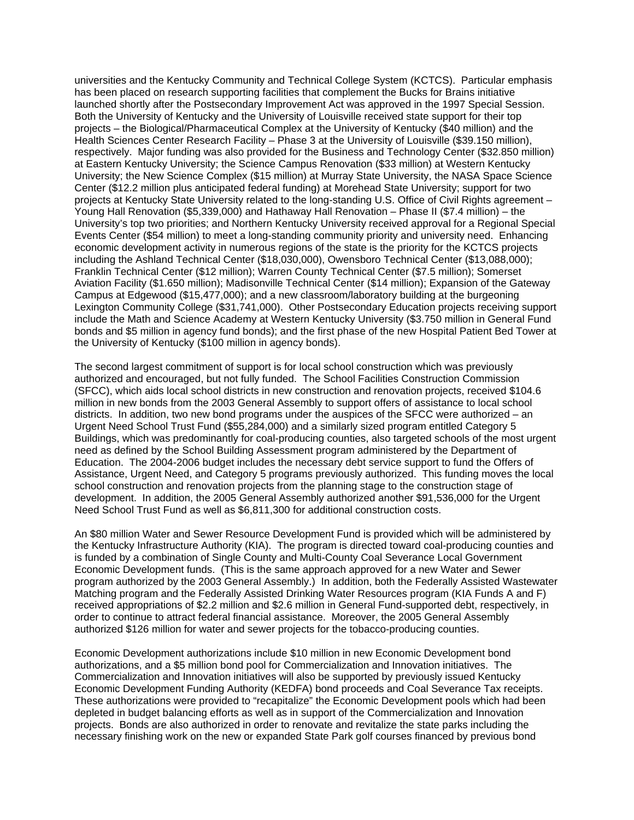universities and the Kentucky Community and Technical College System (KCTCS). Particular emphasis has been placed on research supporting facilities that complement the Bucks for Brains initiative launched shortly after the Postsecondary Improvement Act was approved in the 1997 Special Session. Both the University of Kentucky and the University of Louisville received state support for their top projects – the Biological/Pharmaceutical Complex at the University of Kentucky (\$40 million) and the Health Sciences Center Research Facility – Phase 3 at the University of Louisville (\$39.150 million), respectively. Major funding was also provided for the Business and Technology Center (\$32.850 million) at Eastern Kentucky University; the Science Campus Renovation (\$33 million) at Western Kentucky University; the New Science Complex (\$15 million) at Murray State University, the NASA Space Science Center (\$12.2 million plus anticipated federal funding) at Morehead State University; support for two projects at Kentucky State University related to the long-standing U.S. Office of Civil Rights agreement – Young Hall Renovation (\$5,339,000) and Hathaway Hall Renovation – Phase II (\$7.4 million) – the University's top two priorities; and Northern Kentucky University received approval for a Regional Special Events Center (\$54 million) to meet a long-standing community priority and university need. Enhancing economic development activity in numerous regions of the state is the priority for the KCTCS projects including the Ashland Technical Center (\$18,030,000), Owensboro Technical Center (\$13,088,000); Franklin Technical Center (\$12 million); Warren County Technical Center (\$7.5 million); Somerset Aviation Facility (\$1.650 million); Madisonville Technical Center (\$14 million); Expansion of the Gateway Campus at Edgewood (\$15,477,000); and a new classroom/laboratory building at the burgeoning Lexington Community College (\$31,741,000). Other Postsecondary Education projects receiving support include the Math and Science Academy at Western Kentucky University (\$3.750 million in General Fund bonds and \$5 million in agency fund bonds); and the first phase of the new Hospital Patient Bed Tower at the University of Kentucky (\$100 million in agency bonds).

The second largest commitment of support is for local school construction which was previously authorized and encouraged, but not fully funded. The School Facilities Construction Commission (SFCC), which aids local school districts in new construction and renovation projects, received \$104.6 million in new bonds from the 2003 General Assembly to support offers of assistance to local school districts. In addition, two new bond programs under the auspices of the SFCC were authorized – an Urgent Need School Trust Fund (\$55,284,000) and a similarly sized program entitled Category 5 Buildings, which was predominantly for coal-producing counties, also targeted schools of the most urgent need as defined by the School Building Assessment program administered by the Department of Education. The 2004-2006 budget includes the necessary debt service support to fund the Offers of Assistance, Urgent Need, and Category 5 programs previously authorized. This funding moves the local school construction and renovation projects from the planning stage to the construction stage of development. In addition, the 2005 General Assembly authorized another \$91,536,000 for the Urgent Need School Trust Fund as well as \$6,811,300 for additional construction costs.

An \$80 million Water and Sewer Resource Development Fund is provided which will be administered by the Kentucky Infrastructure Authority (KIA). The program is directed toward coal-producing counties and is funded by a combination of Single County and Multi-County Coal Severance Local Government Economic Development funds. (This is the same approach approved for a new Water and Sewer program authorized by the 2003 General Assembly.) In addition, both the Federally Assisted Wastewater Matching program and the Federally Assisted Drinking Water Resources program (KIA Funds A and F) received appropriations of \$2.2 million and \$2.6 million in General Fund-supported debt, respectively, in order to continue to attract federal financial assistance. Moreover, the 2005 General Assembly authorized \$126 million for water and sewer projects for the tobacco-producing counties.

Economic Development authorizations include \$10 million in new Economic Development bond authorizations, and a \$5 million bond pool for Commercialization and Innovation initiatives. The Commercialization and Innovation initiatives will also be supported by previously issued Kentucky Economic Development Funding Authority (KEDFA) bond proceeds and Coal Severance Tax receipts. These authorizations were provided to "recapitalize" the Economic Development pools which had been depleted in budget balancing efforts as well as in support of the Commercialization and Innovation projects. Bonds are also authorized in order to renovate and revitalize the state parks including the necessary finishing work on the new or expanded State Park golf courses financed by previous bond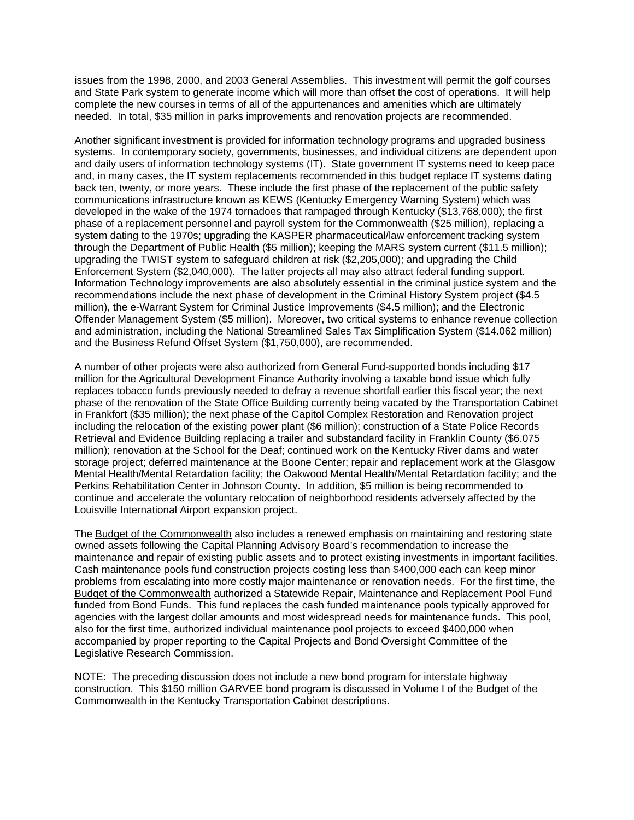issues from the 1998, 2000, and 2003 General Assemblies. This investment will permit the golf courses and State Park system to generate income which will more than offset the cost of operations. It will help complete the new courses in terms of all of the appurtenances and amenities which are ultimately needed. In total, \$35 million in parks improvements and renovation projects are recommended.

Another significant investment is provided for information technology programs and upgraded business systems. In contemporary society, governments, businesses, and individual citizens are dependent upon and daily users of information technology systems (IT). State government IT systems need to keep pace and, in many cases, the IT system replacements recommended in this budget replace IT systems dating back ten, twenty, or more years. These include the first phase of the replacement of the public safety communications infrastructure known as KEWS (Kentucky Emergency Warning System) which was developed in the wake of the 1974 tornadoes that rampaged through Kentucky (\$13,768,000); the first phase of a replacement personnel and payroll system for the Commonwealth (\$25 million), replacing a system dating to the 1970s; upgrading the KASPER pharmaceutical/law enforcement tracking system through the Department of Public Health (\$5 million); keeping the MARS system current (\$11.5 million); upgrading the TWIST system to safeguard children at risk (\$2,205,000); and upgrading the Child Enforcement System (\$2,040,000). The latter projects all may also attract federal funding support. Information Technology improvements are also absolutely essential in the criminal justice system and the recommendations include the next phase of development in the Criminal History System project (\$4.5 million), the e-Warrant System for Criminal Justice Improvements (\$4.5 million); and the Electronic Offender Management System (\$5 million). Moreover, two critical systems to enhance revenue collection and administration, including the National Streamlined Sales Tax Simplification System (\$14.062 million) and the Business Refund Offset System (\$1,750,000), are recommended.

A number of other projects were also authorized from General Fund-supported bonds including \$17 million for the Agricultural Development Finance Authority involving a taxable bond issue which fully replaces tobacco funds previously needed to defray a revenue shortfall earlier this fiscal year; the next phase of the renovation of the State Office Building currently being vacated by the Transportation Cabinet in Frankfort (\$35 million); the next phase of the Capitol Complex Restoration and Renovation project including the relocation of the existing power plant (\$6 million); construction of a State Police Records Retrieval and Evidence Building replacing a trailer and substandard facility in Franklin County (\$6.075 million); renovation at the School for the Deaf; continued work on the Kentucky River dams and water storage project; deferred maintenance at the Boone Center; repair and replacement work at the Glasgow Mental Health/Mental Retardation facility; the Oakwood Mental Health/Mental Retardation facility; and the Perkins Rehabilitation Center in Johnson County. In addition, \$5 million is being recommended to continue and accelerate the voluntary relocation of neighborhood residents adversely affected by the Louisville International Airport expansion project.

The Budget of the Commonwealth also includes a renewed emphasis on maintaining and restoring state owned assets following the Capital Planning Advisory Board's recommendation to increase the maintenance and repair of existing public assets and to protect existing investments in important facilities. Cash maintenance pools fund construction projects costing less than \$400,000 each can keep minor problems from escalating into more costly major maintenance or renovation needs. For the first time, the Budget of the Commonwealth authorized a Statewide Repair, Maintenance and Replacement Pool Fund funded from Bond Funds. This fund replaces the cash funded maintenance pools typically approved for agencies with the largest dollar amounts and most widespread needs for maintenance funds. This pool, also for the first time, authorized individual maintenance pool projects to exceed \$400,000 when accompanied by proper reporting to the Capital Projects and Bond Oversight Committee of the Legislative Research Commission.

NOTE: The preceding discussion does not include a new bond program for interstate highway construction. This \$150 million GARVEE bond program is discussed in Volume I of the Budget of the Commonwealth in the Kentucky Transportation Cabinet descriptions.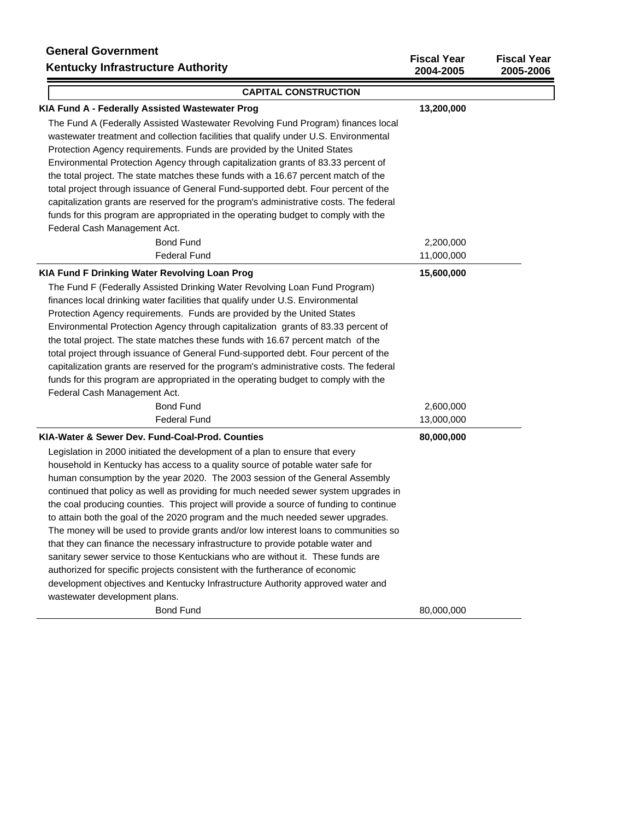# **General Government Kentucky Infrastructure Authority**

| <b>Kentucky Infrastructure Authority</b>                                               | 2004-2005  | 2005-2006 |
|----------------------------------------------------------------------------------------|------------|-----------|
| <b>CAPITAL CONSTRUCTION</b>                                                            |            |           |
| KIA Fund A - Federally Assisted Wastewater Prog                                        | 13,200,000 |           |
| The Fund A (Federally Assisted Wastewater Revolving Fund Program) finances local       |            |           |
| wastewater treatment and collection facilities that qualify under U.S. Environmental   |            |           |
| Protection Agency requirements. Funds are provided by the United States                |            |           |
| Environmental Protection Agency through capitalization grants of 83.33 percent of      |            |           |
| the total project. The state matches these funds with a 16.67 percent match of the     |            |           |
| total project through issuance of General Fund-supported debt. Four percent of the     |            |           |
| capitalization grants are reserved for the program's administrative costs. The federal |            |           |
| funds for this program are appropriated in the operating budget to comply with the     |            |           |
| Federal Cash Management Act.                                                           |            |           |
| <b>Bond Fund</b>                                                                       | 2,200,000  |           |
| <b>Federal Fund</b>                                                                    | 11,000,000 |           |
| KIA Fund F Drinking Water Revolving Loan Prog                                          | 15,600,000 |           |
| The Fund F (Federally Assisted Drinking Water Revolving Loan Fund Program)             |            |           |
| finances local drinking water facilities that qualify under U.S. Environmental         |            |           |
| Protection Agency requirements. Funds are provided by the United States                |            |           |
| Environmental Protection Agency through capitalization grants of 83.33 percent of      |            |           |
| the total project. The state matches these funds with 16.67 percent match of the       |            |           |
| total project through issuance of General Fund-supported debt. Four percent of the     |            |           |
| capitalization grants are reserved for the program's administrative costs. The federal |            |           |
| funds for this program are appropriated in the operating budget to comply with the     |            |           |
| Federal Cash Management Act.                                                           |            |           |
| <b>Bond Fund</b>                                                                       | 2,600,000  |           |
| <b>Federal Fund</b>                                                                    | 13,000,000 |           |
| KIA-Water & Sewer Dev. Fund-Coal-Prod. Counties                                        | 80,000,000 |           |
| Legislation in 2000 initiated the development of a plan to ensure that every           |            |           |
| household in Kentucky has access to a quality source of potable water safe for         |            |           |
| human consumption by the year 2020. The 2003 session of the General Assembly           |            |           |
| continued that policy as well as providing for much needed sewer system upgrades in    |            |           |
| the coal producing counties. This project will provide a source of funding to continue |            |           |
| to attain both the goal of the 2020 program and the much needed sewer upgrades.        |            |           |
| The money will be used to provide grants and/or low interest loans to communities so   |            |           |
| that they can finance the necessary infrastructure to provide potable water and        |            |           |
| sanitary sewer service to those Kentuckians who are without it. These funds are        |            |           |
| authorized for specific projects consistent with the furtherance of economic           |            |           |
| development objectives and Kentucky Infrastructure Authority approved water and        |            |           |
| wastewater development plans.                                                          |            |           |
| <b>Bond Fund</b>                                                                       | 80,000,000 |           |

**Fiscal Year Fiscal Year**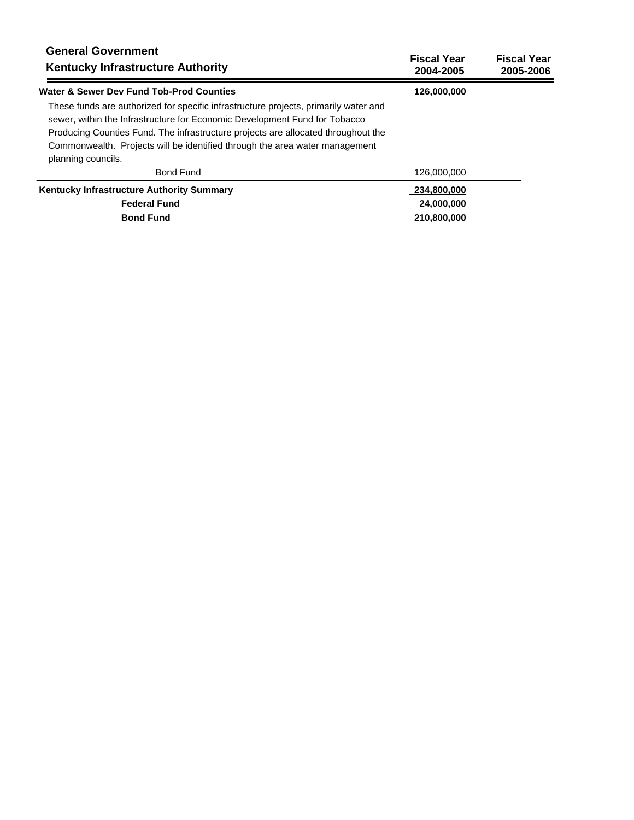| <b>General Government</b><br><b>Kentucky Infrastructure Authority</b>                                                                                                                                                                                                                                                                                        | <b>Fiscal Year</b><br>2004-2005 | <b>Fiscal Year</b><br>2005-2006 |
|--------------------------------------------------------------------------------------------------------------------------------------------------------------------------------------------------------------------------------------------------------------------------------------------------------------------------------------------------------------|---------------------------------|---------------------------------|
| Water & Sewer Dev Fund Tob-Prod Counties                                                                                                                                                                                                                                                                                                                     | 126,000,000                     |                                 |
| These funds are authorized for specific infrastructure projects, primarily water and<br>sewer, within the Infrastructure for Economic Development Fund for Tobacco<br>Producing Counties Fund. The infrastructure projects are allocated throughout the<br>Commonwealth. Projects will be identified through the area water management<br>planning councils. |                                 |                                 |
| <b>Bond Fund</b>                                                                                                                                                                                                                                                                                                                                             | 126,000,000                     |                                 |
| <b>Kentucky Infrastructure Authority Summary</b>                                                                                                                                                                                                                                                                                                             | 234,800,000                     |                                 |
| <b>Federal Fund</b>                                                                                                                                                                                                                                                                                                                                          | 24,000,000                      |                                 |
| <b>Bond Fund</b>                                                                                                                                                                                                                                                                                                                                             | 210.800.000                     |                                 |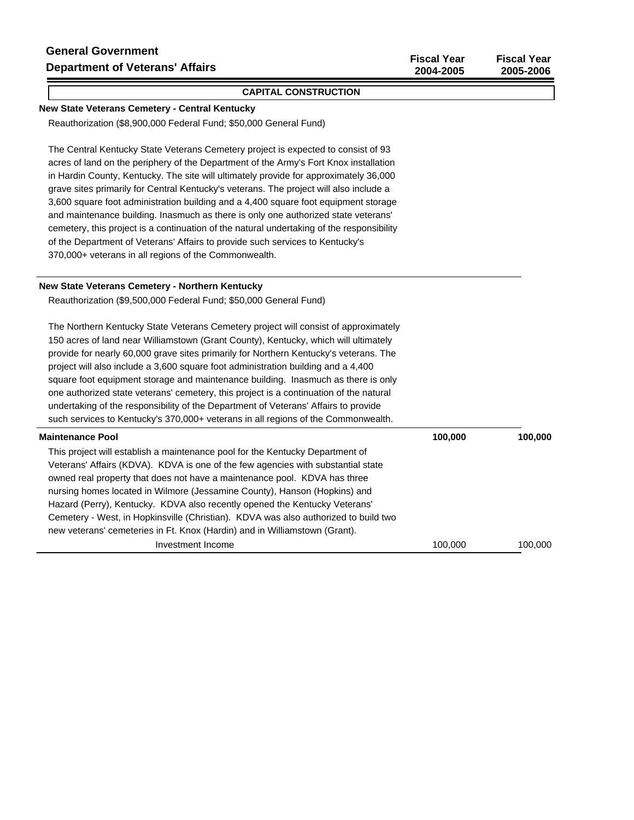#### **CAPITAL CONSTRUCTION**

#### **New State Veterans Cemetery - Central Kentucky**

Reauthorization (\$8,900,000 Federal Fund; \$50,000 General Fund)

The Central Kentucky State Veterans Cemetery project is expected to consist of 93 acres of land on the periphery of the Department of the Army's Fort Knox installation in Hardin County, Kentucky. The site will ultimately provide for approximately 36,000 grave sites primarily for Central Kentucky's veterans. The project will also include a 3,600 square foot administration building and a 4,400 square foot equipment storage and maintenance building. Inasmuch as there is only one authorized state veterans' cemetery, this project is a continuation of the natural undertaking of the responsibility of the Department of Veterans' Affairs to provide such services to Kentucky's 370,000+ veterans in all regions of the Commonwealth.

#### **New State Veterans Cemetery - Northern Kentucky**

Reauthorization (\$9,500,000 Federal Fund; \$50,000 General Fund)

The Northern Kentucky State Veterans Cemetery project will consist of approximately 150 acres of land near Williamstown (Grant County), Kentucky, which will ultimately provide for nearly 60,000 grave sites primarily for Northern Kentucky's veterans. The project will also include a 3,600 square foot administration building and a 4,400 square foot equipment storage and maintenance building. Inasmuch as there is only one authorized state veterans' cemetery, this project is a continuation of the natural undertaking of the responsibility of the Department of Veterans' Affairs to provide such services to Kentucky's 370,000+ veterans in all regions of the Commonwealth.

| <b>Maintenance Pool</b>                                                             | 100,000 | 100,000 |
|-------------------------------------------------------------------------------------|---------|---------|
| This project will establish a maintenance pool for the Kentucky Department of       |         |         |
| Veterans' Affairs (KDVA). KDVA is one of the few agencies with substantial state    |         |         |
| owned real property that does not have a maintenance pool. KDVA has three           |         |         |
| nursing homes located in Wilmore (Jessamine County), Hanson (Hopkins) and           |         |         |
| Hazard (Perry), Kentucky. KDVA also recently opened the Kentucky Veterans'          |         |         |
| Cemetery - West, in Hopkinsville (Christian). KDVA was also authorized to build two |         |         |
| new veterans' cemeteries in Ft. Knox (Hardin) and in Williamstown (Grant).          |         |         |
| Investment Income                                                                   | 100.000 | 100.000 |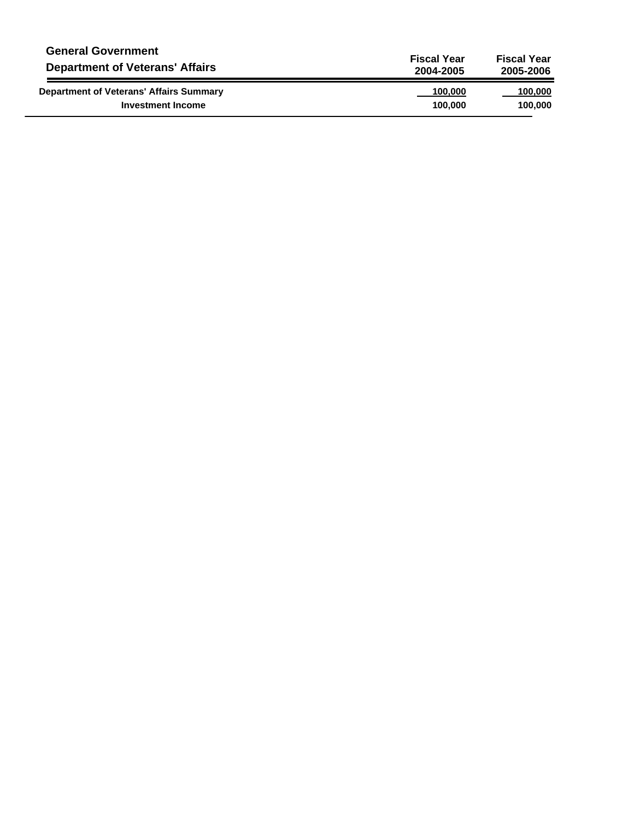| <b>General Government</b>                      | <b>Fiscal Year</b> | <b>Fiscal Year</b> |
|------------------------------------------------|--------------------|--------------------|
| <b>Department of Veterans' Affairs</b>         | 2004-2005          | 2005-2006          |
| <b>Department of Veterans' Affairs Summary</b> | 100,000            | 100,000            |
| <b>Investment Income</b>                       | 100.000            | 100.000            |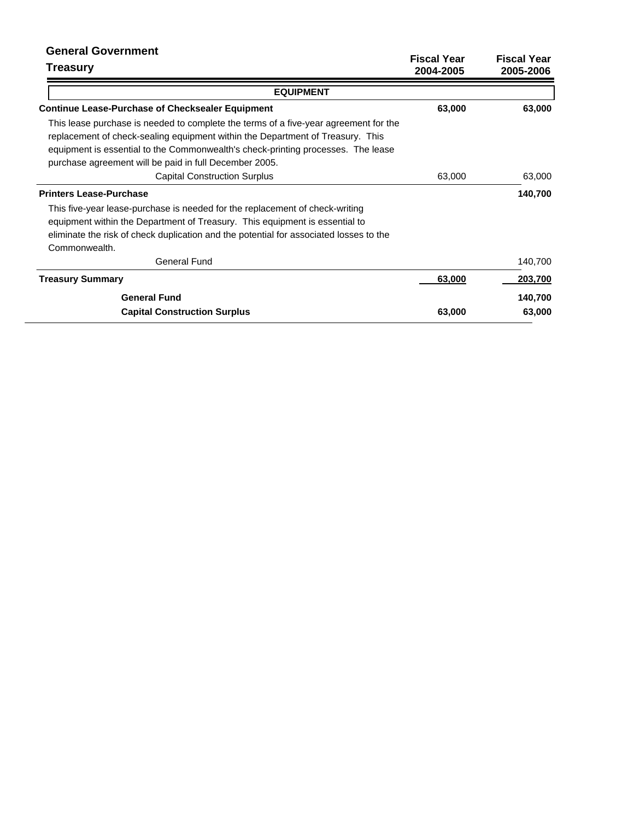| <b>General Government</b><br><b>Treasury</b>                                                                                                                                                                                                                                                                         | <b>Fiscal Year</b><br>2004-2005 | <b>Fiscal Year</b><br>2005-2006 |
|----------------------------------------------------------------------------------------------------------------------------------------------------------------------------------------------------------------------------------------------------------------------------------------------------------------------|---------------------------------|---------------------------------|
| <b>EQUIPMENT</b>                                                                                                                                                                                                                                                                                                     |                                 |                                 |
| <b>Continue Lease-Purchase of Checksealer Equipment</b>                                                                                                                                                                                                                                                              | 63,000                          | 63,000                          |
| This lease purchase is needed to complete the terms of a five-year agreement for the<br>replacement of check-sealing equipment within the Department of Treasury. This<br>equipment is essential to the Commonwealth's check-printing processes. The lease<br>purchase agreement will be paid in full December 2005. |                                 |                                 |
| <b>Capital Construction Surplus</b>                                                                                                                                                                                                                                                                                  | 63,000                          | 63,000                          |
| <b>Printers Lease-Purchase</b>                                                                                                                                                                                                                                                                                       |                                 | 140,700                         |
| This five-year lease-purchase is needed for the replacement of check-writing<br>equipment within the Department of Treasury. This equipment is essential to<br>eliminate the risk of check duplication and the potential for associated losses to the<br>Commonwealth.                                               |                                 |                                 |
| <b>General Fund</b>                                                                                                                                                                                                                                                                                                  |                                 | 140,700                         |
| <b>Treasury Summary</b>                                                                                                                                                                                                                                                                                              | 63,000                          | 203,700                         |
| <b>General Fund</b>                                                                                                                                                                                                                                                                                                  |                                 | 140,700                         |
| <b>Capital Construction Surplus</b>                                                                                                                                                                                                                                                                                  | 63,000                          | 63,000                          |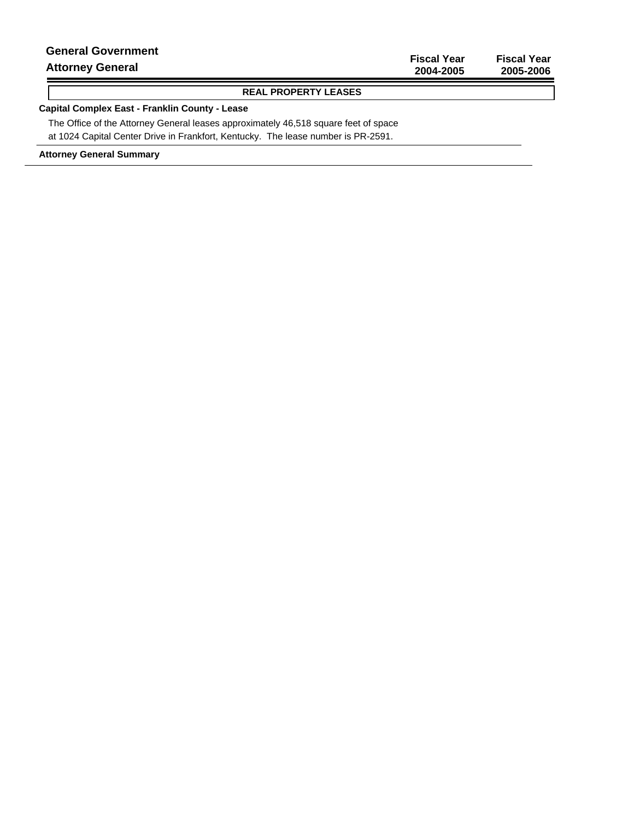| <b>Attorney General</b>   | 2004-2005          | 2005-2006          |
|---------------------------|--------------------|--------------------|
|                           | <b>Fiscal Year</b> | <b>Fiscal Year</b> |
| <b>General Government</b> |                    |                    |

### **REAL PROPERTY LEASES**

### **Capital Complex East - Franklin County - Lease**

The Office of the Attorney General leases approximately 46,518 square feet of space at 1024 Capital Center Drive in Frankfort, Kentucky. The lease number is PR-2591.

**Attorney General Summary**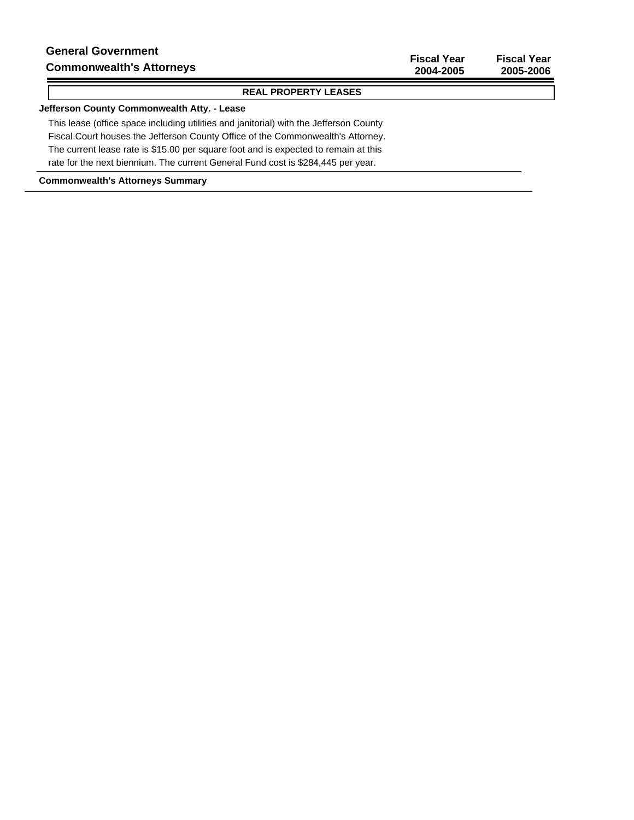#### **REAL PROPERTY LEASES**

### **Jefferson County Commonwealth Atty. - Lease**

This lease (office space including utilities and janitorial) with the Jefferson County Fiscal Court houses the Jefferson County Office of the Commonwealth's Attorney. The current lease rate is \$15.00 per square foot and is expected to remain at this rate for the next biennium. The current General Fund cost is \$284,445 per year.

#### **Commonwealth's Attorneys Summary**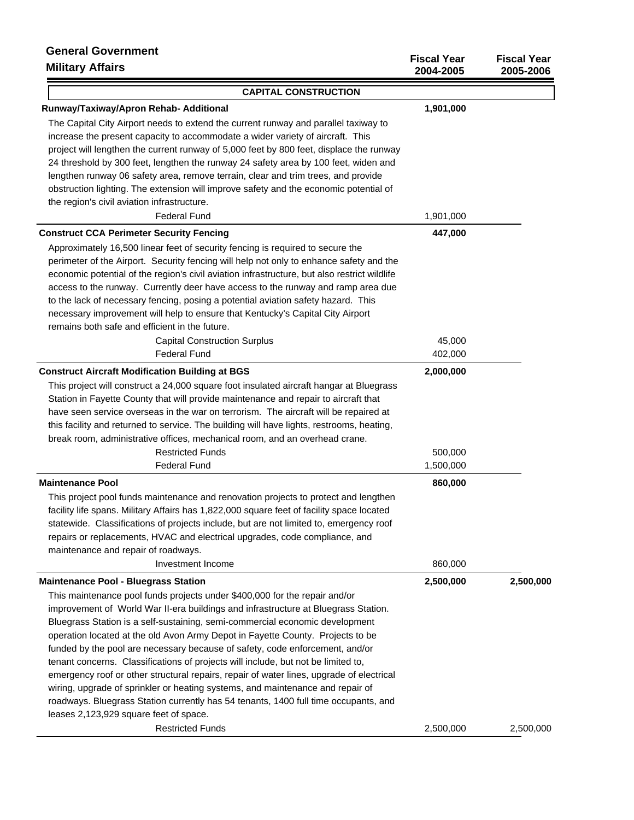| טופווקו וסטטט וסוסט<br><b>Military Affairs</b>                                               | <b>Fiscal Year</b><br>2004-2005 | <b>Fiscal Year</b><br>2005-2006 |
|----------------------------------------------------------------------------------------------|---------------------------------|---------------------------------|
| <b>CAPITAL CONSTRUCTION</b>                                                                  |                                 |                                 |
| Runway/Taxiway/Apron Rehab- Additional                                                       | 1,901,000                       |                                 |
| The Capital City Airport needs to extend the current runway and parallel taxiway to          |                                 |                                 |
| increase the present capacity to accommodate a wider variety of aircraft. This               |                                 |                                 |
| project will lengthen the current runway of 5,000 feet by 800 feet, displace the runway      |                                 |                                 |
| 24 threshold by 300 feet, lengthen the runway 24 safety area by 100 feet, widen and          |                                 |                                 |
| lengthen runway 06 safety area, remove terrain, clear and trim trees, and provide            |                                 |                                 |
| obstruction lighting. The extension will improve safety and the economic potential of        |                                 |                                 |
| the region's civil aviation infrastructure.                                                  |                                 |                                 |
| <b>Federal Fund</b>                                                                          | 1,901,000                       |                                 |
| <b>Construct CCA Perimeter Security Fencing</b>                                              | 447,000                         |                                 |
| Approximately 16,500 linear feet of security fencing is required to secure the               |                                 |                                 |
| perimeter of the Airport. Security fencing will help not only to enhance safety and the      |                                 |                                 |
| economic potential of the region's civil aviation infrastructure, but also restrict wildlife |                                 |                                 |
| access to the runway. Currently deer have access to the runway and ramp area due             |                                 |                                 |
| to the lack of necessary fencing, posing a potential aviation safety hazard. This            |                                 |                                 |
| necessary improvement will help to ensure that Kentucky's Capital City Airport               |                                 |                                 |
| remains both safe and efficient in the future.                                               |                                 |                                 |
| <b>Capital Construction Surplus</b>                                                          | 45,000                          |                                 |
| <b>Federal Fund</b>                                                                          | 402,000                         |                                 |
| <b>Construct Aircraft Modification Building at BGS</b>                                       | 2,000,000                       |                                 |
| This project will construct a 24,000 square foot insulated aircraft hangar at Bluegrass      |                                 |                                 |
| Station in Fayette County that will provide maintenance and repair to aircraft that          |                                 |                                 |
| have seen service overseas in the war on terrorism. The aircraft will be repaired at         |                                 |                                 |
| this facility and returned to service. The building will have lights, restrooms, heating,    |                                 |                                 |
| break room, administrative offices, mechanical room, and an overhead crane.                  |                                 |                                 |
| <b>Restricted Funds</b>                                                                      | 500,000                         |                                 |
| <b>Federal Fund</b>                                                                          | 1,500,000                       |                                 |
| <b>Maintenance Pool</b>                                                                      | 860,000                         |                                 |
| This project pool funds maintenance and renovation projects to protect and lengthen          |                                 |                                 |
| facility life spans. Military Affairs has 1,822,000 square feet of facility space located    |                                 |                                 |
| statewide. Classifications of projects include, but are not limited to, emergency roof       |                                 |                                 |
| repairs or replacements, HVAC and electrical upgrades, code compliance, and                  |                                 |                                 |
| maintenance and repair of roadways.                                                          |                                 |                                 |
| Investment Income                                                                            | 860,000                         |                                 |
| <b>Maintenance Pool - Bluegrass Station</b>                                                  | 2,500,000                       | 2,500,000                       |
| This maintenance pool funds projects under \$400,000 for the repair and/or                   |                                 |                                 |
| improvement of World War II-era buildings and infrastructure at Bluegrass Station.           |                                 |                                 |
| Bluegrass Station is a self-sustaining, semi-commercial economic development                 |                                 |                                 |
| operation located at the old Avon Army Depot in Fayette County. Projects to be               |                                 |                                 |
| funded by the pool are necessary because of safety, code enforcement, and/or                 |                                 |                                 |
| tenant concerns. Classifications of projects will include, but not be limited to,            |                                 |                                 |
| emergency roof or other structural repairs, repair of water lines, upgrade of electrical     |                                 |                                 |
| wiring, upgrade of sprinkler or heating systems, and maintenance and repair of               |                                 |                                 |
| roadways. Bluegrass Station currently has 54 tenants, 1400 full time occupants, and          |                                 |                                 |
| leases 2,123,929 square feet of space.                                                       |                                 |                                 |
| <b>Restricted Funds</b>                                                                      | 2,500,000                       | 2,500,000                       |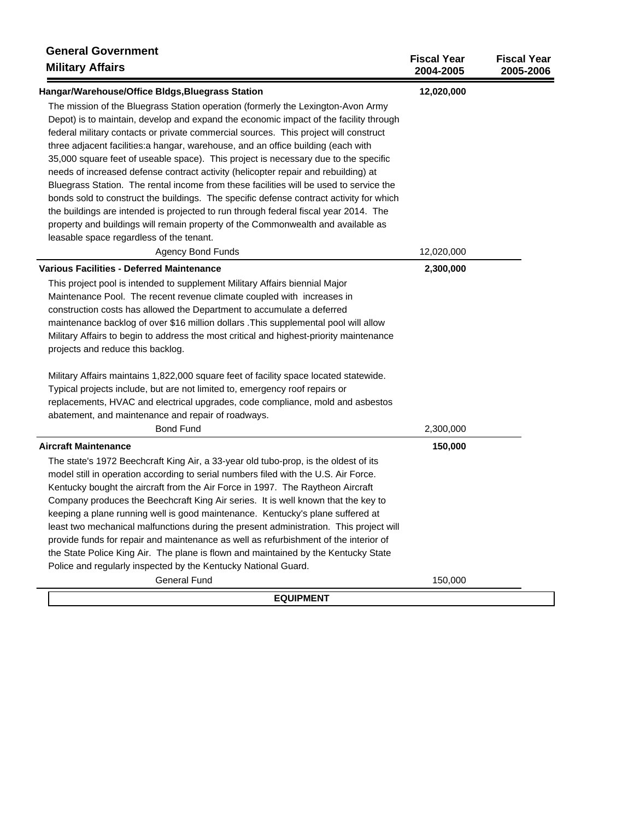| <b>General Government</b><br><b>Military Affairs</b>                                    | <b>Fiscal Year</b><br>2004-2005 | <b>Fiscal Year</b><br>2005-2006 |
|-----------------------------------------------------------------------------------------|---------------------------------|---------------------------------|
| Hangar/Warehouse/Office Bldgs, Bluegrass Station                                        | 12,020,000                      |                                 |
| The mission of the Bluegrass Station operation (formerly the Lexington-Avon Army        |                                 |                                 |
| Depot) is to maintain, develop and expand the economic impact of the facility through   |                                 |                                 |
| federal military contacts or private commercial sources. This project will construct    |                                 |                                 |
| three adjacent facilities: a hangar, warehouse, and an office building (each with       |                                 |                                 |
| 35,000 square feet of useable space). This project is necessary due to the specific     |                                 |                                 |
| needs of increased defense contract activity (helicopter repair and rebuilding) at      |                                 |                                 |
| Bluegrass Station. The rental income from these facilities will be used to service the  |                                 |                                 |
| bonds sold to construct the buildings. The specific defense contract activity for which |                                 |                                 |
| the buildings are intended is projected to run through federal fiscal year 2014. The    |                                 |                                 |
| property and buildings will remain property of the Commonwealth and available as        |                                 |                                 |
| leasable space regardless of the tenant.                                                |                                 |                                 |
| <b>Agency Bond Funds</b>                                                                | 12,020,000                      |                                 |
| Various Facilities - Deferred Maintenance                                               | 2,300,000                       |                                 |
| This project pool is intended to supplement Military Affairs biennial Major             |                                 |                                 |
| Maintenance Pool. The recent revenue climate coupled with increases in                  |                                 |                                 |
| construction costs has allowed the Department to accumulate a deferred                  |                                 |                                 |
| maintenance backlog of over \$16 million dollars . This supplemental pool will allow    |                                 |                                 |
| Military Affairs to begin to address the most critical and highest-priority maintenance |                                 |                                 |
| projects and reduce this backlog.                                                       |                                 |                                 |
| Military Affairs maintains 1,822,000 square feet of facility space located statewide.   |                                 |                                 |
| Typical projects include, but are not limited to, emergency roof repairs or             |                                 |                                 |
| replacements, HVAC and electrical upgrades, code compliance, mold and asbestos          |                                 |                                 |
| abatement, and maintenance and repair of roadways.                                      |                                 |                                 |
| <b>Bond Fund</b>                                                                        | 2,300,000                       |                                 |
| <b>Aircraft Maintenance</b>                                                             | 150,000                         |                                 |
| The state's 1972 Beechcraft King Air, a 33-year old tubo-prop, is the oldest of its     |                                 |                                 |
| model still in operation according to serial numbers filed with the U.S. Air Force.     |                                 |                                 |
| Kentucky bought the aircraft from the Air Force in 1997. The Raytheon Aircraft          |                                 |                                 |
| Company produces the Beechcraft King Air series. It is well known that the key to       |                                 |                                 |
| keeping a plane running well is good maintenance. Kentucky's plane suffered at          |                                 |                                 |
| least two mechanical malfunctions during the present administration. This project will  |                                 |                                 |
| provide funds for repair and maintenance as well as refurbishment of the interior of    |                                 |                                 |
| the State Police King Air. The plane is flown and maintained by the Kentucky State      |                                 |                                 |
| Police and regularly inspected by the Kentucky National Guard.                          |                                 |                                 |
| <b>General Fund</b>                                                                     | 150,000                         |                                 |
| <b>EQUIPMENT</b>                                                                        |                                 |                                 |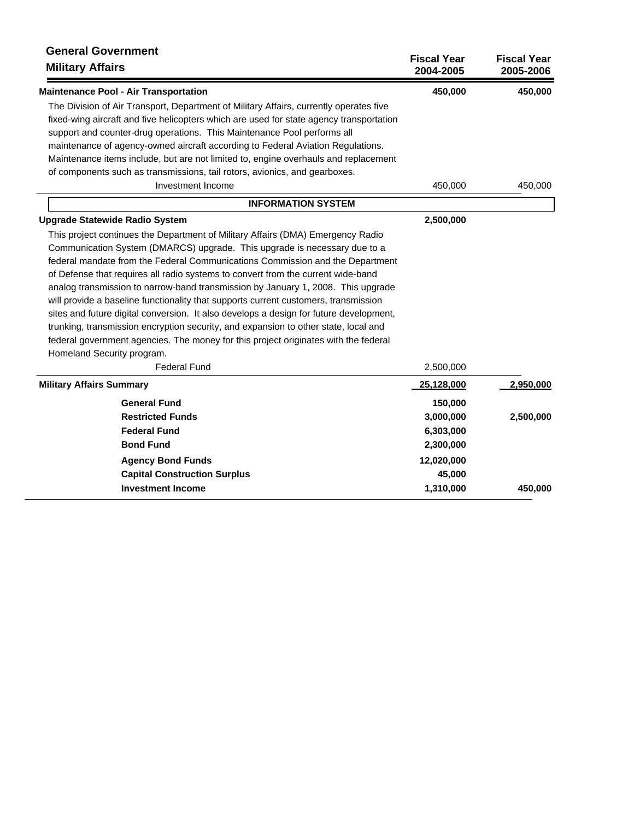| <b>General Government</b><br><b>Military Affairs</b>                                    | <b>Fiscal Year</b><br>2004-2005 | <b>Fiscal Year</b><br>2005-2006 |
|-----------------------------------------------------------------------------------------|---------------------------------|---------------------------------|
| <b>Maintenance Pool - Air Transportation</b>                                            | 450,000                         | 450,000                         |
| The Division of Air Transport, Department of Military Affairs, currently operates five  |                                 |                                 |
| fixed-wing aircraft and five helicopters which are used for state agency transportation |                                 |                                 |
| support and counter-drug operations. This Maintenance Pool performs all                 |                                 |                                 |
| maintenance of agency-owned aircraft according to Federal Aviation Regulations.         |                                 |                                 |
| Maintenance items include, but are not limited to, engine overhauls and replacement     |                                 |                                 |
| of components such as transmissions, tail rotors, avionics, and gearboxes.              |                                 |                                 |
| Investment Income                                                                       | 450,000                         | 450,000                         |
| <b>INFORMATION SYSTEM</b>                                                               |                                 |                                 |
| <b>Upgrade Statewide Radio System</b>                                                   | 2,500,000                       |                                 |
| This project continues the Department of Military Affairs (DMA) Emergency Radio         |                                 |                                 |
| Communication System (DMARCS) upgrade. This upgrade is necessary due to a               |                                 |                                 |
| federal mandate from the Federal Communications Commission and the Department           |                                 |                                 |
| of Defense that requires all radio systems to convert from the current wide-band        |                                 |                                 |
| analog transmission to narrow-band transmission by January 1, 2008. This upgrade        |                                 |                                 |
| will provide a baseline functionality that supports current customers, transmission     |                                 |                                 |
| sites and future digital conversion. It also develops a design for future development,  |                                 |                                 |
| trunking, transmission encryption security, and expansion to other state, local and     |                                 |                                 |
| federal government agencies. The money for this project originates with the federal     |                                 |                                 |
| Homeland Security program.                                                              |                                 |                                 |
| <b>Federal Fund</b>                                                                     | 2,500,000                       |                                 |
| <b>Military Affairs Summary</b>                                                         | 25,128,000                      | 2,950,000                       |
| <b>General Fund</b>                                                                     | 150,000                         |                                 |
| <b>Restricted Funds</b>                                                                 | 3,000,000                       | 2,500,000                       |
| <b>Federal Fund</b>                                                                     | 6,303,000                       |                                 |
| <b>Bond Fund</b>                                                                        | 2,300,000                       |                                 |
| <b>Agency Bond Funds</b>                                                                | 12,020,000                      |                                 |
| <b>Capital Construction Surplus</b>                                                     | 45,000                          |                                 |
| <b>Investment Income</b>                                                                | 1,310,000                       | 450,000                         |
|                                                                                         |                                 |                                 |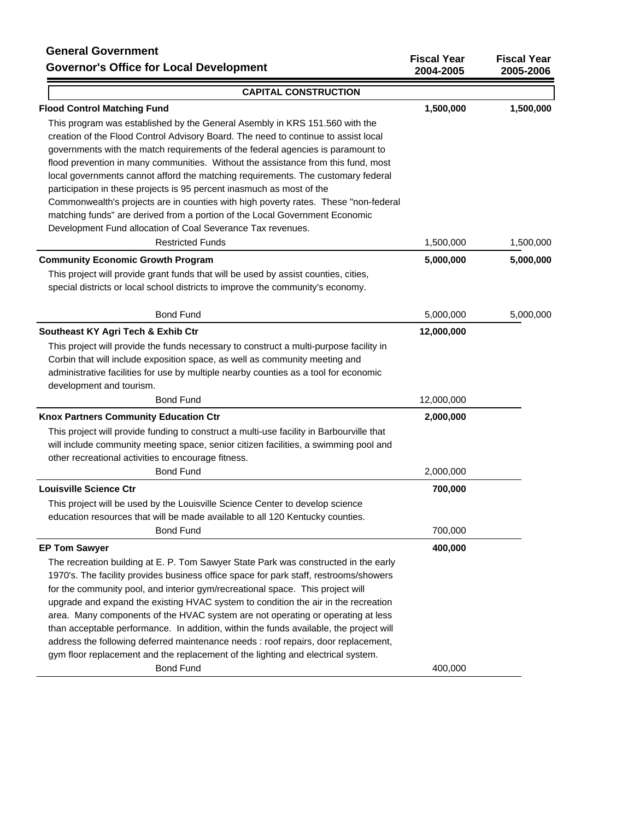# **General Government Governor's Office for Local Development**

| טוסטעט שטערווווסט<br><b>Governor's Office for Local Development</b>                                                                                                     | <b>Fiscal Year</b><br>2004-2005 | <b>Fiscal Year</b><br>2005-2006 |
|-------------------------------------------------------------------------------------------------------------------------------------------------------------------------|---------------------------------|---------------------------------|
| <b>CAPITAL CONSTRUCTION</b>                                                                                                                                             |                                 |                                 |
| <b>Flood Control Matching Fund</b>                                                                                                                                      | 1,500,000                       | 1,500,000                       |
| This program was established by the General Asembly in KRS 151.560 with the                                                                                             |                                 |                                 |
| creation of the Flood Control Advisory Board. The need to continue to assist local                                                                                      |                                 |                                 |
| governments with the match requirements of the federal agencies is paramount to                                                                                         |                                 |                                 |
| flood prevention in many communities. Without the assistance from this fund, most                                                                                       |                                 |                                 |
| local governments cannot afford the matching requirements. The customary federal                                                                                        |                                 |                                 |
| participation in these projects is 95 percent inasmuch as most of the                                                                                                   |                                 |                                 |
| Commonwealth's projects are in counties with high poverty rates. These "non-federal                                                                                     |                                 |                                 |
| matching funds" are derived from a portion of the Local Government Economic                                                                                             |                                 |                                 |
| Development Fund allocation of Coal Severance Tax revenues.                                                                                                             |                                 |                                 |
| <b>Restricted Funds</b>                                                                                                                                                 | 1,500,000                       | 1,500,000                       |
| <b>Community Economic Growth Program</b>                                                                                                                                | 5,000,000                       | 5,000,000                       |
| This project will provide grant funds that will be used by assist counties, cities,                                                                                     |                                 |                                 |
| special districts or local school districts to improve the community's economy.                                                                                         |                                 |                                 |
| <b>Bond Fund</b>                                                                                                                                                        | 5,000,000                       | 5,000,000                       |
| Southeast KY Agri Tech & Exhib Ctr                                                                                                                                      | 12,000,000                      |                                 |
| This project will provide the funds necessary to construct a multi-purpose facility in                                                                                  |                                 |                                 |
| Corbin that will include exposition space, as well as community meeting and                                                                                             |                                 |                                 |
| administrative facilities for use by multiple nearby counties as a tool for economic                                                                                    |                                 |                                 |
| development and tourism.                                                                                                                                                |                                 |                                 |
| <b>Bond Fund</b>                                                                                                                                                        | 12,000,000                      |                                 |
| Knox Partners Community Education Ctr                                                                                                                                   | 2,000,000                       |                                 |
| This project will provide funding to construct a multi-use facility in Barbourville that                                                                                |                                 |                                 |
| will include community meeting space, senior citizen facilities, a swimming pool and                                                                                    |                                 |                                 |
| other recreational activities to encourage fitness.                                                                                                                     |                                 |                                 |
| <b>Bond Fund</b>                                                                                                                                                        | 2,000,000                       |                                 |
| <b>Louisville Science Ctr</b>                                                                                                                                           | 700,000                         |                                 |
| This project will be used by the Louisville Science Center to develop science                                                                                           |                                 |                                 |
| education resources that will be made available to all 120 Kentucky counties.                                                                                           |                                 |                                 |
| <b>Bond Fund</b>                                                                                                                                                        | 700,000                         |                                 |
| <b>EP Tom Sawyer</b>                                                                                                                                                    | 400,000                         |                                 |
| The recreation building at E. P. Tom Sawyer State Park was constructed in the early                                                                                     |                                 |                                 |
| 1970's. The facility provides business office space for park staff, restrooms/showers<br>for the community pool, and interior gym/recreational space. This project will |                                 |                                 |
| upgrade and expand the existing HVAC system to condition the air in the recreation                                                                                      |                                 |                                 |
| area. Many components of the HVAC system are not operating or operating at less                                                                                         |                                 |                                 |
| than acceptable performance. In addition, within the funds available, the project will                                                                                  |                                 |                                 |
| address the following deferred maintenance needs : roof repairs, door replacement,                                                                                      |                                 |                                 |
| gym floor replacement and the replacement of the lighting and electrical system.                                                                                        |                                 |                                 |
| <b>Bond Fund</b>                                                                                                                                                        | 400,000                         |                                 |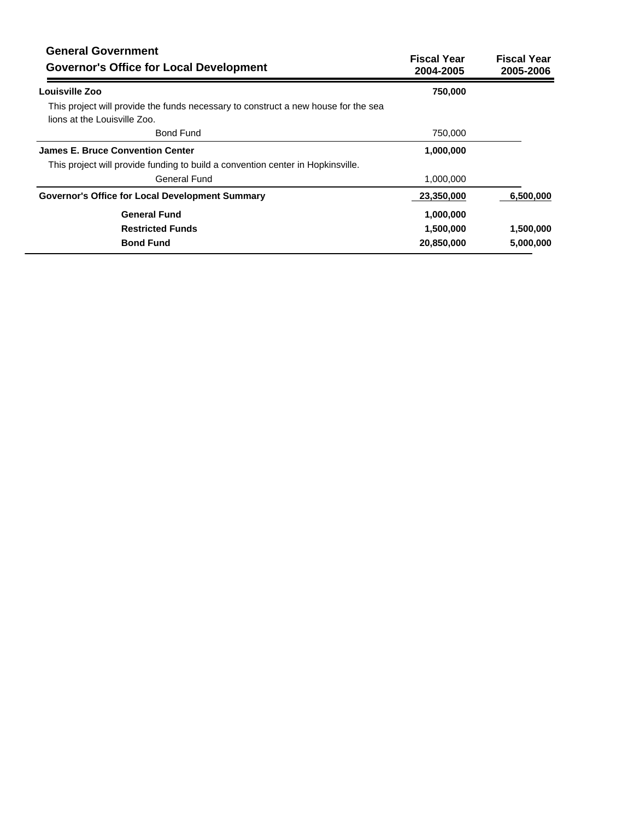| <b>General Government</b><br><b>Governor's Office for Local Development</b>                                        | <b>Fiscal Year</b><br>2004-2005 | <b>Fiscal Year</b><br>2005-2006 |
|--------------------------------------------------------------------------------------------------------------------|---------------------------------|---------------------------------|
| Louisville Zoo                                                                                                     | 750,000                         |                                 |
| This project will provide the funds necessary to construct a new house for the sea<br>lions at the Louisville Zoo. |                                 |                                 |
| <b>Bond Fund</b>                                                                                                   | 750,000                         |                                 |
| <b>James E. Bruce Convention Center</b>                                                                            | 1,000,000                       |                                 |
| This project will provide funding to build a convention center in Hopkinsville.                                    |                                 |                                 |
| <b>General Fund</b>                                                                                                | 1,000,000                       |                                 |
| <b>Governor's Office for Local Development Summary</b>                                                             | 23,350,000                      | 6,500,000                       |
| <b>General Fund</b>                                                                                                | 1,000,000                       |                                 |
| <b>Restricted Funds</b>                                                                                            | 1,500,000                       | 1,500,000                       |
| <b>Bond Fund</b>                                                                                                   | 20,850,000                      | 5,000,000                       |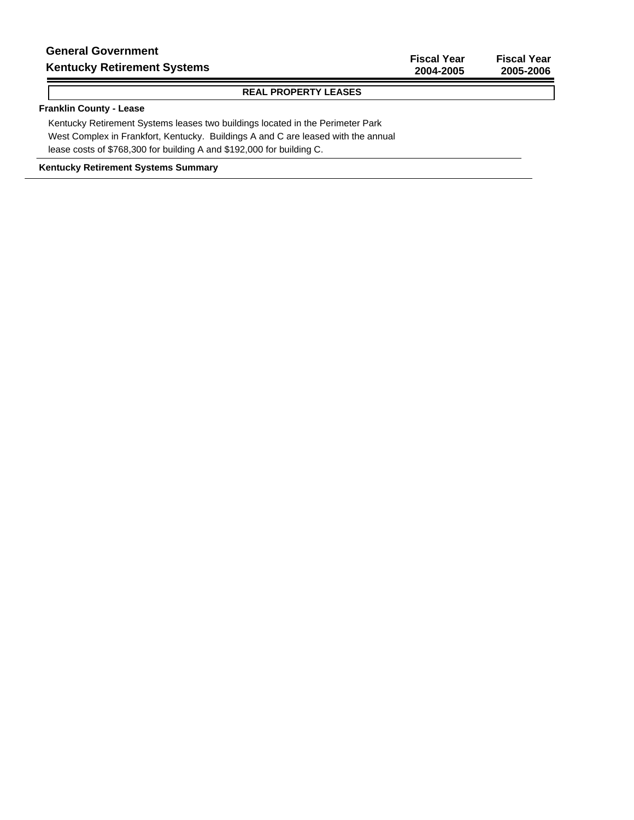**Fiscal Year Fiscal Year 2004-2005 2005-2006**

### **REAL PROPERTY LEASES**

### **Franklin County - Lease**

Kentucky Retirement Systems leases two buildings located in the Perimeter Park West Complex in Frankfort, Kentucky. Buildings A and C are leased with the annual lease costs of \$768,300 for building A and \$192,000 for building C.

**Kentucky Retirement Systems Summary**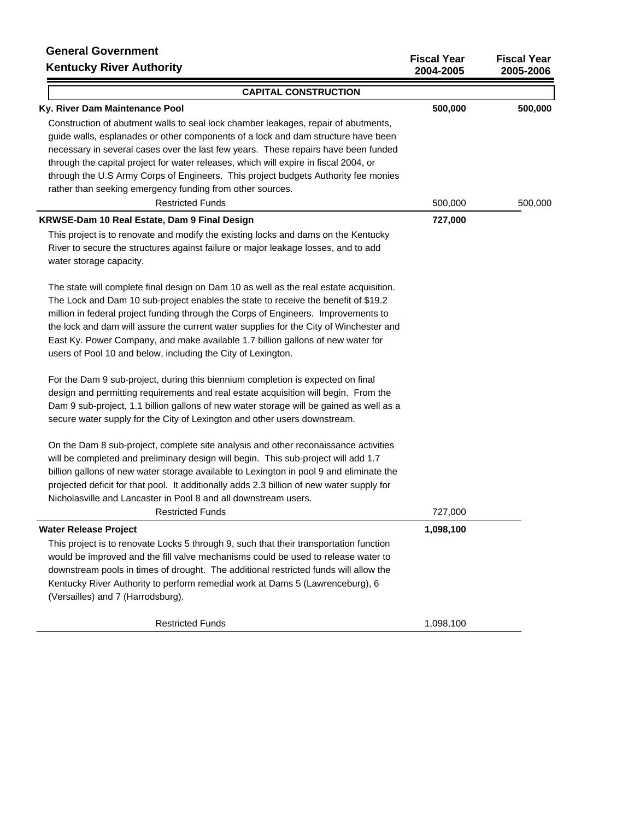# **General Government Kentucky River Authority**

| <b>Kentucky River Authority</b>                                                           | 2004-2005 | 2005-2006 |
|-------------------------------------------------------------------------------------------|-----------|-----------|
| <b>CAPITAL CONSTRUCTION</b>                                                               |           |           |
| Ky. River Dam Maintenance Pool                                                            | 500,000   | 500,000   |
| Construction of abutment walls to seal lock chamber leakages, repair of abutments,        |           |           |
| guide walls, esplanades or other components of a lock and dam structure have been         |           |           |
| necessary in several cases over the last few years. These repairs have been funded        |           |           |
| through the capital project for water releases, which will expire in fiscal 2004, or      |           |           |
| through the U.S Army Corps of Engineers. This project budgets Authority fee monies        |           |           |
| rather than seeking emergency funding from other sources.                                 |           |           |
| <b>Restricted Funds</b>                                                                   | 500,000   | 500,000   |
| KRWSE-Dam 10 Real Estate, Dam 9 Final Design                                              | 727,000   |           |
| This project is to renovate and modify the existing locks and dams on the Kentucky        |           |           |
| River to secure the structures against failure or major leakage losses, and to add        |           |           |
| water storage capacity.                                                                   |           |           |
| The state will complete final design on Dam 10 as well as the real estate acquisition.    |           |           |
| The Lock and Dam 10 sub-project enables the state to receive the benefit of \$19.2        |           |           |
| million in federal project funding through the Corps of Engineers. Improvements to        |           |           |
| the lock and dam will assure the current water supplies for the City of Winchester and    |           |           |
| East Ky. Power Company, and make available 1.7 billion gallons of new water for           |           |           |
| users of Pool 10 and below, including the City of Lexington.                              |           |           |
| For the Dam 9 sub-project, during this biennium completion is expected on final           |           |           |
| design and permitting requirements and real estate acquisition will begin. From the       |           |           |
| Dam 9 sub-project, 1.1 billion gallons of new water storage will be gained as well as a   |           |           |
| secure water supply for the City of Lexington and other users downstream.                 |           |           |
| On the Dam 8 sub-project, complete site analysis and other reconaissance activities       |           |           |
| will be completed and preliminary design will begin. This sub-project will add 1.7        |           |           |
| billion gallons of new water storage available to Lexington in pool 9 and eliminate the   |           |           |
| projected deficit for that pool. It additionally adds 2.3 billion of new water supply for |           |           |
| Nicholasville and Lancaster in Pool 8 and all downstream users.                           |           |           |
| <b>Restricted Funds</b>                                                                   | 727,000   |           |
| <b>Water Release Project</b>                                                              | 1,098,100 |           |
| This project is to renovate Locks 5 through 9, such that their transportation function    |           |           |
| would be improved and the fill valve mechanisms could be used to release water to         |           |           |
| downstream pools in times of drought. The additional restricted funds will allow the      |           |           |
| Kentucky River Authority to perform remedial work at Dams 5 (Lawrenceburg), 6             |           |           |
| (Versailles) and 7 (Harrodsburg).                                                         |           |           |
| <b>Restricted Funds</b>                                                                   | 1,098,100 |           |
|                                                                                           |           |           |

**Fiscal Year Fiscal Year**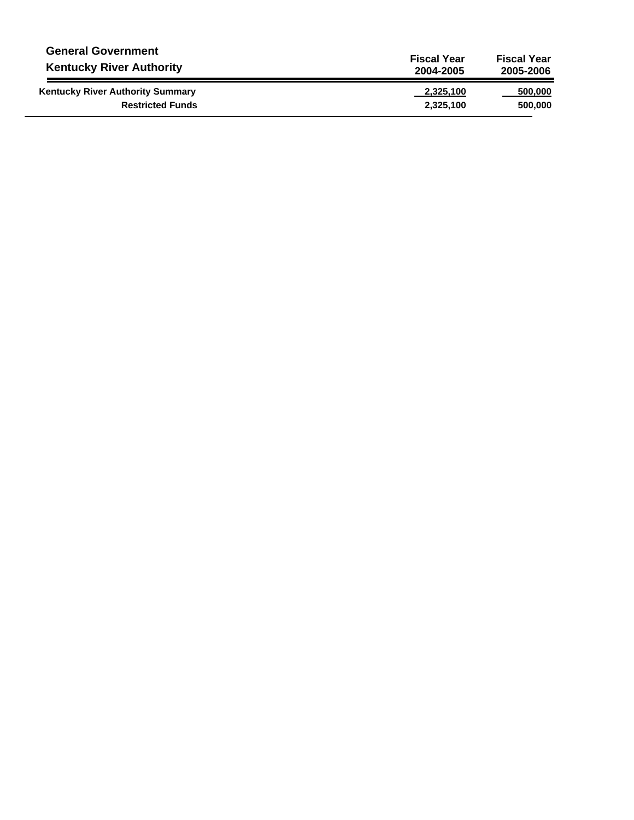| <b>General Government</b>               | <b>Fiscal Year</b> | <b>Fiscal Year</b> |
|-----------------------------------------|--------------------|--------------------|
| <b>Kentucky River Authority</b>         | 2004-2005          | 2005-2006          |
| <b>Kentucky River Authority Summary</b> | 2,325,100          | 500,000            |
| <b>Restricted Funds</b>                 | 2,325,100          | 500,000            |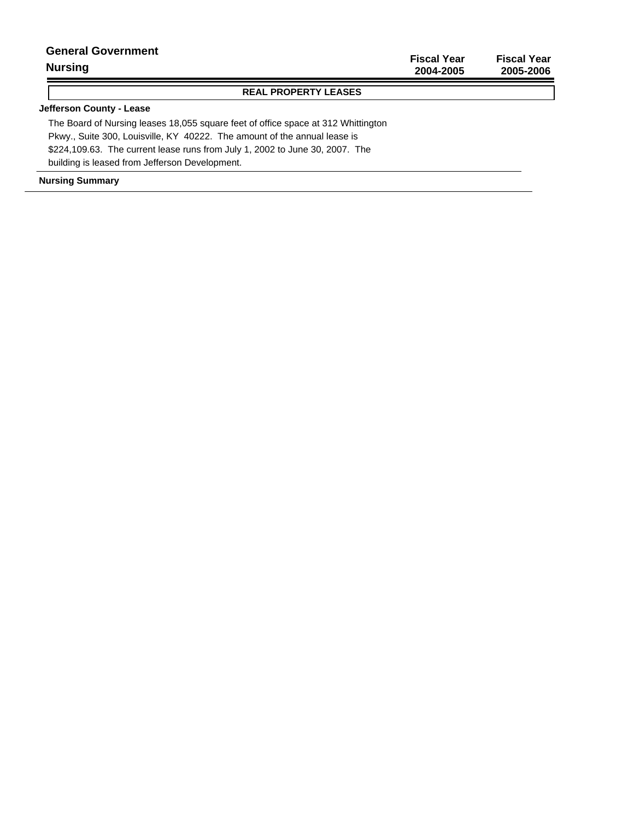| <b>Nursing</b>            | 2004-2005          | 2005-2006          |
|---------------------------|--------------------|--------------------|
|                           | <b>Fiscal Year</b> | <b>Fiscal Year</b> |
| <b>General Government</b> |                    |                    |

### **REAL PROPERTY LEASES**

### **Jefferson County - Lease**

The Board of Nursing leases 18,055 square feet of office space at 312 Whittington Pkwy., Suite 300, Louisville, KY 40222. The amount of the annual lease is \$224,109.63. The current lease runs from July 1, 2002 to June 30, 2007. The building is leased from Jefferson Development.

#### **Nursing Summary**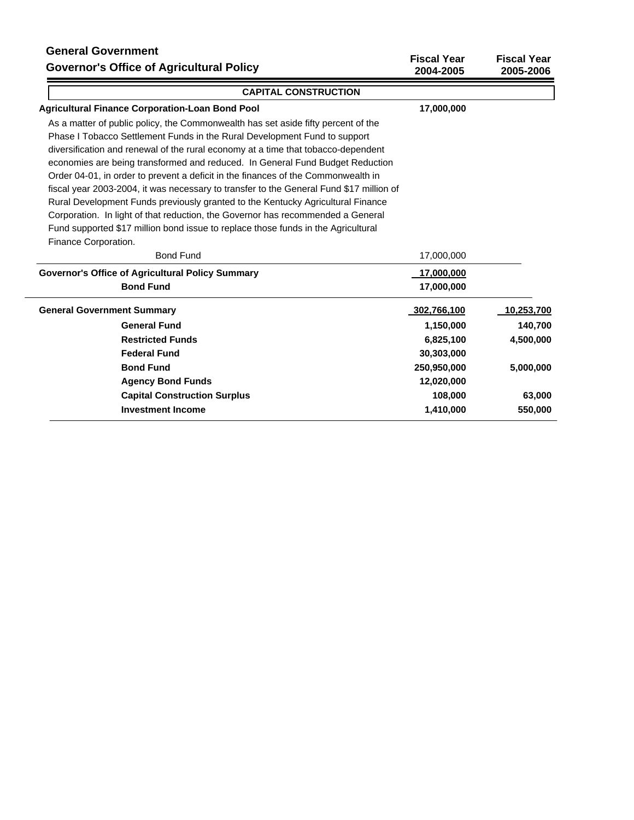# **General Government Governor's Office of Agricultural Policy**

| Governor's Office of Agricultural Policy                                                | 2004-2005   | 2005-2006  |
|-----------------------------------------------------------------------------------------|-------------|------------|
| <b>CAPITAL CONSTRUCTION</b>                                                             |             |            |
| <b>Agricultural Finance Corporation-Loan Bond Pool</b>                                  | 17,000,000  |            |
| As a matter of public policy, the Commonwealth has set aside fifty percent of the       |             |            |
| Phase I Tobacco Settlement Funds in the Rural Development Fund to support               |             |            |
| diversification and renewal of the rural economy at a time that tobacco-dependent       |             |            |
| economies are being transformed and reduced. In General Fund Budget Reduction           |             |            |
| Order 04-01, in order to prevent a deficit in the finances of the Commonwealth in       |             |            |
| fiscal year 2003-2004, it was necessary to transfer to the General Fund \$17 million of |             |            |
| Rural Development Funds previously granted to the Kentucky Agricultural Finance         |             |            |
| Corporation. In light of that reduction, the Governor has recommended a General         |             |            |
| Fund supported \$17 million bond issue to replace those funds in the Agricultural       |             |            |
| Finance Corporation.                                                                    |             |            |
| <b>Bond Fund</b>                                                                        | 17,000,000  |            |
| <b>Governor's Office of Agricultural Policy Summary</b>                                 | 17,000,000  |            |
| <b>Bond Fund</b>                                                                        | 17,000,000  |            |
| <b>General Government Summary</b>                                                       | 302,766,100 | 10,253,700 |
| <b>General Fund</b>                                                                     | 1,150,000   | 140,700    |
| <b>Restricted Funds</b>                                                                 | 6,825,100   | 4,500,000  |
| <b>Federal Fund</b>                                                                     | 30,303,000  |            |
| <b>Bond Fund</b>                                                                        | 250,950,000 | 5,000,000  |
| <b>Agency Bond Funds</b>                                                                | 12,020,000  |            |
| <b>Capital Construction Surplus</b>                                                     | 108,000     | 63,000     |
| <b>Investment Income</b>                                                                | 1,410,000   | 550,000    |

**Fiscal Year Fiscal Year**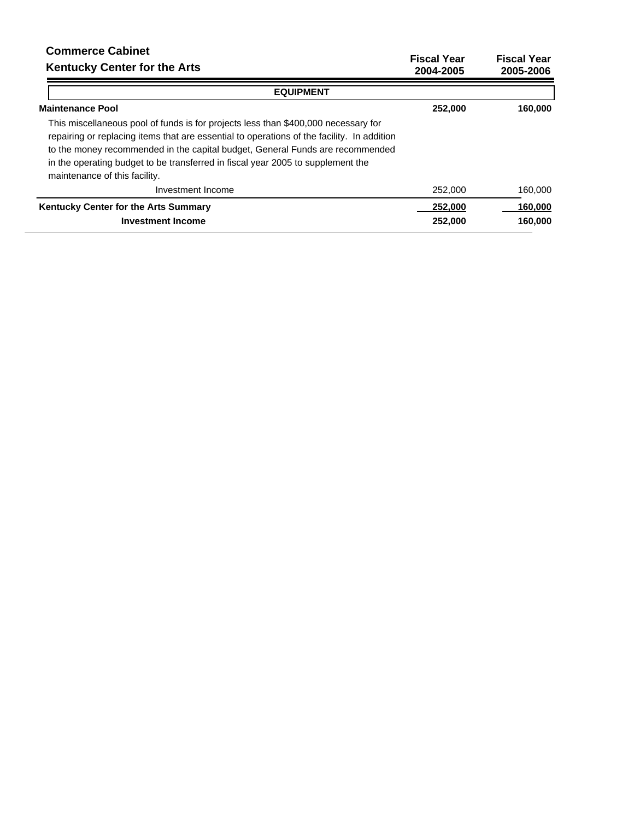#### **Fiscal Year Fiscal Year 2004-2005 2005-2006 Commerce Cabinet Kentucky Center for the Arts EQUIPMENT Maintenance Pool** This miscellaneous pool of funds is for projects less than \$400,000 necessary for repairing or replacing items that are essential to operations of the facility. In addition to the money recommended in the capital budget, General Funds are recommended in the operating budget to be transferred in fiscal year 2005 to supplement the maintenance of this facility.  **252,000 160,000** Investment Income 252,000 160,000

| Investment Income                           | Z5Z.UUU | 100.UUU |
|---------------------------------------------|---------|---------|
| <b>Kentucky Center for the Arts Summary</b> | 252,000 | 160.000 |
| Investment Income                           | 252,000 | 160,000 |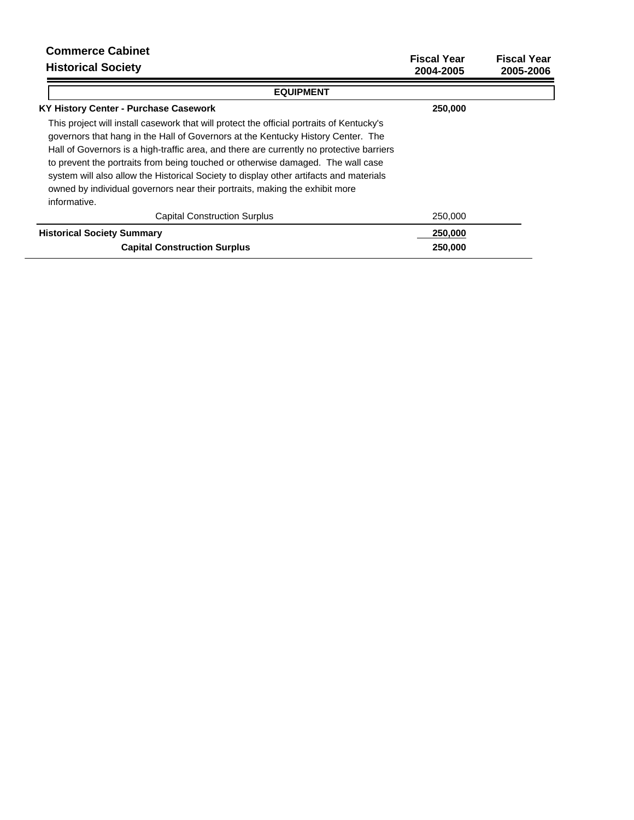| <b>Commerce Cabinet</b><br><b>Historical Society</b>                                                                                                                                                                                                                                                                                                                                                                                                                                                                                                  | <b>Fiscal Year</b><br>2004-2005 | <b>Fiscal Year</b><br>2005-2006 |
|-------------------------------------------------------------------------------------------------------------------------------------------------------------------------------------------------------------------------------------------------------------------------------------------------------------------------------------------------------------------------------------------------------------------------------------------------------------------------------------------------------------------------------------------------------|---------------------------------|---------------------------------|
| <b>EQUIPMENT</b>                                                                                                                                                                                                                                                                                                                                                                                                                                                                                                                                      |                                 |                                 |
| KY History Center - Purchase Casework                                                                                                                                                                                                                                                                                                                                                                                                                                                                                                                 | 250,000                         |                                 |
| This project will install casework that will protect the official portraits of Kentucky's<br>governors that hang in the Hall of Governors at the Kentucky History Center. The<br>Hall of Governors is a high-traffic area, and there are currently no protective barriers<br>to prevent the portraits from being touched or otherwise damaged. The wall case<br>system will also allow the Historical Society to display other artifacts and materials<br>owned by individual governors near their portraits, making the exhibit more<br>informative. |                                 |                                 |
| <b>Capital Construction Surplus</b>                                                                                                                                                                                                                                                                                                                                                                                                                                                                                                                   | 250,000                         |                                 |
| <b>Historical Society Summary</b>                                                                                                                                                                                                                                                                                                                                                                                                                                                                                                                     | 250,000                         |                                 |
| <b>Capital Construction Surplus</b>                                                                                                                                                                                                                                                                                                                                                                                                                                                                                                                   | 250,000                         |                                 |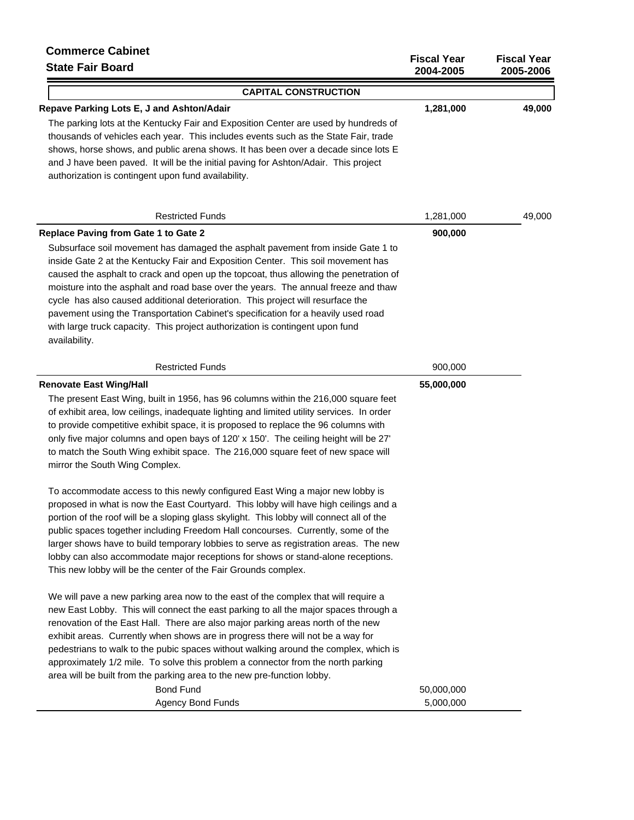| <b>Commerce Cabinet</b><br><b>State Fair Board</b>                                                                                                                                                                                                                                                                                                                                                                                                                                                                                                                                                                                                                          | <b>Fiscal Year</b><br>2004-2005 | <b>Fiscal Year</b><br>2005-2006 |
|-----------------------------------------------------------------------------------------------------------------------------------------------------------------------------------------------------------------------------------------------------------------------------------------------------------------------------------------------------------------------------------------------------------------------------------------------------------------------------------------------------------------------------------------------------------------------------------------------------------------------------------------------------------------------------|---------------------------------|---------------------------------|
| <b>CAPITAL CONSTRUCTION</b>                                                                                                                                                                                                                                                                                                                                                                                                                                                                                                                                                                                                                                                 |                                 |                                 |
| Repave Parking Lots E, J and Ashton/Adair<br>The parking lots at the Kentucky Fair and Exposition Center are used by hundreds of<br>thousands of vehicles each year. This includes events such as the State Fair, trade<br>shows, horse shows, and public arena shows. It has been over a decade since lots E<br>and J have been paved. It will be the initial paving for Ashton/Adair. This project<br>authorization is contingent upon fund availability.                                                                                                                                                                                                                 | 1,281,000                       | 49,000                          |
| <b>Restricted Funds</b>                                                                                                                                                                                                                                                                                                                                                                                                                                                                                                                                                                                                                                                     | 1,281,000                       | 49,000                          |
| <b>Replace Paving from Gate 1 to Gate 2</b><br>Subsurface soil movement has damaged the asphalt pavement from inside Gate 1 to<br>inside Gate 2 at the Kentucky Fair and Exposition Center. This soil movement has<br>caused the asphalt to crack and open up the topcoat, thus allowing the penetration of<br>moisture into the asphalt and road base over the years. The annual freeze and thaw<br>cycle has also caused additional deterioration. This project will resurface the<br>pavement using the Transportation Cabinet's specification for a heavily used road<br>with large truck capacity. This project authorization is contingent upon fund<br>availability. | 900,000                         |                                 |
| <b>Restricted Funds</b>                                                                                                                                                                                                                                                                                                                                                                                                                                                                                                                                                                                                                                                     | 900,000                         |                                 |
| <b>Renovate East Wing/Hall</b><br>The present East Wing, built in 1956, has 96 columns within the 216,000 square feet<br>of exhibit area, low ceilings, inadequate lighting and limited utility services. In order<br>to provide competitive exhibit space, it is proposed to replace the 96 columns with<br>only five major columns and open bays of 120' x 150'. The ceiling height will be 27'<br>to match the South Wing exhibit space. The 216,000 square feet of new space will<br>mirror the South Wing Complex.                                                                                                                                                     | 55,000,000                      |                                 |
| To accommodate access to this newly configured East Wing a major new lobby is<br>proposed in what is now the East Courtyard. This lobby will have high ceilings and a<br>portion of the roof will be a sloping glass skylight. This lobby will connect all of the<br>public spaces together including Freedom Hall concourses. Currently, some of the<br>larger shows have to build temporary lobbies to serve as registration areas. The new<br>lobby can also accommodate major receptions for shows or stand-alone receptions.<br>This new lobby will be the center of the Fair Grounds complex.                                                                         |                                 |                                 |
| We will pave a new parking area now to the east of the complex that will require a<br>new East Lobby. This will connect the east parking to all the major spaces through a<br>renovation of the East Hall. There are also major parking areas north of the new<br>exhibit areas. Currently when shows are in progress there will not be a way for<br>pedestrians to walk to the pubic spaces without walking around the complex, which is<br>approximately 1/2 mile. To solve this problem a connector from the north parking<br>area will be built from the parking area to the new pre-function lobby.                                                                    |                                 |                                 |

| <b>Bond Fund</b>  | 50.000.000 |
|-------------------|------------|
| Agency Bond Funds | 5.000.000  |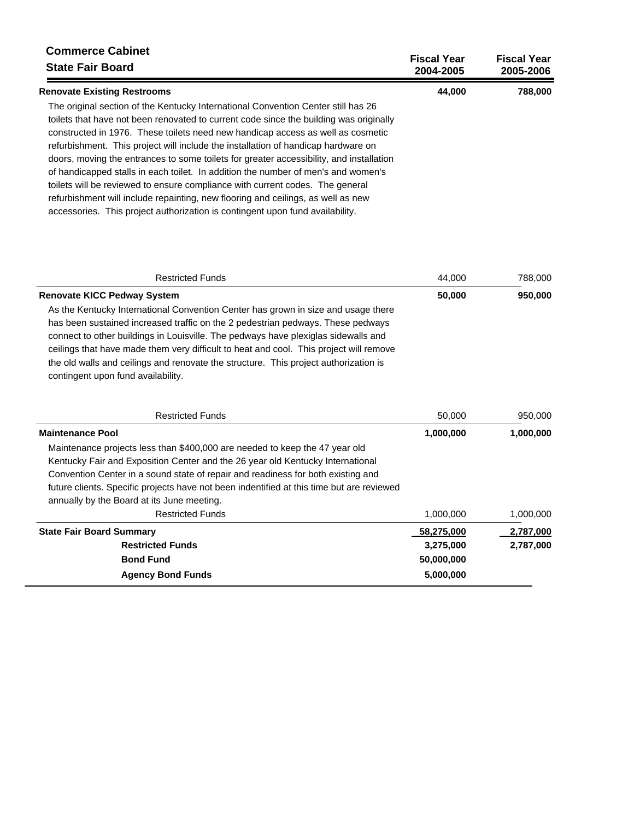| <b>Commerce Cabinet</b><br><b>State Fair Board</b>                                      | <b>Fiscal Year</b><br>2004-2005 | <b>Fiscal Year</b><br>2005-2006 |
|-----------------------------------------------------------------------------------------|---------------------------------|---------------------------------|
| <b>Renovate Existing Restrooms</b>                                                      | 44,000                          | 788,000                         |
| The original section of the Kentucky International Convention Center still has 26       |                                 |                                 |
| toilets that have not been renovated to current code since the building was originally  |                                 |                                 |
| constructed in 1976. These toilets need new handicap access as well as cosmetic         |                                 |                                 |
| refurbishment. This project will include the installation of handicap hardware on       |                                 |                                 |
| doors, moving the entrances to some toilets for greater accessibility, and installation |                                 |                                 |
| of handicapped stalls in each toilet. In addition the number of men's and women's       |                                 |                                 |
| toilets will be reviewed to ensure compliance with current codes. The general           |                                 |                                 |
| refurbishment will include repainting, new flooring and ceilings, as well as new        |                                 |                                 |
| accessories. This project authorization is contingent upon fund availability.           |                                 |                                 |

| <b>Restricted Funds</b>                                                                   | 44,000     | 788,000   |
|-------------------------------------------------------------------------------------------|------------|-----------|
| <b>Renovate KICC Pedway System</b>                                                        | 50,000     | 950,000   |
| As the Kentucky International Convention Center has grown in size and usage there         |            |           |
| has been sustained increased traffic on the 2 pedestrian pedways. These pedways           |            |           |
| connect to other buildings in Louisville. The pedways have plexiglas sidewalls and        |            |           |
| ceilings that have made them very difficult to heat and cool. This project will remove    |            |           |
| the old walls and ceilings and renovate the structure. This project authorization is      |            |           |
| contingent upon fund availability.                                                        |            |           |
|                                                                                           |            |           |
| <b>Restricted Funds</b>                                                                   | 50,000     | 950,000   |
| <b>Maintenance Pool</b>                                                                   | 1,000,000  | 1,000,000 |
| Maintenance projects less than \$400,000 are needed to keep the 47 year old               |            |           |
| Kentucky Fair and Exposition Center and the 26 year old Kentucky International            |            |           |
| Convention Center in a sound state of repair and readiness for both existing and          |            |           |
| future clients. Specific projects have not been indentified at this time but are reviewed |            |           |
| annually by the Board at its June meeting.                                                |            |           |
| <b>Restricted Funds</b>                                                                   | 1,000,000  | 1,000,000 |
| <b>State Fair Board Summary</b>                                                           | 58,275,000 | 2,787,000 |

| State Fair Board Summary | 38,273,000 | <b>2,787,000</b> |
|--------------------------|------------|------------------|
| <b>Restricted Funds</b>  | 3.275.000  | 2,787,000        |
| <b>Bond Fund</b>         | 50.000.000 |                  |
| <b>Agency Bond Funds</b> | 5.000.000  |                  |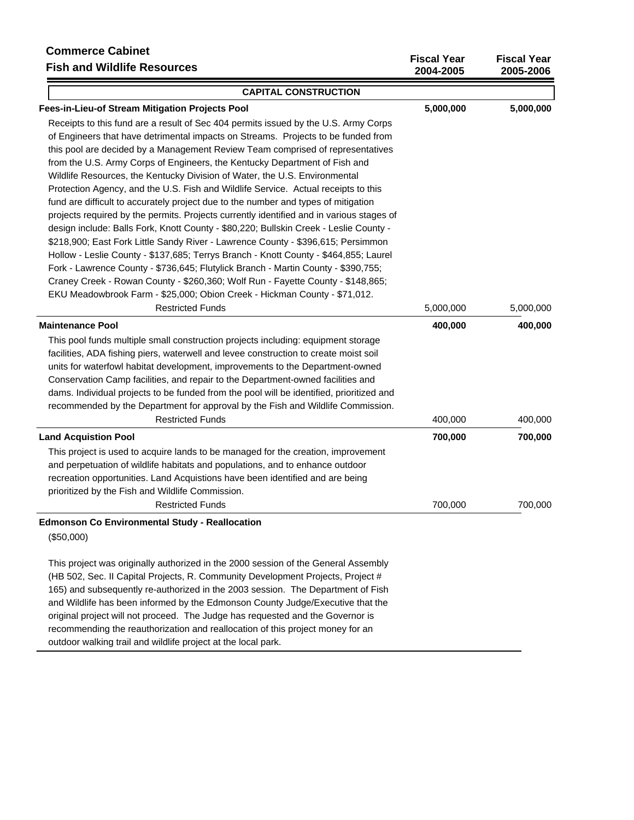# **Commerce Cabinet Fish and Wildlife Resources**

| <b>Fish and Wildlife Resources</b>                                                       | 2004-2005 | 2005-2006 |
|------------------------------------------------------------------------------------------|-----------|-----------|
| <b>CAPITAL CONSTRUCTION</b>                                                              |           |           |
| Fees-in-Lieu-of Stream Mitigation Projects Pool                                          | 5,000,000 | 5,000,000 |
| Receipts to this fund are a result of Sec 404 permits issued by the U.S. Army Corps      |           |           |
| of Engineers that have detrimental impacts on Streams. Projects to be funded from        |           |           |
| this pool are decided by a Management Review Team comprised of representatives           |           |           |
| from the U.S. Army Corps of Engineers, the Kentucky Department of Fish and               |           |           |
| Wildlife Resources, the Kentucky Division of Water, the U.S. Environmental               |           |           |
| Protection Agency, and the U.S. Fish and Wildlife Service. Actual receipts to this       |           |           |
| fund are difficult to accurately project due to the number and types of mitigation       |           |           |
| projects required by the permits. Projects currently identified and in various stages of |           |           |
| design include: Balls Fork, Knott County - \$80,220; Bullskin Creek - Leslie County -    |           |           |
| \$218,900; East Fork Little Sandy River - Lawrence County - \$396,615; Persimmon         |           |           |
| Hollow - Leslie County - \$137,685; Terrys Branch - Knott County - \$464,855; Laurel     |           |           |
| Fork - Lawrence County - \$736,645; Flutylick Branch - Martin County - \$390,755;        |           |           |
| Craney Creek - Rowan County - \$260,360; Wolf Run - Fayette County - \$148,865;          |           |           |
| EKU Meadowbrook Farm - \$25,000; Obion Creek - Hickman County - \$71,012.                |           |           |
| <b>Restricted Funds</b>                                                                  | 5,000,000 | 5,000,000 |
| <b>Maintenance Pool</b>                                                                  | 400,000   | 400,000   |
| This pool funds multiple small construction projects including: equipment storage        |           |           |
| facilities, ADA fishing piers, waterwell and levee construction to create moist soil     |           |           |
| units for waterfowl habitat development, improvements to the Department-owned            |           |           |
| Conservation Camp facilities, and repair to the Department-owned facilities and          |           |           |
| dams. Individual projects to be funded from the pool will be identified, prioritized and |           |           |
| recommended by the Department for approval by the Fish and Wildlife Commission.          |           |           |
| <b>Restricted Funds</b>                                                                  | 400,000   | 400,000   |
| <b>Land Acquistion Pool</b>                                                              | 700,000   | 700,000   |
| This project is used to acquire lands to be managed for the creation, improvement        |           |           |
| and perpetuation of wildlife habitats and populations, and to enhance outdoor            |           |           |
| recreation opportunities. Land Acquistions have been identified and are being            |           |           |
| prioritized by the Fish and Wildlife Commission.                                         |           |           |
| <b>Restricted Funds</b>                                                                  | 700,000   | 700,000   |
| <b>Edmonson Co Environmental Study - Reallocation</b>                                    |           |           |
| (\$50,000)                                                                               |           |           |
| This project was originally authorized in the 2000 session of the General Assembly       |           |           |
| (HB 502, Sec. II Capital Projects, R. Community Development Projects, Project #          |           |           |
| 165) and subsequently re-authorized in the 2003 session. The Department of Fish          |           |           |

**Fiscal Year Fiscal Year**

and Wildlife has been informed by the Edmonson County Judge/Executive that the original project will not proceed. The Judge has requested and the Governor is recommending the reauthorization and reallocation of this project money for an

outdoor walking trail and wildlife project at the local park.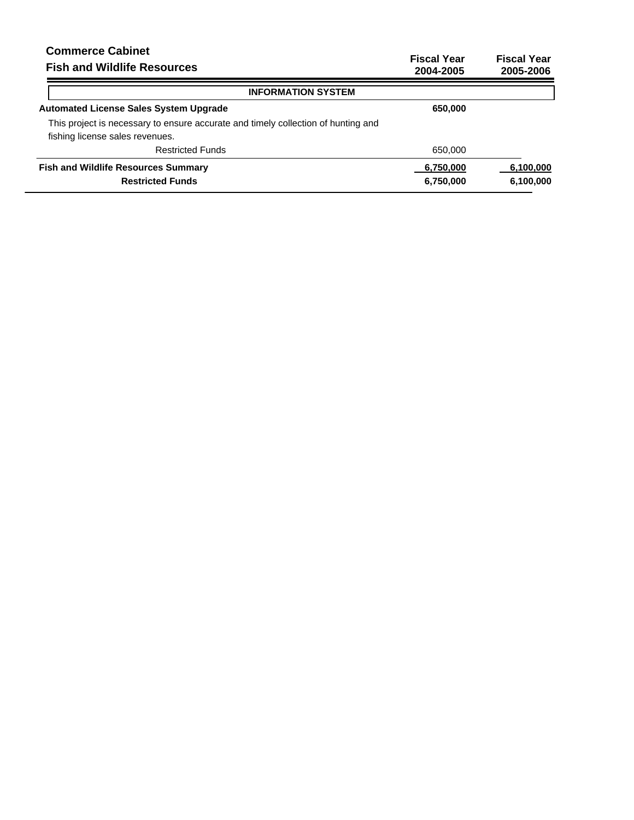| <b>Fiscal Year</b><br>2004-2005 | <b>Fiscal Year</b><br>2005-2006 |
|---------------------------------|---------------------------------|
|                                 |                                 |
| 650,000                         |                                 |
|                                 |                                 |
|                                 |                                 |
| 650,000                         |                                 |
| 6,750,000                       | 6,100,000                       |
| 6,750,000                       | 6,100,000                       |
|                                 |                                 |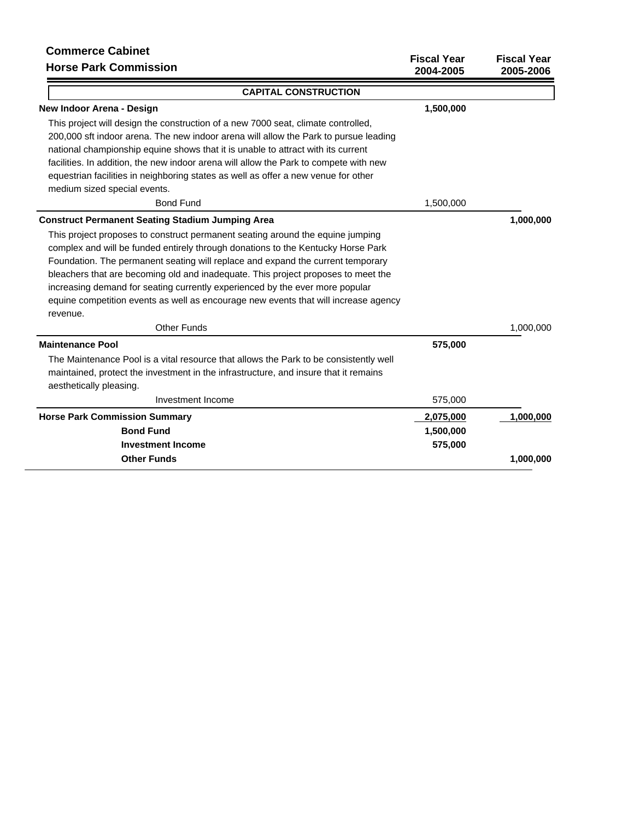| סטוווווסו טכ שמטוווסנ<br><b>Horse Park Commission</b>                                 | <b>Fiscal Year</b><br>2004-2005 | <b>Fiscal Year</b><br>2005-2006 |
|---------------------------------------------------------------------------------------|---------------------------------|---------------------------------|
| <b>CAPITAL CONSTRUCTION</b>                                                           |                                 |                                 |
| New Indoor Arena - Design                                                             | 1,500,000                       |                                 |
| This project will design the construction of a new 7000 seat, climate controlled,     |                                 |                                 |
| 200,000 sft indoor arena. The new indoor arena will allow the Park to pursue leading  |                                 |                                 |
| national championship equine shows that it is unable to attract with its current      |                                 |                                 |
| facilities. In addition, the new indoor arena will allow the Park to compete with new |                                 |                                 |
| equestrian facilities in neighboring states as well as offer a new venue for other    |                                 |                                 |
| medium sized special events.                                                          |                                 |                                 |
| <b>Bond Fund</b>                                                                      | 1,500,000                       |                                 |
| <b>Construct Permanent Seating Stadium Jumping Area</b>                               |                                 | 1,000,000                       |
| This project proposes to construct permanent seating around the equine jumping        |                                 |                                 |
| complex and will be funded entirely through donations to the Kentucky Horse Park      |                                 |                                 |
| Foundation. The permanent seating will replace and expand the current temporary       |                                 |                                 |
| bleachers that are becoming old and inadequate. This project proposes to meet the     |                                 |                                 |
| increasing demand for seating currently experienced by the ever more popular          |                                 |                                 |
| equine competition events as well as encourage new events that will increase agency   |                                 |                                 |
| revenue.                                                                              |                                 |                                 |
| <b>Other Funds</b>                                                                    |                                 | 1,000,000                       |
| <b>Maintenance Pool</b>                                                               | 575,000                         |                                 |
| The Maintenance Pool is a vital resource that allows the Park to be consistently well |                                 |                                 |
| maintained, protect the investment in the infrastructure, and insure that it remains  |                                 |                                 |
| aesthetically pleasing.                                                               |                                 |                                 |
| Investment Income                                                                     | 575,000                         |                                 |
| <b>Horse Park Commission Summary</b>                                                  | 2,075,000                       | 1,000,000                       |
| <b>Bond Fund</b>                                                                      | 1,500,000                       |                                 |
| <b>Investment Income</b>                                                              | 575,000                         |                                 |
| <b>Other Funds</b>                                                                    |                                 | 1,000,000                       |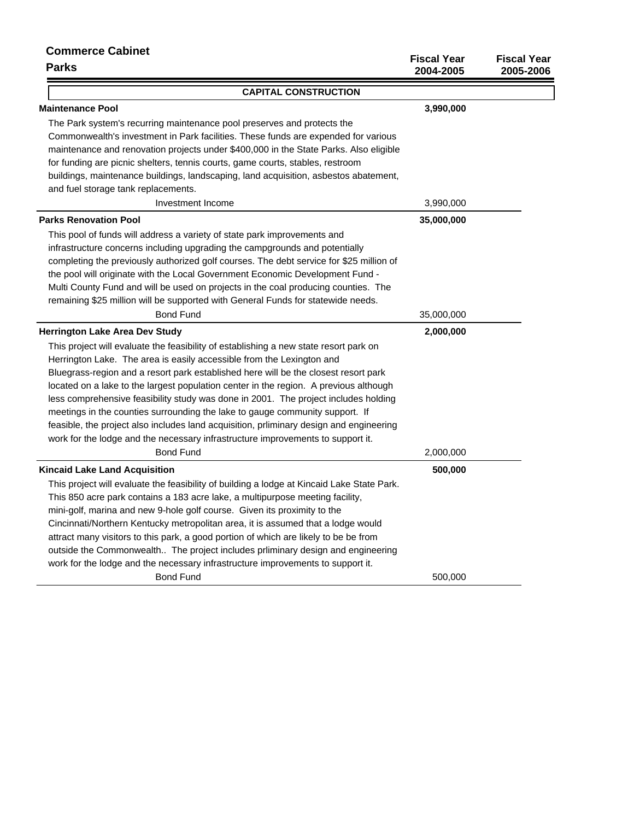| <b>Commerce Cabinet</b><br>Parks                                                           | <b>Fiscal Year</b><br>2004-2005 | <b>Fiscal Year</b><br>2005-2006 |
|--------------------------------------------------------------------------------------------|---------------------------------|---------------------------------|
| <b>CAPITAL CONSTRUCTION</b>                                                                |                                 |                                 |
| <b>Maintenance Pool</b>                                                                    | 3,990,000                       |                                 |
| The Park system's recurring maintenance pool preserves and protects the                    |                                 |                                 |
| Commonwealth's investment in Park facilities. These funds are expended for various         |                                 |                                 |
| maintenance and renovation projects under \$400,000 in the State Parks. Also eligible      |                                 |                                 |
| for funding are picnic shelters, tennis courts, game courts, stables, restroom             |                                 |                                 |
| buildings, maintenance buildings, landscaping, land acquisition, asbestos abatement,       |                                 |                                 |
| and fuel storage tank replacements.                                                        |                                 |                                 |
| Investment Income                                                                          | 3,990,000                       |                                 |
| <b>Parks Renovation Pool</b>                                                               | 35,000,000                      |                                 |
| This pool of funds will address a variety of state park improvements and                   |                                 |                                 |
| infrastructure concerns including upgrading the campgrounds and potentially                |                                 |                                 |
| completing the previously authorized golf courses. The debt service for \$25 million of    |                                 |                                 |
| the pool will originate with the Local Government Economic Development Fund -              |                                 |                                 |
| Multi County Fund and will be used on projects in the coal producing counties. The         |                                 |                                 |
| remaining \$25 million will be supported with General Funds for statewide needs.           |                                 |                                 |
| <b>Bond Fund</b>                                                                           | 35,000,000                      |                                 |
| <b>Herrington Lake Area Dev Study</b>                                                      | 2,000,000                       |                                 |
| This project will evaluate the feasibility of establishing a new state resort park on      |                                 |                                 |
| Herrington Lake. The area is easily accessible from the Lexington and                      |                                 |                                 |
| Bluegrass-region and a resort park established here will be the closest resort park        |                                 |                                 |
| located on a lake to the largest population center in the region. A previous although      |                                 |                                 |
| less comprehensive feasibility study was done in 2001. The project includes holding        |                                 |                                 |
| meetings in the counties surrounding the lake to gauge community support. If               |                                 |                                 |
| feasible, the project also includes land acquisition, prliminary design and engineering    |                                 |                                 |
| work for the lodge and the necessary infrastructure improvements to support it.            |                                 |                                 |
| <b>Bond Fund</b>                                                                           | 2,000,000                       |                                 |
| <b>Kincaid Lake Land Acquisition</b>                                                       | 500,000                         |                                 |
| This project will evaluate the feasibility of building a lodge at Kincaid Lake State Park. |                                 |                                 |
| This 850 acre park contains a 183 acre lake, a multipurpose meeting facility,              |                                 |                                 |
| mini-golf, marina and new 9-hole golf course. Given its proximity to the                   |                                 |                                 |
| Cincinnati/Northern Kentucky metropolitan area, it is assumed that a lodge would           |                                 |                                 |
| attract many visitors to this park, a good portion of which are likely to be be from       |                                 |                                 |
| outside the Commonwealth The project includes prliminary design and engineering            |                                 |                                 |
| work for the lodge and the necessary infrastructure improvements to support it.            |                                 |                                 |
| <b>Bond Fund</b>                                                                           | 500,000                         |                                 |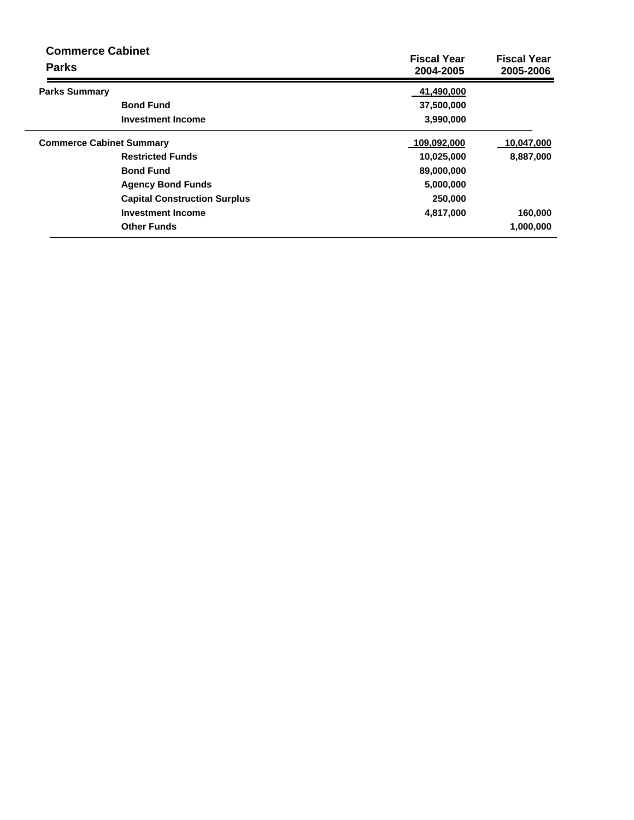| <b>Commerce Cabinet</b><br><b>Parks</b> |                                     | <b>Fiscal Year</b><br>2004-2005 | <b>Fiscal Year</b><br>2005-2006 |
|-----------------------------------------|-------------------------------------|---------------------------------|---------------------------------|
| <b>Parks Summary</b>                    |                                     | 41,490,000                      |                                 |
|                                         | <b>Bond Fund</b>                    | 37,500,000                      |                                 |
|                                         | <b>Investment Income</b>            | 3,990,000                       |                                 |
| <b>Commerce Cabinet Summary</b>         |                                     | 109,092,000                     | 10,047,000                      |
|                                         | <b>Restricted Funds</b>             | 10,025,000                      | 8,887,000                       |
|                                         | <b>Bond Fund</b>                    | 89,000,000                      |                                 |
|                                         | <b>Agency Bond Funds</b>            | 5,000,000                       |                                 |
|                                         | <b>Capital Construction Surplus</b> | 250,000                         |                                 |
|                                         | <b>Investment Income</b>            | 4,817,000                       | 160,000                         |
|                                         | <b>Other Funds</b>                  |                                 | 1,000,000                       |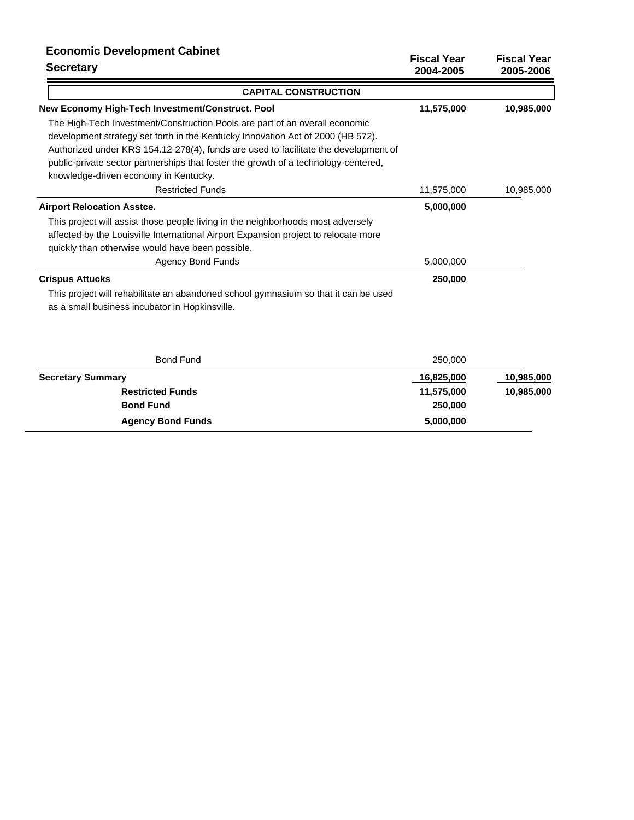## **Economic Development Cabinet**

| <b>Secretary</b>                                                                                                                                                                                                                                                                                                                                                                      | <b>Fiscal Year</b><br>2004-2005 | <b>Fiscal Year</b><br>2005-2006 |  |  |
|---------------------------------------------------------------------------------------------------------------------------------------------------------------------------------------------------------------------------------------------------------------------------------------------------------------------------------------------------------------------------------------|---------------------------------|---------------------------------|--|--|
| <b>CAPITAL CONSTRUCTION</b>                                                                                                                                                                                                                                                                                                                                                           |                                 |                                 |  |  |
| New Economy High-Tech Investment/Construct. Pool                                                                                                                                                                                                                                                                                                                                      | 11,575,000                      | 10,985,000                      |  |  |
| The High-Tech Investment/Construction Pools are part of an overall economic<br>development strategy set forth in the Kentucky Innovation Act of 2000 (HB 572).<br>Authorized under KRS 154.12-278(4), funds are used to facilitate the development of<br>public-private sector partnerships that foster the growth of a technology-centered,<br>knowledge-driven economy in Kentucky. |                                 |                                 |  |  |
| <b>Restricted Funds</b>                                                                                                                                                                                                                                                                                                                                                               | 11,575,000                      | 10,985,000                      |  |  |
| <b>Airport Relocation Asstce.</b>                                                                                                                                                                                                                                                                                                                                                     | 5,000,000                       |                                 |  |  |
| This project will assist those people living in the neighborhoods most adversely<br>affected by the Louisville International Airport Expansion project to relocate more<br>quickly than otherwise would have been possible.<br><b>Agency Bond Funds</b>                                                                                                                               | 5,000,000                       |                                 |  |  |
| <b>Crispus Attucks</b><br>This project will rehabilitate an abandoned school gymnasium so that it can be used                                                                                                                                                                                                                                                                         | 250,000                         |                                 |  |  |
| as a small business incubator in Hopkinsville.                                                                                                                                                                                                                                                                                                                                        |                                 |                                 |  |  |

| <b>Bond Fund</b>         | 250,000           |                   |
|--------------------------|-------------------|-------------------|
| <b>Secretary Summary</b> | <u>16,825,000</u> | <u>10,985,000</u> |
| <b>Restricted Funds</b>  | 11,575,000        | 10,985,000        |
| <b>Bond Fund</b>         | 250,000           |                   |
| <b>Agency Bond Funds</b> | 5,000,000         |                   |
|                          |                   |                   |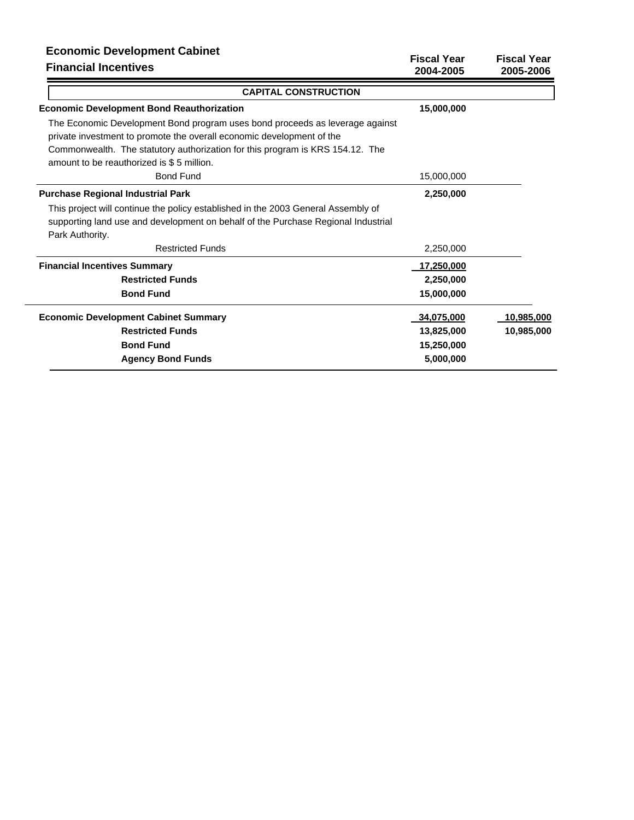# **Economic Development Cabinet**

| <b>LUBBING DEVERPHIEM CADINGL</b><br><b>Financial Incentives</b>                  | <b>Fiscal Year</b><br>2004-2005 | <b>Fiscal Year</b><br>2005-2006 |
|-----------------------------------------------------------------------------------|---------------------------------|---------------------------------|
| <b>CAPITAL CONSTRUCTION</b>                                                       |                                 |                                 |
| <b>Economic Development Bond Reauthorization</b>                                  | 15,000,000                      |                                 |
| The Economic Development Bond program uses bond proceeds as leverage against      |                                 |                                 |
| private investment to promote the overall economic development of the             |                                 |                                 |
| Commonwealth. The statutory authorization for this program is KRS 154.12. The     |                                 |                                 |
| amount to be reauthorized is \$5 million.                                         |                                 |                                 |
| <b>Bond Fund</b>                                                                  | 15,000,000                      |                                 |
| <b>Purchase Regional Industrial Park</b>                                          | 2,250,000                       |                                 |
| This project will continue the policy established in the 2003 General Assembly of |                                 |                                 |
| supporting land use and development on behalf of the Purchase Regional Industrial |                                 |                                 |
| Park Authority.                                                                   |                                 |                                 |
| <b>Restricted Funds</b>                                                           | 2,250,000                       |                                 |
| <b>Financial Incentives Summary</b>                                               | 17,250,000                      |                                 |
| <b>Restricted Funds</b>                                                           | 2,250,000                       |                                 |
| <b>Bond Fund</b>                                                                  | 15,000,000                      |                                 |
| <b>Economic Development Cabinet Summary</b>                                       | 34,075,000                      | 10,985,000                      |
| <b>Restricted Funds</b>                                                           | 13,825,000                      | 10,985,000                      |
| <b>Bond Fund</b>                                                                  | 15,250,000                      |                                 |
| <b>Agency Bond Funds</b>                                                          | 5,000,000                       |                                 |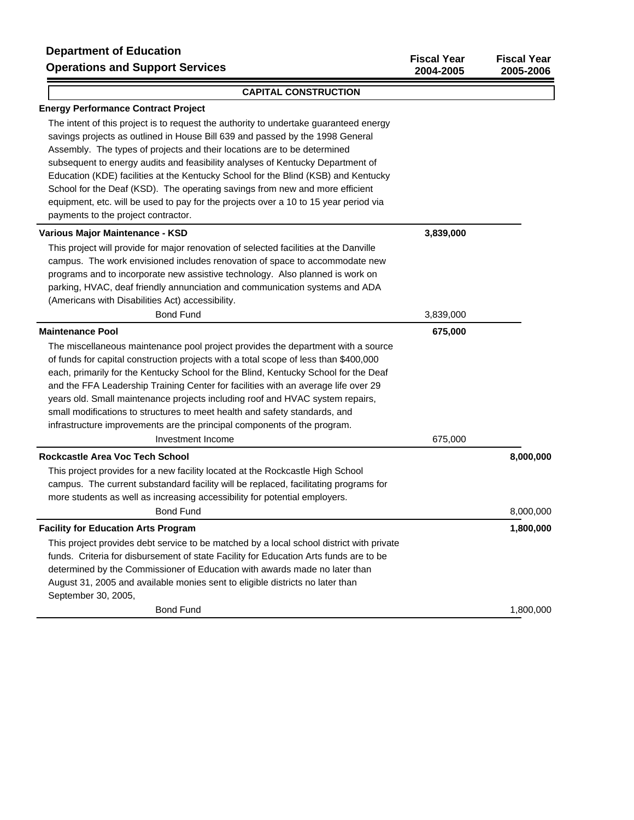#### **CAPITAL CONSTRUCTION**

### **Energy Performance Contract Project**

The intent of this project is to request the authority to undertake guaranteed energy savings projects as outlined in House Bill 639 and passed by the 1998 General Assembly. The types of projects and their locations are to be determined subsequent to energy audits and feasibility analyses of Kentucky Department of Education (KDE) facilities at the Kentucky School for the Blind (KSB) and Kentucky School for the Deaf (KSD). The operating savings from new and more efficient equipment, etc. will be used to pay for the projects over a 10 to 15 year period via payments to the project contractor.

| Various Major Maintenance - KSD                                                          | 3,839,000 |           |
|------------------------------------------------------------------------------------------|-----------|-----------|
| This project will provide for major renovation of selected facilities at the Danville    |           |           |
| campus. The work envisioned includes renovation of space to accommodate new              |           |           |
| programs and to incorporate new assistive technology. Also planned is work on            |           |           |
| parking, HVAC, deaf friendly annunciation and communication systems and ADA              |           |           |
| (Americans with Disabilities Act) accessibility.                                         |           |           |
| <b>Bond Fund</b>                                                                         | 3,839,000 |           |
| <b>Maintenance Pool</b>                                                                  | 675,000   |           |
| The miscellaneous maintenance pool project provides the department with a source         |           |           |
| of funds for capital construction projects with a total scope of less than \$400,000     |           |           |
| each, primarily for the Kentucky School for the Blind, Kentucky School for the Deaf      |           |           |
| and the FFA Leadership Training Center for facilities with an average life over 29       |           |           |
| years old. Small maintenance projects including roof and HVAC system repairs,            |           |           |
| small modifications to structures to meet health and safety standards, and               |           |           |
| infrastructure improvements are the principal components of the program.                 |           |           |
| Investment Income                                                                        | 675,000   |           |
| Rockcastle Area Voc Tech School                                                          |           | 8,000,000 |
| This project provides for a new facility located at the Rockcastle High School           |           |           |
| campus. The current substandard facility will be replaced, facilitating programs for     |           |           |
| more students as well as increasing accessibility for potential employers.               |           |           |
| <b>Bond Fund</b>                                                                         |           | 8,000,000 |
| <b>Facility for Education Arts Program</b>                                               |           | 1,800,000 |
| This project provides debt service to be matched by a local school district with private |           |           |
| funds. Criteria for disbursement of state Facility for Education Arts funds are to be    |           |           |
| determined by the Commissioner of Education with awards made no later than               |           |           |
| August 31, 2005 and available monies sent to eligible districts no later than            |           |           |
| September 30, 2005,                                                                      |           |           |
| <b>Bond Fund</b>                                                                         |           | 1,800,000 |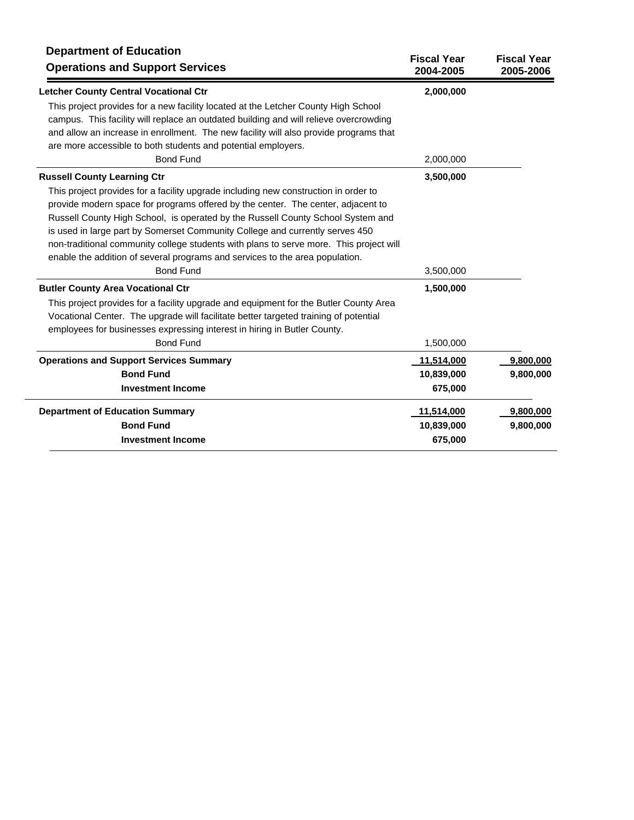| <b>Department of Education</b><br><b>Operations and Support Services</b>                                                                                                                                                                                                                                                                                                                                                                                                                                                                                                                                                                                                      | <b>Fiscal Year</b><br>2004-2005 | <b>Fiscal Year</b><br>2005-2006 |
|-------------------------------------------------------------------------------------------------------------------------------------------------------------------------------------------------------------------------------------------------------------------------------------------------------------------------------------------------------------------------------------------------------------------------------------------------------------------------------------------------------------------------------------------------------------------------------------------------------------------------------------------------------------------------------|---------------------------------|---------------------------------|
| <b>Letcher County Central Vocational Ctr</b>                                                                                                                                                                                                                                                                                                                                                                                                                                                                                                                                                                                                                                  | 2,000,000                       |                                 |
| This project provides for a new facility located at the Letcher County High School<br>campus. This facility will replace an outdated building and will relieve overcrowding<br>and allow an increase in enrollment. The new facility will also provide programs that<br>are more accessible to both students and potential employers.                                                                                                                                                                                                                                                                                                                                         |                                 |                                 |
| <b>Bond Fund</b>                                                                                                                                                                                                                                                                                                                                                                                                                                                                                                                                                                                                                                                              | 2,000,000                       |                                 |
| <b>Russell County Learning Ctr</b>                                                                                                                                                                                                                                                                                                                                                                                                                                                                                                                                                                                                                                            | 3,500,000                       |                                 |
| This project provides for a facility upgrade including new construction in order to<br>provide modern space for programs offered by the center. The center, adjacent to<br>Russell County High School, is operated by the Russell County School System and<br>is used in large part by Somerset Community College and currently serves 450<br>non-traditional community college students with plans to serve more. This project will<br>enable the addition of several programs and services to the area population.<br><b>Bond Fund</b><br><b>Butler County Area Vocational Ctr</b><br>This project provides for a facility upgrade and equipment for the Butler County Area | 3,500,000<br>1,500,000          |                                 |
| Vocational Center. The upgrade will facilitate better targeted training of potential<br>employees for businesses expressing interest in hiring in Butler County.                                                                                                                                                                                                                                                                                                                                                                                                                                                                                                              |                                 |                                 |
| <b>Bond Fund</b>                                                                                                                                                                                                                                                                                                                                                                                                                                                                                                                                                                                                                                                              | 1,500,000                       |                                 |
| <b>Operations and Support Services Summary</b>                                                                                                                                                                                                                                                                                                                                                                                                                                                                                                                                                                                                                                | 11,514,000                      | 9,800,000                       |
| <b>Bond Fund</b>                                                                                                                                                                                                                                                                                                                                                                                                                                                                                                                                                                                                                                                              | 10,839,000                      | 9,800,000                       |
| <b>Investment Income</b>                                                                                                                                                                                                                                                                                                                                                                                                                                                                                                                                                                                                                                                      | 675,000                         |                                 |
| <b>Department of Education Summary</b>                                                                                                                                                                                                                                                                                                                                                                                                                                                                                                                                                                                                                                        | 11,514,000                      | 9,800,000                       |
| <b>Bond Fund</b>                                                                                                                                                                                                                                                                                                                                                                                                                                                                                                                                                                                                                                                              | 10,839,000                      | 9,800,000                       |
| <b>Investment Income</b>                                                                                                                                                                                                                                                                                                                                                                                                                                                                                                                                                                                                                                                      | 675,000                         |                                 |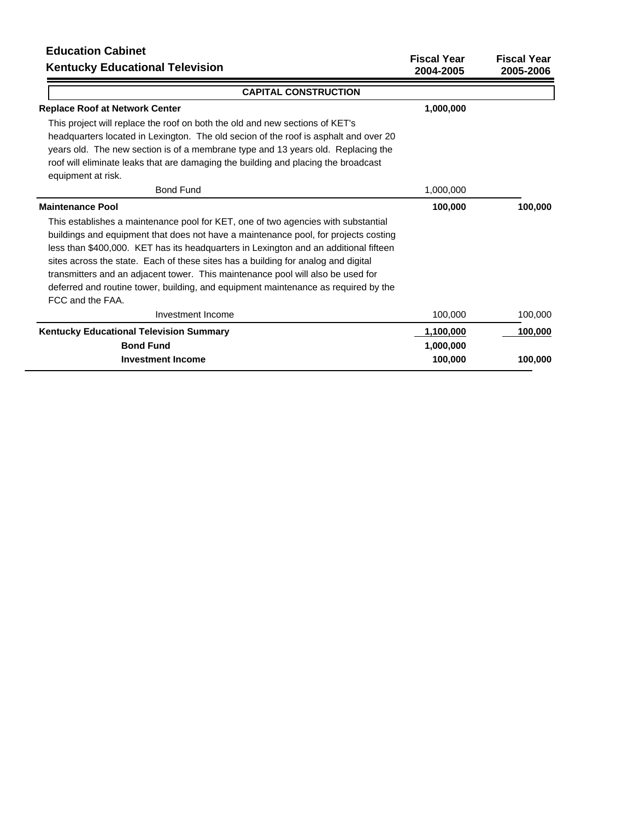# **Education Cabinet**

| EUUCALION GUINEL<br><b>Kentucky Educational Television</b>                                                                                                                                                                                                                                                                                                                                                                                                                                                                                         | <b>Fiscal Year</b><br>2004-2005 | <b>Fiscal Year</b><br>2005-2006 |
|----------------------------------------------------------------------------------------------------------------------------------------------------------------------------------------------------------------------------------------------------------------------------------------------------------------------------------------------------------------------------------------------------------------------------------------------------------------------------------------------------------------------------------------------------|---------------------------------|---------------------------------|
| <b>CAPITAL CONSTRUCTION</b>                                                                                                                                                                                                                                                                                                                                                                                                                                                                                                                        |                                 |                                 |
| <b>Replace Roof at Network Center</b>                                                                                                                                                                                                                                                                                                                                                                                                                                                                                                              | 1,000,000                       |                                 |
| This project will replace the roof on both the old and new sections of KET's<br>headquarters located in Lexington. The old secion of the roof is asphalt and over 20<br>years old. The new section is of a membrane type and 13 years old. Replacing the<br>roof will eliminate leaks that are damaging the building and placing the broadcast<br>equipment at risk.                                                                                                                                                                               |                                 |                                 |
| <b>Bond Fund</b>                                                                                                                                                                                                                                                                                                                                                                                                                                                                                                                                   | 1,000,000                       |                                 |
| <b>Maintenance Pool</b>                                                                                                                                                                                                                                                                                                                                                                                                                                                                                                                            | 100,000                         | 100,000                         |
| This establishes a maintenance pool for KET, one of two agencies with substantial<br>buildings and equipment that does not have a maintenance pool, for projects costing<br>less than \$400,000. KET has its headquarters in Lexington and an additional fifteen<br>sites across the state. Each of these sites has a building for analog and digital<br>transmitters and an adjacent tower. This maintenance pool will also be used for<br>deferred and routine tower, building, and equipment maintenance as required by the<br>FCC and the FAA. |                                 |                                 |
| Investment Income                                                                                                                                                                                                                                                                                                                                                                                                                                                                                                                                  | 100,000                         | 100,000                         |
| <b>Kentucky Educational Television Summary</b><br><b>Bond Fund</b>                                                                                                                                                                                                                                                                                                                                                                                                                                                                                 | 1,100,000<br>1,000,000          | 100,000                         |
| <b>Investment Income</b>                                                                                                                                                                                                                                                                                                                                                                                                                                                                                                                           | 100.000                         | 100,000                         |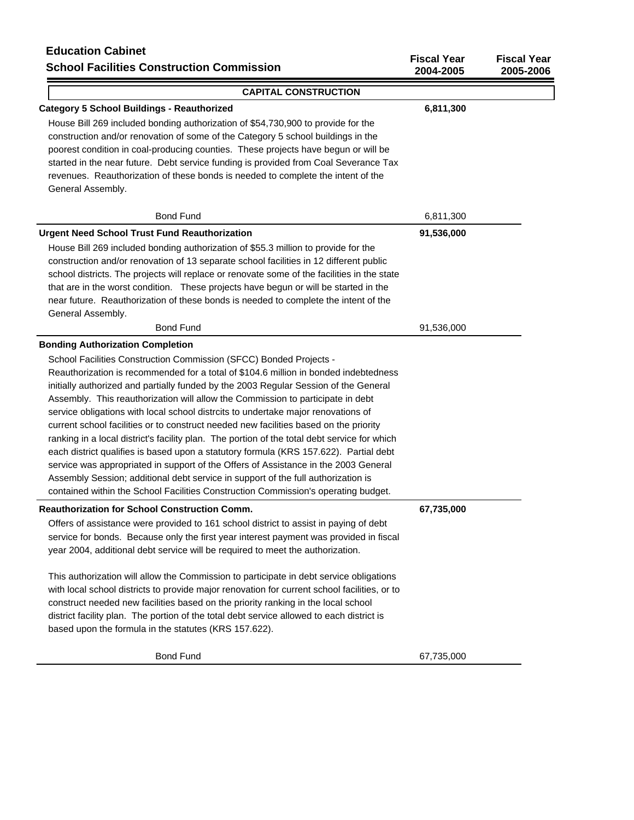# **Education Cabinet School Facilities Construction Commission**

| Luuvauvu vavillei<br><b>School Facilities Construction Commission</b>                                                                                                                                                                                                                                                                                                                                                                                                                                                                                                                                                                                                                                                                                                                                                                                                                                                                                                                                                     | <b>Fiscal Year</b><br>2004-2005 | <b>Fiscal Year</b><br>2005-2006 |
|---------------------------------------------------------------------------------------------------------------------------------------------------------------------------------------------------------------------------------------------------------------------------------------------------------------------------------------------------------------------------------------------------------------------------------------------------------------------------------------------------------------------------------------------------------------------------------------------------------------------------------------------------------------------------------------------------------------------------------------------------------------------------------------------------------------------------------------------------------------------------------------------------------------------------------------------------------------------------------------------------------------------------|---------------------------------|---------------------------------|
| <b>CAPITAL CONSTRUCTION</b>                                                                                                                                                                                                                                                                                                                                                                                                                                                                                                                                                                                                                                                                                                                                                                                                                                                                                                                                                                                               |                                 |                                 |
| <b>Category 5 School Buildings - Reauthorized</b><br>House Bill 269 included bonding authorization of \$54,730,900 to provide for the<br>construction and/or renovation of some of the Category 5 school buildings in the<br>poorest condition in coal-producing counties. These projects have begun or will be<br>started in the near future. Debt service funding is provided from Coal Severance Tax<br>revenues. Reauthorization of these bonds is needed to complete the intent of the<br>General Assembly.                                                                                                                                                                                                                                                                                                                                                                                                                                                                                                          | 6,811,300                       |                                 |
| <b>Bond Fund</b>                                                                                                                                                                                                                                                                                                                                                                                                                                                                                                                                                                                                                                                                                                                                                                                                                                                                                                                                                                                                          | 6,811,300                       |                                 |
| <b>Urgent Need School Trust Fund Reauthorization</b><br>House Bill 269 included bonding authorization of \$55.3 million to provide for the<br>construction and/or renovation of 13 separate school facilities in 12 different public<br>school districts. The projects will replace or renovate some of the facilities in the state<br>that are in the worst condition. These projects have begun or will be started in the<br>near future. Reauthorization of these bonds is needed to complete the intent of the<br>General Assembly.                                                                                                                                                                                                                                                                                                                                                                                                                                                                                   | 91,536,000                      |                                 |
| <b>Bond Fund</b>                                                                                                                                                                                                                                                                                                                                                                                                                                                                                                                                                                                                                                                                                                                                                                                                                                                                                                                                                                                                          | 91,536,000                      |                                 |
| <b>Bonding Authorization Completion</b><br>School Facilities Construction Commission (SFCC) Bonded Projects -<br>Reauthorization is recommended for a total of \$104.6 million in bonded indebtedness<br>initially authorized and partially funded by the 2003 Regular Session of the General<br>Assembly. This reauthorization will allow the Commission to participate in debt<br>service obligations with local school distrcits to undertake major renovations of<br>current school facilities or to construct needed new facilities based on the priority<br>ranking in a local district's facility plan. The portion of the total debt service for which<br>each district qualifies is based upon a statutory formula (KRS 157.622). Partial debt<br>service was appropriated in support of the Offers of Assistance in the 2003 General<br>Assembly Session; additional debt service in support of the full authorization is<br>contained within the School Facilities Construction Commission's operating budget. |                                 |                                 |
| <b>Reauthorization for School Construction Comm.</b><br>Offers of assistance were provided to 161 school district to assist in paying of debt<br>service for bonds. Because only the first year interest payment was provided in fiscal<br>year 2004, additional debt service will be required to meet the authorization.<br>This authorization will allow the Commission to participate in debt service obligations<br>with local school districts to provide major renovation for current school facilities, or to<br>construct needed new facilities based on the priority ranking in the local school<br>district facility plan. The portion of the total debt service allowed to each district is<br>based upon the formula in the statutes (KRS 157.622).                                                                                                                                                                                                                                                           | 67,735,000                      |                                 |
| <b>Bond Fund</b>                                                                                                                                                                                                                                                                                                                                                                                                                                                                                                                                                                                                                                                                                                                                                                                                                                                                                                                                                                                                          | 67,735,000                      |                                 |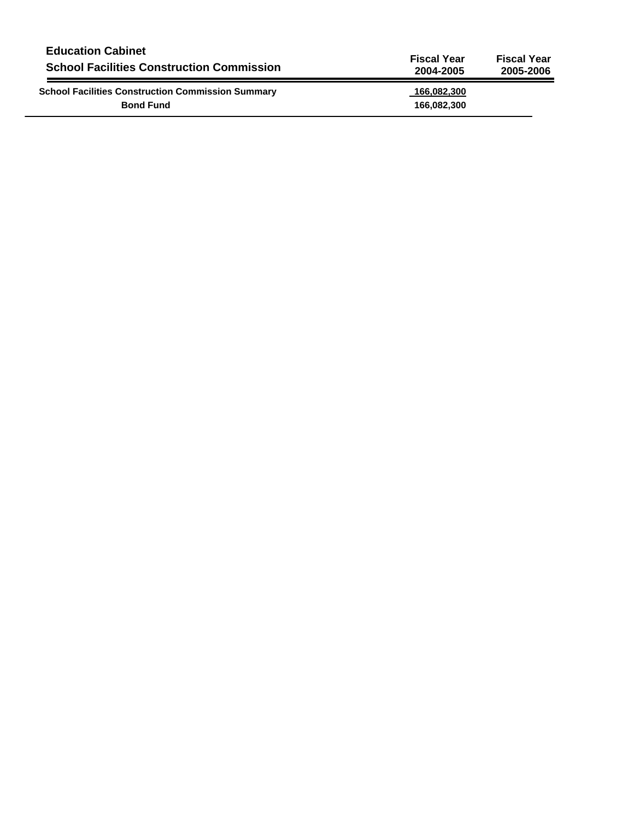| <b>Education Cabinet</b>                                                     | <b>Fiscal Year</b>         | <b>Fiscal Year</b> |
|------------------------------------------------------------------------------|----------------------------|--------------------|
| <b>School Facilities Construction Commission</b>                             | 2004-2005                  | 2005-2006          |
| <b>School Facilities Construction Commission Summary</b><br><b>Bond Fund</b> | 166,082,300<br>166,082,300 |                    |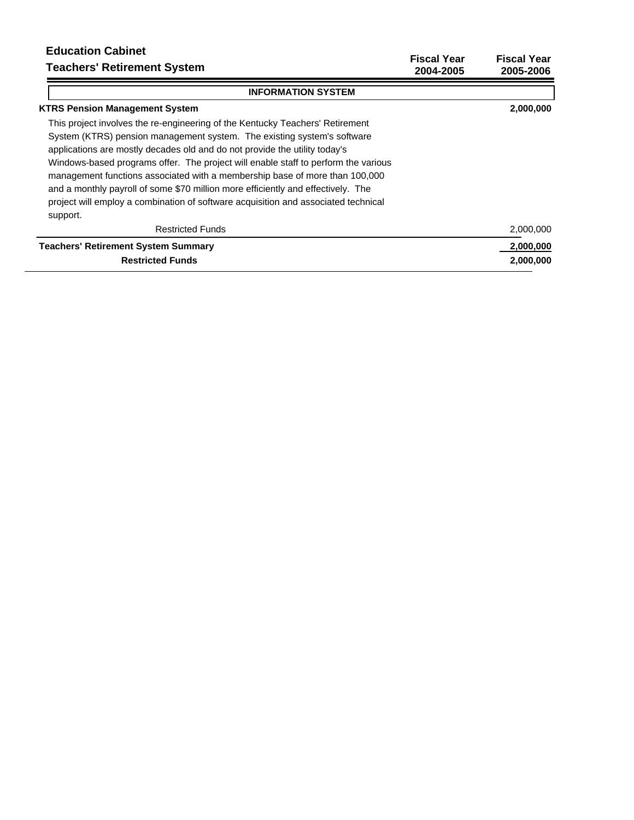# **Education Cabinet Teachers' Retirement System**

<u> Andrew American American (</u>

**Fiscal Year Fiscal Year 2004-2005 2005-2006**

| <b>INFORMATION SYSTEM</b>                                                          |           |
|------------------------------------------------------------------------------------|-----------|
| <b>KTRS Pension Management System</b>                                              | 2,000,000 |
| This project involves the re-engineering of the Kentucky Teachers' Retirement      |           |
| System (KTRS) pension management system. The existing system's software            |           |
| applications are mostly decades old and do not provide the utility today's         |           |
| Windows-based programs offer. The project will enable staff to perform the various |           |
| management functions associated with a membership base of more than 100,000        |           |
| and a monthly payroll of some \$70 million more efficiently and effectively. The   |           |
| project will employ a combination of software acquisition and associated technical |           |
| support.                                                                           |           |
| <b>Restricted Funds</b>                                                            | 2,000,000 |
| <b>Teachers' Retirement System Summary</b>                                         | 2,000,000 |
| <b>Restricted Funds</b>                                                            | 2,000,000 |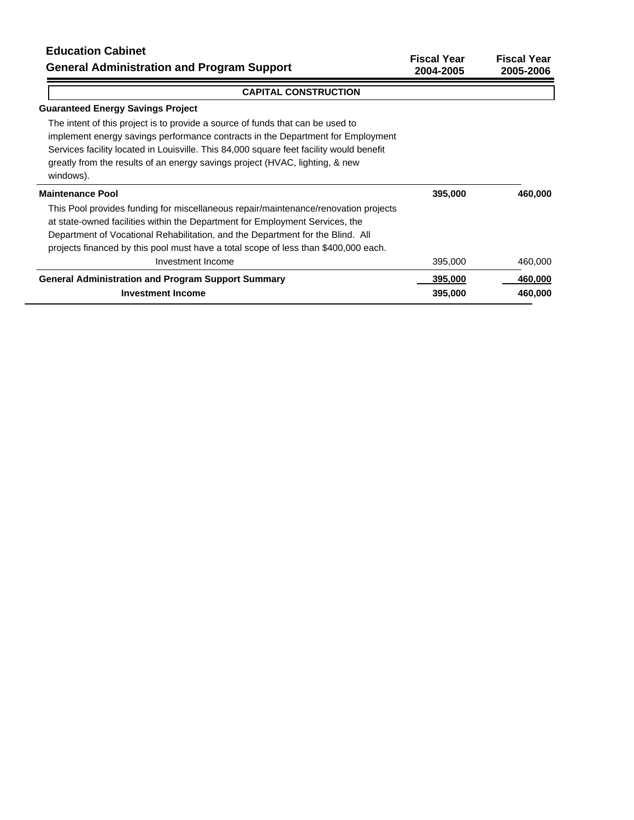**Fiscal Year Fiscal Year 2004-2005 2005-2006**

## **CAPITAL CONSTRUCTION**

## **Guaranteed Energy Savings Project**

The intent of this project is to provide a source of funds that can be used to implement energy savings performance contracts in the Department for Employment Services facility located in Louisville. This 84,000 square feet facility would benefit greatly from the results of an energy savings project (HVAC, lighting, & new windows). **Maintenance Pool** This Pool provides funding for miscellaneous repair/maintenance/renovation projects  **395,000 460,000**

|  |  | at state-owned facilities within the Department for Employment Services, the   |  |
|--|--|--------------------------------------------------------------------------------|--|
|  |  | Department of Vocational Rehabilitation, and the Department for the Blind. All |  |

projects financed by this pool must have a total scope of less than \$400,000 each.

| Investment Income                                         | 395,000 | 460,000 |
|-----------------------------------------------------------|---------|---------|
| <b>General Administration and Program Support Summary</b> | 395,000 | 460,000 |
| Investment Income                                         | 395,000 | 460,000 |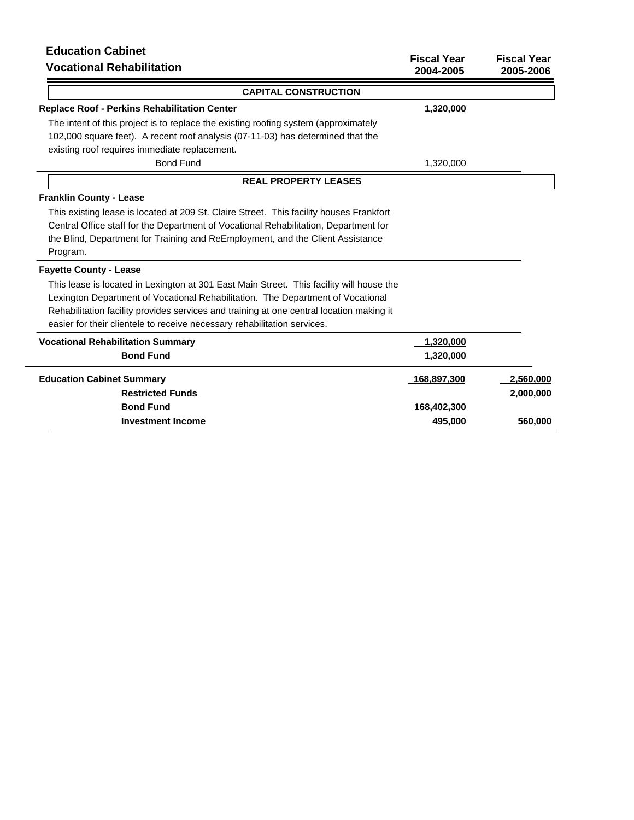# **Education Cabinet**

| <b>Equeation Gabinet</b><br><b>Vocational Rehabilitation</b>                                                                                                                                                                                                                  | <b>Fiscal Year</b><br>2004-2005 | <b>Fiscal Year</b><br>2005-2006 |
|-------------------------------------------------------------------------------------------------------------------------------------------------------------------------------------------------------------------------------------------------------------------------------|---------------------------------|---------------------------------|
| <b>CAPITAL CONSTRUCTION</b>                                                                                                                                                                                                                                                   |                                 |                                 |
| <b>Replace Roof - Perkins Rehabilitation Center</b>                                                                                                                                                                                                                           | 1,320,000                       |                                 |
| The intent of this project is to replace the existing roofing system (approximately                                                                                                                                                                                           |                                 |                                 |
| 102,000 square feet). A recent roof analysis (07-11-03) has determined that the                                                                                                                                                                                               |                                 |                                 |
| existing roof requires immediate replacement.                                                                                                                                                                                                                                 |                                 |                                 |
| <b>Bond Fund</b>                                                                                                                                                                                                                                                              | 1,320,000                       |                                 |
| <b>REAL PROPERTY LEASES</b>                                                                                                                                                                                                                                                   |                                 |                                 |
| <b>Franklin County - Lease</b>                                                                                                                                                                                                                                                |                                 |                                 |
| This existing lease is located at 209 St. Claire Street. This facility houses Frankfort<br>Central Office staff for the Department of Vocational Rehabilitation, Department for<br>the Blind, Department for Training and ReEmployment, and the Client Assistance<br>Program. |                                 |                                 |
| <b>Fayette County - Lease</b>                                                                                                                                                                                                                                                 |                                 |                                 |
| This lease is located in Lexington at 301 East Main Street. This facility will house the<br>Lexington Department of Vocational Rehabilitation. The Department of Vocational                                                                                                   |                                 |                                 |
| Rehabilitation facility provides services and training at one central location making it<br>easier for their clientele to receive necessary rehabilitation services.                                                                                                          |                                 |                                 |
| <b>Vocational Rehabilitation Summary</b>                                                                                                                                                                                                                                      | 1,320,000                       |                                 |
| <b>Bond Fund</b>                                                                                                                                                                                                                                                              | 1,320,000                       |                                 |
| <b>Education Cabinet Summary</b>                                                                                                                                                                                                                                              | 168,897,300                     | 2,560,000                       |
| <b>Restricted Funds</b>                                                                                                                                                                                                                                                       |                                 | 2,000,000                       |
| <b>Bond Fund</b>                                                                                                                                                                                                                                                              | 168,402,300                     |                                 |
| <b>Investment Income</b>                                                                                                                                                                                                                                                      | 495,000                         | 560,000                         |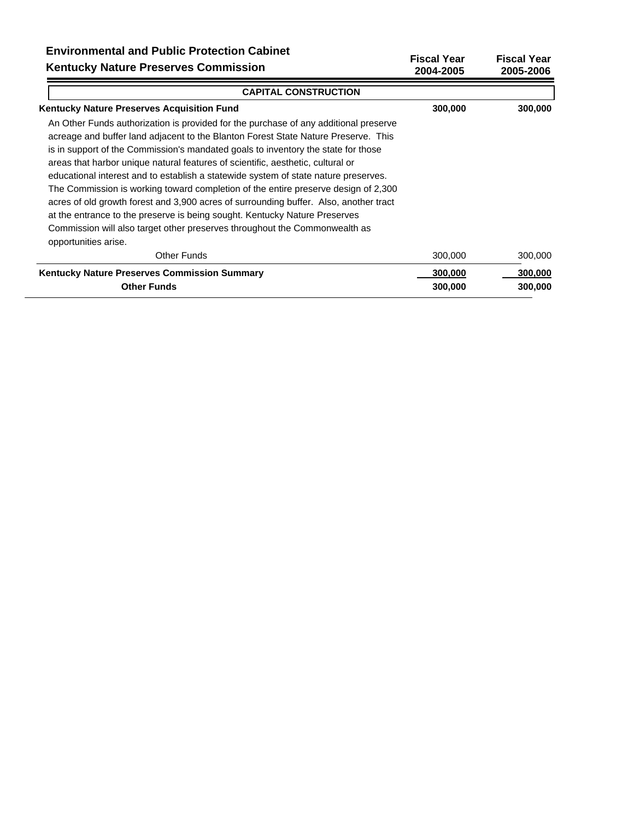| LIIVII VIIIIII GIILAI AIIU FUUNIU FIULGULIUII UADIII GL<br><b>Kentucky Nature Preserves Commission</b>                                                                                                                                                                                                                                                                                                                                                                                                                                                                                                                                                                                                                                                                                                       | <b>Fiscal Year</b><br>2004-2005 | <b>Fiscal Year</b><br>2005-2006 |
|--------------------------------------------------------------------------------------------------------------------------------------------------------------------------------------------------------------------------------------------------------------------------------------------------------------------------------------------------------------------------------------------------------------------------------------------------------------------------------------------------------------------------------------------------------------------------------------------------------------------------------------------------------------------------------------------------------------------------------------------------------------------------------------------------------------|---------------------------------|---------------------------------|
| <b>CAPITAL CONSTRUCTION</b>                                                                                                                                                                                                                                                                                                                                                                                                                                                                                                                                                                                                                                                                                                                                                                                  |                                 |                                 |
| <b>Kentucky Nature Preserves Acquisition Fund</b>                                                                                                                                                                                                                                                                                                                                                                                                                                                                                                                                                                                                                                                                                                                                                            | 300,000                         | 300,000                         |
| An Other Funds authorization is provided for the purchase of any additional preserve<br>acreage and buffer land adjacent to the Blanton Forest State Nature Preserve. This<br>is in support of the Commission's mandated goals to inventory the state for those<br>areas that harbor unique natural features of scientific, aesthetic, cultural or<br>educational interest and to establish a statewide system of state nature preserves.<br>The Commission is working toward completion of the entire preserve design of 2,300<br>acres of old growth forest and 3,900 acres of surrounding buffer. Also, another tract<br>at the entrance to the preserve is being sought. Kentucky Nature Preserves<br>Commission will also target other preserves throughout the Commonwealth as<br>opportunities arise. |                                 |                                 |
| Other Funds                                                                                                                                                                                                                                                                                                                                                                                                                                                                                                                                                                                                                                                                                                                                                                                                  | 300,000                         | 300,000                         |
| Kentucky Nature Preserves Commission Summary                                                                                                                                                                                                                                                                                                                                                                                                                                                                                                                                                                                                                                                                                                                                                                 | 300,000                         | 300,000                         |
| <b>Other Funds</b>                                                                                                                                                                                                                                                                                                                                                                                                                                                                                                                                                                                                                                                                                                                                                                                           | 300,000                         | 300,000                         |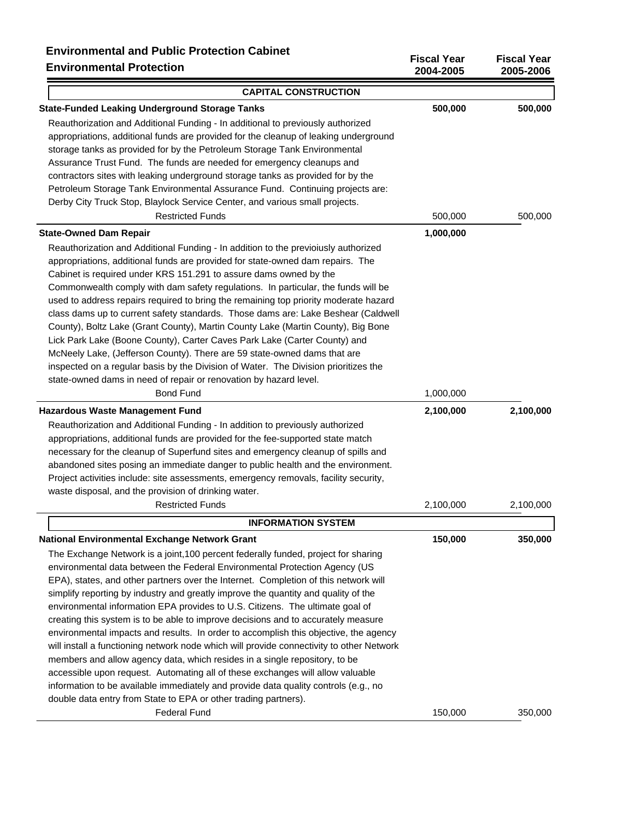| <b>Environmental Protection</b>                                                          | 2004-2005 | 2005-2006 |
|------------------------------------------------------------------------------------------|-----------|-----------|
| <b>CAPITAL CONSTRUCTION</b>                                                              |           |           |
| <b>State-Funded Leaking Underground Storage Tanks</b>                                    | 500,000   | 500,000   |
| Reauthorization and Additional Funding - In additional to previously authorized          |           |           |
| appropriations, additional funds are provided for the cleanup of leaking underground     |           |           |
| storage tanks as provided for by the Petroleum Storage Tank Environmental                |           |           |
| Assurance Trust Fund. The funds are needed for emergency cleanups and                    |           |           |
| contractors sites with leaking underground storage tanks as provided for by the          |           |           |
| Petroleum Storage Tank Environmental Assurance Fund. Continuing projects are:            |           |           |
| Derby City Truck Stop, Blaylock Service Center, and various small projects.              |           |           |
| <b>Restricted Funds</b>                                                                  | 500,000   | 500,000   |
| <b>State-Owned Dam Repair</b>                                                            | 1,000,000 |           |
| Reauthorization and Additional Funding - In addition to the previoiusly authorized       |           |           |
| appropriations, additional funds are provided for state-owned dam repairs. The           |           |           |
| Cabinet is required under KRS 151.291 to assure dams owned by the                        |           |           |
| Commonwealth comply with dam safety regulations. In particular, the funds will be        |           |           |
| used to address repairs required to bring the remaining top priority moderate hazard     |           |           |
| class dams up to current safety standards. Those dams are: Lake Beshear (Caldwell        |           |           |
| County), Boltz Lake (Grant County), Martin County Lake (Martin County), Big Bone         |           |           |
| Lick Park Lake (Boone County), Carter Caves Park Lake (Carter County) and                |           |           |
| McNeely Lake, (Jefferson County). There are 59 state-owned dams that are                 |           |           |
| inspected on a regular basis by the Division of Water. The Division prioritizes the      |           |           |
| state-owned dams in need of repair or renovation by hazard level.                        |           |           |
| <b>Bond Fund</b>                                                                         | 1,000,000 |           |
| <b>Hazardous Waste Management Fund</b>                                                   | 2,100,000 | 2,100,000 |
| Reauthorization and Additional Funding - In addition to previously authorized            |           |           |
| appropriations, additional funds are provided for the fee-supported state match          |           |           |
| necessary for the cleanup of Superfund sites and emergency cleanup of spills and         |           |           |
| abandoned sites posing an immediate danger to public health and the environment.         |           |           |
| Project activities include: site assessments, emergency removals, facility security,     |           |           |
| waste disposal, and the provision of drinking water.                                     |           |           |
| <b>Restricted Funds</b>                                                                  | 2,100,000 | 2,100,000 |
| <b>INFORMATION SYSTEM</b>                                                                |           |           |
| <b>National Environmental Exchange Network Grant</b>                                     | 150,000   | 350,000   |
| The Exchange Network is a joint, 100 percent federally funded, project for sharing       |           |           |
| environmental data between the Federal Environmental Protection Agency (US               |           |           |
| EPA), states, and other partners over the Internet. Completion of this network will      |           |           |
| simplify reporting by industry and greatly improve the quantity and quality of the       |           |           |
| environmental information EPA provides to U.S. Citizens. The ultimate goal of            |           |           |
| creating this system is to be able to improve decisions and to accurately measure        |           |           |
| environmental impacts and results. In order to accomplish this objective, the agency     |           |           |
| will install a functioning network node which will provide connectivity to other Network |           |           |
| members and allow agency data, which resides in a single repository, to be               |           |           |
| accessible upon request. Automating all of these exchanges will allow valuable           |           |           |
| information to be available immediately and provide data quality controls (e.g., no      |           |           |
| double data entry from State to EPA or other trading partners).                          |           |           |
| <b>Federal Fund</b>                                                                      | 150,000   | 350,000   |

**Fiscal Year Fiscal Year**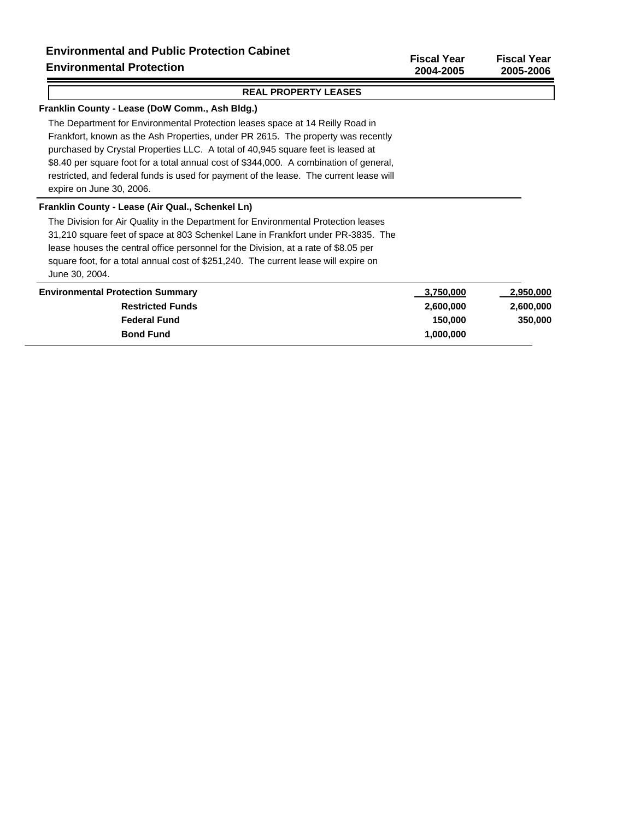#### **Franklin County - Lease (DoW Comm., Ash Bldg.)**

The Department for Environmental Protection leases space at 14 Reilly Road in Frankfort, known as the Ash Properties, under PR 2615. The property was recently purchased by Crystal Properties LLC. A total of 40,945 square feet is leased at \$8.40 per square foot for a total annual cost of \$344,000. A combination of general, restricted, and federal funds is used for payment of the lease. The current lease will expire on June 30, 2006.

#### **Franklin County - Lease (Air Qual., Schenkel Ln)**

The Division for Air Quality in the Department for Environmental Protection leases 31,210 square feet of space at 803 Schenkel Lane in Frankfort under PR-3835. The lease houses the central office personnel for the Division, at a rate of \$8.05 per square foot, for a total annual cost of \$251,240. The current lease will expire on June 30, 2004.

| <b>Environmental Protection Summary</b> | 3,750,000 | 2,950,000 |
|-----------------------------------------|-----------|-----------|
| <b>Restricted Funds</b>                 | 2,600,000 | 2,600,000 |
| <b>Federal Fund</b>                     | 150,000   | 350,000   |
| <b>Bond Fund</b>                        | 1.000.000 |           |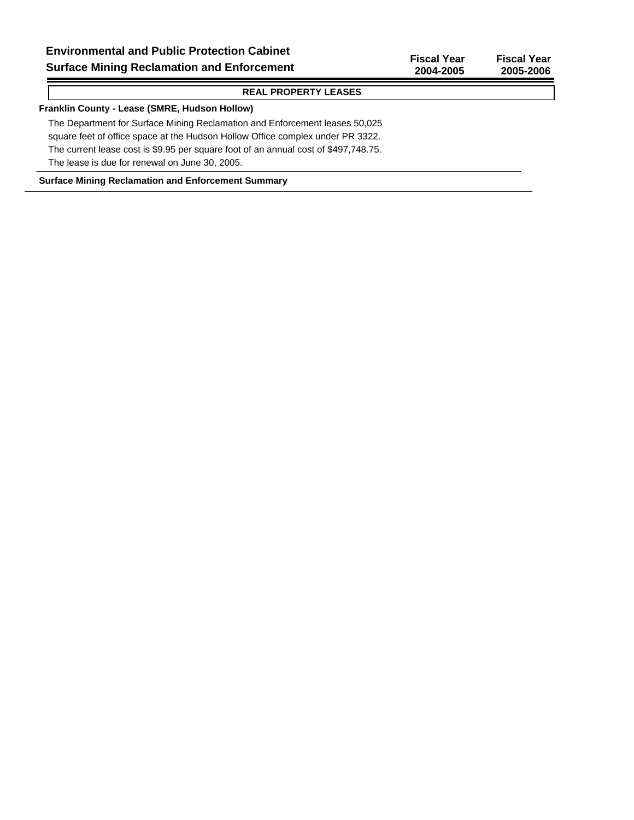#### **Franklin County - Lease (SMRE, Hudson Hollow)**

The Department for Surface Mining Reclamation and Enforcement leases 50,025 square feet of office space at the Hudson Hollow Office complex under PR 3322. The current lease cost is \$9.95 per square foot of an annual cost of \$497,748.75. The lease is due for renewal on June 30, 2005.

#### **Surface Mining Reclamation and Enforcement Summary**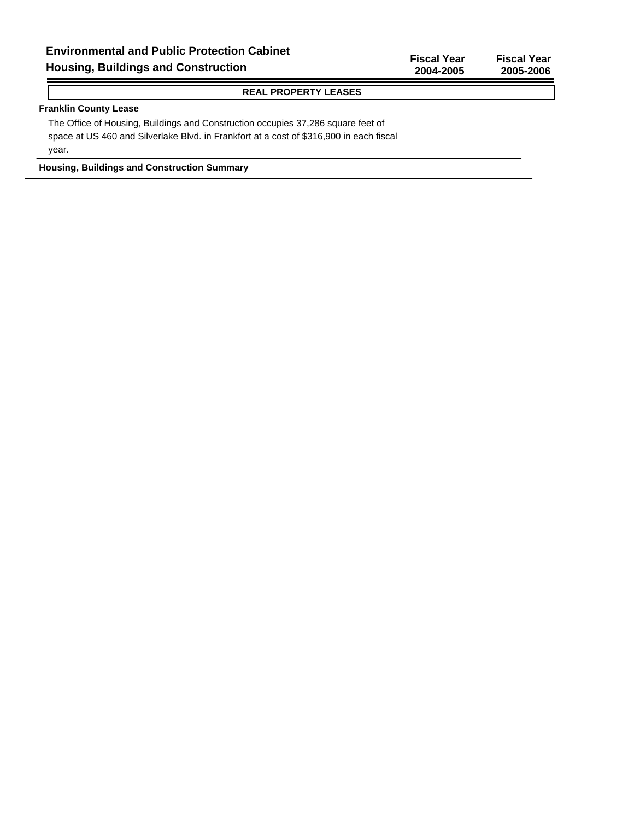## **Franklin County Lease**

The Office of Housing, Buildings and Construction occupies 37,286 square feet of space at US 460 and Silverlake Blvd. in Frankfort at a cost of \$316,900 in each fiscal year.

**Housing, Buildings and Construction Summary**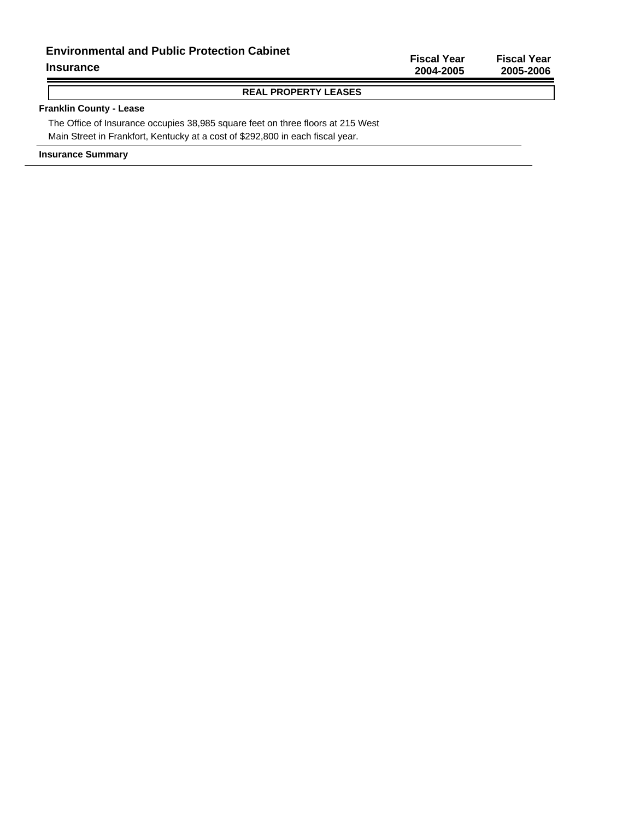## **Environmental and Public Protection Cabinet**

#### **Insurance**

Ξ

## **Fiscal Year Fiscal Year 2004-2005 2005-2006**

## **REAL PROPERTY LEASES**

## **Franklin County - Lease**

The Office of Insurance occupies 38,985 square feet on three floors at 215 West Main Street in Frankfort, Kentucky at a cost of \$292,800 in each fiscal year.

**Insurance Summary**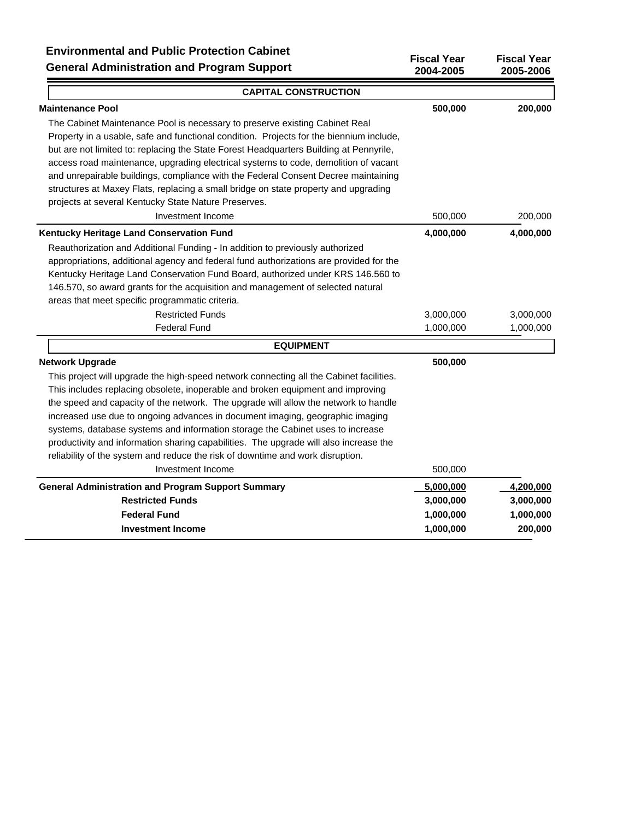| <b>CAPITAL CONSTRUCTION</b>                                                             |           |           |
|-----------------------------------------------------------------------------------------|-----------|-----------|
| <b>Maintenance Pool</b>                                                                 | 500,000   | 200,000   |
| The Cabinet Maintenance Pool is necessary to preserve existing Cabinet Real             |           |           |
| Property in a usable, safe and functional condition. Projects for the biennium include, |           |           |
| but are not limited to: replacing the State Forest Headquarters Building at Pennyrile,  |           |           |
| access road maintenance, upgrading electrical systems to code, demolition of vacant     |           |           |
| and unrepairable buildings, compliance with the Federal Consent Decree maintaining      |           |           |
| structures at Maxey Flats, replacing a small bridge on state property and upgrading     |           |           |
| projects at several Kentucky State Nature Preserves.                                    |           |           |
| Investment Income                                                                       | 500,000   | 200,000   |
| Kentucky Heritage Land Conservation Fund                                                | 4,000,000 | 4,000,000 |
| Reauthorization and Additional Funding - In addition to previously authorized           |           |           |
| appropriations, additional agency and federal fund authorizations are provided for the  |           |           |
| Kentucky Heritage Land Conservation Fund Board, authorized under KRS 146.560 to         |           |           |
| 146.570, so award grants for the acquisition and management of selected natural         |           |           |
| areas that meet specific programmatic criteria.                                         |           |           |
| <b>Restricted Funds</b>                                                                 | 3,000,000 | 3,000,000 |
| <b>Federal Fund</b>                                                                     | 1,000,000 | 1,000,000 |
| <b>EQUIPMENT</b>                                                                        |           |           |
| <b>Network Upgrade</b>                                                                  | 500,000   |           |
| This project will upgrade the high-speed network connecting all the Cabinet facilities. |           |           |
| This includes replacing obsolete, inoperable and broken equipment and improving         |           |           |
| the speed and capacity of the network. The upgrade will allow the network to handle     |           |           |
| increased use due to ongoing advances in document imaging, geographic imaging           |           |           |
| systems, database systems and information storage the Cabinet uses to increase          |           |           |
| productivity and information sharing capabilities. The upgrade will also increase the   |           |           |
| reliability of the system and reduce the risk of downtime and work disruption.          |           |           |
| Investment Income                                                                       | 500,000   |           |
| <b>General Administration and Program Support Summary</b>                               | 5,000,000 | 4,200,000 |
| <b>Restricted Funds</b>                                                                 | 3,000,000 | 3,000,000 |
| <b>Federal Fund</b>                                                                     | 1,000,000 | 1,000,000 |
| <b>Investment Income</b>                                                                | 1,000,000 | 200,000   |

**Fiscal Year Fiscal Year**

 $\overline{\phantom{0}}$ 

**2004-2005 2005-2006**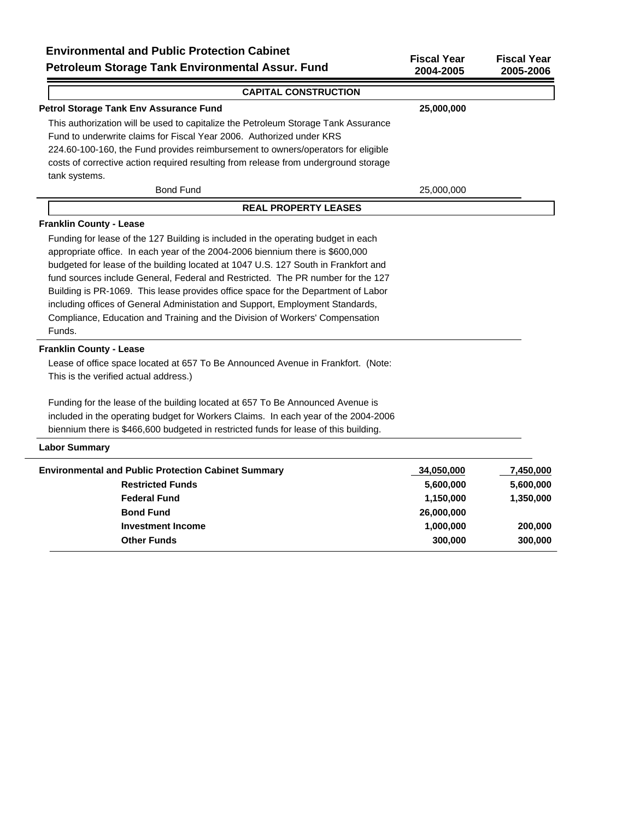| Environmental and Public Protection Cabinet<br>Petroleum Storage Tank Environmental Assur. Fund | <b>Fiscal Year</b><br>2004-2005 | <b>Fiscal Year</b><br>2005-2006 |
|-------------------------------------------------------------------------------------------------|---------------------------------|---------------------------------|
| <b>CAPITAL CONSTRUCTION</b>                                                                     |                                 |                                 |
| Petrol Storage Tank Env Assurance Fund                                                          | 25,000,000                      |                                 |
| This authorization will be used to capitalize the Petroleum Storage Tank Assurance              |                                 |                                 |
| Fund to underwrite claims for Fiscal Year 2006. Authorized under KRS                            |                                 |                                 |
| 224.60-100-160, the Fund provides reimbursement to owners/operators for eligible                |                                 |                                 |
| costs of corrective action required resulting from release from underground storage             |                                 |                                 |
| tank systems.                                                                                   |                                 |                                 |
| <b>Bond Fund</b>                                                                                | 25,000,000                      |                                 |
| <b>REAL PROPERTY LEASES</b>                                                                     |                                 |                                 |
| <b>Franklin County - Lease</b>                                                                  |                                 |                                 |
| Funding for lease of the 127 Building is included in the operating budget in each               |                                 |                                 |
| appropriate office. In each year of the 2004-2006 biennium there is \$600,000                   |                                 |                                 |
| budgeted for lease of the building located at 1047 U.S. 127 South in Frankfort and              |                                 |                                 |
| fund sources include General, Federal and Restricted. The PR number for the 127                 |                                 |                                 |
| Building is PR-1069. This lease provides office space for the Department of Labor               |                                 |                                 |
| including offices of General Administation and Support, Employment Standards,                   |                                 |                                 |
| Compliance, Education and Training and the Division of Workers' Compensation                    |                                 |                                 |
| Funds.                                                                                          |                                 |                                 |
| <b>Franklin County - Lease</b>                                                                  |                                 |                                 |
| Lease of office space located at 657 To Be Announced Avenue in Frankfort. (Note:                |                                 |                                 |
| This is the verified actual address.)                                                           |                                 |                                 |
| Funding for the lease of the building located at 657 To Be Announced Avenue is                  |                                 |                                 |
| included in the operating budget for Workers Claims. In each year of the 2004-2006              |                                 |                                 |
| biennium there is \$466,600 budgeted in restricted funds for lease of this building.            |                                 |                                 |
| <b>Labor Summary</b>                                                                            |                                 |                                 |
| <b>Environmental and Public Protection Cabinet Summary</b>                                      | 34,050,000                      | 7,450,000                       |
| <b>Restricted Funds</b>                                                                         | 5,600,000                       | 5,600,000                       |
| <b>Federal Fund</b>                                                                             | 1,150,000                       | 1,350,000                       |
| <b>Bond Fund</b>                                                                                | 26,000,000                      |                                 |

**Investment Income 200,000** 200,000 200,000 200,000 200,000 200,000 200,000 200,000 200,000 200,000 200,000 200,000 200,000 200,000 200,000 200,000 200,000 200,000 200,000 200,000 200,000 200,000 200,000 200,000 200,000 20 **Other Funds** 300,000 300,000 300,000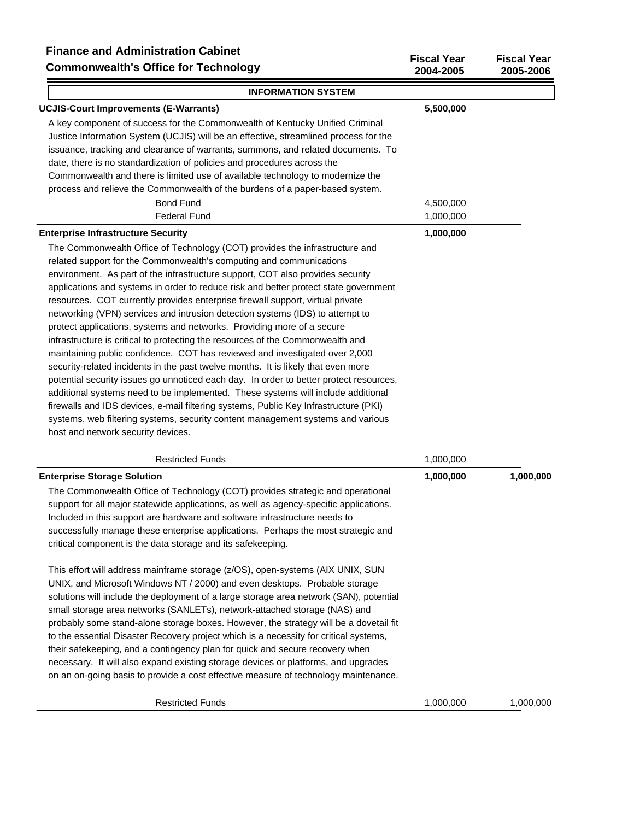| Filiance and Administration Cabinet<br><b>Commonwealth's Office for Technology</b>                                                                                                                                                                                                                                                                                                                                                                                                                                                                                                                                                                                                                                                                                                                                                                                                                                                                                                                                                                                                                                                                                                                                                    | <b>Fiscal Year</b><br>2004-2005 | <b>Fiscal Year</b><br>2005-2006 |
|---------------------------------------------------------------------------------------------------------------------------------------------------------------------------------------------------------------------------------------------------------------------------------------------------------------------------------------------------------------------------------------------------------------------------------------------------------------------------------------------------------------------------------------------------------------------------------------------------------------------------------------------------------------------------------------------------------------------------------------------------------------------------------------------------------------------------------------------------------------------------------------------------------------------------------------------------------------------------------------------------------------------------------------------------------------------------------------------------------------------------------------------------------------------------------------------------------------------------------------|---------------------------------|---------------------------------|
| <b>INFORMATION SYSTEM</b>                                                                                                                                                                                                                                                                                                                                                                                                                                                                                                                                                                                                                                                                                                                                                                                                                                                                                                                                                                                                                                                                                                                                                                                                             |                                 |                                 |
| <b>UCJIS-Court Improvements (E-Warrants)</b>                                                                                                                                                                                                                                                                                                                                                                                                                                                                                                                                                                                                                                                                                                                                                                                                                                                                                                                                                                                                                                                                                                                                                                                          | 5,500,000                       |                                 |
| A key component of success for the Commonwealth of Kentucky Unified Criminal<br>Justice Information System (UCJIS) will be an effective, streamlined process for the<br>issuance, tracking and clearance of warrants, summons, and related documents. To<br>date, there is no standardization of policies and procedures across the<br>Commonwealth and there is limited use of available technology to modernize the<br>process and relieve the Commonwealth of the burdens of a paper-based system.<br><b>Bond Fund</b>                                                                                                                                                                                                                                                                                                                                                                                                                                                                                                                                                                                                                                                                                                             | 4,500,000                       |                                 |
| <b>Federal Fund</b>                                                                                                                                                                                                                                                                                                                                                                                                                                                                                                                                                                                                                                                                                                                                                                                                                                                                                                                                                                                                                                                                                                                                                                                                                   | 1,000,000                       |                                 |
| <b>Enterprise Infrastructure Security</b><br>The Commonwealth Office of Technology (COT) provides the infrastructure and<br>related support for the Commonwealth's computing and communications<br>environment. As part of the infrastructure support, COT also provides security<br>applications and systems in order to reduce risk and better protect state government<br>resources. COT currently provides enterprise firewall support, virtual private<br>networking (VPN) services and intrusion detection systems (IDS) to attempt to<br>protect applications, systems and networks. Providing more of a secure<br>infrastructure is critical to protecting the resources of the Commonwealth and<br>maintaining public confidence. COT has reviewed and investigated over 2,000<br>security-related incidents in the past twelve months. It is likely that even more<br>potential security issues go unnoticed each day. In order to better protect resources,<br>additional systems need to be implemented. These systems will include additional<br>firewalls and IDS devices, e-mail filtering systems, Public Key Infrastructure (PKI)<br>systems, web filtering systems, security content management systems and various | 1,000,000                       |                                 |
| host and network security devices.                                                                                                                                                                                                                                                                                                                                                                                                                                                                                                                                                                                                                                                                                                                                                                                                                                                                                                                                                                                                                                                                                                                                                                                                    |                                 |                                 |
|                                                                                                                                                                                                                                                                                                                                                                                                                                                                                                                                                                                                                                                                                                                                                                                                                                                                                                                                                                                                                                                                                                                                                                                                                                       |                                 |                                 |

| <b>Restricted Funds</b>                                                                                                                                                                                                                                                                                                                                                                                                                                                                                                                                                                                                                                                                                                                                                            | 1,000,000 |           |
|------------------------------------------------------------------------------------------------------------------------------------------------------------------------------------------------------------------------------------------------------------------------------------------------------------------------------------------------------------------------------------------------------------------------------------------------------------------------------------------------------------------------------------------------------------------------------------------------------------------------------------------------------------------------------------------------------------------------------------------------------------------------------------|-----------|-----------|
| <b>Enterprise Storage Solution</b>                                                                                                                                                                                                                                                                                                                                                                                                                                                                                                                                                                                                                                                                                                                                                 | 1,000,000 | 1,000,000 |
| The Commonwealth Office of Technology (COT) provides strategic and operational<br>support for all major statewide applications, as well as agency-specific applications.<br>Included in this support are hardware and software infrastructure needs to<br>successfully manage these enterprise applications. Perhaps the most strategic and<br>critical component is the data storage and its safekeeping.                                                                                                                                                                                                                                                                                                                                                                         |           |           |
| This effort will address mainframe storage (z/OS), open-systems (AIX UNIX, SUN<br>UNIX, and Microsoft Windows NT / 2000) and even desktops. Probable storage<br>solutions will include the deployment of a large storage area network (SAN), potential<br>small storage area networks (SANLETs), network-attached storage (NAS) and<br>probably some stand-alone storage boxes. However, the strategy will be a dovetail fit<br>to the essential Disaster Recovery project which is a necessity for critical systems,<br>their safekeeping, and a contingency plan for quick and secure recovery when<br>necessary. It will also expand existing storage devices or platforms, and upgrades<br>on an on-going basis to provide a cost effective measure of technology maintenance. |           |           |
| <b>Restricted Funds</b>                                                                                                                                                                                                                                                                                                                                                                                                                                                                                                                                                                                                                                                                                                                                                            | 1,000,000 | 1,000,000 |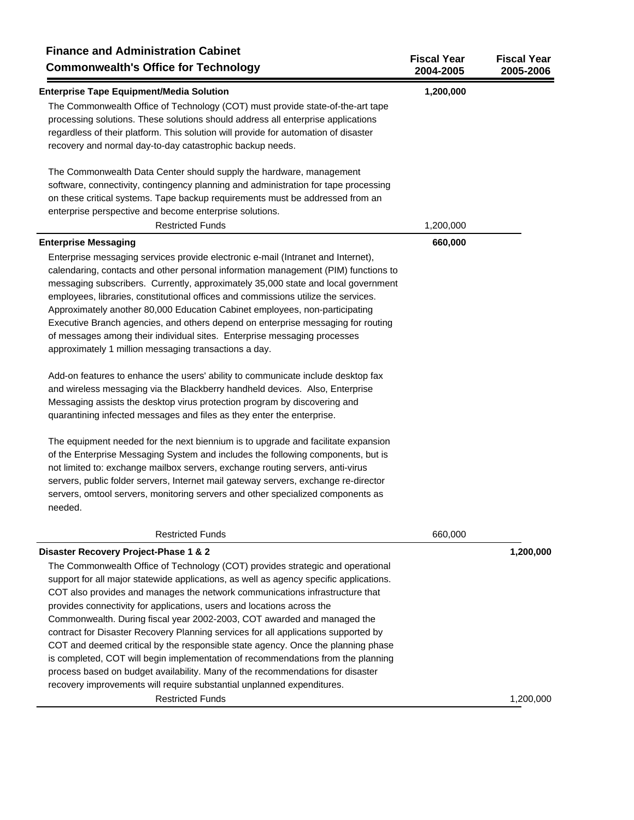| <b>Finance and Administration Cabinet</b><br><b>Commonwealth's Office for Technology</b>   | <b>Fiscal Year</b><br>2004-2005 | <b>Fiscal Year</b><br>2005-2006 |
|--------------------------------------------------------------------------------------------|---------------------------------|---------------------------------|
| <b>Enterprise Tape Equipment/Media Solution</b>                                            | 1,200,000                       |                                 |
| The Commonwealth Office of Technology (COT) must provide state-of-the-art tape             |                                 |                                 |
| processing solutions. These solutions should address all enterprise applications           |                                 |                                 |
| regardless of their platform. This solution will provide for automation of disaster        |                                 |                                 |
| recovery and normal day-to-day catastrophic backup needs.                                  |                                 |                                 |
| The Commonwealth Data Center should supply the hardware, management                        |                                 |                                 |
| software, connectivity, contingency planning and administration for tape processing        |                                 |                                 |
| on these critical systems. Tape backup requirements must be addressed from an              |                                 |                                 |
| enterprise perspective and become enterprise solutions.                                    |                                 |                                 |
| <b>Restricted Funds</b>                                                                    | 1,200,000                       |                                 |
| <b>Enterprise Messaging</b>                                                                | 660,000                         |                                 |
| Enterprise messaging services provide electronic e-mail (Intranet and Internet),           |                                 |                                 |
| calendaring, contacts and other personal information management (PIM) functions to         |                                 |                                 |
| messaging subscribers. Currently, approximately 35,000 state and local government          |                                 |                                 |
| employees, libraries, constitutional offices and commissions utilize the services.         |                                 |                                 |
| Approximately another 80,000 Education Cabinet employees, non-participating                |                                 |                                 |
| Executive Branch agencies, and others depend on enterprise messaging for routing           |                                 |                                 |
| of messages among their individual sites. Enterprise messaging processes                   |                                 |                                 |
| approximately 1 million messaging transactions a day.                                      |                                 |                                 |
| Add-on features to enhance the users' ability to communicate include desktop fax           |                                 |                                 |
| and wireless messaging via the Blackberry handheld devices. Also, Enterprise               |                                 |                                 |
| Messaging assists the desktop virus protection program by discovering and                  |                                 |                                 |
| quarantining infected messages and files as they enter the enterprise.                     |                                 |                                 |
| The equipment needed for the next biennium is to upgrade and facilitate expansion          |                                 |                                 |
| of the Enterprise Messaging System and includes the following components, but is           |                                 |                                 |
| not limited to: exchange mailbox servers, exchange routing servers, anti-virus             |                                 |                                 |
| servers, public folder servers, Internet mail gateway servers, exchange re-director        |                                 |                                 |
| servers, omtool servers, monitoring servers and other specialized components as<br>needed. |                                 |                                 |
| <b>Restricted Funds</b>                                                                    | 660,000                         |                                 |
| Disaster Recovery Project-Phase 1 & 2                                                      |                                 | 1,200,000                       |
| The Commonwealth Office of Technology (COT) provides strategic and operational             |                                 |                                 |
| support for all major statewide applications, as well as agency specific applications.     |                                 |                                 |
| COT also provides and manages the network communications infrastructure that               |                                 |                                 |
| provides connectivity for applications, users and locations across the                     |                                 |                                 |
| Commonwealth. During fiscal year 2002-2003, COT awarded and managed the                    |                                 |                                 |
| contract for Disaster Recovery Planning services for all applications supported by         |                                 |                                 |
| COT and deemed critical by the responsible state agency. Once the planning phase           |                                 |                                 |
| is completed, COT will begin implementation of recommendations from the planning           |                                 |                                 |
| process based on budget availability. Many of the recommendations for disaster             |                                 |                                 |
| recovery improvements will require substantial unplanned expenditures.                     |                                 |                                 |
| <b>Restricted Funds</b>                                                                    |                                 | 1,200,000                       |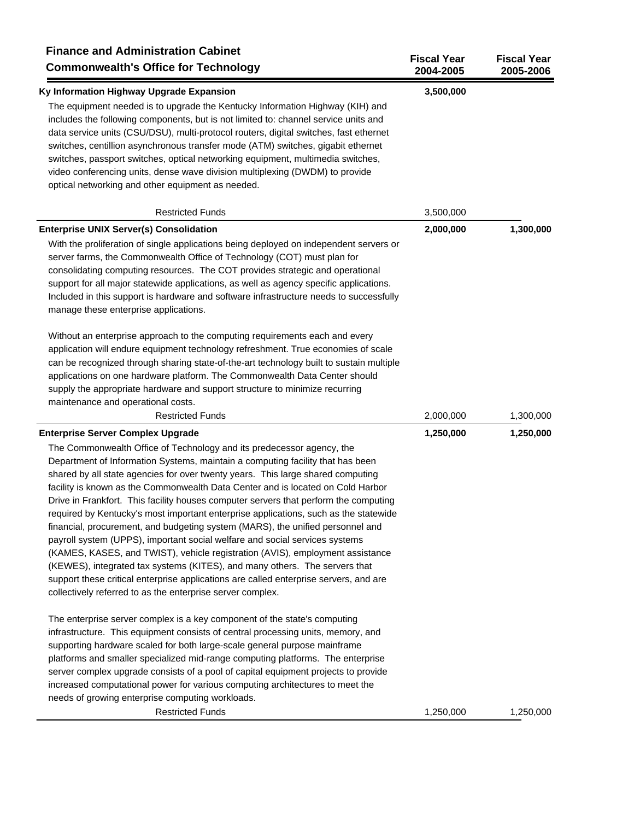| <b>Finance and Administration Cabinet</b><br><b>Commonwealth's Office for Technology</b>                                                                                                                                                                                                                                                                                                                                                                                                                                                                                                                                                                                                                                                                                                                                                                                                                                                                                                                                                         | <b>Fiscal Year</b><br>2004-2005 | <b>Fiscal Year</b><br>2005-2006 |
|--------------------------------------------------------------------------------------------------------------------------------------------------------------------------------------------------------------------------------------------------------------------------------------------------------------------------------------------------------------------------------------------------------------------------------------------------------------------------------------------------------------------------------------------------------------------------------------------------------------------------------------------------------------------------------------------------------------------------------------------------------------------------------------------------------------------------------------------------------------------------------------------------------------------------------------------------------------------------------------------------------------------------------------------------|---------------------------------|---------------------------------|
| Ky Information Highway Upgrade Expansion<br>The equipment needed is to upgrade the Kentucky Information Highway (KIH) and<br>includes the following components, but is not limited to: channel service units and<br>data service units (CSU/DSU), multi-protocol routers, digital switches, fast ethernet<br>switches, centillion asynchronous transfer mode (ATM) switches, gigabit ethernet<br>switches, passport switches, optical networking equipment, multimedia switches,<br>video conferencing units, dense wave division multiplexing (DWDM) to provide<br>optical networking and other equipment as needed.                                                                                                                                                                                                                                                                                                                                                                                                                            | 3,500,000                       |                                 |
| <b>Restricted Funds</b>                                                                                                                                                                                                                                                                                                                                                                                                                                                                                                                                                                                                                                                                                                                                                                                                                                                                                                                                                                                                                          | 3,500,000                       |                                 |
| <b>Enterprise UNIX Server(s) Consolidation</b><br>With the proliferation of single applications being deployed on independent servers or<br>server farms, the Commonwealth Office of Technology (COT) must plan for<br>consolidating computing resources. The COT provides strategic and operational<br>support for all major statewide applications, as well as agency specific applications.<br>Included in this support is hardware and software infrastructure needs to successfully<br>manage these enterprise applications.                                                                                                                                                                                                                                                                                                                                                                                                                                                                                                                | 2,000,000                       | 1,300,000                       |
| Without an enterprise approach to the computing requirements each and every<br>application will endure equipment technology refreshment. True economies of scale<br>can be recognized through sharing state-of-the-art technology built to sustain multiple<br>applications on one hardware platform. The Commonwealth Data Center should<br>supply the appropriate hardware and support structure to minimize recurring<br>maintenance and operational costs.                                                                                                                                                                                                                                                                                                                                                                                                                                                                                                                                                                                   |                                 |                                 |
| <b>Restricted Funds</b>                                                                                                                                                                                                                                                                                                                                                                                                                                                                                                                                                                                                                                                                                                                                                                                                                                                                                                                                                                                                                          | 2,000,000                       | 1,300,000                       |
| <b>Enterprise Server Complex Upgrade</b><br>The Commonwealth Office of Technology and its predecessor agency, the<br>Department of Information Systems, maintain a computing facility that has been<br>shared by all state agencies for over twenty years. This large shared computing<br>facility is known as the Commonwealth Data Center and is located on Cold Harbor<br>Drive in Frankfort. This facility houses computer servers that perform the computing<br>required by Kentucky's most important enterprise applications, such as the statewide<br>financial, procurement, and budgeting system (MARS), the unified personnel and<br>payroll system (UPPS), important social welfare and social services systems<br>(KAMES, KASES, and TWIST), vehicle registration (AVIS), employment assistance<br>(KEWES), integrated tax systems (KITES), and many others. The servers that<br>support these critical enterprise applications are called enterprise servers, and are<br>collectively referred to as the enterprise server complex. | 1,250,000                       | 1,250,000                       |
| The enterprise server complex is a key component of the state's computing<br>infrastructure. This equipment consists of central processing units, memory, and<br>supporting hardware scaled for both large-scale general purpose mainframe<br>platforms and smaller specialized mid-range computing platforms. The enterprise<br>server complex upgrade consists of a pool of capital equipment projects to provide<br>increased computational power for various computing architectures to meet the<br>needs of growing enterprise computing workloads.                                                                                                                                                                                                                                                                                                                                                                                                                                                                                         |                                 |                                 |
| <b>Restricted Funds</b>                                                                                                                                                                                                                                                                                                                                                                                                                                                                                                                                                                                                                                                                                                                                                                                                                                                                                                                                                                                                                          | 1,250,000                       | 1,250,000                       |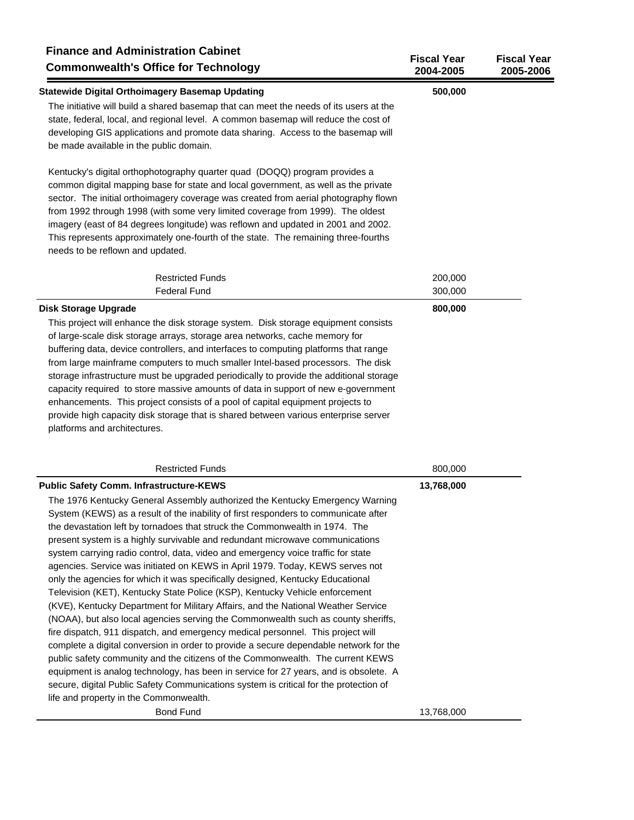| <b>Finance and Administration Cabinet</b><br><b>Commonwealth's Office for Technology</b>                                                                                                                                                                                                                                                                                                                                                                                                                                                                                                                                                                                                                                                                                                                                                                                                                                                                                                                                                                                                                                                                                                                                                                                                                                                                                                      | <b>Fiscal Year</b><br>2004-2005 | <b>Fiscal Year</b><br>2005-2006 |
|-----------------------------------------------------------------------------------------------------------------------------------------------------------------------------------------------------------------------------------------------------------------------------------------------------------------------------------------------------------------------------------------------------------------------------------------------------------------------------------------------------------------------------------------------------------------------------------------------------------------------------------------------------------------------------------------------------------------------------------------------------------------------------------------------------------------------------------------------------------------------------------------------------------------------------------------------------------------------------------------------------------------------------------------------------------------------------------------------------------------------------------------------------------------------------------------------------------------------------------------------------------------------------------------------------------------------------------------------------------------------------------------------|---------------------------------|---------------------------------|
| <b>Statewide Digital Orthoimagery Basemap Updating</b><br>The initiative will build a shared basemap that can meet the needs of its users at the<br>state, federal, local, and regional level. A common basemap will reduce the cost of<br>developing GIS applications and promote data sharing. Access to the basemap will<br>be made available in the public domain.                                                                                                                                                                                                                                                                                                                                                                                                                                                                                                                                                                                                                                                                                                                                                                                                                                                                                                                                                                                                                        | 500,000                         |                                 |
| Kentucky's digital orthophotography quarter quad (DOQQ) program provides a<br>common digital mapping base for state and local government, as well as the private<br>sector. The initial orthoimagery coverage was created from aerial photography flown<br>from 1992 through 1998 (with some very limited coverage from 1999). The oldest<br>imagery (east of 84 degrees longitude) was reflown and updated in 2001 and 2002.<br>This represents approximately one-fourth of the state. The remaining three-fourths<br>needs to be reflown and updated.                                                                                                                                                                                                                                                                                                                                                                                                                                                                                                                                                                                                                                                                                                                                                                                                                                       |                                 |                                 |
| <b>Restricted Funds</b>                                                                                                                                                                                                                                                                                                                                                                                                                                                                                                                                                                                                                                                                                                                                                                                                                                                                                                                                                                                                                                                                                                                                                                                                                                                                                                                                                                       | 200,000                         |                                 |
| <b>Federal Fund</b>                                                                                                                                                                                                                                                                                                                                                                                                                                                                                                                                                                                                                                                                                                                                                                                                                                                                                                                                                                                                                                                                                                                                                                                                                                                                                                                                                                           | 300,000                         |                                 |
| <b>Disk Storage Upgrade</b><br>This project will enhance the disk storage system. Disk storage equipment consists<br>of large-scale disk storage arrays, storage area networks, cache memory for<br>buffering data, device controllers, and interfaces to computing platforms that range<br>from large mainframe computers to much smaller Intel-based processors. The disk<br>storage infrastructure must be upgraded periodically to provide the additional storage<br>capacity required to store massive amounts of data in support of new e-government<br>enhancements. This project consists of a pool of capital equipment projects to<br>provide high capacity disk storage that is shared between various enterprise server<br>platforms and architectures.                                                                                                                                                                                                                                                                                                                                                                                                                                                                                                                                                                                                                           | 800,000                         |                                 |
| <b>Restricted Funds</b>                                                                                                                                                                                                                                                                                                                                                                                                                                                                                                                                                                                                                                                                                                                                                                                                                                                                                                                                                                                                                                                                                                                                                                                                                                                                                                                                                                       | 800,000                         |                                 |
| <b>Public Safety Comm. Infrastructure-KEWS</b><br>The 1976 Kentucky General Assembly authorized the Kentucky Emergency Warning<br>System (KEWS) as a result of the inability of first responders to communicate after<br>the devastation left by tornadoes that struck the Commonwealth in 1974. The<br>present system is a highly survivable and redundant microwave communications<br>system carrying radio control, data, video and emergency voice traffic for state<br>agencies. Service was initiated on KEWS in April 1979. Today, KEWS serves not<br>only the agencies for which it was specifically designed, Kentucky Educational<br>Television (KET), Kentucky State Police (KSP), Kentucky Vehicle enforcement<br>(KVE), Kentucky Department for Military Affairs, and the National Weather Service<br>(NOAA), but also local agencies serving the Commonwealth such as county sheriffs,<br>fire dispatch, 911 dispatch, and emergency medical personnel. This project will<br>complete a digital conversion in order to provide a secure dependable network for the<br>public safety community and the citizens of the Commonwealth. The current KEWS<br>equipment is analog technology, has been in service for 27 years, and is obsolete. A<br>secure, digital Public Safety Communications system is critical for the protection of<br>life and property in the Commonwealth. | 13,768,000                      |                                 |
| <b>Bond Fund</b>                                                                                                                                                                                                                                                                                                                                                                                                                                                                                                                                                                                                                                                                                                                                                                                                                                                                                                                                                                                                                                                                                                                                                                                                                                                                                                                                                                              | 13,768,000                      |                                 |
|                                                                                                                                                                                                                                                                                                                                                                                                                                                                                                                                                                                                                                                                                                                                                                                                                                                                                                                                                                                                                                                                                                                                                                                                                                                                                                                                                                                               |                                 |                                 |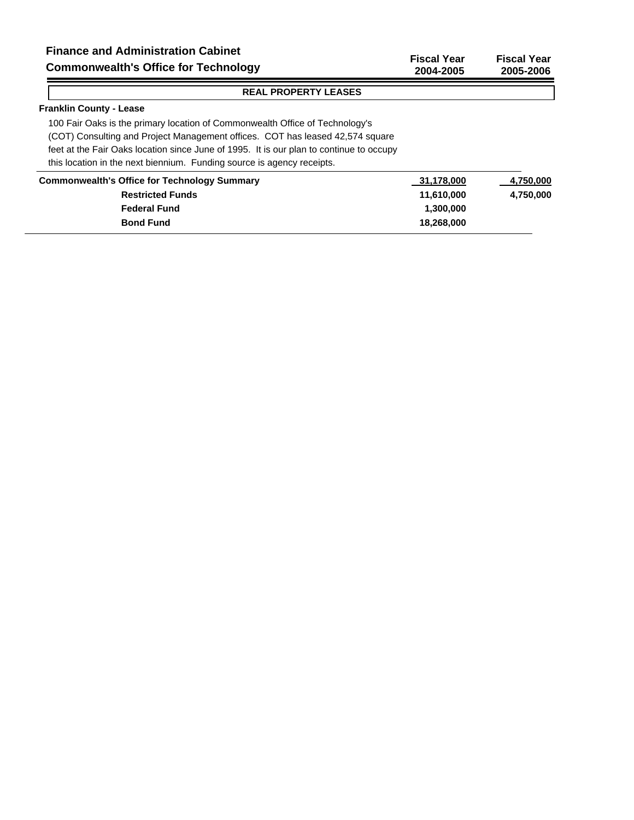## **Franklin County - Lease**

 $=$ 

100 Fair Oaks is the primary location of Commonwealth Office of Technology's (COT) Consulting and Project Management offices. COT has leased 42,574 square feet at the Fair Oaks location since June of 1995. It is our plan to continue to occupy this location in the next biennium. Funding source is agency receipts.

| <b>Commonwealth's Office for Technology Summary</b> | 31,178,000 | 4,750,000 |
|-----------------------------------------------------|------------|-----------|
| <b>Restricted Funds</b>                             | 11.610.000 | 4,750,000 |
| <b>Federal Fund</b>                                 | 1.300.000  |           |
| <b>Bond Fund</b>                                    | 18.268.000 |           |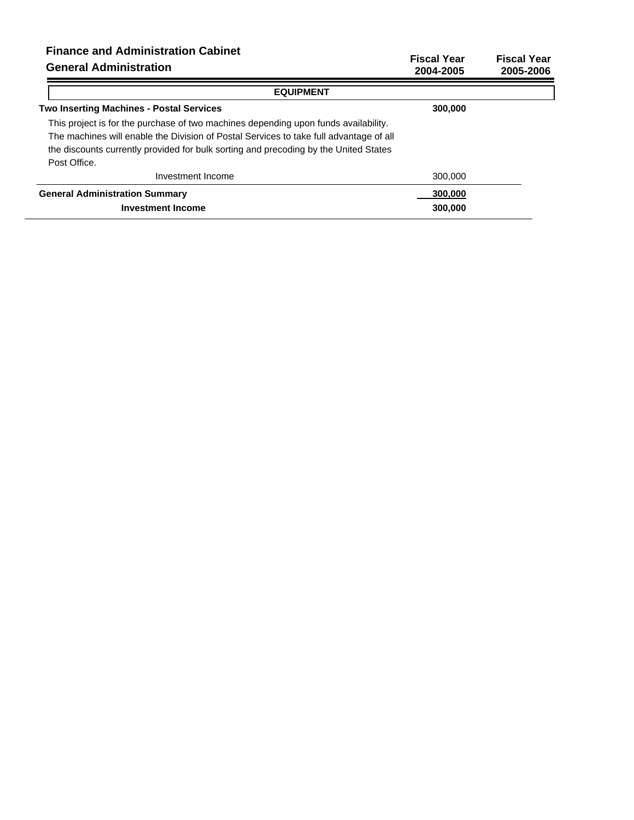| <b>Finance and Administration Cabinet</b><br><b>General Administration</b>                                                                                                                                                                                                            | <b>Fiscal Year</b><br>2004-2005 | <b>Fiscal Year</b><br>2005-2006 |
|---------------------------------------------------------------------------------------------------------------------------------------------------------------------------------------------------------------------------------------------------------------------------------------|---------------------------------|---------------------------------|
| <b>EQUIPMENT</b>                                                                                                                                                                                                                                                                      |                                 |                                 |
| <b>Two Inserting Machines - Postal Services</b>                                                                                                                                                                                                                                       | 300,000                         |                                 |
| This project is for the purchase of two machines depending upon funds availability.<br>The machines will enable the Division of Postal Services to take full advantage of all<br>the discounts currently provided for bulk sorting and precoding by the United States<br>Post Office. |                                 |                                 |
| Investment Income                                                                                                                                                                                                                                                                     | 300,000                         |                                 |
| <b>General Administration Summary</b>                                                                                                                                                                                                                                                 | 300,000                         |                                 |
| <b>Investment Income</b>                                                                                                                                                                                                                                                              | 300,000                         |                                 |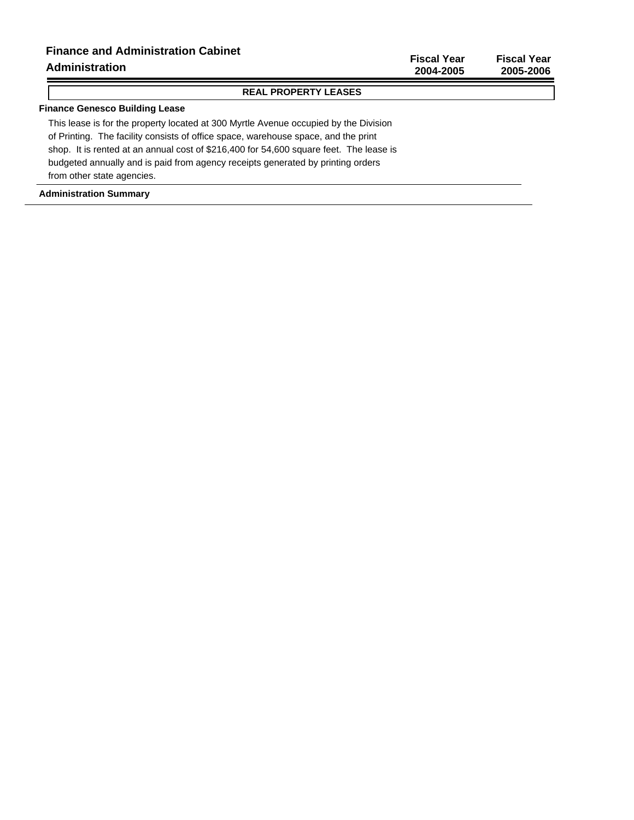**Fiscal Year Fiscal Year 2004-2005 2005-2006**

#### **REAL PROPERTY LEASES**

## **Finance Genesco Building Lease**

This lease is for the property located at 300 Myrtle Avenue occupied by the Division of Printing. The facility consists of office space, warehouse space, and the print shop. It is rented at an annual cost of \$216,400 for 54,600 square feet. The lease is budgeted annually and is paid from agency receipts generated by printing orders from other state agencies.

#### **Administration Summary**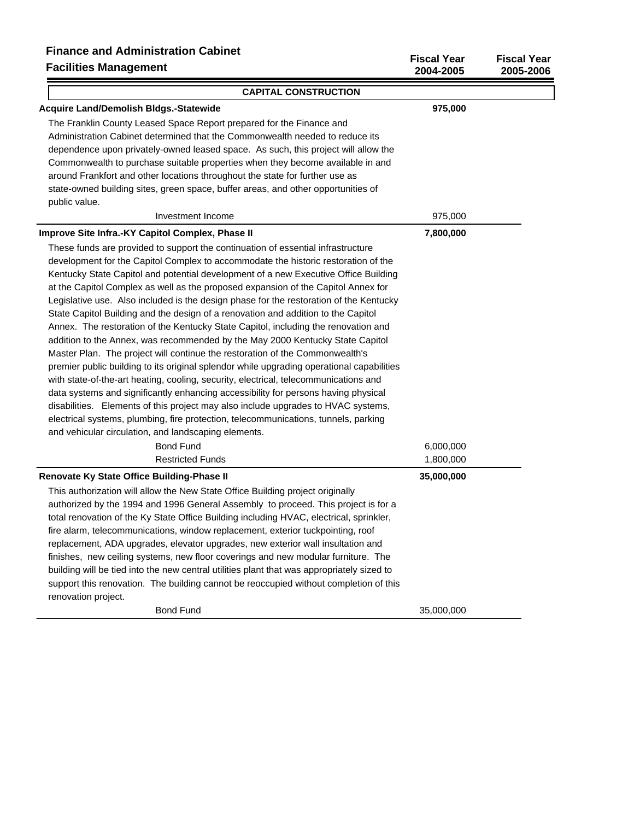## **Finance and Administration Cabinet Facilities Management**

| Filiance and Administration Cabinet<br><b>Facilities Management</b>                        | <b>Fiscal Year</b><br>2004-2005 | <b>Fiscal Year</b><br>2005-2006 |
|--------------------------------------------------------------------------------------------|---------------------------------|---------------------------------|
| <b>CAPITAL CONSTRUCTION</b>                                                                |                                 |                                 |
| Acquire Land/Demolish Bldgs.-Statewide                                                     | 975,000                         |                                 |
| The Franklin County Leased Space Report prepared for the Finance and                       |                                 |                                 |
| Administration Cabinet determined that the Commonwealth needed to reduce its               |                                 |                                 |
| dependence upon privately-owned leased space. As such, this project will allow the         |                                 |                                 |
| Commonwealth to purchase suitable properties when they become available in and             |                                 |                                 |
| around Frankfort and other locations throughout the state for further use as               |                                 |                                 |
| state-owned building sites, green space, buffer areas, and other opportunities of          |                                 |                                 |
| public value.                                                                              |                                 |                                 |
| Investment Income                                                                          | 975,000                         |                                 |
| Improve Site Infra.-KY Capitol Complex, Phase II                                           | 7,800,000                       |                                 |
| These funds are provided to support the continuation of essential infrastructure           |                                 |                                 |
| development for the Capitol Complex to accommodate the historic restoration of the         |                                 |                                 |
| Kentucky State Capitol and potential development of a new Executive Office Building        |                                 |                                 |
| at the Capitol Complex as well as the proposed expansion of the Capitol Annex for          |                                 |                                 |
| Legislative use. Also included is the design phase for the restoration of the Kentucky     |                                 |                                 |
| State Capitol Building and the design of a renovation and addition to the Capitol          |                                 |                                 |
| Annex. The restoration of the Kentucky State Capitol, including the renovation and         |                                 |                                 |
| addition to the Annex, was recommended by the May 2000 Kentucky State Capitol              |                                 |                                 |
| Master Plan. The project will continue the restoration of the Commonwealth's               |                                 |                                 |
| premier public building to its original splendor while upgrading operational capabilities  |                                 |                                 |
| with state-of-the-art heating, cooling, security, electrical, telecommunications and       |                                 |                                 |
| data systems and significantly enhancing accessibility for persons having physical         |                                 |                                 |
| disabilities. Elements of this project may also include upgrades to HVAC systems,          |                                 |                                 |
| electrical systems, plumbing, fire protection, telecommunications, tunnels, parking        |                                 |                                 |
| and vehicular circulation, and landscaping elements.                                       |                                 |                                 |
| <b>Bond Fund</b>                                                                           | 6,000,000                       |                                 |
| <b>Restricted Funds</b>                                                                    | 1,800,000                       |                                 |
| <b>Renovate Ky State Office Building-Phase II</b>                                          | 35,000,000                      |                                 |
| This authorization will allow the New State Office Building project originally             |                                 |                                 |
| authorized by the 1994 and 1996 General Assembly to proceed. This project is for a         |                                 |                                 |
| total renovation of the Ky State Office Building including HVAC, electrical, sprinkler,    |                                 |                                 |
| fire alarm, telecommunications, window replacement, exterior tuckpointing, roof            |                                 |                                 |
| replacement, ADA upgrades, elevator upgrades, new exterior wall insultation and            |                                 |                                 |
| finishes, new ceiling systems, new floor coverings and new modular furniture. The          |                                 |                                 |
| building will be tied into the new central utilities plant that was appropriately sized to |                                 |                                 |
| support this renovation. The building cannot be reoccupied without completion of this      |                                 |                                 |
| renovation project.                                                                        |                                 |                                 |
| <b>Bond Fund</b>                                                                           | 35,000,000                      |                                 |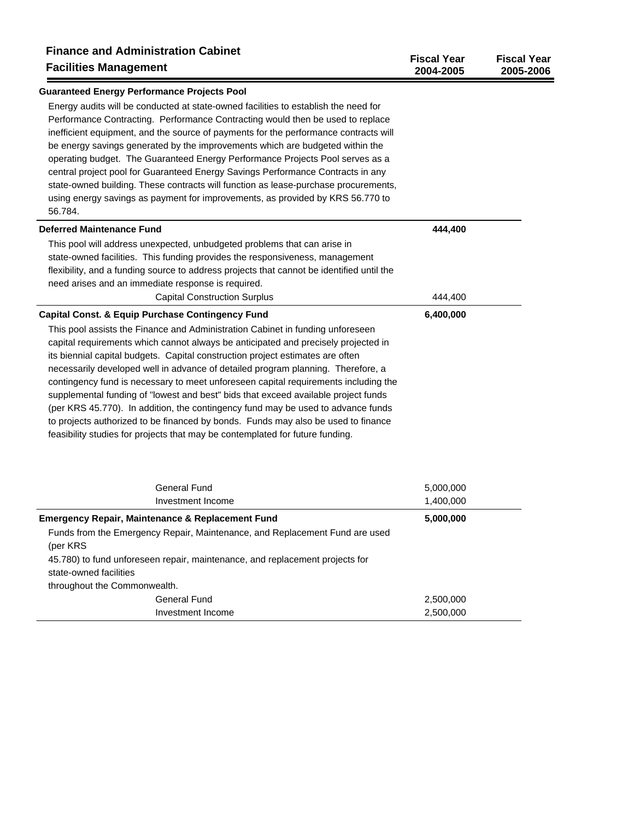| <b>Finance and Administration Cabinet</b><br><b>Facilities Management</b>                                                                                                                                                                                                                                                                      | <b>Fiscal Year</b><br>2004-2005 | <b>Fiscal Year</b><br>2005-2006 |
|------------------------------------------------------------------------------------------------------------------------------------------------------------------------------------------------------------------------------------------------------------------------------------------------------------------------------------------------|---------------------------------|---------------------------------|
| <b>Guaranteed Energy Performance Projects Pool</b>                                                                                                                                                                                                                                                                                             |                                 |                                 |
| Energy audits will be conducted at state-owned facilities to establish the need for<br>Performance Contracting. Performance Contracting would then be used to replace<br>inefficient equipment, and the source of payments for the performance contracts will<br>be energy savings generated by the improvements which are budgeted within the |                                 |                                 |
| operating budget. The Guaranteed Energy Performance Projects Pool serves as a                                                                                                                                                                                                                                                                  |                                 |                                 |
| central project pool for Guaranteed Energy Savings Performance Contracts in any                                                                                                                                                                                                                                                                |                                 |                                 |
| state-owned building. These contracts will function as lease-purchase procurements,                                                                                                                                                                                                                                                            |                                 |                                 |
| using energy savings as payment for improvements, as provided by KRS 56.770 to<br>56.784.                                                                                                                                                                                                                                                      |                                 |                                 |
| <b>Deferred Maintenance Fund</b>                                                                                                                                                                                                                                                                                                               | 444,400                         |                                 |
| This pool will address unexpected, unbudgeted problems that can arise in                                                                                                                                                                                                                                                                       |                                 |                                 |
| state-owned facilities. This funding provides the responsiveness, management                                                                                                                                                                                                                                                                   |                                 |                                 |
| flexibility, and a funding source to address projects that cannot be identified until the                                                                                                                                                                                                                                                      |                                 |                                 |
| need arises and an immediate response is required.                                                                                                                                                                                                                                                                                             |                                 |                                 |
| <b>Capital Construction Surplus</b>                                                                                                                                                                                                                                                                                                            | 444,400                         |                                 |
| <b>Capital Const. &amp; Equip Purchase Contingency Fund</b>                                                                                                                                                                                                                                                                                    | 6,400,000                       |                                 |
| This pool assists the Finance and Administration Cabinet in funding unforeseen                                                                                                                                                                                                                                                                 |                                 |                                 |
| capital requirements which cannot always be anticipated and precisely projected in                                                                                                                                                                                                                                                             |                                 |                                 |
| its biennial capital budgets. Capital construction project estimates are often                                                                                                                                                                                                                                                                 |                                 |                                 |
| necessarily developed well in advance of detailed program planning. Therefore, a                                                                                                                                                                                                                                                               |                                 |                                 |
| contingency fund is necessary to meet unforeseen capital requirements including the                                                                                                                                                                                                                                                            |                                 |                                 |
| supplemental funding of "lowest and best" bids that exceed available project funds                                                                                                                                                                                                                                                             |                                 |                                 |
| (per KRS 45.770). In addition, the contingency fund may be used to advance funds                                                                                                                                                                                                                                                               |                                 |                                 |
| to projects authorized to be financed by bonds. Funds may also be used to finance                                                                                                                                                                                                                                                              |                                 |                                 |
| feasibility studies for projects that may be contemplated for future funding.                                                                                                                                                                                                                                                                  |                                 |                                 |
| <b>General Fund</b>                                                                                                                                                                                                                                                                                                                            | 5,000,000                       |                                 |
| Investment Income                                                                                                                                                                                                                                                                                                                              | 1,400,000                       |                                 |
| <b>Emergency Repair, Maintenance &amp; Replacement Fund</b>                                                                                                                                                                                                                                                                                    | 5,000,000                       |                                 |
| Funds from the Emergency Repair, Maintenance, and Replacement Fund are used<br>(per KRS                                                                                                                                                                                                                                                        |                                 |                                 |
| 45.780) to fund unforeseen repair, maintenance, and replacement projects for                                                                                                                                                                                                                                                                   |                                 |                                 |
| state-owned facilities                                                                                                                                                                                                                                                                                                                         |                                 |                                 |
| throughout the Commonwealth.                                                                                                                                                                                                                                                                                                                   |                                 |                                 |
| <b>General Fund</b>                                                                                                                                                                                                                                                                                                                            | 2,500,000                       |                                 |
| Investment Income                                                                                                                                                                                                                                                                                                                              | 2,500,000                       |                                 |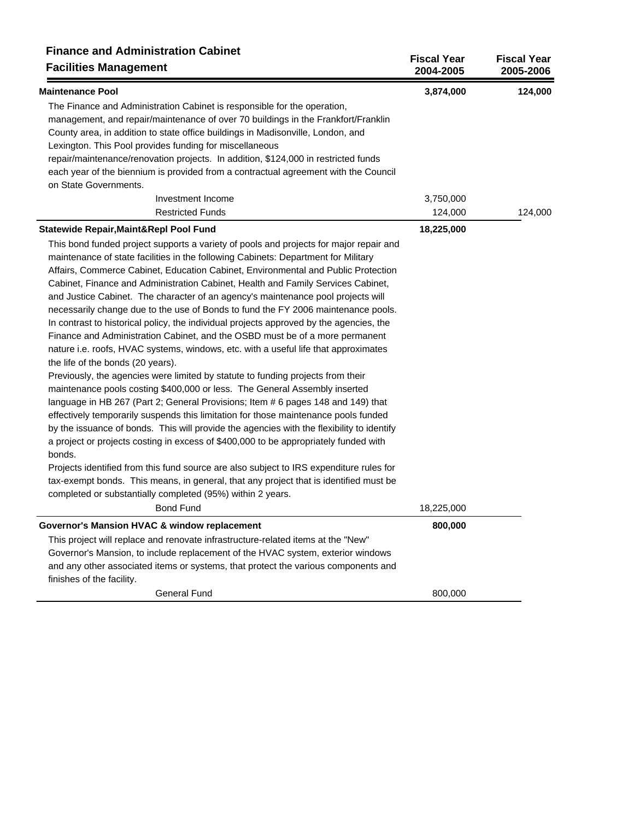| <b>Finance and Administration Cabinet</b><br><b>Facilities Management</b>                      | <b>Fiscal Year</b><br>2004-2005 | <b>Fiscal Year</b><br>2005-2006 |
|------------------------------------------------------------------------------------------------|---------------------------------|---------------------------------|
| <b>Maintenance Pool</b>                                                                        | 3,874,000                       | 124,000                         |
| The Finance and Administration Cabinet is responsible for the operation,                       |                                 |                                 |
| management, and repair/maintenance of over 70 buildings in the Frankfort/Franklin              |                                 |                                 |
| County area, in addition to state office buildings in Madisonville, London, and                |                                 |                                 |
| Lexington. This Pool provides funding for miscellaneous                                        |                                 |                                 |
| repair/maintenance/renovation projects. In addition, \$124,000 in restricted funds             |                                 |                                 |
| each year of the biennium is provided from a contractual agreement with the Council            |                                 |                                 |
| on State Governments.                                                                          |                                 |                                 |
| Investment Income                                                                              | 3,750,000                       |                                 |
| <b>Restricted Funds</b>                                                                        | 124,000                         | 124,000                         |
| Statewide Repair, Maint&Repl Pool Fund                                                         | 18,225,000                      |                                 |
| This bond funded project supports a variety of pools and projects for major repair and         |                                 |                                 |
| maintenance of state facilities in the following Cabinets: Department for Military             |                                 |                                 |
| Affairs, Commerce Cabinet, Education Cabinet, Environmental and Public Protection              |                                 |                                 |
| Cabinet, Finance and Administration Cabinet, Health and Family Services Cabinet,               |                                 |                                 |
| and Justice Cabinet. The character of an agency's maintenance pool projects will               |                                 |                                 |
| necessarily change due to the use of Bonds to fund the FY 2006 maintenance pools.              |                                 |                                 |
| In contrast to historical policy, the individual projects approved by the agencies, the        |                                 |                                 |
| Finance and Administration Cabinet, and the OSBD must be of a more permanent                   |                                 |                                 |
| nature i.e. roofs, HVAC systems, windows, etc. with a useful life that approximates            |                                 |                                 |
| the life of the bonds (20 years).                                                              |                                 |                                 |
| Previously, the agencies were limited by statute to funding projects from their                |                                 |                                 |
| maintenance pools costing \$400,000 or less. The General Assembly inserted                     |                                 |                                 |
| language in HB 267 (Part 2; General Provisions; Item # 6 pages 148 and 149) that               |                                 |                                 |
| effectively temporarily suspends this limitation for those maintenance pools funded            |                                 |                                 |
| by the issuance of bonds. This will provide the agencies with the flexibility to identify      |                                 |                                 |
| a project or projects costing in excess of \$400,000 to be appropriately funded with<br>bonds. |                                 |                                 |
| Projects identified from this fund source are also subject to IRS expenditure rules for        |                                 |                                 |
| tax-exempt bonds. This means, in general, that any project that is identified must be          |                                 |                                 |
| completed or substantially completed (95%) within 2 years.                                     |                                 |                                 |
| <b>Bond Fund</b>                                                                               | 18,225,000                      |                                 |
| Governor's Mansion HVAC & window replacement                                                   | 800,000                         |                                 |
| This project will replace and renovate infrastructure-related items at the "New"               |                                 |                                 |
| Governor's Mansion, to include replacement of the HVAC system, exterior windows                |                                 |                                 |
| and any other associated items or systems, that protect the various components and             |                                 |                                 |
| finishes of the facility.<br><b>General Fund</b>                                               | 800,000                         |                                 |
|                                                                                                |                                 |                                 |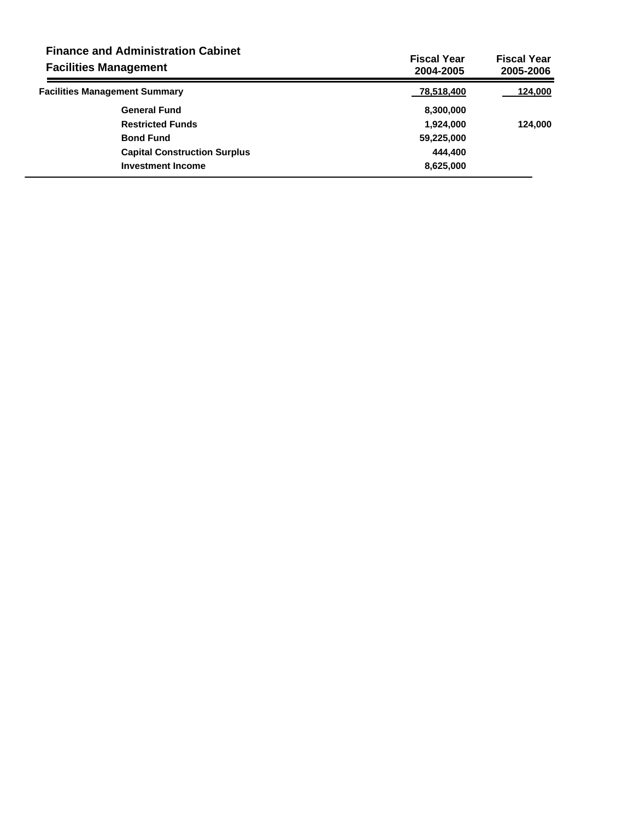| <b>Finance and Administration Cabinet</b><br><b>Facilities Management</b> | <b>Fiscal Year</b><br>2004-2005 | <b>Fiscal Year</b><br>2005-2006 |
|---------------------------------------------------------------------------|---------------------------------|---------------------------------|
| <b>Facilities Management Summary</b>                                      | 78,518,400                      | 124,000                         |
| <b>General Fund</b>                                                       | 8,300,000                       |                                 |
| <b>Restricted Funds</b>                                                   | 1,924,000                       | 124,000                         |
| <b>Bond Fund</b>                                                          | 59,225,000                      |                                 |
| <b>Capital Construction Surplus</b>                                       | 444.400                         |                                 |
| <b>Investment Income</b>                                                  | 8,625,000                       |                                 |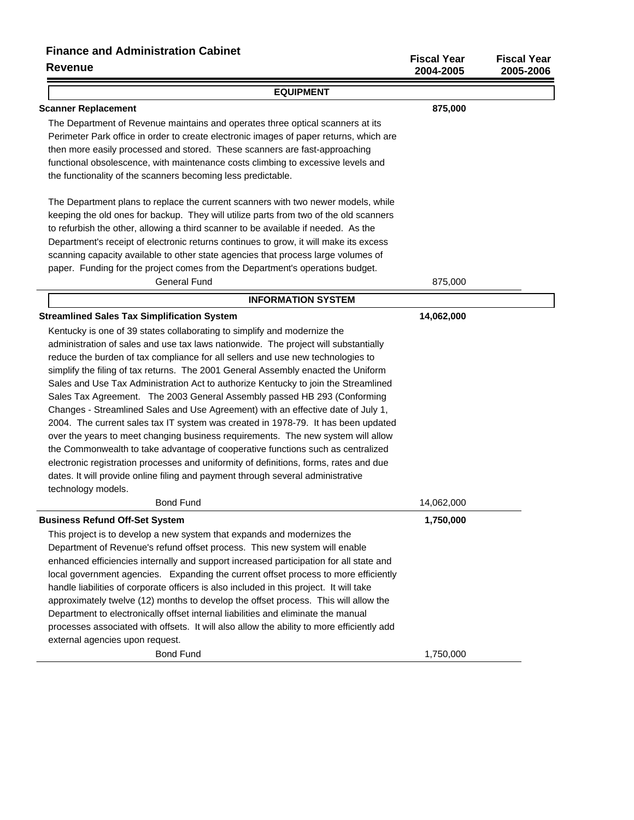## **Finance and Administration Cabinet**

| <b>Revenue</b>                                                                            | <b>Fiscal Year</b><br>2004-2005 | <b>Fiscal Year</b><br>2005-2006 |
|-------------------------------------------------------------------------------------------|---------------------------------|---------------------------------|
| <b>EQUIPMENT</b>                                                                          |                                 |                                 |
| <b>Scanner Replacement</b>                                                                | 875,000                         |                                 |
| The Department of Revenue maintains and operates three optical scanners at its            |                                 |                                 |
| Perimeter Park office in order to create electronic images of paper returns, which are    |                                 |                                 |
| then more easily processed and stored. These scanners are fast-approaching                |                                 |                                 |
| functional obsolescence, with maintenance costs climbing to excessive levels and          |                                 |                                 |
| the functionality of the scanners becoming less predictable.                              |                                 |                                 |
| The Department plans to replace the current scanners with two newer models, while         |                                 |                                 |
| keeping the old ones for backup. They will utilize parts from two of the old scanners     |                                 |                                 |
| to refurbish the other, allowing a third scanner to be available if needed. As the        |                                 |                                 |
| Department's receipt of electronic returns continues to grow, it will make its excess     |                                 |                                 |
| scanning capacity available to other state agencies that process large volumes of         |                                 |                                 |
| paper. Funding for the project comes from the Department's operations budget.             |                                 |                                 |
| <b>General Fund</b>                                                                       | 875,000                         |                                 |
| <b>INFORMATION SYSTEM</b>                                                                 |                                 |                                 |
| <b>Streamlined Sales Tax Simplification System</b>                                        | 14,062,000                      |                                 |
| Kentucky is one of 39 states collaborating to simplify and modernize the                  |                                 |                                 |
| administration of sales and use tax laws nationwide. The project will substantially       |                                 |                                 |
| reduce the burden of tax compliance for all sellers and use new technologies to           |                                 |                                 |
| simplify the filing of tax returns. The 2001 General Assembly enacted the Uniform         |                                 |                                 |
| Sales and Use Tax Administration Act to authorize Kentucky to join the Streamlined        |                                 |                                 |
| Sales Tax Agreement. The 2003 General Assembly passed HB 293 (Conforming                  |                                 |                                 |
| Changes - Streamlined Sales and Use Agreement) with an effective date of July 1,          |                                 |                                 |
| 2004. The current sales tax IT system was created in 1978-79. It has been updated         |                                 |                                 |
| over the years to meet changing business requirements. The new system will allow          |                                 |                                 |
| the Commonwealth to take advantage of cooperative functions such as centralized           |                                 |                                 |
| electronic registration processes and uniformity of definitions, forms, rates and due     |                                 |                                 |
| dates. It will provide online filing and payment through several administrative           |                                 |                                 |
| technology models.<br><b>Bond Fund</b>                                                    | 14,062,000                      |                                 |
| <b>Business Refund Off-Set System</b>                                                     | 1,750,000                       |                                 |
| This project is to develop a new system that expands and modernizes the                   |                                 |                                 |
| Department of Revenue's refund offset process. This new system will enable                |                                 |                                 |
| enhanced efficiencies internally and support increased participation for all state and    |                                 |                                 |
| local government agencies. Expanding the current offset process to more efficiently       |                                 |                                 |
| handle liabilities of corporate officers is also included in this project. It will take   |                                 |                                 |
| approximately twelve (12) months to develop the offset process. This will allow the       |                                 |                                 |
| Department to electronically offset internal liabilities and eliminate the manual         |                                 |                                 |
| processes associated with offsets. It will also allow the ability to more efficiently add |                                 |                                 |
| external agencies upon request.                                                           |                                 |                                 |
| <b>Bond Fund</b>                                                                          | 1,750,000                       |                                 |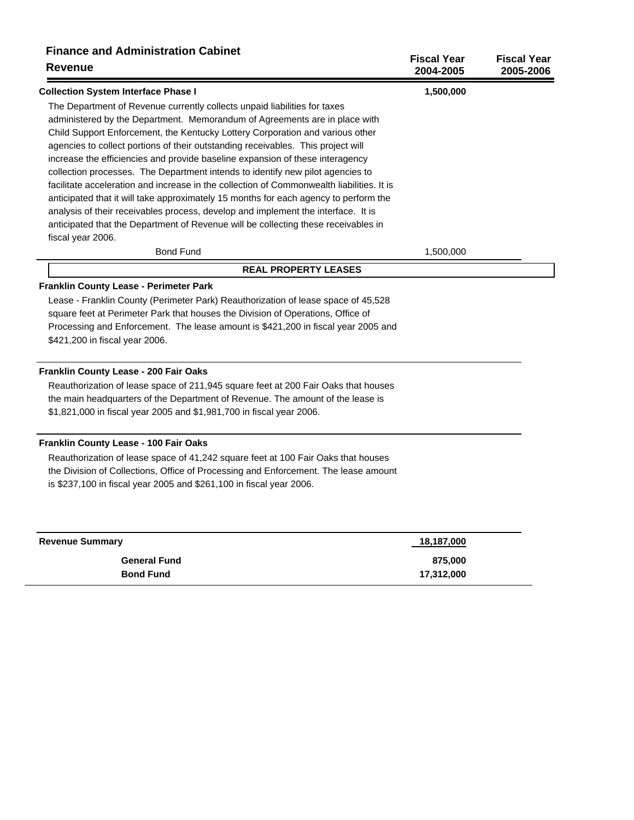| <b>Finance and Administration Cabinet</b><br><b>Revenue</b>                                             | <b>Fiscal Year</b><br>2004-2005 | <b>Fiscal Year</b><br>2005-2006 |
|---------------------------------------------------------------------------------------------------------|---------------------------------|---------------------------------|
| <b>Collection System Interface Phase I</b>                                                              | 1,500,000                       |                                 |
| The Department of Revenue currently collects unpaid liabilities for taxes                               |                                 |                                 |
| administered by the Department. Memorandum of Agreements are in place with                              |                                 |                                 |
| Child Support Enforcement, the Kentucky Lottery Corporation and various other                           |                                 |                                 |
| agencies to collect portions of their outstanding receivables. This project will                        |                                 |                                 |
| increase the efficiencies and provide baseline expansion of these interagency                           |                                 |                                 |
| collection processes. The Department intends to identify new pilot agencies to                          |                                 |                                 |
| facilitate acceleration and increase in the collection of Commonwealth liabilities. It is               |                                 |                                 |
| anticipated that it will take approximately 15 months for each agency to perform the                    |                                 |                                 |
| analysis of their receivables process, develop and implement the interface. It is                       |                                 |                                 |
| anticipated that the Department of Revenue will be collecting these receivables in<br>fiscal year 2006. |                                 |                                 |
| <b>Bond Fund</b>                                                                                        | 1,500,000                       |                                 |
| <b>REAL PROPERTY LEASES</b>                                                                             |                                 |                                 |
| Franklin County Lease - Perimeter Park                                                                  |                                 |                                 |
| Lease - Franklin County (Perimeter Park) Reauthorization of lease space of 45,528                       |                                 |                                 |
| square feet at Perimeter Park that houses the Division of Operations, Office of                         |                                 |                                 |
| Processing and Enforcement. The lease amount is \$421,200 in fiscal year 2005 and                       |                                 |                                 |
| \$421,200 in fiscal year 2006.                                                                          |                                 |                                 |
| Franklin County Lease - 200 Fair Oaks                                                                   |                                 |                                 |
| Reauthorization of lease space of 211,945 square feet at 200 Fair Oaks that houses                      |                                 |                                 |
| the main headquarters of the Department of Revenue. The amount of the lease is                          |                                 |                                 |
| \$1,821,000 in fiscal year 2005 and \$1,981,700 in fiscal year 2006.                                    |                                 |                                 |
| Franklin County Lease - 100 Fair Oaks                                                                   |                                 |                                 |
| Reauthorization of lease space of 41,242 square feet at 100 Fair Oaks that houses                       |                                 |                                 |
| the Division of Collections, Office of Processing and Enforcement. The lease amount                     |                                 |                                 |
| is \$237,100 in fiscal year 2005 and \$261,100 in fiscal year 2006.                                     |                                 |                                 |
| <b>Revenue Summary</b>                                                                                  | <u>18,187,000</u>               |                                 |
| <b>General Fund</b>                                                                                     | 875,000                         |                                 |
| <b>Bond Fund</b>                                                                                        | 17,312,000                      |                                 |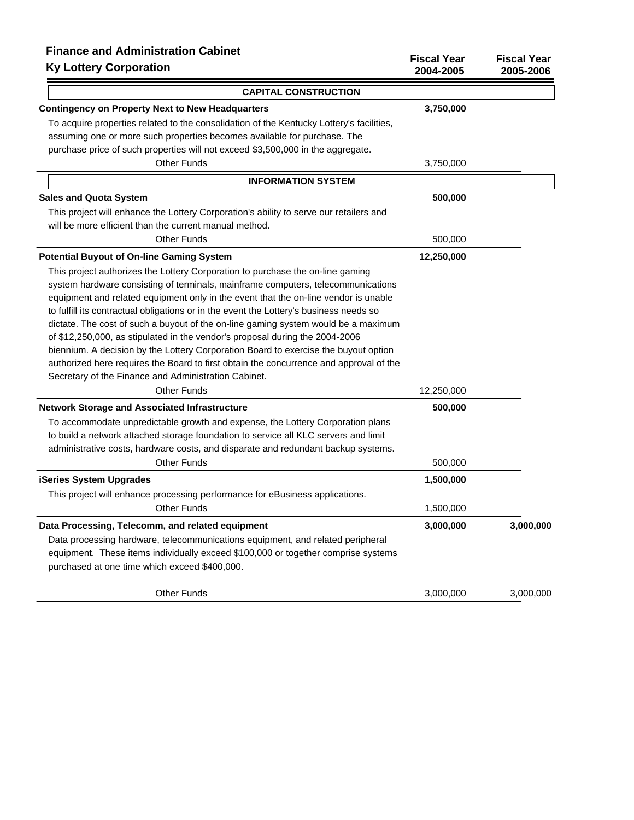| <b>Finance and Administration Cabinet</b><br><b>Ky Lottery Corporation</b>               | <b>Fiscal Year</b><br>2004-2005 | <b>Fiscal Year</b><br>2005-2006 |
|------------------------------------------------------------------------------------------|---------------------------------|---------------------------------|
| <b>CAPITAL CONSTRUCTION</b>                                                              |                                 |                                 |
| <b>Contingency on Property Next to New Headquarters</b>                                  | 3,750,000                       |                                 |
| To acquire properties related to the consolidation of the Kentucky Lottery's facilities, |                                 |                                 |
| assuming one or more such properties becomes available for purchase. The                 |                                 |                                 |
| purchase price of such properties will not exceed \$3,500,000 in the aggregate.          |                                 |                                 |
| <b>Other Funds</b>                                                                       | 3,750,000                       |                                 |
| <b>INFORMATION SYSTEM</b>                                                                |                                 |                                 |
| <b>Sales and Quota System</b>                                                            | 500,000                         |                                 |
| This project will enhance the Lottery Corporation's ability to serve our retailers and   |                                 |                                 |
| will be more efficient than the current manual method.                                   |                                 |                                 |
| <b>Other Funds</b>                                                                       | 500,000                         |                                 |
| <b>Potential Buyout of On-line Gaming System</b>                                         | 12,250,000                      |                                 |
| This project authorizes the Lottery Corporation to purchase the on-line gaming           |                                 |                                 |
| system hardware consisting of terminals, mainframe computers, telecommunications         |                                 |                                 |
| equipment and related equipment only in the event that the on-line vendor is unable      |                                 |                                 |
| to fulfill its contractual obligations or in the event the Lottery's business needs so   |                                 |                                 |
| dictate. The cost of such a buyout of the on-line gaming system would be a maximum       |                                 |                                 |
| of \$12,250,000, as stipulated in the vendor's proposal during the 2004-2006             |                                 |                                 |
| biennium. A decision by the Lottery Corporation Board to exercise the buyout option      |                                 |                                 |
| authorized here requires the Board to first obtain the concurrence and approval of the   |                                 |                                 |
| Secretary of the Finance and Administration Cabinet.                                     |                                 |                                 |
| <b>Other Funds</b>                                                                       | 12,250,000                      |                                 |
| <b>Network Storage and Associated Infrastructure</b>                                     | 500,000                         |                                 |
| To accommodate unpredictable growth and expense, the Lottery Corporation plans           |                                 |                                 |
| to build a network attached storage foundation to service all KLC servers and limit      |                                 |                                 |
| administrative costs, hardware costs, and disparate and redundant backup systems.        |                                 |                                 |
| <b>Other Funds</b>                                                                       | 500,000                         |                                 |
| <b>iSeries System Upgrades</b>                                                           | 1,500,000                       |                                 |
| This project will enhance processing performance for eBusiness applications.             |                                 |                                 |
| Other Funds                                                                              | 1,500,000                       |                                 |
| Data Processing, Telecomm, and related equipment                                         | 3,000,000                       | 3,000,000                       |
| Data processing hardware, telecommunications equipment, and related peripheral           |                                 |                                 |
| equipment. These items individually exceed \$100,000 or together comprise systems        |                                 |                                 |
| purchased at one time which exceed \$400,000.                                            |                                 |                                 |
| <b>Other Funds</b>                                                                       | 3,000,000                       | 3,000,000                       |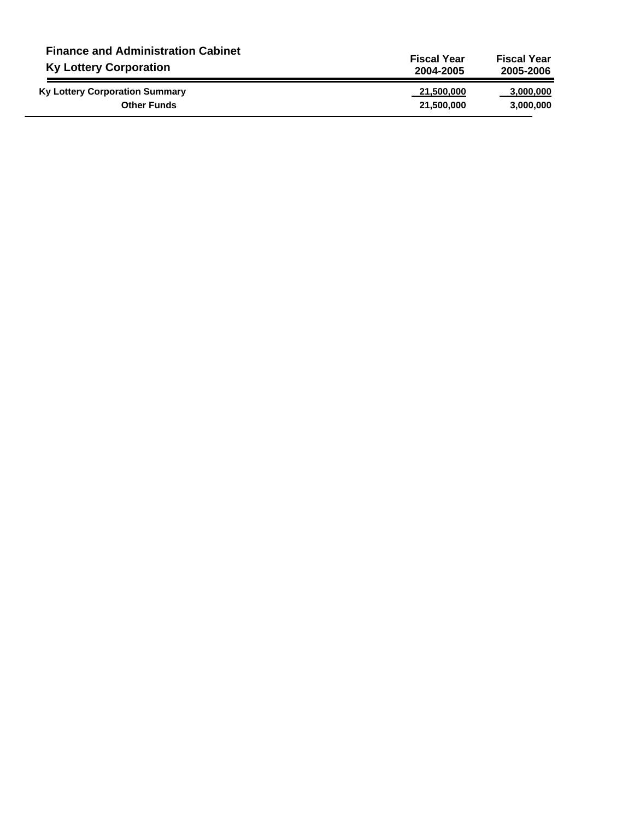| <b>Finance and Administration Cabinet</b> | <b>Fiscal Year</b> | <b>Fiscal Year</b> |  |
|-------------------------------------------|--------------------|--------------------|--|
| <b>Ky Lottery Corporation</b>             | 2004-2005          | 2005-2006          |  |
| <b>Ky Lottery Corporation Summary</b>     | 21,500,000         | 3,000,000          |  |
| <b>Other Funds</b>                        | 21,500,000         | 3,000,000          |  |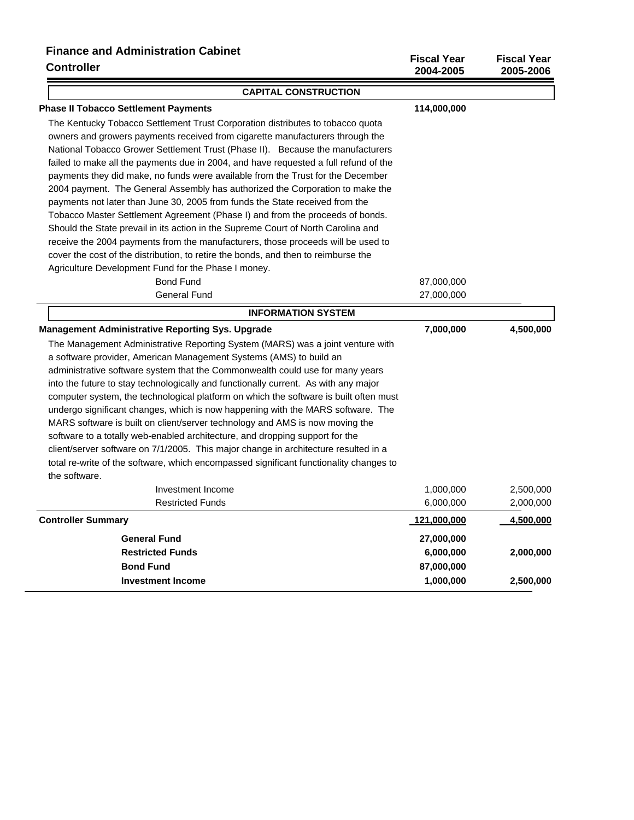# **Finance and Administration Cabinet**

| <b>Controller</b>                                                                      | <b>Fiscal Year</b><br>2004-2005 | <b>Fiscal Year</b><br>2005-2006 |
|----------------------------------------------------------------------------------------|---------------------------------|---------------------------------|
| <b>CAPITAL CONSTRUCTION</b>                                                            |                                 |                                 |
| <b>Phase II Tobacco Settlement Payments</b>                                            | 114,000,000                     |                                 |
| The Kentucky Tobacco Settlement Trust Corporation distributes to tobacco quota         |                                 |                                 |
| owners and growers payments received from cigarette manufacturers through the          |                                 |                                 |
| National Tobacco Grower Settlement Trust (Phase II). Because the manufacturers         |                                 |                                 |
| failed to make all the payments due in 2004, and have requested a full refund of the   |                                 |                                 |
| payments they did make, no funds were available from the Trust for the December        |                                 |                                 |
| 2004 payment. The General Assembly has authorized the Corporation to make the          |                                 |                                 |
| payments not later than June 30, 2005 from funds the State received from the           |                                 |                                 |
| Tobacco Master Settlement Agreement (Phase I) and from the proceeds of bonds.          |                                 |                                 |
| Should the State prevail in its action in the Supreme Court of North Carolina and      |                                 |                                 |
| receive the 2004 payments from the manufacturers, those proceeds will be used to       |                                 |                                 |
| cover the cost of the distribution, to retire the bonds, and then to reimburse the     |                                 |                                 |
| Agriculture Development Fund for the Phase I money.                                    |                                 |                                 |
| <b>Bond Fund</b>                                                                       | 87,000,000                      |                                 |
| <b>General Fund</b>                                                                    | 27,000,000                      |                                 |
| <b>INFORMATION SYSTEM</b>                                                              |                                 |                                 |
| <b>Management Administrative Reporting Sys. Upgrade</b>                                | 7,000,000                       | 4,500,000                       |
| The Management Administrative Reporting System (MARS) was a joint venture with         |                                 |                                 |
| a software provider, American Management Systems (AMS) to build an                     |                                 |                                 |
| administrative software system that the Commonwealth could use for many years          |                                 |                                 |
| into the future to stay technologically and functionally current. As with any major    |                                 |                                 |
| computer system, the technological platform on which the software is built often must  |                                 |                                 |
| undergo significant changes, which is now happening with the MARS software. The        |                                 |                                 |
| MARS software is built on client/server technology and AMS is now moving the           |                                 |                                 |
| software to a totally web-enabled architecture, and dropping support for the           |                                 |                                 |
| client/server software on 7/1/2005. This major change in architecture resulted in a    |                                 |                                 |
| total re-write of the software, which encompassed significant functionality changes to |                                 |                                 |
| the software.                                                                          |                                 |                                 |
| Investment Income                                                                      | 1,000,000                       | 2,500,000                       |
| <b>Restricted Funds</b>                                                                | 6,000,000                       | 2,000,000                       |
| <b>Controller Summary</b>                                                              | 121,000,000                     | 4,500,000                       |
| <b>General Fund</b>                                                                    | 27,000,000                      |                                 |
| <b>Restricted Funds</b>                                                                | 6,000,000                       | 2,000,000                       |
| <b>Bond Fund</b>                                                                       | 87,000,000                      |                                 |
| <b>Investment Income</b>                                                               | 1,000,000                       | 2,500,000                       |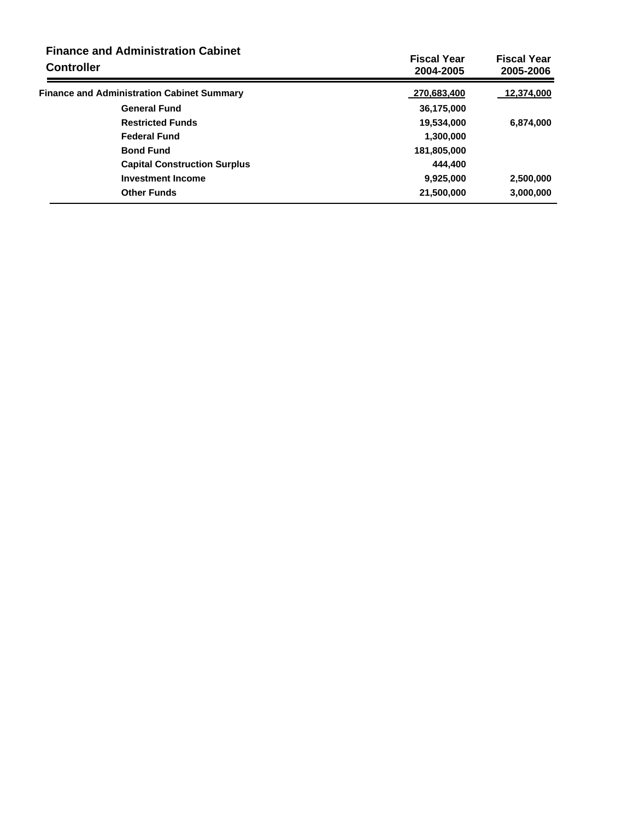| <b>Finance and Administration Cabinet</b><br><b>Controller</b> | <b>Fiscal Year</b><br>2004-2005 | <b>Fiscal Year</b><br>2005-2006 |
|----------------------------------------------------------------|---------------------------------|---------------------------------|
| <b>Finance and Administration Cabinet Summary</b>              | 270,683,400                     | 12,374,000                      |
| <b>General Fund</b>                                            | 36,175,000                      |                                 |
| <b>Restricted Funds</b>                                        | 19,534,000                      | 6,874,000                       |
| <b>Federal Fund</b>                                            | 1,300,000                       |                                 |
| <b>Bond Fund</b>                                               | 181,805,000                     |                                 |
| <b>Capital Construction Surplus</b>                            | 444.400                         |                                 |
| <b>Investment Income</b>                                       | 9,925,000                       | 2,500,000                       |
| <b>Other Funds</b>                                             | 21,500,000                      | 3,000,000                       |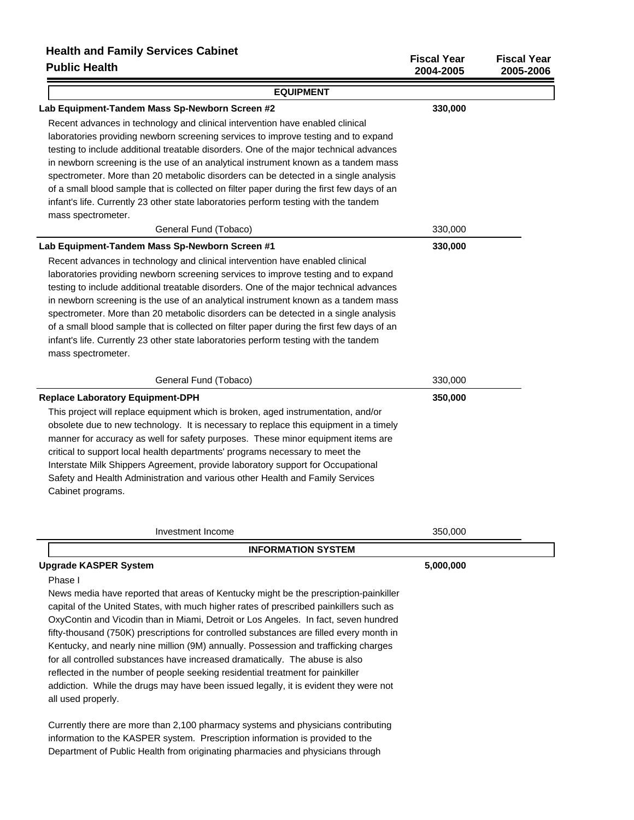| Public Health                                                                             | 2004-2005 | 2005-2006 |
|-------------------------------------------------------------------------------------------|-----------|-----------|
| <b>EQUIPMENT</b>                                                                          |           |           |
| Lab Equipment-Tandem Mass Sp-Newborn Screen #2                                            | 330,000   |           |
| Recent advances in technology and clinical intervention have enabled clinical             |           |           |
| laboratories providing newborn screening services to improve testing and to expand        |           |           |
| testing to include additional treatable disorders. One of the major technical advances    |           |           |
| in newborn screening is the use of an analytical instrument known as a tandem mass        |           |           |
| spectrometer. More than 20 metabolic disorders can be detected in a single analysis       |           |           |
| of a small blood sample that is collected on filter paper during the first few days of an |           |           |
| infant's life. Currently 23 other state laboratories perform testing with the tandem      |           |           |
| mass spectrometer.                                                                        |           |           |
| General Fund (Tobaco)                                                                     | 330,000   |           |
| Lab Equipment-Tandem Mass Sp-Newborn Screen #1                                            | 330,000   |           |
| Recent advances in technology and clinical intervention have enabled clinical             |           |           |
| laboratories providing newborn screening services to improve testing and to expand        |           |           |
| testing to include additional treatable disorders. One of the major technical advances    |           |           |
| in newborn screening is the use of an analytical instrument known as a tandem mass        |           |           |
| spectrometer. More than 20 metabolic disorders can be detected in a single analysis       |           |           |
| of a small blood sample that is collected on filter paper during the first few days of an |           |           |
| infant's life. Currently 23 other state laboratories perform testing with the tandem      |           |           |
| mass spectrometer.                                                                        |           |           |
| General Fund (Tobaco)                                                                     | 330,000   |           |
| <b>Replace Laboratory Equipment-DPH</b>                                                   | 350,000   |           |
| This project will replace equipment which is broken, aged instrumentation, and/or         |           |           |
| obsolete due to new technology. It is necessary to replace this equipment in a timely     |           |           |
| manner for accuracy as well for safety purposes. These minor equipment items are          |           |           |
| critical to support local health departments' programs necessary to meet the              |           |           |
| Interstate Milk Shippers Agreement, provide laboratory support for Occupational           |           |           |
| Safety and Health Administration and various other Health and Family Services             |           |           |
| Cabinet programs.                                                                         |           |           |
|                                                                                           |           |           |
| Investment Income                                                                         | 350,000   |           |
| <b>INFORMATION SYSTEM</b>                                                                 |           |           |
| <b>Upgrade KASPER System</b>                                                              | 5,000,000 |           |
| Phase I                                                                                   |           |           |
| News media have reported that areas of Kentucky might be the prescription-painkiller      |           |           |
| capital of the United States, with much higher rates of prescribed painkillers such as    |           |           |
| OxyContin and Vicodin than in Miami, Detroit or Los Angeles. In fact, seven hundred       |           |           |
| fifty-thousand (750K) prescriptions for controlled substances are filled every month in   |           |           |
| Kentucky, and nearly nine million (9M) annually. Possession and trafficking charges       |           |           |
| for all controlled substances have increased dramatically. The abuse is also              |           |           |
| is considered in a similar send of the monopolitical distribution and fact                |           |           |

**Fiscal Year Fiscal Year**

reflected in the number of people seeking residential treatment for painkiller addiction. While the drugs may have been issued legally, it is evident they were not all used properly.

Currently there are more than 2,100 pharmacy systems and physicians contributing information to the KASPER system. Prescription information is provided to the Department of Public Health from originating pharmacies and physicians through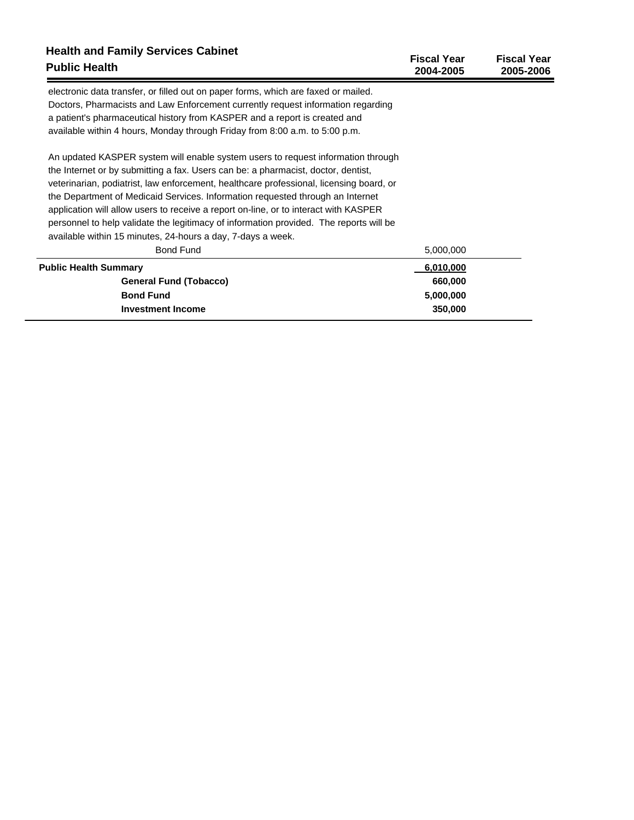| <b>Health and Family Services Cabinet</b><br><b>Public Health</b>                       | <b>Fiscal Year</b><br>2004-2005 | <b>Fiscal Year</b><br>2005-2006 |
|-----------------------------------------------------------------------------------------|---------------------------------|---------------------------------|
| electronic data transfer, or filled out on paper forms, which are faxed or mailed.      |                                 |                                 |
| Doctors, Pharmacists and Law Enforcement currently request information regarding        |                                 |                                 |
| a patient's pharmaceutical history from KASPER and a report is created and              |                                 |                                 |
| available within 4 hours, Monday through Friday from 8:00 a.m. to 5:00 p.m.             |                                 |                                 |
| An updated KASPER system will enable system users to request information through        |                                 |                                 |
| the Internet or by submitting a fax. Users can be: a pharmacist, doctor, dentist,       |                                 |                                 |
| veterinarian, podiatrist, law enforcement, healthcare professional, licensing board, or |                                 |                                 |
| the Department of Medicaid Services. Information requested through an Internet          |                                 |                                 |
| application will allow users to receive a report on-line, or to interact with KASPER    |                                 |                                 |
| personnel to help validate the legitimacy of information provided. The reports will be  |                                 |                                 |
| available within 15 minutes, 24-hours a day, 7-days a week.                             |                                 |                                 |
| <b>Bond Fund</b>                                                                        | 5,000,000                       |                                 |
| <b>Public Health Summary</b>                                                            | 6,010,000                       |                                 |
| <b>General Fund (Tobacco)</b>                                                           | 660,000                         |                                 |
| <b>Bond Fund</b>                                                                        | 5,000,000                       |                                 |
| <b>Investment Income</b>                                                                | 350,000                         |                                 |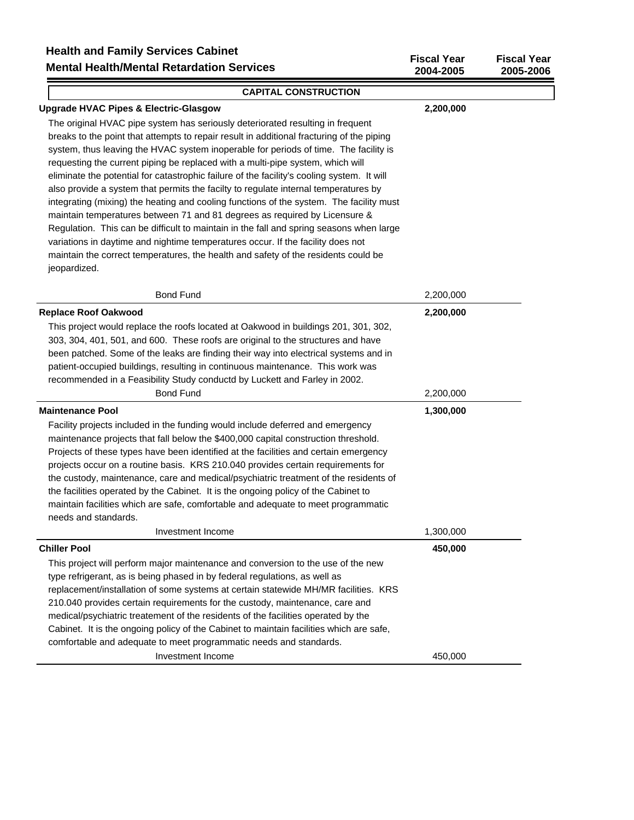| Health and Failing Services Cabillet<br><b>Mental Health/Mental Retardation Services</b>                                                                                                                                                                                                                                                                                                                                                                                                                                                                                                                                                                                                                                                                                                                                                                                                                                                                                                                | <b>Fiscal Year</b><br>2004-2005 | <b>Fiscal Year</b><br>2005-2006 |
|---------------------------------------------------------------------------------------------------------------------------------------------------------------------------------------------------------------------------------------------------------------------------------------------------------------------------------------------------------------------------------------------------------------------------------------------------------------------------------------------------------------------------------------------------------------------------------------------------------------------------------------------------------------------------------------------------------------------------------------------------------------------------------------------------------------------------------------------------------------------------------------------------------------------------------------------------------------------------------------------------------|---------------------------------|---------------------------------|
| <b>CAPITAL CONSTRUCTION</b>                                                                                                                                                                                                                                                                                                                                                                                                                                                                                                                                                                                                                                                                                                                                                                                                                                                                                                                                                                             |                                 |                                 |
| Upgrade HVAC Pipes & Electric-Glasgow                                                                                                                                                                                                                                                                                                                                                                                                                                                                                                                                                                                                                                                                                                                                                                                                                                                                                                                                                                   | 2,200,000                       |                                 |
| The original HVAC pipe system has seriously deteriorated resulting in frequent<br>breaks to the point that attempts to repair result in additional fracturing of the piping<br>system, thus leaving the HVAC system inoperable for periods of time. The facility is<br>requesting the current piping be replaced with a multi-pipe system, which will<br>eliminate the potential for catastrophic failure of the facility's cooling system. It will<br>also provide a system that permits the facilty to regulate internal temperatures by<br>integrating (mixing) the heating and cooling functions of the system. The facility must<br>maintain temperatures between 71 and 81 degrees as required by Licensure &<br>Regulation. This can be difficult to maintain in the fall and spring seasons when large<br>variations in daytime and nightime temperatures occur. If the facility does not<br>maintain the correct temperatures, the health and safety of the residents could be<br>jeopardized. |                                 |                                 |
| <b>Bond Fund</b>                                                                                                                                                                                                                                                                                                                                                                                                                                                                                                                                                                                                                                                                                                                                                                                                                                                                                                                                                                                        | 2,200,000                       |                                 |

| <b>Replace Roof Oakwood</b>                                                             | 2,200,000 |
|-----------------------------------------------------------------------------------------|-----------|
| This project would replace the roofs located at Oakwood in buildings 201, 301, 302,     |           |
| 303, 304, 401, 501, and 600. These roofs are original to the structures and have        |           |
| been patched. Some of the leaks are finding their way into electrical systems and in    |           |
| patient-occupied buildings, resulting in continuous maintenance. This work was          |           |
| recommended in a Feasibility Study conductd by Luckett and Farley in 2002.              |           |
| <b>Bond Fund</b>                                                                        | 2,200,000 |
| <b>Maintenance Pool</b>                                                                 | 1,300,000 |
| Facility projects included in the funding would include deferred and emergency          |           |
| maintenance projects that fall below the \$400,000 capital construction threshold.      |           |
| Projects of these types have been identified at the facilities and certain emergency    |           |
| projects occur on a routine basis. KRS 210.040 provides certain requirements for        |           |
| the custody, maintenance, care and medical/psychiatric treatment of the residents of    |           |
| the facilities operated by the Cabinet. It is the ongoing policy of the Cabinet to      |           |
| maintain facilities which are safe, comfortable and adequate to meet programmatic       |           |
| needs and standards.                                                                    |           |
| Investment Income                                                                       | 1,300,000 |
| <b>Chiller Pool</b>                                                                     | 450,000   |
| This project will perform major maintenance and conversion to the use of the new        |           |
| type refrigerant, as is being phased in by federal regulations, as well as              |           |
| replacement/installation of some systems at certain statewide MH/MR facilities. KRS     |           |
| 210.040 provides certain requirements for the custody, maintenance, care and            |           |
| medical/psychiatric treatement of the residents of the facilities operated by the       |           |
| Cabinet. It is the ongoing policy of the Cabinet to maintain facilities which are safe, |           |
| comfortable and adequate to meet programmatic needs and standards.                      |           |
| Investment Income                                                                       | 450,000   |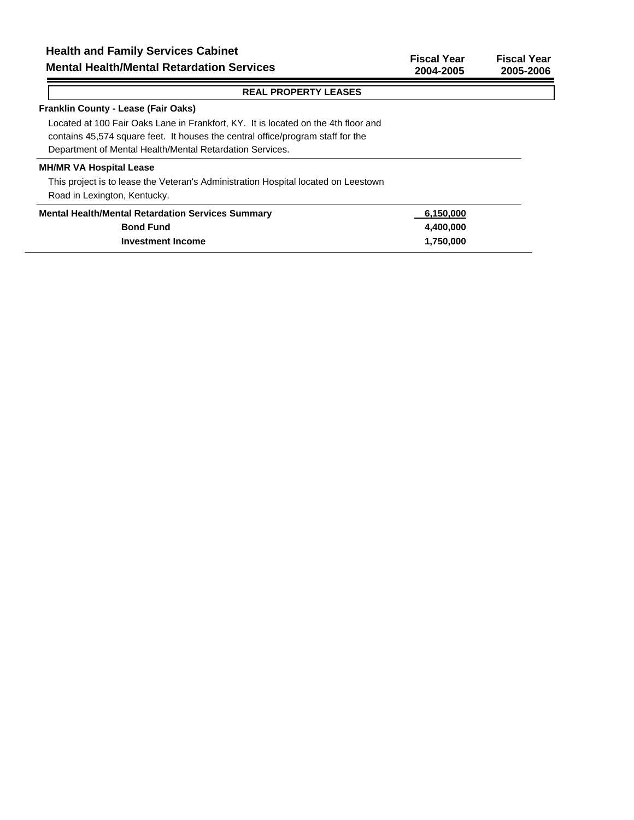#### **Franklin County - Lease (Fair Oaks)**

Located at 100 Fair Oaks Lane in Frankfort, KY. It is located on the 4th floor and contains 45,574 square feet. It houses the central office/program staff for the Department of Mental Health/Mental Retardation Services.

#### **MH/MR VA Hospital Lease**

This project is to lease the Veteran's Administration Hospital located on Leestown Road in Lexington, Kentucky.

| <b>Mental Health/Mental Retardation Services Summary</b> | 6,150,000 |
|----------------------------------------------------------|-----------|
| <b>Bond Fund</b>                                         | 4.400.000 |
| Investment Income                                        | 1.750.000 |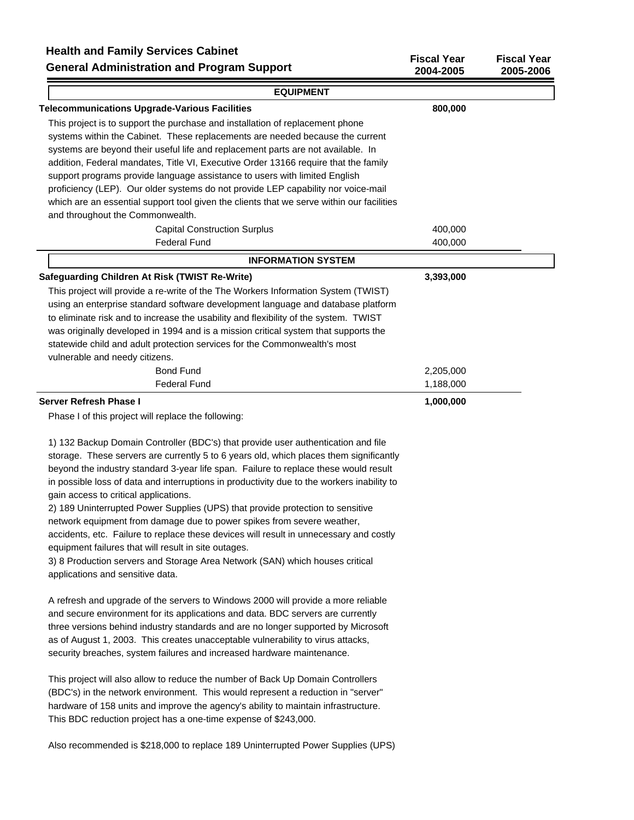## **Health and Family Services Cabinet**

**General Administration and Program Support**

| <b>EQUIPMENT</b>                                                                          |           |  |
|-------------------------------------------------------------------------------------------|-----------|--|
| <b>Telecommunications Upgrade-Various Facilities</b>                                      | 800,000   |  |
| This project is to support the purchase and installation of replacement phone             |           |  |
| systems within the Cabinet. These replacements are needed because the current             |           |  |
| systems are beyond their useful life and replacement parts are not available. In          |           |  |
| addition, Federal mandates, Title VI, Executive Order 13166 require that the family       |           |  |
| support programs provide language assistance to users with limited English                |           |  |
| proficiency (LEP). Our older systems do not provide LEP capability nor voice-mail         |           |  |
| which are an essential support tool given the clients that we serve within our facilities |           |  |
| and throughout the Commonwealth.                                                          |           |  |
| <b>Capital Construction Surplus</b>                                                       | 400,000   |  |
| <b>Federal Fund</b>                                                                       | 400,000   |  |
| <b>INFORMATION SYSTEM</b>                                                                 |           |  |
| <b>Safeguarding Children At Risk (TWIST Re-Write)</b>                                     | 3,393,000 |  |
| This project will provide a re-write of the The Workers Information System (TWIST)        |           |  |
| using an enterprise standard software development language and database platform          |           |  |
| to eliminate risk and to increase the usability and flexibility of the system. TWIST      |           |  |
| was originally developed in 1994 and is a mission critical system that supports the       |           |  |
| statewide child and adult protection services for the Commonwealth's most                 |           |  |
| vulnerable and needy citizens.                                                            |           |  |
| <b>Bond Fund</b>                                                                          | 2,205,000 |  |
| <b>Federal Fund</b>                                                                       | 1,188,000 |  |
| <b>Server Refresh Phase I</b>                                                             | 1,000,000 |  |
| Phase I of this project will replace the following:                                       |           |  |

**Fiscal Year Fiscal Year 2004-2005 2005-2006**

1) 132 Backup Domain Controller (BDC's) that provide user authentication and file storage. These servers are currently 5 to 6 years old, which places them significantly beyond the industry standard 3-year life span. Failure to replace these would result in possible loss of data and interruptions in productivity due to the workers inability to gain access to critical applications.

2) 189 Uninterrupted Power Supplies (UPS) that provide protection to sensitive network equipment from damage due to power spikes from severe weather, accidents, etc. Failure to replace these devices will result in unnecessary and costly equipment failures that will result in site outages.

3) 8 Production servers and Storage Area Network (SAN) which houses critical applications and sensitive data.

A refresh and upgrade of the servers to Windows 2000 will provide a more reliable and secure environment for its applications and data. BDC servers are currently three versions behind industry standards and are no longer supported by Microsoft as of August 1, 2003. This creates unacceptable vulnerability to virus attacks, security breaches, system failures and increased hardware maintenance.

This project will also allow to reduce the number of Back Up Domain Controllers (BDC's) in the network environment. This would represent a reduction in "server" hardware of 158 units and improve the agency's ability to maintain infrastructure. This BDC reduction project has a one-time expense of \$243,000.

Also recommended is \$218,000 to replace 189 Uninterrupted Power Supplies (UPS)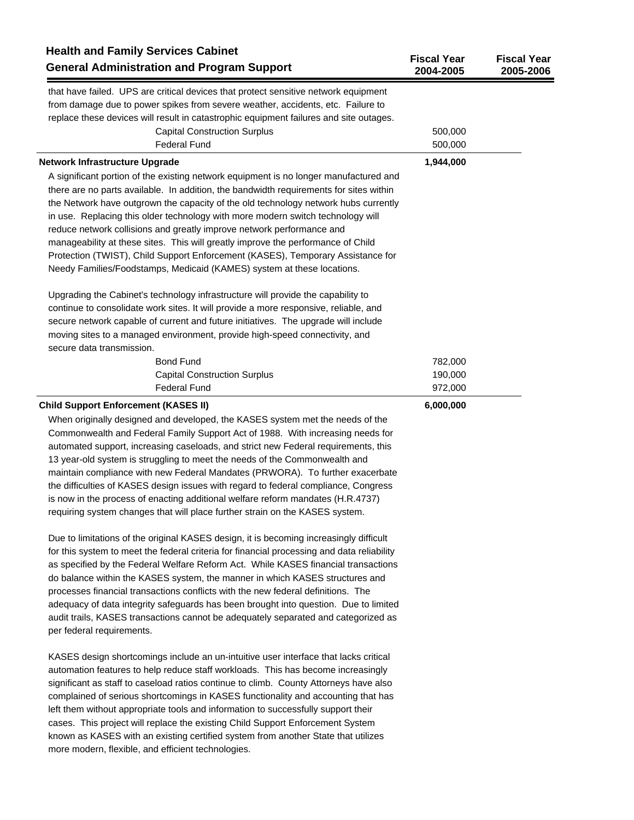| <b>Health and Family Services Cabinet</b><br><b>General Administration and Program Support</b>                                                                                                                                                                                                                                                                                                                                                                                                                                                                                                                                                                                                                                                                                                                                                                                                                                                                                                              | <b>Fiscal Year</b><br>2004-2005 | <b>Fiscal Year</b><br>2005-2006 |
|-------------------------------------------------------------------------------------------------------------------------------------------------------------------------------------------------------------------------------------------------------------------------------------------------------------------------------------------------------------------------------------------------------------------------------------------------------------------------------------------------------------------------------------------------------------------------------------------------------------------------------------------------------------------------------------------------------------------------------------------------------------------------------------------------------------------------------------------------------------------------------------------------------------------------------------------------------------------------------------------------------------|---------------------------------|---------------------------------|
| that have failed. UPS are critical devices that protect sensitive network equipment<br>from damage due to power spikes from severe weather, accidents, etc. Failure to<br>replace these devices will result in catastrophic equipment failures and site outages.<br><b>Capital Construction Surplus</b><br><b>Federal Fund</b>                                                                                                                                                                                                                                                                                                                                                                                                                                                                                                                                                                                                                                                                              | 500,000<br>500,000              |                                 |
| Network Infrastructure Upgrade                                                                                                                                                                                                                                                                                                                                                                                                                                                                                                                                                                                                                                                                                                                                                                                                                                                                                                                                                                              | 1,944,000                       |                                 |
| A significant portion of the existing network equipment is no longer manufactured and<br>there are no parts available. In addition, the bandwidth requirements for sites within<br>the Network have outgrown the capacity of the old technology network hubs currently<br>in use. Replacing this older technology with more modern switch technology will<br>reduce network collisions and greatly improve network performance and<br>manageability at these sites. This will greatly improve the performance of Child<br>Protection (TWIST), Child Support Enforcement (KASES), Temporary Assistance for<br>Needy Families/Foodstamps, Medicaid (KAMES) system at these locations.                                                                                                                                                                                                                                                                                                                         |                                 |                                 |
| Upgrading the Cabinet's technology infrastructure will provide the capability to<br>continue to consolidate work sites. It will provide a more responsive, reliable, and<br>secure network capable of current and future initiatives. The upgrade will include<br>moving sites to a managed environment, provide high-speed connectivity, and<br>secure data transmission.                                                                                                                                                                                                                                                                                                                                                                                                                                                                                                                                                                                                                                  |                                 |                                 |
| <b>Bond Fund</b>                                                                                                                                                                                                                                                                                                                                                                                                                                                                                                                                                                                                                                                                                                                                                                                                                                                                                                                                                                                            | 782,000                         |                                 |
| <b>Capital Construction Surplus</b>                                                                                                                                                                                                                                                                                                                                                                                                                                                                                                                                                                                                                                                                                                                                                                                                                                                                                                                                                                         | 190,000                         |                                 |
| <b>Federal Fund</b>                                                                                                                                                                                                                                                                                                                                                                                                                                                                                                                                                                                                                                                                                                                                                                                                                                                                                                                                                                                         | 972,000                         |                                 |
| <b>Child Support Enforcement (KASES II)</b><br>When originally designed and developed, the KASES system met the needs of the<br>Commonwealth and Federal Family Support Act of 1988. With increasing needs for<br>automated support, increasing caseloads, and strict new Federal requirements, this<br>13 year-old system is struggling to meet the needs of the Commonwealth and<br>maintain compliance with new Federal Mandates (PRWORA). To further exacerbate<br>the difficulties of KASES design issues with regard to federal compliance, Congress<br>is now in the process of enacting additional welfare reform mandates (H.R.4737)<br>requiring system changes that will place further strain on the KASES system.<br>Due to limitations of the original KASES design, it is becoming increasingly difficult<br>for this system to meet the federal criteria for financial processing and data reliability<br>as specified by the Federal Welfare Reform Act. While KASES financial transactions | 6,000,000                       |                                 |
| do balance within the KASES system, the manner in which KASES structures and<br>processes financial transactions conflicts with the new federal definitions. The<br>adequacy of data integrity safeguards has been brought into question. Due to limited<br>audit trails, KASES transactions cannot be adequately separated and categorized as<br>per federal requirements.<br>KASES design shortcomings include an un-intuitive user interface that lacks critical                                                                                                                                                                                                                                                                                                                                                                                                                                                                                                                                         |                                 |                                 |
| automation features to help reduce staff workloads. This has become increasingly<br>significant as staff to caseload ratios continue to climb. County Attorneys have also<br>complained of serious shortcomings in KASES functionality and accounting that has<br>left them without appropriate tools and information to successfully support their<br>cases. This project will replace the existing Child Support Enforcement System<br>known as KASES with an existing certified system from another State that utilizes                                                                                                                                                                                                                                                                                                                                                                                                                                                                                  |                                 |                                 |

more modern, flexible, and efficient technologies.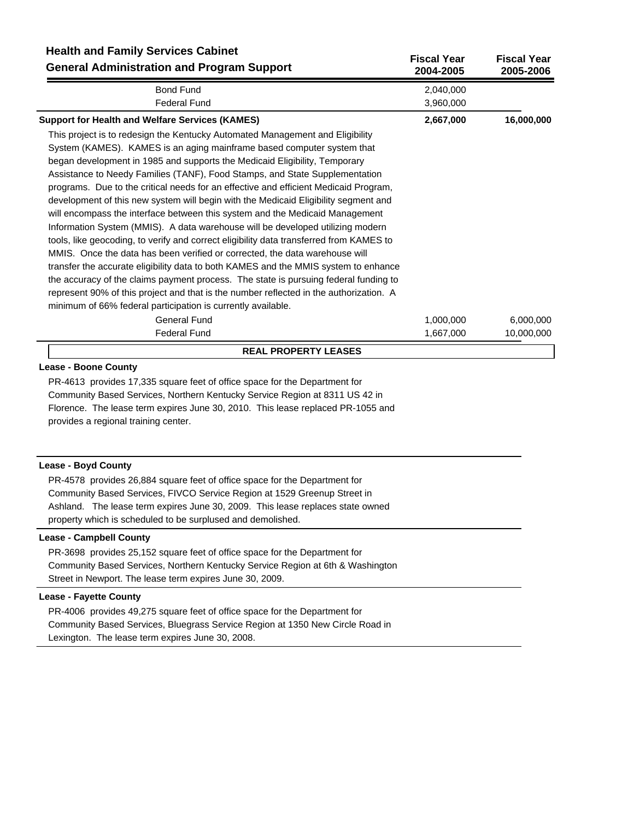| <b>Health and Family Services Cabinet</b><br><b>General Administration and Program Support</b> | <b>Fiscal Year</b><br>2004-2005 | <b>Fiscal Year</b><br>2005-2006 |
|------------------------------------------------------------------------------------------------|---------------------------------|---------------------------------|
| <b>Bond Fund</b>                                                                               | 2,040,000                       |                                 |
| <b>Federal Fund</b>                                                                            | 3,960,000                       |                                 |
| <b>Support for Health and Welfare Services (KAMES)</b>                                         | 2,667,000                       | 16,000,000                      |
| This project is to redesign the Kentucky Automated Management and Eligibility                  |                                 |                                 |
| System (KAMES). KAMES is an aging mainframe based computer system that                         |                                 |                                 |
| began development in 1985 and supports the Medicaid Eligibility, Temporary                     |                                 |                                 |
| Assistance to Needy Families (TANF), Food Stamps, and State Supplementation                    |                                 |                                 |
| programs. Due to the critical needs for an effective and efficient Medicaid Program,           |                                 |                                 |
| development of this new system will begin with the Medicaid Eligibility segment and            |                                 |                                 |
| will encompass the interface between this system and the Medicaid Management                   |                                 |                                 |
| Information System (MMIS). A data warehouse will be developed utilizing modern                 |                                 |                                 |
| tools, like geocoding, to verify and correct eligibility data transferred from KAMES to        |                                 |                                 |
| MMIS. Once the data has been verified or corrected, the data warehouse will                    |                                 |                                 |
| transfer the accurate eligibility data to both KAMES and the MMIS system to enhance            |                                 |                                 |
| the accuracy of the claims payment process. The state is pursuing federal funding to           |                                 |                                 |
| represent 90% of this project and that is the number reflected in the authorization. A         |                                 |                                 |
| minimum of 66% federal participation is currently available.                                   |                                 |                                 |
| <b>General Fund</b>                                                                            | 1,000,000                       | 6,000,000                       |
| <b>Federal Fund</b>                                                                            | 1,667,000                       | 10,000,000                      |
| <b>REAL PROPERTY LEASES</b>                                                                    |                                 |                                 |

# **Lease - Boone County**

PR-4613 provides 17,335 square feet of office space for the Department for Community Based Services, Northern Kentucky Service Region at 8311 US 42 in Florence. The lease term expires June 30, 2010. This lease replaced PR-1055 and provides a regional training center.

#### **Lease - Boyd County**

PR-4578 provides 26,884 square feet of office space for the Department for Community Based Services, FIVCO Service Region at 1529 Greenup Street in Ashland. The lease term expires June 30, 2009. This lease replaces state owned property which is scheduled to be surplused and demolished.

## **Lease - Campbell County**

PR-3698 provides 25,152 square feet of office space for the Department for Community Based Services, Northern Kentucky Service Region at 6th & Washington Street in Newport. The lease term expires June 30, 2009.

# **Lease - Fayette County**

PR-4006 provides 49,275 square feet of office space for the Department for Community Based Services, Bluegrass Service Region at 1350 New Circle Road in Lexington. The lease term expires June 30, 2008.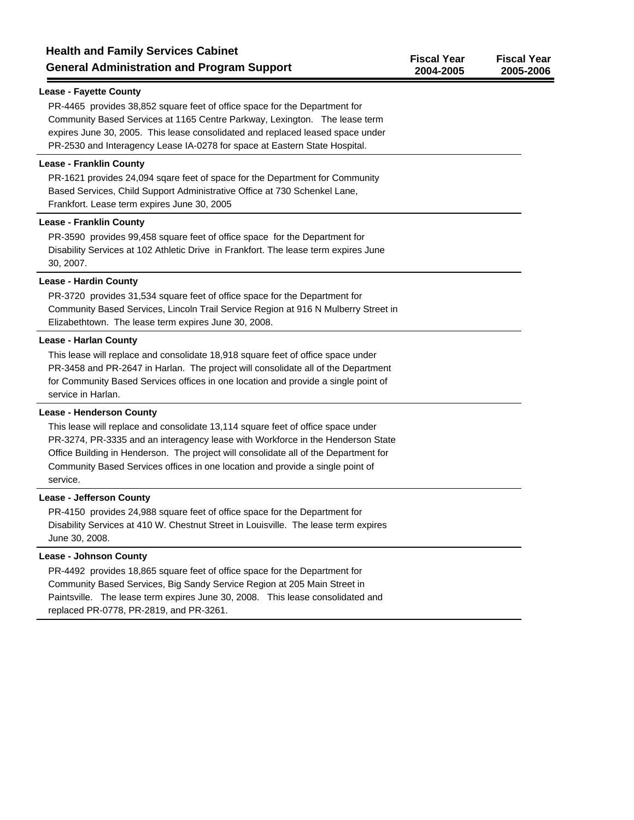| <b>Health and Family Services Cabinet</b><br><b>General Administration and Program Support</b>                                                                                                                                                                                                                           | <b>Fiscal Year</b><br>2004-2005 | <b>Fiscal Year</b><br>2005-2006 |
|--------------------------------------------------------------------------------------------------------------------------------------------------------------------------------------------------------------------------------------------------------------------------------------------------------------------------|---------------------------------|---------------------------------|
| <b>Lease - Fayette County</b>                                                                                                                                                                                                                                                                                            |                                 |                                 |
| PR-4465 provides 38,852 square feet of office space for the Department for<br>Community Based Services at 1165 Centre Parkway, Lexington. The lease term<br>expires June 30, 2005. This lease consolidated and replaced leased space under<br>PR-2530 and Interagency Lease IA-0278 for space at Eastern State Hospital. |                                 |                                 |
| <b>Lease - Franklin County</b>                                                                                                                                                                                                                                                                                           |                                 |                                 |
| PR-1621 provides 24,094 sqare feet of space for the Department for Community<br>Based Services, Child Support Administrative Office at 730 Schenkel Lane,<br>Frankfort. Lease term expires June 30, 2005                                                                                                                 |                                 |                                 |
| <b>Lease - Franklin County</b>                                                                                                                                                                                                                                                                                           |                                 |                                 |
| PR-3590 provides 99,458 square feet of office space for the Department for<br>Disability Services at 102 Athletic Drive in Frankfort. The lease term expires June<br>30, 2007.                                                                                                                                           |                                 |                                 |
| <b>Lease - Hardin County</b>                                                                                                                                                                                                                                                                                             |                                 |                                 |
| PR-3720 provides 31,534 square feet of office space for the Department for<br>Community Based Services, Lincoln Trail Service Region at 916 N Mulberry Street in<br>Elizabethtown. The lease term expires June 30, 2008.                                                                                                 |                                 |                                 |
| <b>Lease - Harlan County</b>                                                                                                                                                                                                                                                                                             |                                 |                                 |

This lease will replace and consolidate 18,918 square feet of office space under PR-3458 and PR-2647 in Harlan. The project will consolidate all of the Department for Community Based Services offices in one location and provide a single point of service in Harlan.

#### **Lease - Henderson County**

This lease will replace and consolidate 13,114 square feet of office space under PR-3274, PR-3335 and an interagency lease with Workforce in the Henderson State Office Building in Henderson. The project will consolidate all of the Department for Community Based Services offices in one location and provide a single point of service.

## **Lease - Jefferson County**

PR-4150 provides 24,988 square feet of office space for the Department for Disability Services at 410 W. Chestnut Street in Louisville. The lease term expires June 30, 2008.

## **Lease - Johnson County**

PR-4492 provides 18,865 square feet of office space for the Department for Community Based Services, Big Sandy Service Region at 205 Main Street in Paintsville. The lease term expires June 30, 2008. This lease consolidated and replaced PR-0778, PR-2819, and PR-3261.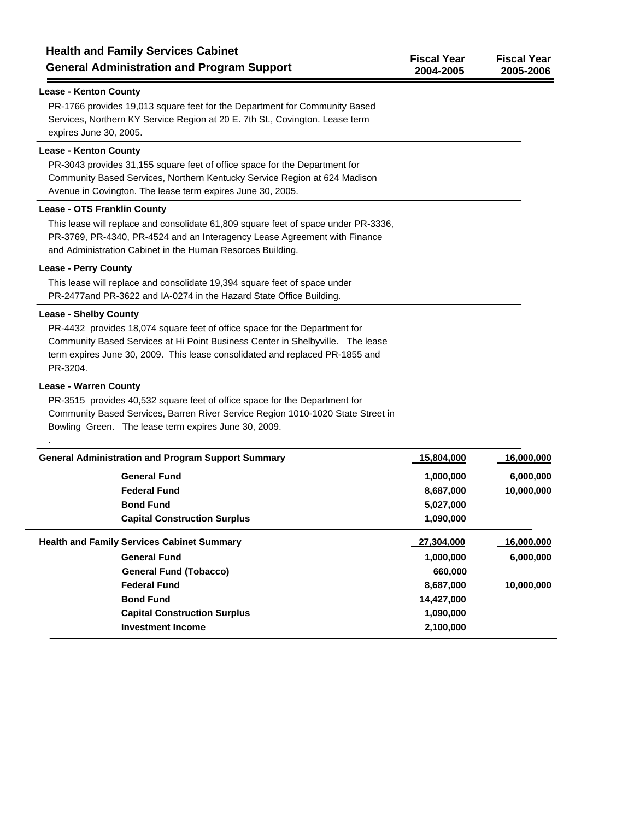| <b>Health and Family Services Cabinet</b><br><b>General Administration and Program Support</b>                                                                                                                                                        | <b>Fiscal Year</b><br>2004-2005 | <b>Fiscal Year</b><br>2005-2006 |
|-------------------------------------------------------------------------------------------------------------------------------------------------------------------------------------------------------------------------------------------------------|---------------------------------|---------------------------------|
| <b>Lease - Kenton County</b>                                                                                                                                                                                                                          |                                 |                                 |
| PR-1766 provides 19,013 square feet for the Department for Community Based<br>Services, Northern KY Service Region at 20 E. 7th St., Covington. Lease term<br>expires June 30, 2005.                                                                  |                                 |                                 |
| <b>Lease - Kenton County</b><br>PR-3043 provides 31,155 square feet of office space for the Department for<br>Community Based Services, Northern Kentucky Service Region at 624 Madison<br>Avenue in Covington. The lease term expires June 30, 2005. |                                 |                                 |
| <b>Lease - OTS Franklin County</b>                                                                                                                                                                                                                    |                                 |                                 |
| This lease will replace and consolidate 61,809 square feet of space under PR-3336,<br>PR-3769, PR-4340, PR-4524 and an Interagency Lease Agreement with Finance<br>and Administration Cabinet in the Human Resorces Building.                         |                                 |                                 |
| <b>Lease - Perry County</b>                                                                                                                                                                                                                           |                                 |                                 |
| This lease will replace and consolidate 19,394 square feet of space under<br>PR-2477 and PR-3622 and IA-0274 in the Hazard State Office Building.                                                                                                     |                                 |                                 |
| <b>Lease - Shelby County</b>                                                                                                                                                                                                                          |                                 |                                 |

PR-4432 provides 18,074 square feet of office space for the Department for Community Based Services at Hi Point Business Center in Shelbyville. The lease term expires June 30, 2009. This lease consolidated and replaced PR-1855 and PR-3204.

# **Lease - Warren County**

.

PR-3515 provides 40,532 square feet of office space for the Department for Community Based Services, Barren River Service Region 1010-1020 State Street in Bowling Green. The lease term expires June 30, 2009.

| <b>General Administration and Program Support Summary</b> | 15,804,000 | 16,000,000 |
|-----------------------------------------------------------|------------|------------|
| <b>General Fund</b>                                       | 1,000,000  | 6,000,000  |
| <b>Federal Fund</b>                                       | 8,687,000  | 10,000,000 |
| <b>Bond Fund</b>                                          | 5,027,000  |            |
| <b>Capital Construction Surplus</b>                       | 1,090,000  |            |
| <b>Health and Family Services Cabinet Summary</b>         | 27,304,000 | 16,000,000 |
| <b>General Fund</b>                                       | 1,000,000  | 6,000,000  |
| <b>General Fund (Tobacco)</b>                             | 660,000    |            |
| <b>Federal Fund</b>                                       | 8,687,000  | 10,000,000 |
| <b>Bond Fund</b>                                          | 14,427,000 |            |
| <b>Capital Construction Surplus</b>                       | 1,090,000  |            |
| <b>Investment Income</b>                                  | 2,100,000  |            |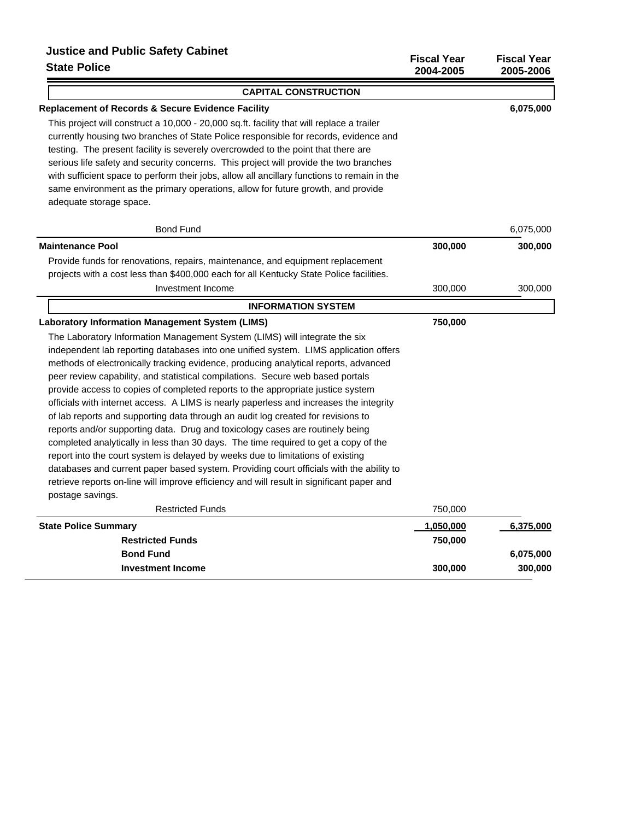# **Justice and Public Safety Cabinet**

| Suce and I ablic balely Cabinet<br><b>State Police</b>                                      | <b>Fiscal Year</b><br>2004-2005 | <b>Fiscal Year</b><br>2005-2006 |
|---------------------------------------------------------------------------------------------|---------------------------------|---------------------------------|
| <b>CAPITAL CONSTRUCTION</b>                                                                 |                                 |                                 |
| <b>Replacement of Records &amp; Secure Evidence Facility</b>                                |                                 | 6,075,000                       |
| This project will construct a 10,000 - 20,000 sq.ft. facility that will replace a trailer   |                                 |                                 |
| currently housing two branches of State Police responsible for records, evidence and        |                                 |                                 |
| testing. The present facility is severely overcrowded to the point that there are           |                                 |                                 |
| serious life safety and security concerns. This project will provide the two branches       |                                 |                                 |
| with sufficient space to perform their jobs, allow all ancillary functions to remain in the |                                 |                                 |
| same environment as the primary operations, allow for future growth, and provide            |                                 |                                 |
| adequate storage space.                                                                     |                                 |                                 |
| <b>Bond Fund</b>                                                                            |                                 | 6,075,000                       |
| <b>Maintenance Pool</b>                                                                     | 300,000                         | 300,000                         |
| Provide funds for renovations, repairs, maintenance, and equipment replacement              |                                 |                                 |
| projects with a cost less than \$400,000 each for all Kentucky State Police facilities.     |                                 |                                 |
| Investment Income                                                                           | 300,000                         | 300,000                         |
| <b>INFORMATION SYSTEM</b>                                                                   |                                 |                                 |
| <b>Laboratory Information Management System (LIMS)</b>                                      | 750,000                         |                                 |
| The Laboratory Information Management System (LIMS) will integrate the six                  |                                 |                                 |
| independent lab reporting databases into one unified system. LIMS application offers        |                                 |                                 |
| methods of electronically tracking evidence, producing analytical reports, advanced         |                                 |                                 |
| peer review capability, and statistical compilations. Secure web based portals              |                                 |                                 |
| provide access to copies of completed reports to the appropriate justice system             |                                 |                                 |
| officials with internet access. A LIMS is nearly paperless and increases the integrity      |                                 |                                 |
| of lab reports and supporting data through an audit log created for revisions to            |                                 |                                 |
| reports and/or supporting data. Drug and toxicology cases are routinely being               |                                 |                                 |
| completed analytically in less than 30 days. The time required to get a copy of the         |                                 |                                 |
| report into the court system is delayed by weeks due to limitations of existing             |                                 |                                 |
| databases and current paper based system. Providing court officials with the ability to     |                                 |                                 |
| retrieve reports on-line will improve efficiency and will result in significant paper and   |                                 |                                 |
| postage savings.                                                                            |                                 |                                 |
| <b>Restricted Funds</b>                                                                     | 750,000                         |                                 |
| <b>State Police Summary</b>                                                                 | 1,050,000                       | 6,375,000                       |
| <b>Restricted Funds</b>                                                                     | 750,000                         |                                 |
| <b>Bond Fund</b>                                                                            |                                 | 6,075,000                       |

**Investment Income 300,000 300,000 300,000**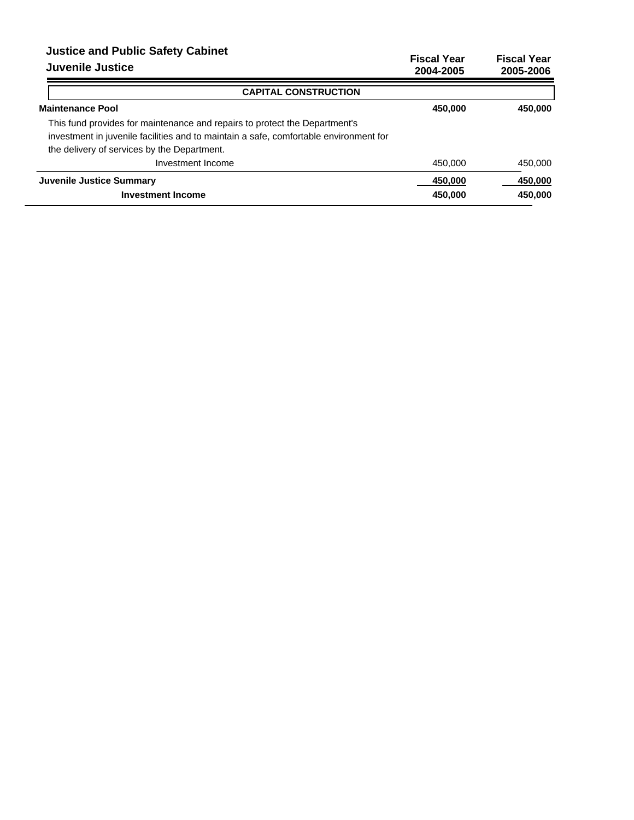# **Justice and Public Safety Cabinet**

|  | <b>Juvenile Justice</b> |
|--|-------------------------|
|  |                         |

| JUSTICE AIR FUDILE SAFELY CADIFIEL<br>Juvenile Justice                                                                                                                                                             | <b>Fiscal Year</b><br>2004-2005 | <b>Fiscal Year</b><br>2005-2006 |
|--------------------------------------------------------------------------------------------------------------------------------------------------------------------------------------------------------------------|---------------------------------|---------------------------------|
| <b>CAPITAL CONSTRUCTION</b>                                                                                                                                                                                        |                                 |                                 |
| <b>Maintenance Pool</b>                                                                                                                                                                                            | 450,000                         | 450,000                         |
| This fund provides for maintenance and repairs to protect the Department's<br>investment in juvenile facilities and to maintain a safe, comfortable environment for<br>the delivery of services by the Department. |                                 |                                 |
| Investment Income                                                                                                                                                                                                  | 450,000                         | 450,000                         |
| <b>Juvenile Justice Summary</b><br><b>Investment Income</b>                                                                                                                                                        | 450.000<br>450,000              | 450,000<br>450,000              |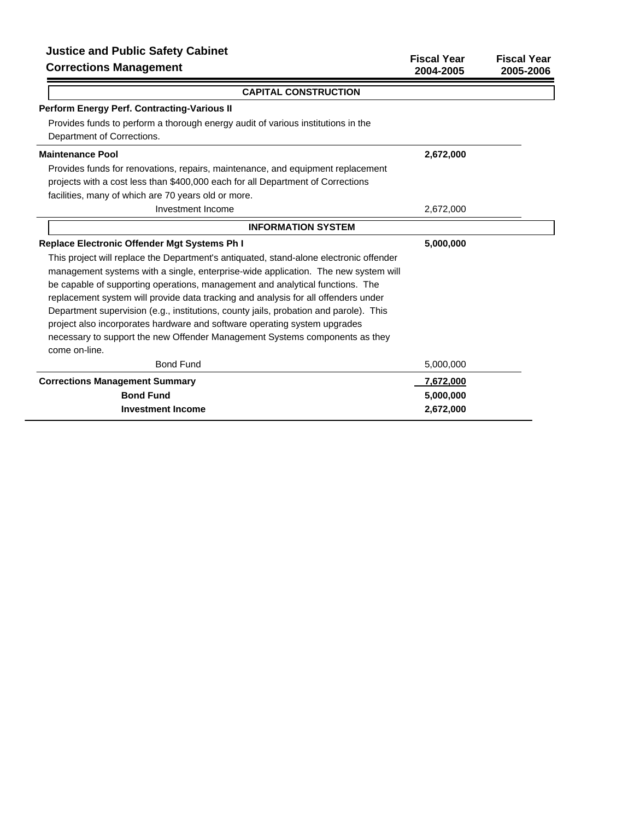| <b>Justice and Public Safety Cabinet</b><br><b>Corrections Management</b>              | <b>Fiscal Year</b><br>2004-2005 | <b>Fiscal Year</b><br>2005-2006 |
|----------------------------------------------------------------------------------------|---------------------------------|---------------------------------|
| <b>CAPITAL CONSTRUCTION</b>                                                            |                                 |                                 |
| <b>Perform Energy Perf. Contracting-Various II</b>                                     |                                 |                                 |
| Provides funds to perform a thorough energy audit of various institutions in the       |                                 |                                 |
| Department of Corrections.                                                             |                                 |                                 |
| <b>Maintenance Pool</b>                                                                | 2,672,000                       |                                 |
| Provides funds for renovations, repairs, maintenance, and equipment replacement        |                                 |                                 |
| projects with a cost less than \$400,000 each for all Department of Corrections        |                                 |                                 |
| facilities, many of which are 70 years old or more.                                    |                                 |                                 |
| Investment Income                                                                      | 2,672,000                       |                                 |
| <b>INFORMATION SYSTEM</b>                                                              |                                 |                                 |
| <b>Replace Electronic Offender Mgt Systems Ph I</b>                                    | 5,000,000                       |                                 |
| This project will replace the Department's antiquated, stand-alone electronic offender |                                 |                                 |
| management systems with a single, enterprise-wide application. The new system will     |                                 |                                 |
| be capable of supporting operations, management and analytical functions. The          |                                 |                                 |
| replacement system will provide data tracking and analysis for all offenders under     |                                 |                                 |
| Department supervision (e.g., institutions, county jails, probation and parole). This  |                                 |                                 |
| project also incorporates hardware and software operating system upgrades              |                                 |                                 |
| necessary to support the new Offender Management Systems components as they            |                                 |                                 |
| come on-line.                                                                          |                                 |                                 |
| <b>Bond Fund</b>                                                                       | 5,000,000                       |                                 |
| <b>Corrections Management Summary</b>                                                  | 7,672,000                       |                                 |
| <b>Bond Fund</b>                                                                       | 5,000,000                       |                                 |
| <b>Investment Income</b>                                                               | 2.672.000                       |                                 |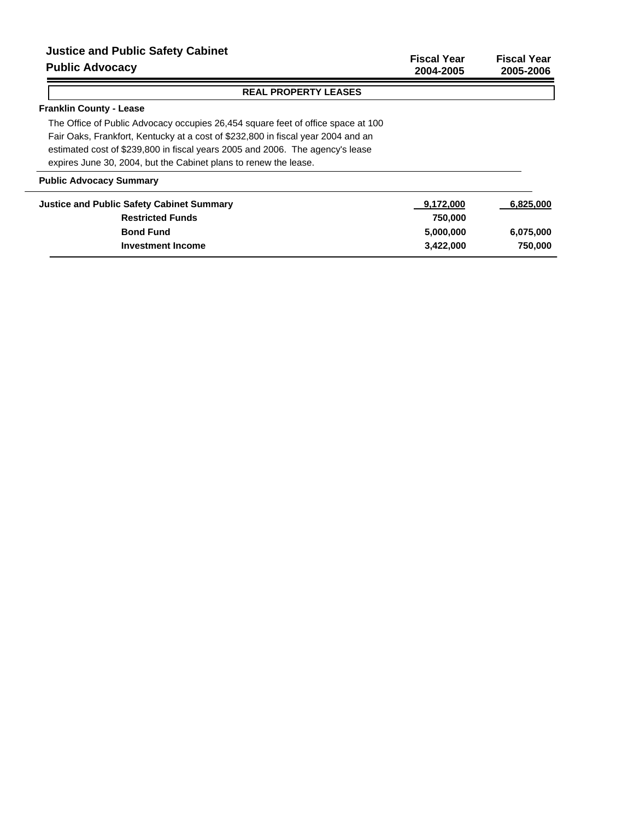# **Justice and Public Safety Cabinet**

# **Public Advocacy**

**Fiscal Year Fiscal Year 2004-2005 2005-2006**

# **REAL PROPERTY LEASES**

# **Franklin County - Lease**

The Office of Public Advocacy occupies 26,454 square feet of office space at 100 Fair Oaks, Frankfort, Kentucky at a cost of \$232,800 in fiscal year 2004 and an estimated cost of \$239,800 in fiscal years 2005 and 2006. The agency's lease expires June 30, 2004, but the Cabinet plans to renew the lease.

# **Public Advocacy Summary**

| <b>Justice and Public Safety Cabinet Summary</b> | 9,172,000 | 6,825,000 |
|--------------------------------------------------|-----------|-----------|
|                                                  |           |           |
| <b>Restricted Funds</b>                          | 750.000   |           |
| <b>Bond Fund</b>                                 | 5.000.000 | 6,075,000 |
| <b>Investment Income</b>                         | 3.422.000 | 750,000   |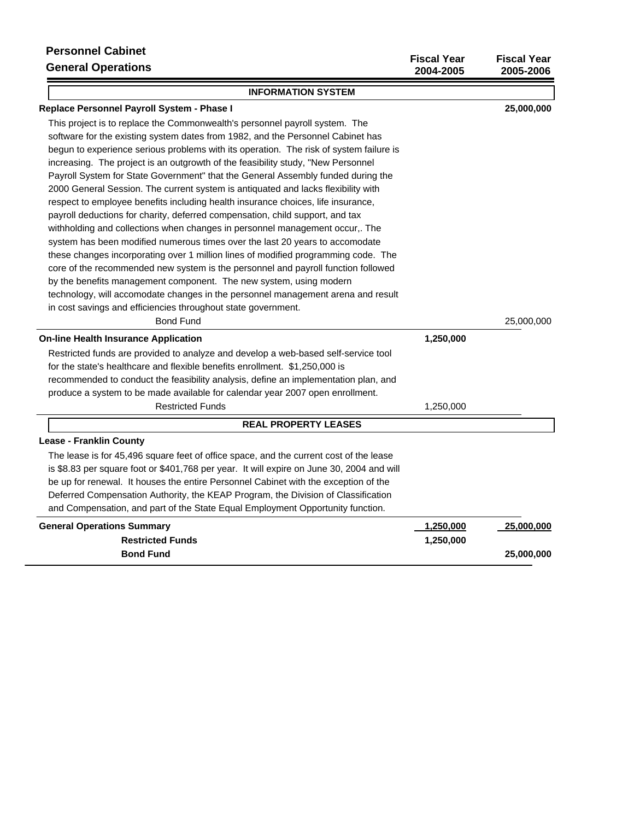| <b>Personnel Cabinet</b><br><b>General Operations</b>                                                                                                                                                                                                                                                                                                                                                                                                                                                                                                                                                                                                                                                                                                                                                                                                                                                                                                                                                                                                                                                                                                                                                                                                            | <b>Fiscal Year</b><br>2004-2005 | <b>Fiscal Year</b><br>2005-2006 |
|------------------------------------------------------------------------------------------------------------------------------------------------------------------------------------------------------------------------------------------------------------------------------------------------------------------------------------------------------------------------------------------------------------------------------------------------------------------------------------------------------------------------------------------------------------------------------------------------------------------------------------------------------------------------------------------------------------------------------------------------------------------------------------------------------------------------------------------------------------------------------------------------------------------------------------------------------------------------------------------------------------------------------------------------------------------------------------------------------------------------------------------------------------------------------------------------------------------------------------------------------------------|---------------------------------|---------------------------------|
| <b>INFORMATION SYSTEM</b>                                                                                                                                                                                                                                                                                                                                                                                                                                                                                                                                                                                                                                                                                                                                                                                                                                                                                                                                                                                                                                                                                                                                                                                                                                        |                                 |                                 |
| Replace Personnel Payroll System - Phase I                                                                                                                                                                                                                                                                                                                                                                                                                                                                                                                                                                                                                                                                                                                                                                                                                                                                                                                                                                                                                                                                                                                                                                                                                       |                                 | 25,000,000                      |
| This project is to replace the Commonwealth's personnel payroll system. The<br>software for the existing system dates from 1982, and the Personnel Cabinet has<br>begun to experience serious problems with its operation. The risk of system failure is<br>increasing. The project is an outgrowth of the feasibility study, "New Personnel<br>Payroll System for State Government" that the General Assembly funded during the<br>2000 General Session. The current system is antiquated and lacks flexibility with<br>respect to employee benefits including health insurance choices, life insurance,<br>payroll deductions for charity, deferred compensation, child support, and tax<br>withholding and collections when changes in personnel management occur,. The<br>system has been modified numerous times over the last 20 years to accomodate<br>these changes incorporating over 1 million lines of modified programming code. The<br>core of the recommended new system is the personnel and payroll function followed<br>by the benefits management component. The new system, using modern<br>technology, will accomodate changes in the personnel management arena and result<br>in cost savings and efficiencies throughout state government. |                                 |                                 |
| <b>Bond Fund</b>                                                                                                                                                                                                                                                                                                                                                                                                                                                                                                                                                                                                                                                                                                                                                                                                                                                                                                                                                                                                                                                                                                                                                                                                                                                 |                                 | 25,000,000                      |
| <b>On-line Health Insurance Application</b>                                                                                                                                                                                                                                                                                                                                                                                                                                                                                                                                                                                                                                                                                                                                                                                                                                                                                                                                                                                                                                                                                                                                                                                                                      | 1,250,000                       |                                 |
| Restricted funds are provided to analyze and develop a web-based self-service tool<br>for the state's healthcare and flexible benefits enrollment. \$1,250,000 is<br>recommended to conduct the feasibility analysis, define an implementation plan, and<br>produce a system to be made available for calendar year 2007 open enrollment.                                                                                                                                                                                                                                                                                                                                                                                                                                                                                                                                                                                                                                                                                                                                                                                                                                                                                                                        |                                 |                                 |
| <b>Restricted Funds</b>                                                                                                                                                                                                                                                                                                                                                                                                                                                                                                                                                                                                                                                                                                                                                                                                                                                                                                                                                                                                                                                                                                                                                                                                                                          | 1,250,000                       |                                 |
| <b>REAL PROPERTY LEASES</b>                                                                                                                                                                                                                                                                                                                                                                                                                                                                                                                                                                                                                                                                                                                                                                                                                                                                                                                                                                                                                                                                                                                                                                                                                                      |                                 |                                 |
| <b>Lease - Franklin County</b>                                                                                                                                                                                                                                                                                                                                                                                                                                                                                                                                                                                                                                                                                                                                                                                                                                                                                                                                                                                                                                                                                                                                                                                                                                   |                                 |                                 |
| The lease is for 45,496 square feet of office space, and the current cost of the lease<br>is \$8.83 per square foot or \$401,768 per year. It will expire on June 30, 2004 and will<br>be up for renewal. It houses the entire Personnel Cabinet with the exception of the<br>Deferred Compensation Authority, the KEAP Program, the Division of Classification<br>and Compensation, and part of the State Equal Employment Opportunity function.                                                                                                                                                                                                                                                                                                                                                                                                                                                                                                                                                                                                                                                                                                                                                                                                                |                                 |                                 |
| <b>General Operations Summary</b>                                                                                                                                                                                                                                                                                                                                                                                                                                                                                                                                                                                                                                                                                                                                                                                                                                                                                                                                                                                                                                                                                                                                                                                                                                | <u>1,250,000</u>                | 25,000,000                      |
| <b>Restricted Funds</b>                                                                                                                                                                                                                                                                                                                                                                                                                                                                                                                                                                                                                                                                                                                                                                                                                                                                                                                                                                                                                                                                                                                                                                                                                                          | 1,250,000                       |                                 |
| <b>Bond Fund</b>                                                                                                                                                                                                                                                                                                                                                                                                                                                                                                                                                                                                                                                                                                                                                                                                                                                                                                                                                                                                                                                                                                                                                                                                                                                 |                                 | 25,000,000                      |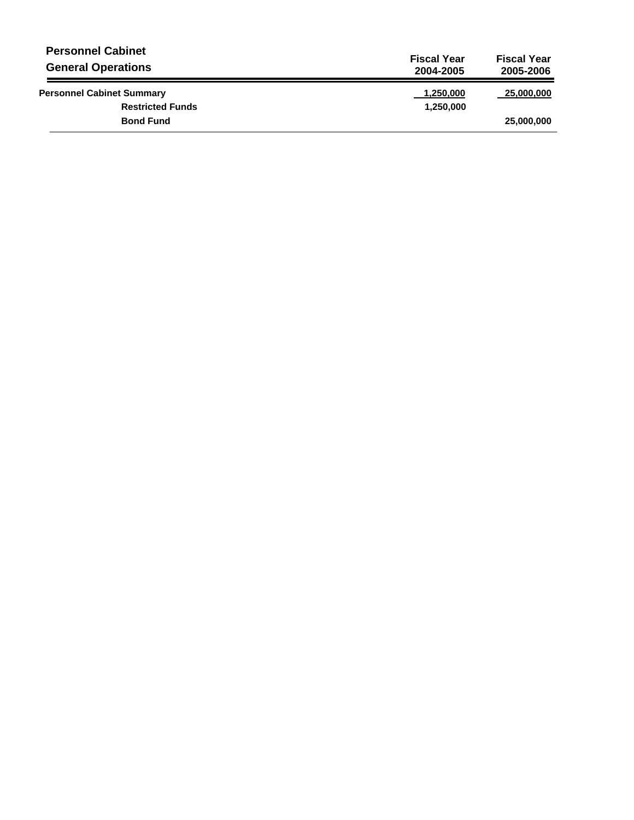| <b>Personnel Cabinet</b><br><b>General Operations</b> | <b>Fiscal Year</b><br>2004-2005 | <b>Fiscal Year</b><br>2005-2006 |
|-------------------------------------------------------|---------------------------------|---------------------------------|
| <b>Personnel Cabinet Summary</b>                      | 1,250,000                       | 25,000,000                      |
| <b>Restricted Funds</b>                               | 1,250,000                       |                                 |
| <b>Bond Fund</b>                                      |                                 | 25,000,000                      |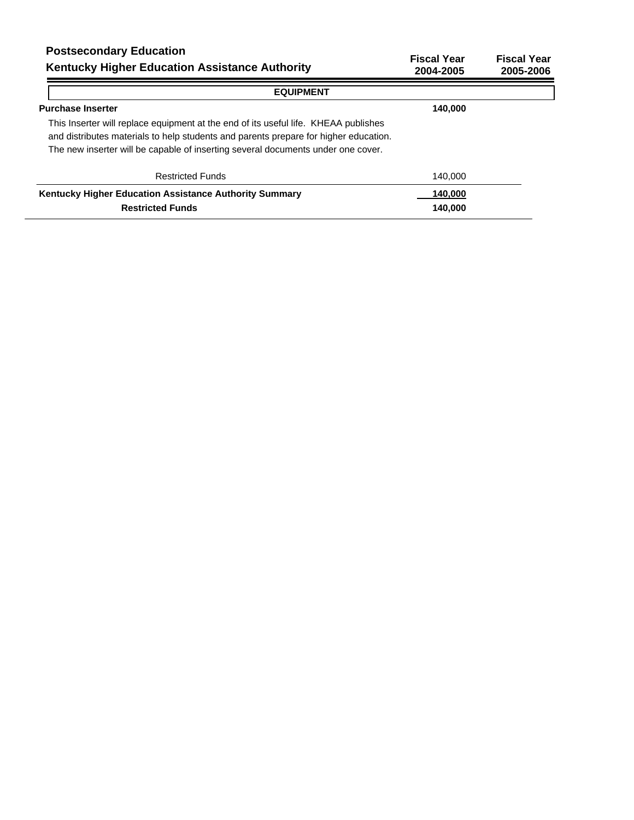| <b>Postsecondary Education</b><br><b>Kentucky Higher Education Assistance Authority</b>                                                                                                                                                                         | <b>Fiscal Year</b><br>2004-2005 | <b>Fiscal Year</b><br>2005-2006 |
|-----------------------------------------------------------------------------------------------------------------------------------------------------------------------------------------------------------------------------------------------------------------|---------------------------------|---------------------------------|
| <b>EQUIPMENT</b>                                                                                                                                                                                                                                                |                                 |                                 |
| <b>Purchase Inserter</b>                                                                                                                                                                                                                                        | 140,000                         |                                 |
| This Inserter will replace equipment at the end of its useful life. KHEAA publishes<br>and distributes materials to help students and parents prepare for higher education.<br>The new inserter will be capable of inserting several documents under one cover. |                                 |                                 |
| <b>Restricted Funds</b>                                                                                                                                                                                                                                         | 140,000                         |                                 |
| Kentucky Higher Education Assistance Authority Summary                                                                                                                                                                                                          | 140.000                         |                                 |
| <b>Restricted Funds</b>                                                                                                                                                                                                                                         | 140.000                         |                                 |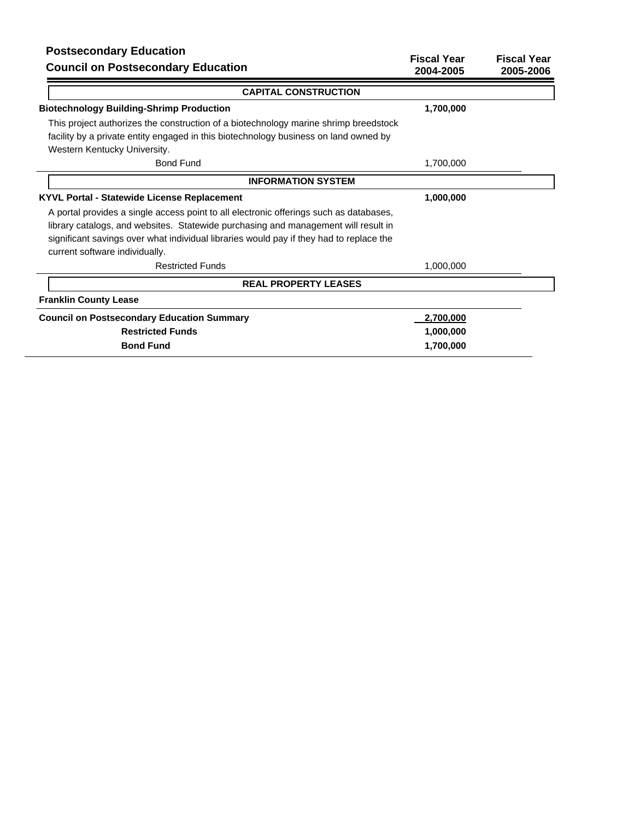# **Postsecondary Education**

| Postsecondary Equitation<br><b>Council on Postsecondary Education</b>                                                     | <b>Fiscal Year</b><br>2004-2005 | <b>Fiscal Year</b><br>2005-2006 |
|---------------------------------------------------------------------------------------------------------------------------|---------------------------------|---------------------------------|
| <b>CAPITAL CONSTRUCTION</b>                                                                                               |                                 |                                 |
| <b>Biotechnology Building-Shrimp Production</b>                                                                           | 1,700,000                       |                                 |
| This project authorizes the construction of a biotechnology marine shrimp breedstock                                      |                                 |                                 |
| facility by a private entity engaged in this biotechnology business on land owned by<br>Western Kentucky University.      |                                 |                                 |
| <b>Bond Fund</b>                                                                                                          | 1,700,000                       |                                 |
| <b>INFORMATION SYSTEM</b>                                                                                                 |                                 |                                 |
| <b>KYVL Portal - Statewide License Replacement</b>                                                                        | 1,000,000                       |                                 |
| A portal provides a single access point to all electronic offerings such as databases,                                    |                                 |                                 |
| library catalogs, and websites. Statewide purchasing and management will result in                                        |                                 |                                 |
| significant savings over what individual libraries would pay if they had to replace the<br>current software individually. |                                 |                                 |
| <b>Restricted Funds</b>                                                                                                   | 1,000,000                       |                                 |
| <b>REAL PROPERTY LEASES</b>                                                                                               |                                 |                                 |
| <b>Franklin County Lease</b>                                                                                              |                                 |                                 |
| <b>Council on Postsecondary Education Summary</b>                                                                         | 2,700,000                       |                                 |
| <b>Restricted Funds</b>                                                                                                   | 1,000,000                       |                                 |
| <b>Bond Fund</b>                                                                                                          | 1,700,000                       |                                 |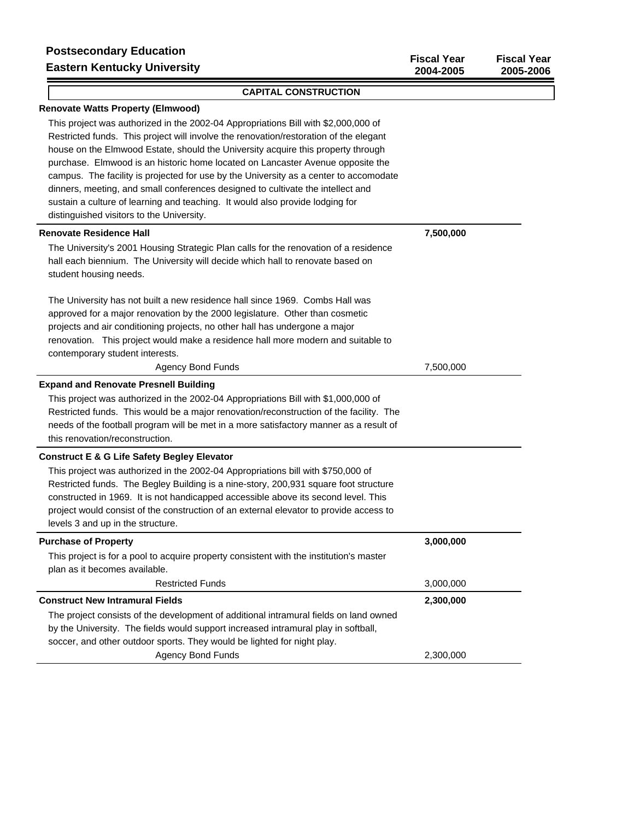$\lceil$ 

**2004-2005 2005-2006**

| <b>Renovate Watts Property (Elmwood)</b>                                                                                                                                                                                                                                                                                                                                                                                                                                                                                                                                                                                                                    |           |
|-------------------------------------------------------------------------------------------------------------------------------------------------------------------------------------------------------------------------------------------------------------------------------------------------------------------------------------------------------------------------------------------------------------------------------------------------------------------------------------------------------------------------------------------------------------------------------------------------------------------------------------------------------------|-----------|
| This project was authorized in the 2002-04 Appropriations Bill with \$2,000,000 of<br>Restricted funds. This project will involve the renovation/restoration of the elegant<br>house on the Elmwood Estate, should the University acquire this property through<br>purchase. Elmwood is an historic home located on Lancaster Avenue opposite the<br>campus. The facility is projected for use by the University as a center to accomodate<br>dinners, meeting, and small conferences designed to cultivate the intellect and<br>sustain a culture of learning and teaching. It would also provide lodging for<br>distinguished visitors to the University. |           |
| <b>Renovate Residence Hall</b>                                                                                                                                                                                                                                                                                                                                                                                                                                                                                                                                                                                                                              | 7,500,000 |
| The University's 2001 Housing Strategic Plan calls for the renovation of a residence<br>hall each biennium. The University will decide which hall to renovate based on<br>student housing needs.                                                                                                                                                                                                                                                                                                                                                                                                                                                            |           |
| The University has not built a new residence hall since 1969. Combs Hall was<br>approved for a major renovation by the 2000 legislature. Other than cosmetic<br>projects and air conditioning projects, no other hall has undergone a major<br>renovation. This project would make a residence hall more modern and suitable to<br>contemporary student interests.                                                                                                                                                                                                                                                                                          |           |
| <b>Agency Bond Funds</b>                                                                                                                                                                                                                                                                                                                                                                                                                                                                                                                                                                                                                                    | 7,500,000 |
| <b>Expand and Renovate Presnell Building</b>                                                                                                                                                                                                                                                                                                                                                                                                                                                                                                                                                                                                                |           |
| This project was authorized in the 2002-04 Appropriations Bill with \$1,000,000 of<br>Restricted funds. This would be a major renovation/reconstruction of the facility. The<br>needs of the football program will be met in a more satisfactory manner as a result of<br>this renovation/reconstruction.                                                                                                                                                                                                                                                                                                                                                   |           |
| <b>Construct E &amp; G Life Safety Begley Elevator</b>                                                                                                                                                                                                                                                                                                                                                                                                                                                                                                                                                                                                      |           |
| This project was authorized in the 2002-04 Appropriations bill with \$750,000 of<br>Restricted funds. The Begley Building is a nine-story, 200,931 square foot structure<br>constructed in 1969. It is not handicapped accessible above its second level. This<br>project would consist of the construction of an external elevator to provide access to<br>levels 3 and up in the structure.                                                                                                                                                                                                                                                               |           |
| <b>Purchase of Property</b>                                                                                                                                                                                                                                                                                                                                                                                                                                                                                                                                                                                                                                 | 3,000,000 |
| This project is for a pool to acquire property consistent with the institution's master<br>plan as it becomes available.                                                                                                                                                                                                                                                                                                                                                                                                                                                                                                                                    |           |
| <b>Restricted Funds</b>                                                                                                                                                                                                                                                                                                                                                                                                                                                                                                                                                                                                                                     | 3,000,000 |
| <b>Construct New Intramural Fields</b>                                                                                                                                                                                                                                                                                                                                                                                                                                                                                                                                                                                                                      | 2,300,000 |
| The project consists of the development of additional intramural fields on land owned<br>by the University. The fields would support increased intramural play in softball,<br>soccer, and other outdoor sports. They would be lighted for night play.                                                                                                                                                                                                                                                                                                                                                                                                      |           |
| <b>Agency Bond Funds</b>                                                                                                                                                                                                                                                                                                                                                                                                                                                                                                                                                                                                                                    | 2,300,000 |

**CAPITAL CONSTRUCTION**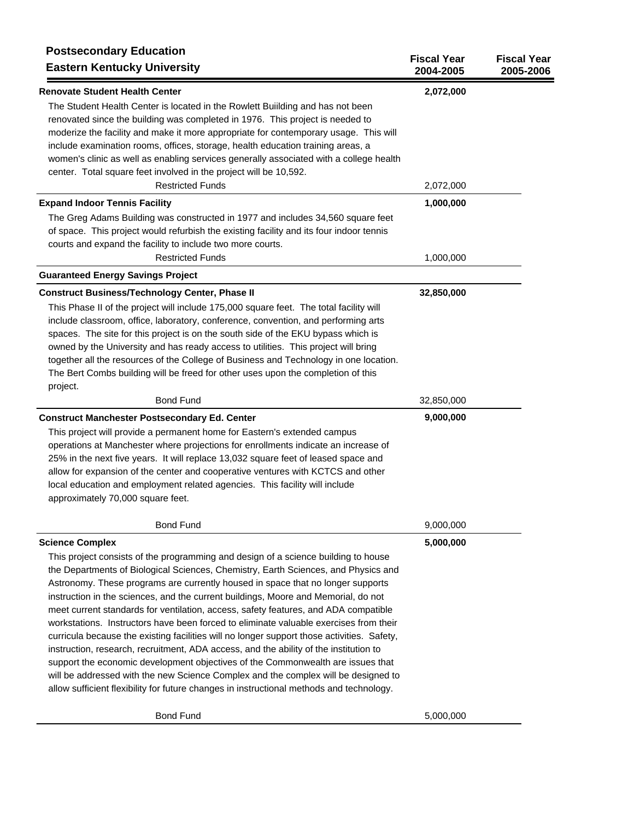| <b>Postsecondary Education</b><br><b>Eastern Kentucky University</b>                                                                                                                                                                                                                                                                                                                                                                                                                                                                                                                                                                                                                                                                                                                                                                                                                                                                                                                                                    | <b>Fiscal Year</b><br>2004-2005 | <b>Fiscal Year</b><br>2005-2006 |
|-------------------------------------------------------------------------------------------------------------------------------------------------------------------------------------------------------------------------------------------------------------------------------------------------------------------------------------------------------------------------------------------------------------------------------------------------------------------------------------------------------------------------------------------------------------------------------------------------------------------------------------------------------------------------------------------------------------------------------------------------------------------------------------------------------------------------------------------------------------------------------------------------------------------------------------------------------------------------------------------------------------------------|---------------------------------|---------------------------------|
| <b>Renovate Student Health Center</b><br>The Student Health Center is located in the Rowlett Building and has not been<br>renovated since the building was completed in 1976. This project is needed to<br>moderize the facility and make it more appropriate for contemporary usage. This will<br>include examination rooms, offices, storage, health education training areas, a<br>women's clinic as well as enabling services generally associated with a college health<br>center. Total square feet involved in the project will be 10,592.                                                                                                                                                                                                                                                                                                                                                                                                                                                                       | 2,072,000                       |                                 |
| <b>Restricted Funds</b>                                                                                                                                                                                                                                                                                                                                                                                                                                                                                                                                                                                                                                                                                                                                                                                                                                                                                                                                                                                                 | 2,072,000                       |                                 |
| <b>Expand Indoor Tennis Facility</b><br>The Greg Adams Building was constructed in 1977 and includes 34,560 square feet<br>of space. This project would refurbish the existing facility and its four indoor tennis<br>courts and expand the facility to include two more courts.                                                                                                                                                                                                                                                                                                                                                                                                                                                                                                                                                                                                                                                                                                                                        | 1,000,000                       |                                 |
| <b>Restricted Funds</b>                                                                                                                                                                                                                                                                                                                                                                                                                                                                                                                                                                                                                                                                                                                                                                                                                                                                                                                                                                                                 | 1,000,000                       |                                 |
| <b>Guaranteed Energy Savings Project</b>                                                                                                                                                                                                                                                                                                                                                                                                                                                                                                                                                                                                                                                                                                                                                                                                                                                                                                                                                                                |                                 |                                 |
| <b>Construct Business/Technology Center, Phase II</b><br>This Phase II of the project will include 175,000 square feet. The total facility will<br>include classroom, office, laboratory, conference, convention, and performing arts<br>spaces. The site for this project is on the south side of the EKU bypass which is<br>owned by the University and has ready access to utilities. This project will bring<br>together all the resources of the College of Business and Technology in one location.<br>The Bert Combs building will be freed for other uses upon the completion of this                                                                                                                                                                                                                                                                                                                                                                                                                           | 32,850,000                      |                                 |
| project.<br><b>Bond Fund</b>                                                                                                                                                                                                                                                                                                                                                                                                                                                                                                                                                                                                                                                                                                                                                                                                                                                                                                                                                                                            | 32,850,000                      |                                 |
| <b>Construct Manchester Postsecondary Ed. Center</b>                                                                                                                                                                                                                                                                                                                                                                                                                                                                                                                                                                                                                                                                                                                                                                                                                                                                                                                                                                    | 9,000,000                       |                                 |
| This project will provide a permanent home for Eastern's extended campus<br>operations at Manchester where projections for enrollments indicate an increase of<br>25% in the next five years. It will replace 13,032 square feet of leased space and<br>allow for expansion of the center and cooperative ventures with KCTCS and other<br>local education and employment related agencies. This facility will include<br>approximately 70,000 square feet.                                                                                                                                                                                                                                                                                                                                                                                                                                                                                                                                                             |                                 |                                 |
| <b>Bond Fund</b>                                                                                                                                                                                                                                                                                                                                                                                                                                                                                                                                                                                                                                                                                                                                                                                                                                                                                                                                                                                                        | 9,000,000                       |                                 |
| <b>Science Complex</b><br>This project consists of the programming and design of a science building to house<br>the Departments of Biological Sciences, Chemistry, Earth Sciences, and Physics and<br>Astronomy. These programs are currently housed in space that no longer supports<br>instruction in the sciences, and the current buildings, Moore and Memorial, do not<br>meet current standards for ventilation, access, safety features, and ADA compatible<br>workstations. Instructors have been forced to eliminate valuable exercises from their<br>curricula because the existing facilities will no longer support those activities. Safety,<br>instruction, research, recruitment, ADA access, and the ability of the institution to<br>support the economic development objectives of the Commonwealth are issues that<br>will be addressed with the new Science Complex and the complex will be designed to<br>allow sufficient flexibility for future changes in instructional methods and technology. | 5,000,000                       |                                 |
| <b>Bond Fund</b>                                                                                                                                                                                                                                                                                                                                                                                                                                                                                                                                                                                                                                                                                                                                                                                                                                                                                                                                                                                                        | 5,000,000                       |                                 |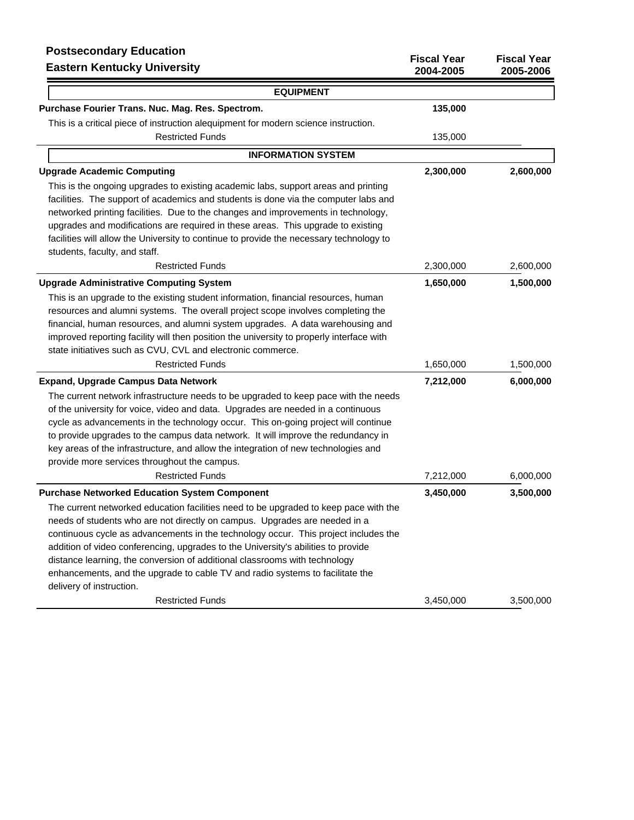| <b>Postsecondary Education</b><br><b>Eastern Kentucky University</b>                                                                                                                                                                                                                                                                                                                                                                                                                                                                   | <b>Fiscal Year</b><br>2004-2005 | <b>Fiscal Year</b><br>2005-2006 |
|----------------------------------------------------------------------------------------------------------------------------------------------------------------------------------------------------------------------------------------------------------------------------------------------------------------------------------------------------------------------------------------------------------------------------------------------------------------------------------------------------------------------------------------|---------------------------------|---------------------------------|
| <b>EQUIPMENT</b>                                                                                                                                                                                                                                                                                                                                                                                                                                                                                                                       |                                 |                                 |
| Purchase Fourier Trans. Nuc. Mag. Res. Spectrom.                                                                                                                                                                                                                                                                                                                                                                                                                                                                                       | 135,000                         |                                 |
| This is a critical piece of instruction alequipment for modern science instruction.                                                                                                                                                                                                                                                                                                                                                                                                                                                    |                                 |                                 |
| <b>Restricted Funds</b>                                                                                                                                                                                                                                                                                                                                                                                                                                                                                                                | 135,000                         |                                 |
| <b>INFORMATION SYSTEM</b>                                                                                                                                                                                                                                                                                                                                                                                                                                                                                                              |                                 |                                 |
| <b>Upgrade Academic Computing</b>                                                                                                                                                                                                                                                                                                                                                                                                                                                                                                      | 2,300,000                       | 2,600,000                       |
| This is the ongoing upgrades to existing academic labs, support areas and printing<br>facilities. The support of academics and students is done via the computer labs and<br>networked printing facilities. Due to the changes and improvements in technology,<br>upgrades and modifications are required in these areas. This upgrade to existing<br>facilities will allow the University to continue to provide the necessary technology to<br>students, faculty, and staff.                                                         |                                 |                                 |
| <b>Restricted Funds</b>                                                                                                                                                                                                                                                                                                                                                                                                                                                                                                                | 2,300,000                       | 2,600,000                       |
| <b>Upgrade Administrative Computing System</b><br>This is an upgrade to the existing student information, financial resources, human<br>resources and alumni systems. The overall project scope involves completing the<br>financial, human resources, and alumni system upgrades. A data warehousing and<br>improved reporting facility will then position the university to properly interface with<br>state initiatives such as CVU, CVL and electronic commerce.                                                                   | 1,650,000                       | 1,500,000                       |
| <b>Restricted Funds</b>                                                                                                                                                                                                                                                                                                                                                                                                                                                                                                                | 1,650,000                       | 1,500,000                       |
| <b>Expand, Upgrade Campus Data Network</b><br>The current network infrastructure needs to be upgraded to keep pace with the needs<br>of the university for voice, video and data. Upgrades are needed in a continuous<br>cycle as advancements in the technology occur. This on-going project will continue<br>to provide upgrades to the campus data network. It will improve the redundancy in<br>key areas of the infrastructure, and allow the integration of new technologies and<br>provide more services throughout the campus. | 7,212,000                       | 6,000,000                       |
| <b>Restricted Funds</b>                                                                                                                                                                                                                                                                                                                                                                                                                                                                                                                | 7,212,000                       | 6,000,000                       |
| <b>Purchase Networked Education System Component</b><br>The current networked education facilities need to be upgraded to keep pace with the<br>needs of students who are not directly on campus. Upgrades are needed in a<br>continuous cycle as advancements in the technology occur. This project includes the<br>addition of video conferencing, upgrades to the University's abilities to provide<br>distance learning, the conversion of additional classrooms with technology                                                   | 3,450,000                       | 3,500,000                       |

Restricted Funds 3,450,000 3,500,000 3,500,000

enhancements, and the upgrade to cable TV and radio systems to facilitate the

delivery of instruction.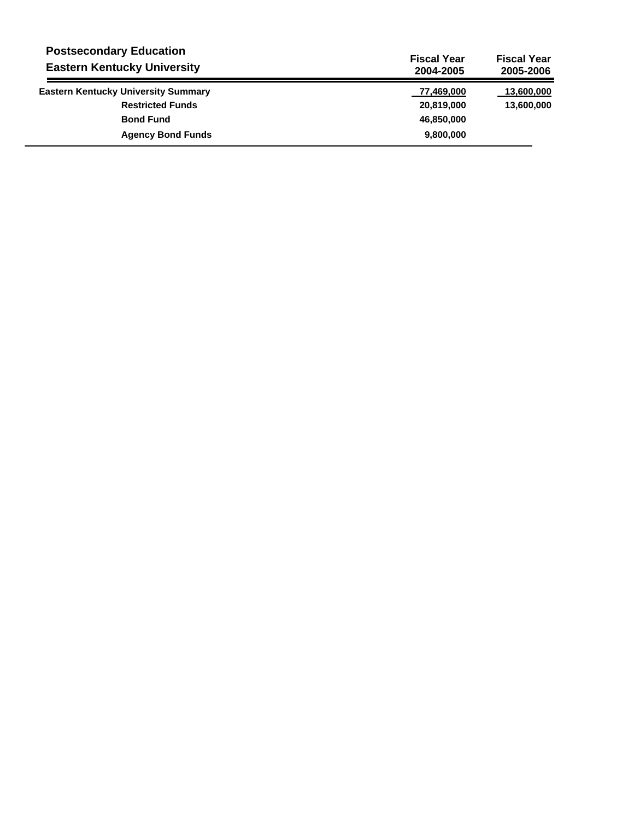| <b>Postsecondary Education</b><br><b>Eastern Kentucky University</b> | <b>Fiscal Year</b><br>2004-2005 | <b>Fiscal Year</b><br>2005-2006 |
|----------------------------------------------------------------------|---------------------------------|---------------------------------|
| <b>Eastern Kentucky University Summary</b>                           | 77,469,000                      | 13,600,000                      |
| <b>Restricted Funds</b>                                              | 20,819,000                      | 13,600,000                      |
| <b>Bond Fund</b>                                                     | 46,850,000                      |                                 |
| <b>Agency Bond Funds</b>                                             | 9,800,000                       |                                 |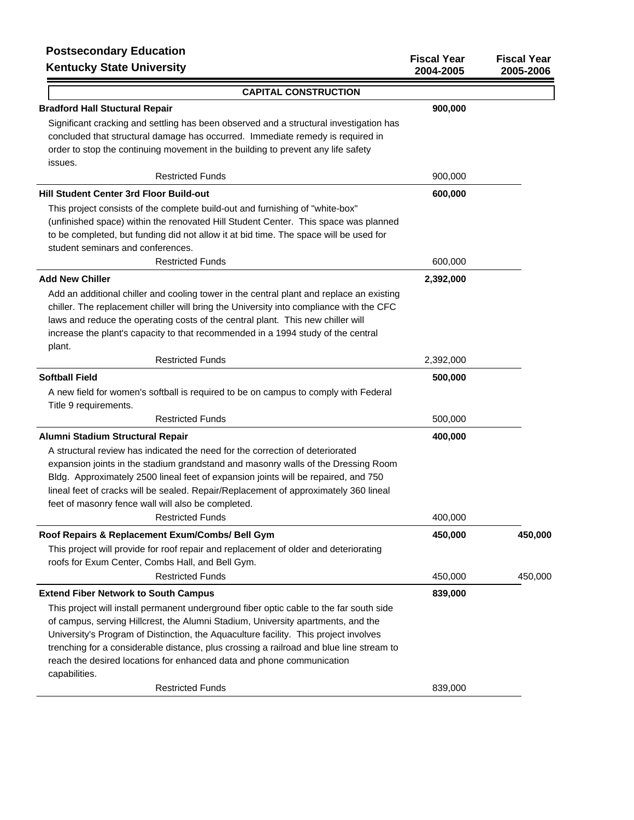| <b>FUSISECUTIUALY EQUUATION</b><br><b>Kentucky State University</b>                                                                                                                                                                                                                                                                                                                                                                                      | <b>Fiscal Year</b><br>2004-2005 | <b>Fiscal Year</b><br>2005-2006 |
|----------------------------------------------------------------------------------------------------------------------------------------------------------------------------------------------------------------------------------------------------------------------------------------------------------------------------------------------------------------------------------------------------------------------------------------------------------|---------------------------------|---------------------------------|
| <b>CAPITAL CONSTRUCTION</b>                                                                                                                                                                                                                                                                                                                                                                                                                              |                                 |                                 |
| <b>Bradford Hall Stuctural Repair</b>                                                                                                                                                                                                                                                                                                                                                                                                                    | 900,000                         |                                 |
| Significant cracking and settling has been observed and a structural investigation has<br>concluded that structural damage has occurred. Immediate remedy is required in<br>order to stop the continuing movement in the building to prevent any life safety<br>issues.                                                                                                                                                                                  |                                 |                                 |
| <b>Restricted Funds</b>                                                                                                                                                                                                                                                                                                                                                                                                                                  | 900,000                         |                                 |
| Hill Student Center 3rd Floor Build-out<br>This project consists of the complete build-out and furnishing of "white-box"<br>(unfinished space) within the renovated Hill Student Center. This space was planned<br>to be completed, but funding did not allow it at bid time. The space will be used for<br>student seminars and conferences.                                                                                                            | 600,000                         |                                 |
| <b>Restricted Funds</b>                                                                                                                                                                                                                                                                                                                                                                                                                                  | 600,000                         |                                 |
| <b>Add New Chiller</b>                                                                                                                                                                                                                                                                                                                                                                                                                                   | 2,392,000                       |                                 |
| Add an additional chiller and cooling tower in the central plant and replace an existing<br>chiller. The replacement chiller will bring the University into compliance with the CFC<br>laws and reduce the operating costs of the central plant. This new chiller will<br>increase the plant's capacity to that recommended in a 1994 study of the central<br>plant.                                                                                     |                                 |                                 |
| <b>Restricted Funds</b>                                                                                                                                                                                                                                                                                                                                                                                                                                  | 2,392,000                       |                                 |
| <b>Softball Field</b>                                                                                                                                                                                                                                                                                                                                                                                                                                    | 500,000                         |                                 |
| A new field for women's softball is required to be on campus to comply with Federal<br>Title 9 requirements.                                                                                                                                                                                                                                                                                                                                             |                                 |                                 |
| <b>Restricted Funds</b>                                                                                                                                                                                                                                                                                                                                                                                                                                  | 500,000                         |                                 |
| Alumni Stadium Structural Repair                                                                                                                                                                                                                                                                                                                                                                                                                         | 400,000                         |                                 |
| A structural review has indicated the need for the correction of deteriorated<br>expansion joints in the stadium grandstand and masonry walls of the Dressing Room<br>Bldg. Approximately 2500 lineal feet of expansion joints will be repaired, and 750<br>lineal feet of cracks will be sealed. Repair/Replacement of approximately 360 lineal<br>feet of masonry fence wall will also be completed.                                                   |                                 |                                 |
| <b>Restricted Funds</b>                                                                                                                                                                                                                                                                                                                                                                                                                                  | 400,000                         |                                 |
| Roof Repairs & Replacement Exum/Combs/ Bell Gym                                                                                                                                                                                                                                                                                                                                                                                                          | 450,000                         | 450,000                         |
| This project will provide for roof repair and replacement of older and deteriorating<br>roofs for Exum Center, Combs Hall, and Bell Gym.                                                                                                                                                                                                                                                                                                                 |                                 |                                 |
| <b>Restricted Funds</b>                                                                                                                                                                                                                                                                                                                                                                                                                                  | 450,000                         | 450,000                         |
| <b>Extend Fiber Network to South Campus</b>                                                                                                                                                                                                                                                                                                                                                                                                              | 839,000                         |                                 |
| This project will install permanent underground fiber optic cable to the far south side<br>of campus, serving Hillcrest, the Alumni Stadium, University apartments, and the<br>University's Program of Distinction, the Aquaculture facility. This project involves<br>trenching for a considerable distance, plus crossing a railroad and blue line stream to<br>reach the desired locations for enhanced data and phone communication<br>capabilities. |                                 |                                 |
| <b>Restricted Funds</b>                                                                                                                                                                                                                                                                                                                                                                                                                                  | 839,000                         |                                 |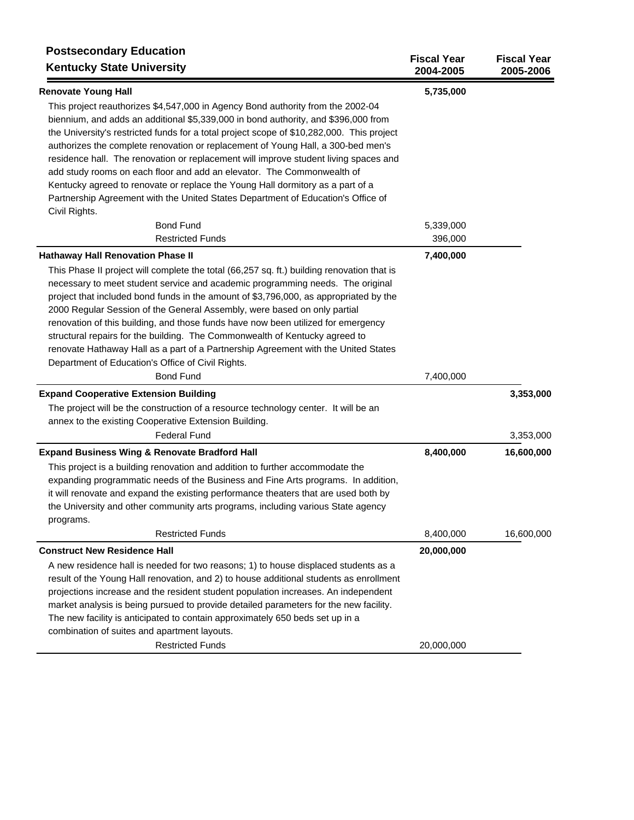| <b>Postsecondary Education</b><br><b>Kentucky State University</b>                                                                                                                                                                                                                                                                                                                                                                                                                                                                                                                                                                                               | <b>Fiscal Year</b><br>2004-2005 | <b>Fiscal Year</b><br>2005-2006 |
|------------------------------------------------------------------------------------------------------------------------------------------------------------------------------------------------------------------------------------------------------------------------------------------------------------------------------------------------------------------------------------------------------------------------------------------------------------------------------------------------------------------------------------------------------------------------------------------------------------------------------------------------------------------|---------------------------------|---------------------------------|
| <b>Renovate Young Hall</b>                                                                                                                                                                                                                                                                                                                                                                                                                                                                                                                                                                                                                                       | 5,735,000                       |                                 |
| This project reauthorizes \$4,547,000 in Agency Bond authority from the 2002-04<br>biennium, and adds an additional \$5,339,000 in bond authority, and \$396,000 from<br>the University's restricted funds for a total project scope of \$10,282,000. This project<br>authorizes the complete renovation or replacement of Young Hall, a 300-bed men's<br>residence hall. The renovation or replacement will improve student living spaces and<br>add study rooms on each floor and add an elevator. The Commonwealth of<br>Kentucky agreed to renovate or replace the Young Hall dormitory as a part of a                                                       |                                 |                                 |
| Partnership Agreement with the United States Department of Education's Office of<br>Civil Rights.                                                                                                                                                                                                                                                                                                                                                                                                                                                                                                                                                                |                                 |                                 |
| <b>Bond Fund</b>                                                                                                                                                                                                                                                                                                                                                                                                                                                                                                                                                                                                                                                 | 5,339,000                       |                                 |
| <b>Restricted Funds</b>                                                                                                                                                                                                                                                                                                                                                                                                                                                                                                                                                                                                                                          | 396,000                         |                                 |
| <b>Hathaway Hall Renovation Phase II</b>                                                                                                                                                                                                                                                                                                                                                                                                                                                                                                                                                                                                                         | 7,400,000                       |                                 |
| This Phase II project will complete the total (66,257 sq. ft.) building renovation that is<br>necessary to meet student service and academic programming needs. The original<br>project that included bond funds in the amount of \$3,796,000, as appropriated by the<br>2000 Regular Session of the General Assembly, were based on only partial<br>renovation of this building, and those funds have now been utilized for emergency<br>structural repairs for the building. The Commonwealth of Kentucky agreed to<br>renovate Hathaway Hall as a part of a Partnership Agreement with the United States<br>Department of Education's Office of Civil Rights. |                                 |                                 |
| <b>Bond Fund</b>                                                                                                                                                                                                                                                                                                                                                                                                                                                                                                                                                                                                                                                 | 7,400,000                       |                                 |
| <b>Expand Cooperative Extension Building</b>                                                                                                                                                                                                                                                                                                                                                                                                                                                                                                                                                                                                                     |                                 | 3,353,000                       |
| The project will be the construction of a resource technology center. It will be an<br>annex to the existing Cooperative Extension Building.                                                                                                                                                                                                                                                                                                                                                                                                                                                                                                                     |                                 |                                 |
| <b>Federal Fund</b>                                                                                                                                                                                                                                                                                                                                                                                                                                                                                                                                                                                                                                              |                                 | 3,353,000                       |
| <b>Expand Business Wing &amp; Renovate Bradford Hall</b>                                                                                                                                                                                                                                                                                                                                                                                                                                                                                                                                                                                                         | 8,400,000                       | 16,600,000                      |
| This project is a building renovation and addition to further accommodate the<br>expanding programmatic needs of the Business and Fine Arts programs. In addition,<br>it will renovate and expand the existing performance theaters that are used both by<br>the University and other community arts programs, including various State agency<br>programs.                                                                                                                                                                                                                                                                                                       |                                 |                                 |
| <b>Restricted Funds</b>                                                                                                                                                                                                                                                                                                                                                                                                                                                                                                                                                                                                                                          | 8,400,000                       | 16,600,000                      |
| <b>Construct New Residence Hall</b>                                                                                                                                                                                                                                                                                                                                                                                                                                                                                                                                                                                                                              | 20,000,000                      |                                 |
| A new residence hall is needed for two reasons; 1) to house displaced students as a<br>result of the Young Hall renovation, and 2) to house additional students as enrollment<br>projections increase and the resident student population increases. An independent<br>market analysis is being pursued to provide detailed parameters for the new facility.<br>The new facility is anticipated to contain approximately 650 beds set up in a                                                                                                                                                                                                                    |                                 |                                 |
| combination of suites and apartment layouts.<br><b>Restricted Funds</b>                                                                                                                                                                                                                                                                                                                                                                                                                                                                                                                                                                                          | 20,000,000                      |                                 |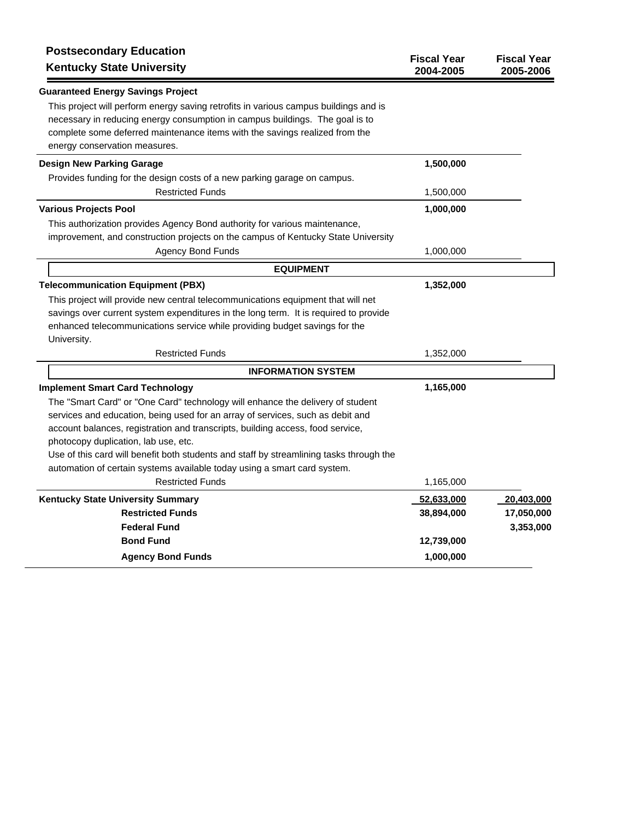| <b>Postsecondary Education</b><br><b>Kentucky State University</b>                      | <b>Fiscal Year</b><br>2004-2005 | <b>Fiscal Year</b><br>2005-2006 |
|-----------------------------------------------------------------------------------------|---------------------------------|---------------------------------|
| <b>Guaranteed Energy Savings Project</b>                                                |                                 |                                 |
| This project will perform energy saving retrofits in various campus buildings and is    |                                 |                                 |
| necessary in reducing energy consumption in campus buildings. The goal is to            |                                 |                                 |
| complete some deferred maintenance items with the savings realized from the             |                                 |                                 |
| energy conservation measures.                                                           |                                 |                                 |
| <b>Design New Parking Garage</b>                                                        | 1,500,000                       |                                 |
| Provides funding for the design costs of a new parking garage on campus.                |                                 |                                 |
| <b>Restricted Funds</b>                                                                 | 1,500,000                       |                                 |
| <b>Various Projects Pool</b>                                                            | 1,000,000                       |                                 |
| This authorization provides Agency Bond authority for various maintenance,              |                                 |                                 |
| improvement, and construction projects on the campus of Kentucky State University       |                                 |                                 |
| <b>Agency Bond Funds</b>                                                                | 1,000,000                       |                                 |
| <b>EQUIPMENT</b>                                                                        |                                 |                                 |
| <b>Telecommunication Equipment (PBX)</b>                                                | 1,352,000                       |                                 |
| This project will provide new central telecommunications equipment that will net        |                                 |                                 |
| savings over current system expenditures in the long term. It is required to provide    |                                 |                                 |
| enhanced telecommunications service while providing budget savings for the              |                                 |                                 |
| University.                                                                             |                                 |                                 |
| <b>Restricted Funds</b>                                                                 | 1,352,000                       |                                 |
| <b>INFORMATION SYSTEM</b>                                                               |                                 |                                 |
| <b>Implement Smart Card Technology</b>                                                  | 1,165,000                       |                                 |
| The "Smart Card" or "One Card" technology will enhance the delivery of student          |                                 |                                 |
| services and education, being used for an array of services, such as debit and          |                                 |                                 |
| account balances, registration and transcripts, building access, food service,          |                                 |                                 |
| photocopy duplication, lab use, etc.                                                    |                                 |                                 |
| Use of this card will benefit both students and staff by streamlining tasks through the |                                 |                                 |
| automation of certain systems available today using a smart card system.                |                                 |                                 |
| <b>Restricted Funds</b>                                                                 | 1,165,000                       |                                 |
| <b>Kentucky State University Summary</b>                                                | 52,633,000                      | 20,403,000                      |
| <b>Restricted Funds</b>                                                                 | 38,894,000                      | 17,050,000                      |
| <b>Federal Fund</b>                                                                     |                                 | 3,353,000                       |
| <b>Bond Fund</b>                                                                        | 12,739,000                      |                                 |
| <b>Agency Bond Funds</b>                                                                | 1,000,000                       |                                 |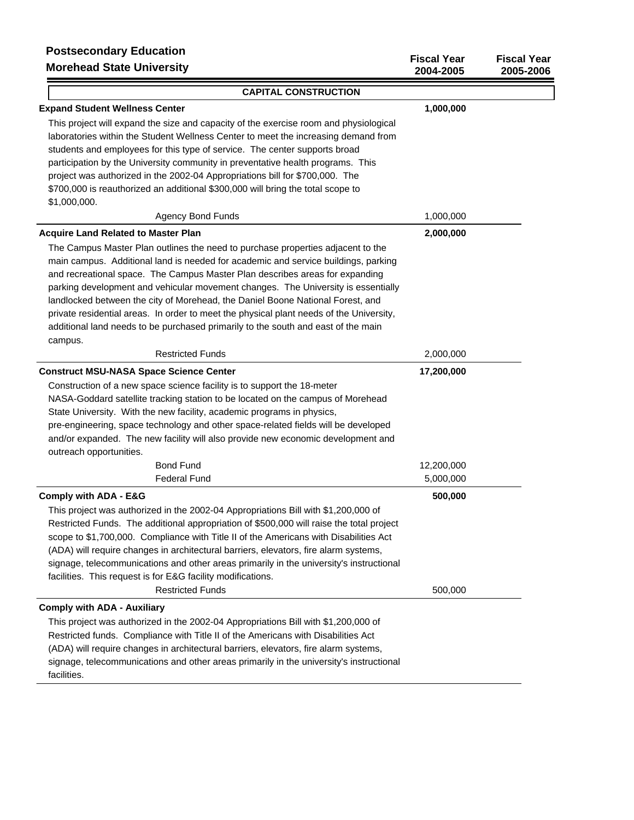# **Postsecondary Education Morehead State University**

| <b>Morenead State University</b>                                                                                                                                                                                                                                                                                                                                                                                                                                                                                                                                                                                                                                      | 2004-2005  | 2005-2006 |
|-----------------------------------------------------------------------------------------------------------------------------------------------------------------------------------------------------------------------------------------------------------------------------------------------------------------------------------------------------------------------------------------------------------------------------------------------------------------------------------------------------------------------------------------------------------------------------------------------------------------------------------------------------------------------|------------|-----------|
| <b>CAPITAL CONSTRUCTION</b>                                                                                                                                                                                                                                                                                                                                                                                                                                                                                                                                                                                                                                           |            |           |
| <b>Expand Student Wellness Center</b>                                                                                                                                                                                                                                                                                                                                                                                                                                                                                                                                                                                                                                 | 1,000,000  |           |
| This project will expand the size and capacity of the exercise room and physiological<br>laboratories within the Student Wellness Center to meet the increasing demand from<br>students and employees for this type of service. The center supports broad<br>participation by the University community in preventative health programs. This<br>project was authorized in the 2002-04 Appropriations bill for \$700,000. The                                                                                                                                                                                                                                          |            |           |
| \$700,000 is reauthorized an additional \$300,000 will bring the total scope to                                                                                                                                                                                                                                                                                                                                                                                                                                                                                                                                                                                       |            |           |
| \$1,000,000.                                                                                                                                                                                                                                                                                                                                                                                                                                                                                                                                                                                                                                                          |            |           |
| <b>Agency Bond Funds</b>                                                                                                                                                                                                                                                                                                                                                                                                                                                                                                                                                                                                                                              | 1,000,000  |           |
| <b>Acquire Land Related to Master Plan</b><br>The Campus Master Plan outlines the need to purchase properties adjacent to the<br>main campus. Additional land is needed for academic and service buildings, parking<br>and recreational space. The Campus Master Plan describes areas for expanding<br>parking development and vehicular movement changes. The University is essentially<br>landlocked between the city of Morehead, the Daniel Boone National Forest, and<br>private residential areas. In order to meet the physical plant needs of the University,<br>additional land needs to be purchased primarily to the south and east of the main<br>campus. | 2,000,000  |           |
| <b>Restricted Funds</b>                                                                                                                                                                                                                                                                                                                                                                                                                                                                                                                                                                                                                                               | 2,000,000  |           |
| <b>Construct MSU-NASA Space Science Center</b>                                                                                                                                                                                                                                                                                                                                                                                                                                                                                                                                                                                                                        | 17,200,000 |           |
| Construction of a new space science facility is to support the 18-meter<br>NASA-Goddard satellite tracking station to be located on the campus of Morehead<br>State University. With the new facility, academic programs in physics,<br>pre-engineering, space technology and other space-related fields will be developed<br>and/or expanded. The new facility will also provide new economic development and<br>outreach opportunities.                                                                                                                                                                                                                             |            |           |
| <b>Bond Fund</b>                                                                                                                                                                                                                                                                                                                                                                                                                                                                                                                                                                                                                                                      | 12,200,000 |           |
| <b>Federal Fund</b>                                                                                                                                                                                                                                                                                                                                                                                                                                                                                                                                                                                                                                                   | 5,000,000  |           |
| <b>Comply with ADA - E&amp;G</b><br>This project was authorized in the 2002-04 Appropriations Bill with \$1,200,000 of<br>Restricted Funds. The additional appropriation of \$500,000 will raise the total project<br>scope to \$1,700,000. Compliance with Title II of the Americans with Disabilities Act<br>(ADA) will require changes in architectural barriers, elevators, fire alarm systems,<br>signage, telecommunications and other areas primarily in the university's instructional<br>facilities. This request is for E&G facility modifications.                                                                                                         | 500,000    |           |
| <b>Restricted Funds</b>                                                                                                                                                                                                                                                                                                                                                                                                                                                                                                                                                                                                                                               | 500,000    |           |
| <b>Comply with ADA - Auxiliary</b>                                                                                                                                                                                                                                                                                                                                                                                                                                                                                                                                                                                                                                    |            |           |
| This project was authorized in the 2002-04 Appropriations Bill with \$1,200,000 of<br>Restricted funds. Compliance with Title II of the Americans with Disabilities Act<br>(ADA) will require changes in architectural barriers, elevators, fire alarm systems,<br>signage, telecommunications and other areas primarily in the university's instructional                                                                                                                                                                                                                                                                                                            |            |           |

**Fiscal Year Fiscal Year**

facilities.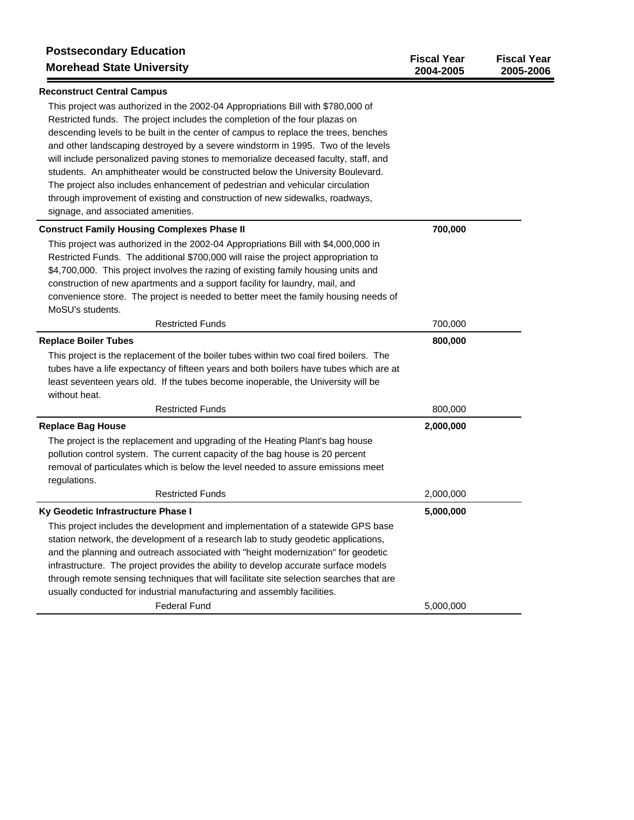| <b>Postsecondary Education</b><br><b>Morehead State University</b>                                                                                                                                                                                                                                                                                                                                                                                                                                                       | <b>Fiscal Year</b><br>2004-2005 | <b>Fiscal Year</b><br>2005-2006 |
|--------------------------------------------------------------------------------------------------------------------------------------------------------------------------------------------------------------------------------------------------------------------------------------------------------------------------------------------------------------------------------------------------------------------------------------------------------------------------------------------------------------------------|---------------------------------|---------------------------------|
| <b>Reconstruct Central Campus</b>                                                                                                                                                                                                                                                                                                                                                                                                                                                                                        |                                 |                                 |
| This project was authorized in the 2002-04 Appropriations Bill with \$780,000 of<br>Restricted funds. The project includes the completion of the four plazas on<br>descending levels to be built in the center of campus to replace the trees, benches<br>and other landscaping destroyed by a severe windstorm in 1995. Two of the levels<br>will include personalized paving stones to memorialize deceased faculty, staff, and<br>students. An amphitheater would be constructed below the University Boulevard.      |                                 |                                 |
| The project also includes enhancement of pedestrian and vehicular circulation<br>through improvement of existing and construction of new sidewalks, roadways,                                                                                                                                                                                                                                                                                                                                                            |                                 |                                 |
| signage, and associated amenities.                                                                                                                                                                                                                                                                                                                                                                                                                                                                                       |                                 |                                 |
| <b>Construct Family Housing Complexes Phase II</b>                                                                                                                                                                                                                                                                                                                                                                                                                                                                       | 700,000                         |                                 |
| This project was authorized in the 2002-04 Appropriations Bill with \$4,000,000 in<br>Restricted Funds. The additional \$700,000 will raise the project appropriation to<br>\$4,700,000. This project involves the razing of existing family housing units and<br>construction of new apartments and a support facility for laundry, mail, and<br>convenience store. The project is needed to better meet the family housing needs of<br>MoSU's students.                                                                |                                 |                                 |
| <b>Restricted Funds</b>                                                                                                                                                                                                                                                                                                                                                                                                                                                                                                  | 700,000                         |                                 |
| <b>Replace Boiler Tubes</b>                                                                                                                                                                                                                                                                                                                                                                                                                                                                                              | 800,000                         |                                 |
| This project is the replacement of the boiler tubes within two coal fired boilers. The<br>tubes have a life expectancy of fifteen years and both boilers have tubes which are at<br>least seventeen years old. If the tubes become inoperable, the University will be<br>without heat.                                                                                                                                                                                                                                   |                                 |                                 |
| <b>Restricted Funds</b>                                                                                                                                                                                                                                                                                                                                                                                                                                                                                                  | 800,000                         |                                 |
| <b>Replace Bag House</b><br>The project is the replacement and upgrading of the Heating Plant's bag house                                                                                                                                                                                                                                                                                                                                                                                                                | 2,000,000                       |                                 |
| pollution control system. The current capacity of the bag house is 20 percent<br>removal of particulates which is below the level needed to assure emissions meet<br>regulations.                                                                                                                                                                                                                                                                                                                                        |                                 |                                 |
| <b>Restricted Funds</b>                                                                                                                                                                                                                                                                                                                                                                                                                                                                                                  | 2,000,000                       |                                 |
| Ky Geodetic Infrastructure Phase I                                                                                                                                                                                                                                                                                                                                                                                                                                                                                       | 5,000,000                       |                                 |
| This project includes the development and implementation of a statewide GPS base<br>station network, the development of a research lab to study geodetic applications,<br>and the planning and outreach associated with "height modernization" for geodetic<br>infrastructure. The project provides the ability to develop accurate surface models<br>through remote sensing techniques that will facilitate site selection searches that are<br>usually conducted for industrial manufacturing and assembly facilities. |                                 |                                 |
| <b>Federal Fund</b>                                                                                                                                                                                                                                                                                                                                                                                                                                                                                                      | 5,000,000                       |                                 |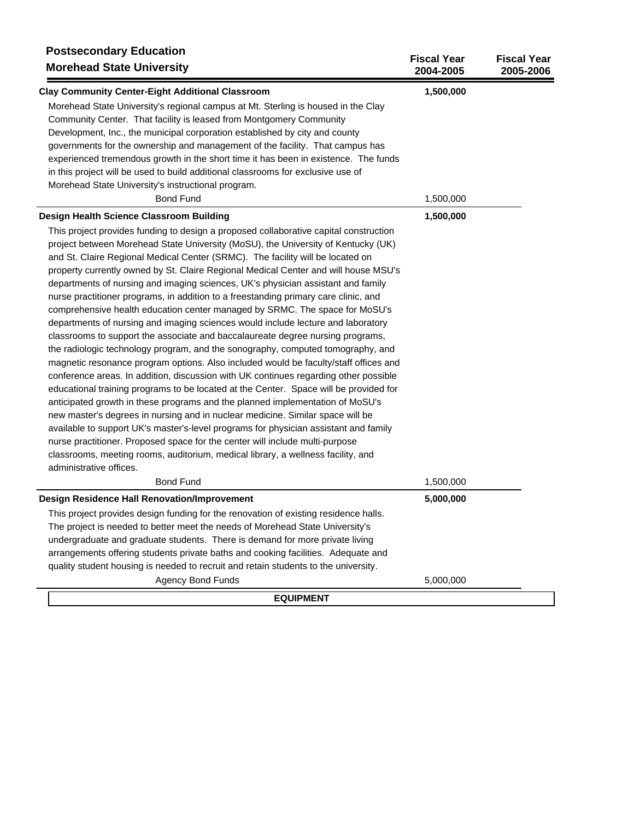| <b>Postsecondary Education</b><br><b>Morehead State University</b>                    | <b>Fiscal Year</b><br>2004-2005 | <b>Fiscal Year</b><br>2005-2006 |
|---------------------------------------------------------------------------------------|---------------------------------|---------------------------------|
| <b>Clay Community Center-Eight Additional Classroom</b>                               | 1,500,000                       |                                 |
| Morehead State University's regional campus at Mt. Sterling is housed in the Clay     |                                 |                                 |
| Community Center. That facility is leased from Montgomery Community                   |                                 |                                 |
| Development, Inc., the municipal corporation established by city and county           |                                 |                                 |
| governments for the ownership and management of the facility. That campus has         |                                 |                                 |
| experienced tremendous growth in the short time it has been in existence. The funds   |                                 |                                 |
| in this project will be used to build additional classrooms for exclusive use of      |                                 |                                 |
| Morehead State University's instructional program.                                    |                                 |                                 |
| <b>Bond Fund</b>                                                                      | 1,500,000                       |                                 |
| Design Health Science Classroom Building                                              | 1,500,000                       |                                 |
| This project provides funding to design a proposed collaborative capital construction |                                 |                                 |
| project between Morehead State University (MoSU), the University of Kentucky (UK)     |                                 |                                 |
| and St. Claire Regional Medical Center (SRMC). The facility will be located on        |                                 |                                 |
| property currently owned by St. Claire Regional Medical Center and will house MSU's   |                                 |                                 |
| departments of nursing and imaging sciences, UK's physician assistant and family      |                                 |                                 |
| nurse practitioner programs, in addition to a freestanding primary care clinic, and   |                                 |                                 |
| comprehensive health education center managed by SRMC. The space for MoSU's           |                                 |                                 |
| departments of nursing and imaging sciences would include lecture and laboratory      |                                 |                                 |
| classrooms to support the associate and baccalaureate degree nursing programs,        |                                 |                                 |
| the radiologic technology program, and the sonography, computed tomography, and       |                                 |                                 |
| magnetic resonance program options. Also included would be faculty/staff offices and  |                                 |                                 |
| conference areas. In addition, discussion with UK continues regarding other possible  |                                 |                                 |
| educational training programs to be located at the Center. Space will be provided for |                                 |                                 |
| anticipated growth in these programs and the planned implementation of MoSU's         |                                 |                                 |
| new master's degrees in nursing and in nuclear medicine. Similar space will be        |                                 |                                 |
| available to support UK's master's-level programs for physician assistant and family  |                                 |                                 |
| nurse practitioner. Proposed space for the center will include multi-purpose          |                                 |                                 |
| classrooms, meeting rooms, auditorium, medical library, a wellness facility, and      |                                 |                                 |
| administrative offices.                                                               |                                 |                                 |
| <b>Bond Fund</b>                                                                      | 1,500,000                       |                                 |
| <b>Design Residence Hall Renovation/Improvement</b>                                   | 5,000,000                       |                                 |
| This project provides design funding for the renovation of existing residence halls.  |                                 |                                 |
| The project is needed to better meet the needs of Morehead State University's         |                                 |                                 |
| undergraduate and graduate students. There is demand for more private living          |                                 |                                 |
| arrangements offering students private baths and cooking facilities. Adequate and     |                                 |                                 |
| quality student housing is needed to recruit and retain students to the university.   |                                 |                                 |
| <b>Agency Bond Funds</b>                                                              | 5,000,000                       |                                 |
| <b>EQUIPMENT</b>                                                                      |                                 |                                 |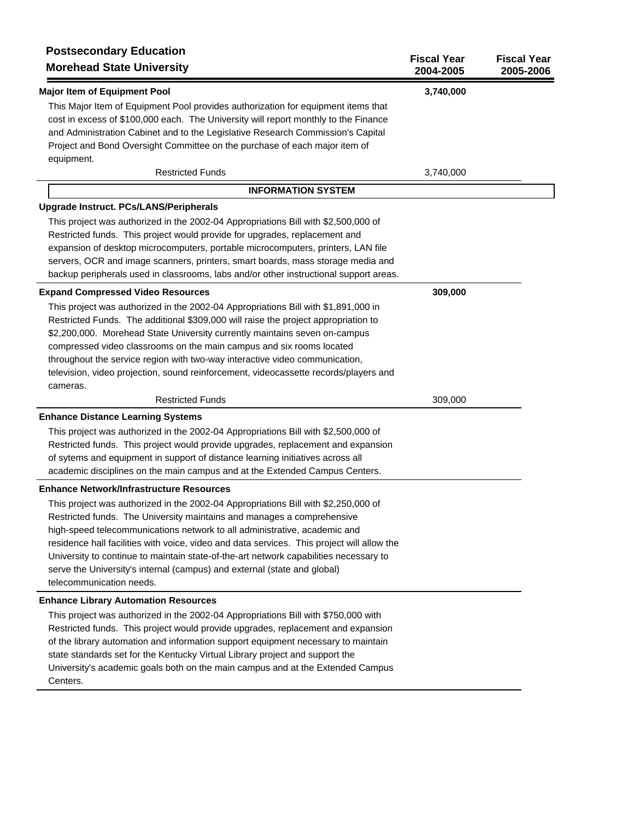| <b>Postsecondary Education</b><br><b>Morehead State University</b>                                                                                                                                                                                                                                                                                                                                                                                                                                                                       | <b>Fiscal Year</b><br>2004-2005 | <b>Fiscal Year</b><br>2005-2006 |
|------------------------------------------------------------------------------------------------------------------------------------------------------------------------------------------------------------------------------------------------------------------------------------------------------------------------------------------------------------------------------------------------------------------------------------------------------------------------------------------------------------------------------------------|---------------------------------|---------------------------------|
| <b>Major Item of Equipment Pool</b>                                                                                                                                                                                                                                                                                                                                                                                                                                                                                                      | 3,740,000                       |                                 |
| This Major Item of Equipment Pool provides authorization for equipment items that<br>cost in excess of \$100,000 each. The University will report monthly to the Finance<br>and Administration Cabinet and to the Legislative Research Commission's Capital<br>Project and Bond Oversight Committee on the purchase of each major item of<br>equipment.                                                                                                                                                                                  |                                 |                                 |
| <b>Restricted Funds</b>                                                                                                                                                                                                                                                                                                                                                                                                                                                                                                                  | 3,740,000                       |                                 |
| <b>INFORMATION SYSTEM</b>                                                                                                                                                                                                                                                                                                                                                                                                                                                                                                                |                                 |                                 |
| Upgrade Instruct. PCs/LANS/Peripherals                                                                                                                                                                                                                                                                                                                                                                                                                                                                                                   |                                 |                                 |
| This project was authorized in the 2002-04 Appropriations Bill with \$2,500,000 of<br>Restricted funds. This project would provide for upgrades, replacement and<br>expansion of desktop microcomputers, portable microcomputers, printers, LAN file<br>servers, OCR and image scanners, printers, smart boards, mass storage media and<br>backup peripherals used in classrooms, labs and/or other instructional support areas.                                                                                                         |                                 |                                 |
| <b>Expand Compressed Video Resources</b>                                                                                                                                                                                                                                                                                                                                                                                                                                                                                                 | 309,000                         |                                 |
| This project was authorized in the 2002-04 Appropriations Bill with \$1,891,000 in<br>Restricted Funds. The additional \$309,000 will raise the project appropriation to<br>\$2,200,000. Morehead State University currently maintains seven on-campus<br>compressed video classrooms on the main campus and six rooms located<br>throughout the service region with two-way interactive video communication,<br>television, video projection, sound reinforcement, videocassette records/players and                                    |                                 |                                 |
| cameras.<br><b>Restricted Funds</b>                                                                                                                                                                                                                                                                                                                                                                                                                                                                                                      | 309,000                         |                                 |
|                                                                                                                                                                                                                                                                                                                                                                                                                                                                                                                                          |                                 |                                 |
| <b>Enhance Distance Learning Systems</b><br>This project was authorized in the 2002-04 Appropriations Bill with \$2,500,000 of<br>Restricted funds. This project would provide upgrades, replacement and expansion<br>of sytems and equipment in support of distance learning initiatives across all<br>academic disciplines on the main campus and at the Extended Campus Centers.                                                                                                                                                      |                                 |                                 |
| <b>Enhance Network/Infrastructure Resources</b>                                                                                                                                                                                                                                                                                                                                                                                                                                                                                          |                                 |                                 |
| This project was authorized in the 2002-04 Appropriations Bill with \$2,250,000 of<br>Restricted funds. The University maintains and manages a comprehensive<br>high-speed telecommunications network to all administrative, academic and<br>residence hall facilities with voice, video and data services. This project will allow the<br>University to continue to maintain state-of-the-art network capabilities necessary to<br>serve the University's internal (campus) and external (state and global)<br>telecommunication needs. |                                 |                                 |
| <b>Enhance Library Automation Resources</b>                                                                                                                                                                                                                                                                                                                                                                                                                                                                                              |                                 |                                 |
| This project was authorized in the 2002-04 Appropriations Bill with \$750,000 with<br>Restricted funds. This project would provide upgrades, replacement and expansion<br>of the library automation and information support equipment necessary to maintain<br>state standards set for the Kentucky Virtual Library project and support the<br>University's academic goals both on the main campus and at the Extended Campus                                                                                                            |                                 |                                 |

Centers.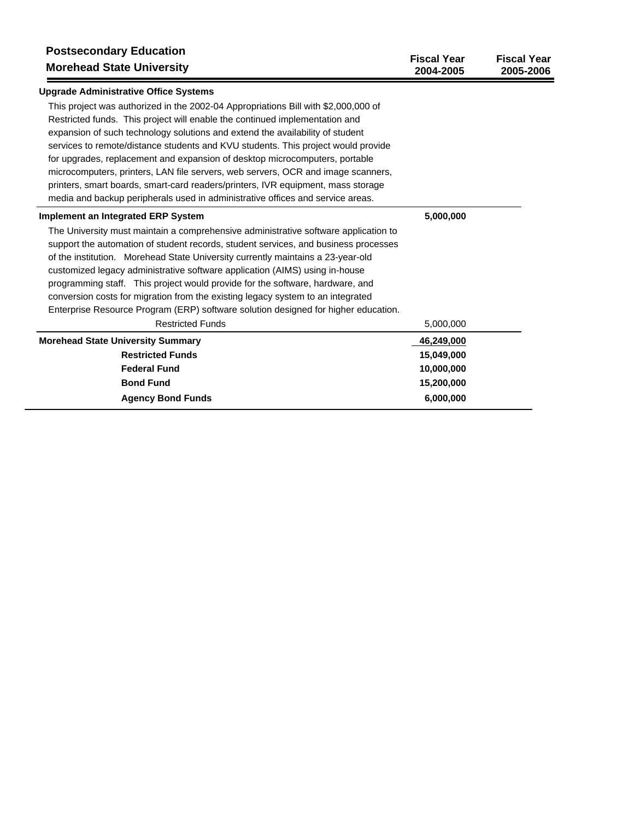| <b>Postsecondary Education</b><br><b>Morehead State University</b>                                                                                                                                                                                                                                                                                                                                                                                                                                                                                                                                                                | <b>Fiscal Year</b><br>2004-2005 | <b>Fiscal Year</b><br>2005-2006 |
|-----------------------------------------------------------------------------------------------------------------------------------------------------------------------------------------------------------------------------------------------------------------------------------------------------------------------------------------------------------------------------------------------------------------------------------------------------------------------------------------------------------------------------------------------------------------------------------------------------------------------------------|---------------------------------|---------------------------------|
| <b>Upgrade Administrative Office Systems</b>                                                                                                                                                                                                                                                                                                                                                                                                                                                                                                                                                                                      |                                 |                                 |
| This project was authorized in the 2002-04 Appropriations Bill with \$2,000,000 of<br>Restricted funds. This project will enable the continued implementation and<br>expansion of such technology solutions and extend the availability of student<br>services to remote/distance students and KVU students. This project would provide<br>for upgrades, replacement and expansion of desktop microcomputers, portable<br>microcomputers, printers, LAN file servers, web servers, OCR and image scanners,<br>printers, smart boards, smart-card readers/printers, IVR equipment, mass storage                                    |                                 |                                 |
| media and backup peripherals used in administrative offices and service areas.<br><b>Implement an Integrated ERP System</b>                                                                                                                                                                                                                                                                                                                                                                                                                                                                                                       | 5,000,000                       |                                 |
| The University must maintain a comprehensive administrative software application to<br>support the automation of student records, student services, and business processes<br>of the institution. Morehead State University currently maintains a 23-year-old<br>customized legacy administrative software application (AIMS) using in-house<br>programming staff. This project would provide for the software, hardware, and<br>conversion costs for migration from the existing legacy system to an integrated<br>Enterprise Resource Program (ERP) software solution designed for higher education.<br><b>Restricted Funds</b> | 5,000,000                       |                                 |
| <b>Morehead State University Summary</b>                                                                                                                                                                                                                                                                                                                                                                                                                                                                                                                                                                                          | 46,249,000                      |                                 |
| <b>Restricted Funds</b>                                                                                                                                                                                                                                                                                                                                                                                                                                                                                                                                                                                                           | 15,049,000                      |                                 |
| <b>Federal Fund</b><br><b>Bond Fund</b>                                                                                                                                                                                                                                                                                                                                                                                                                                                                                                                                                                                           | 10,000,000<br>15,200,000        |                                 |
| <b>Agency Bond Funds</b>                                                                                                                                                                                                                                                                                                                                                                                                                                                                                                                                                                                                          | 6,000,000                       |                                 |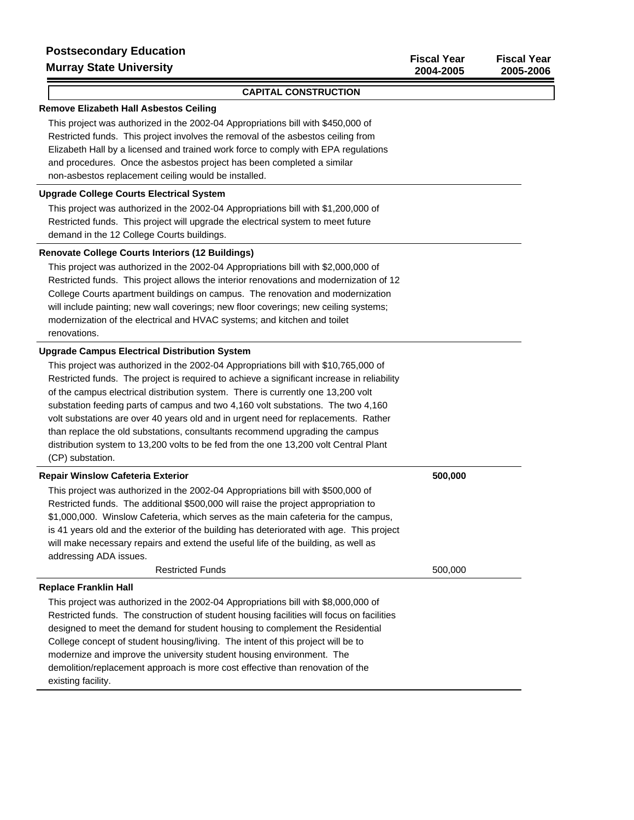#### **CAPITAL CONSTRUCTION**

## **Remove Elizabeth Hall Asbestos Ceiling**

This project was authorized in the 2002-04 Appropriations bill with \$450,000 of Restricted funds. This project involves the removal of the asbestos ceiling from Elizabeth Hall by a licensed and trained work force to comply with EPA regulations and procedures. Once the asbestos project has been completed a similar non-asbestos replacement ceiling would be installed.

# **Upgrade College Courts Electrical System**

This project was authorized in the 2002-04 Appropriations bill with \$1,200,000 of Restricted funds. This project will upgrade the electrical system to meet future demand in the 12 College Courts buildings.

#### **Renovate College Courts Interiors (12 Buildings)**

This project was authorized in the 2002-04 Appropriations bill with \$2,000,000 of Restricted funds. This project allows the interior renovations and modernization of 12 College Courts apartment buildings on campus. The renovation and modernization will include painting; new wall coverings; new floor coverings; new ceiling systems; modernization of the electrical and HVAC systems; and kitchen and toilet renovations.

## **Upgrade Campus Electrical Distribution System**

This project was authorized in the 2002-04 Appropriations bill with \$10,765,000 of Restricted funds. The project is required to achieve a significant increase in reliability of the campus electrical distribution system. There is currently one 13,200 volt substation feeding parts of campus and two 4,160 volt substations. The two 4,160 volt substations are over 40 years old and in urgent need for replacements. Rather than replace the old substations, consultants recommend upgrading the campus distribution system to 13,200 volts to be fed from the one 13,200 volt Central Plant (CP) substation.

| <b>Repair Winslow Cafeteria Exterior</b>                                                  | 500,000 |
|-------------------------------------------------------------------------------------------|---------|
| This project was authorized in the 2002-04 Appropriations bill with \$500,000 of          |         |
| Restricted funds. The additional \$500,000 will raise the project appropriation to        |         |
| \$1,000,000. Winslow Cafeteria, which serves as the main cafeteria for the campus,        |         |
| is 41 years old and the exterior of the building has deteriorated with age. This project  |         |
| will make necessary repairs and extend the useful life of the building, as well as        |         |
| addressing ADA issues.                                                                    |         |
| <b>Restricted Funds</b>                                                                   | 500,000 |
| <b>Replace Franklin Hall</b>                                                              |         |
| This project was authorized in the 2002-04 Appropriations bill with \$8,000,000 of        |         |
| Restricted funds. The construction of student housing facilities will focus on facilities |         |
| designed to meet the demand for student housing to complement the Residential             |         |
| College concept of student housing/living. The intent of this project will be to          |         |
| modernize and improve the university student housing environment. The                     |         |
| demolition/replacement approach is more cost effective than renovation of the             |         |
| existing facility.                                                                        |         |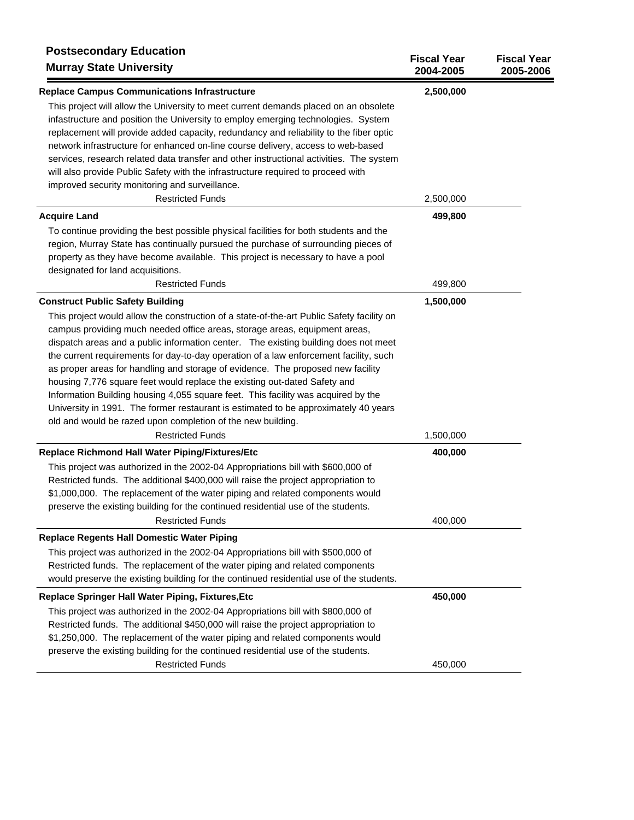| <b>Postsecondary Education</b><br><b>Murray State University</b>                                                                                                                                                                                                                                                                                                                                                                                                                                                                                                                                                                                                                                                                                                                                                                                 | <b>Fiscal Year</b><br>2004-2005 | <b>Fiscal Year</b><br>2005-2006 |
|--------------------------------------------------------------------------------------------------------------------------------------------------------------------------------------------------------------------------------------------------------------------------------------------------------------------------------------------------------------------------------------------------------------------------------------------------------------------------------------------------------------------------------------------------------------------------------------------------------------------------------------------------------------------------------------------------------------------------------------------------------------------------------------------------------------------------------------------------|---------------------------------|---------------------------------|
| <b>Replace Campus Communications Infrastructure</b>                                                                                                                                                                                                                                                                                                                                                                                                                                                                                                                                                                                                                                                                                                                                                                                              | 2,500,000                       |                                 |
| This project will allow the University to meet current demands placed on an obsolete<br>infastructure and position the University to employ emerging technologies. System<br>replacement will provide added capacity, redundancy and reliability to the fiber optic<br>network infrastructure for enhanced on-line course delivery, access to web-based<br>services, research related data transfer and other instructional activities. The system<br>will also provide Public Safety with the infrastructure required to proceed with                                                                                                                                                                                                                                                                                                           |                                 |                                 |
| improved security monitoring and surveillance.                                                                                                                                                                                                                                                                                                                                                                                                                                                                                                                                                                                                                                                                                                                                                                                                   |                                 |                                 |
| <b>Restricted Funds</b>                                                                                                                                                                                                                                                                                                                                                                                                                                                                                                                                                                                                                                                                                                                                                                                                                          | 2,500,000                       |                                 |
| <b>Acquire Land</b><br>To continue providing the best possible physical facilities for both students and the<br>region, Murray State has continually pursued the purchase of surrounding pieces of<br>property as they have become available. This project is necessary to have a pool<br>designated for land acquisitions.<br><b>Restricted Funds</b>                                                                                                                                                                                                                                                                                                                                                                                                                                                                                           | 499,800<br>499,800              |                                 |
| <b>Construct Public Safety Building</b>                                                                                                                                                                                                                                                                                                                                                                                                                                                                                                                                                                                                                                                                                                                                                                                                          | 1,500,000                       |                                 |
| This project would allow the construction of a state-of-the-art Public Safety facility on<br>campus providing much needed office areas, storage areas, equipment areas,<br>dispatch areas and a public information center. The existing building does not meet<br>the current requirements for day-to-day operation of a law enforcement facility, such<br>as proper areas for handling and storage of evidence. The proposed new facility<br>housing 7,776 square feet would replace the existing out-dated Safety and<br>Information Building housing 4,055 square feet. This facility was acquired by the<br>University in 1991. The former restaurant is estimated to be approximately 40 years<br>old and would be razed upon completion of the new building.<br><b>Restricted Funds</b><br>Replace Richmond Hall Water Piping/Fixtures/Etc | 1,500,000<br>400,000            |                                 |
| This project was authorized in the 2002-04 Appropriations bill with \$600,000 of<br>Restricted funds. The additional \$400,000 will raise the project appropriation to<br>\$1,000,000. The replacement of the water piping and related components would<br>preserve the existing building for the continued residential use of the students.                                                                                                                                                                                                                                                                                                                                                                                                                                                                                                     |                                 |                                 |
| <b>Restricted Funds</b>                                                                                                                                                                                                                                                                                                                                                                                                                                                                                                                                                                                                                                                                                                                                                                                                                          | 400,000                         |                                 |
| <b>Replace Regents Hall Domestic Water Piping</b>                                                                                                                                                                                                                                                                                                                                                                                                                                                                                                                                                                                                                                                                                                                                                                                                |                                 |                                 |
| This project was authorized in the 2002-04 Appropriations bill with \$500,000 of<br>Restricted funds. The replacement of the water piping and related components<br>would preserve the existing building for the continued residential use of the students.                                                                                                                                                                                                                                                                                                                                                                                                                                                                                                                                                                                      |                                 |                                 |
| Replace Springer Hall Water Piping, Fixtures, Etc                                                                                                                                                                                                                                                                                                                                                                                                                                                                                                                                                                                                                                                                                                                                                                                                | 450,000                         |                                 |
| This project was authorized in the 2002-04 Appropriations bill with \$800,000 of<br>Restricted funds. The additional \$450,000 will raise the project appropriation to<br>\$1,250,000. The replacement of the water piping and related components would<br>preserve the existing building for the continued residential use of the students.                                                                                                                                                                                                                                                                                                                                                                                                                                                                                                     |                                 |                                 |
| <b>Restricted Funds</b>                                                                                                                                                                                                                                                                                                                                                                                                                                                                                                                                                                                                                                                                                                                                                                                                                          | 450,000                         |                                 |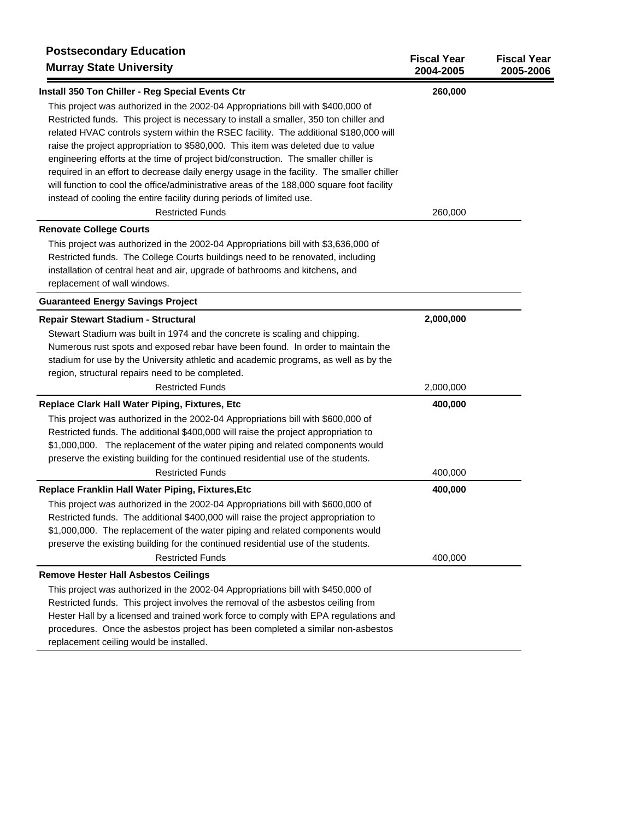| <b>Postsecondary Education</b><br><b>Murray State University</b>                          | <b>Fiscal Year</b><br>2004-2005 | <b>Fiscal Year</b><br>2005-2006 |
|-------------------------------------------------------------------------------------------|---------------------------------|---------------------------------|
| Install 350 Ton Chiller - Reg Special Events Ctr                                          | 260,000                         |                                 |
| This project was authorized in the 2002-04 Appropriations bill with \$400,000 of          |                                 |                                 |
| Restricted funds. This project is necessary to install a smaller, 350 ton chiller and     |                                 |                                 |
| related HVAC controls system within the RSEC facility. The additional \$180,000 will      |                                 |                                 |
| raise the project appropriation to \$580,000. This item was deleted due to value          |                                 |                                 |
| engineering efforts at the time of project bid/construction. The smaller chiller is       |                                 |                                 |
| required in an effort to decrease daily energy usage in the facility. The smaller chiller |                                 |                                 |
| will function to cool the office/administrative areas of the 188,000 square foot facility |                                 |                                 |
| instead of cooling the entire facility during periods of limited use.                     |                                 |                                 |
| <b>Restricted Funds</b>                                                                   | 260,000                         |                                 |
| <b>Renovate College Courts</b>                                                            |                                 |                                 |
| This project was authorized in the 2002-04 Appropriations bill with \$3,636,000 of        |                                 |                                 |
| Restricted funds. The College Courts buildings need to be renovated, including            |                                 |                                 |
| installation of central heat and air, upgrade of bathrooms and kitchens, and              |                                 |                                 |
| replacement of wall windows.                                                              |                                 |                                 |
| <b>Guaranteed Energy Savings Project</b>                                                  |                                 |                                 |
| Repair Stewart Stadium - Structural                                                       | 2,000,000                       |                                 |
| Stewart Stadium was built in 1974 and the concrete is scaling and chipping.               |                                 |                                 |
| Numerous rust spots and exposed rebar have been found. In order to maintain the           |                                 |                                 |
| stadium for use by the University athletic and academic programs, as well as by the       |                                 |                                 |
| region, structural repairs need to be completed.                                          |                                 |                                 |
| <b>Restricted Funds</b>                                                                   | 2,000,000                       |                                 |
| Replace Clark Hall Water Piping, Fixtures, Etc                                            | 400,000                         |                                 |
| This project was authorized in the 2002-04 Appropriations bill with \$600,000 of          |                                 |                                 |
| Restricted funds. The additional \$400,000 will raise the project appropriation to        |                                 |                                 |
| \$1,000,000. The replacement of the water piping and related components would             |                                 |                                 |
| preserve the existing building for the continued residential use of the students.         |                                 |                                 |
| <b>Restricted Funds</b>                                                                   | 400,000                         |                                 |
| Replace Franklin Hall Water Piping, Fixtures, Etc                                         | 400,000                         |                                 |
| This project was authorized in the 2002-04 Appropriations bill with \$600,000 of          |                                 |                                 |
| Restricted funds. The additional \$400,000 will raise the project appropriation to        |                                 |                                 |
| \$1,000,000. The replacement of the water piping and related components would             |                                 |                                 |
| preserve the existing building for the continued residential use of the students.         |                                 |                                 |
| <b>Restricted Funds</b>                                                                   | 400,000                         |                                 |
| <b>Remove Hester Hall Asbestos Ceilings</b>                                               |                                 |                                 |
| This project was authorized in the 2002-04 Appropriations bill with \$450,000 of          |                                 |                                 |
| Restricted funds. This project involves the removal of the asbestos ceiling from          |                                 |                                 |
| Hester Hall by a licensed and trained work force to comply with EPA regulations and       |                                 |                                 |
| procedures. Once the asbestos project has been completed a similar non-asbestos           |                                 |                                 |
| replacement ceiling would be installed.                                                   |                                 |                                 |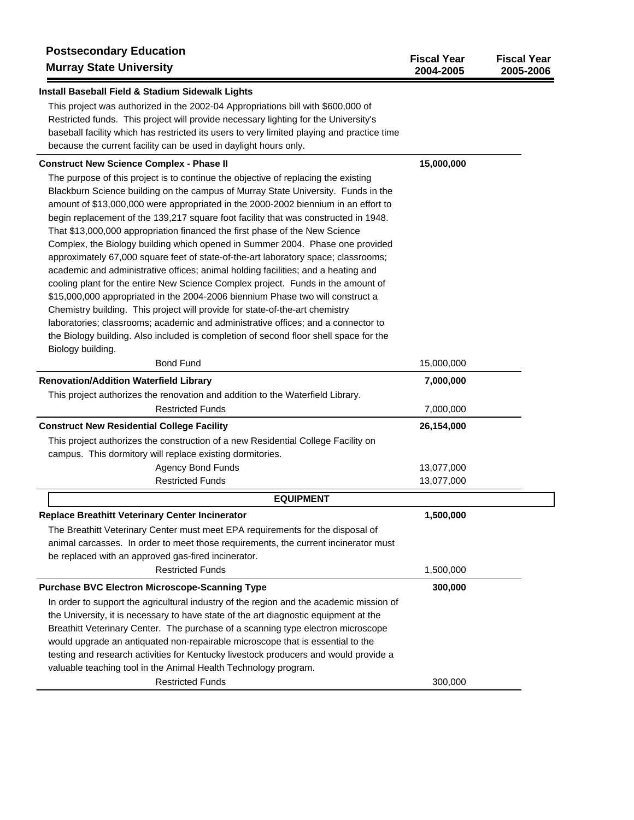| <b>Postsecondary Education</b><br><b>Murray State University</b>                           | <b>Fiscal Year</b><br>2004-2005 | <b>Fiscal Year</b><br>2005-2006 |
|--------------------------------------------------------------------------------------------|---------------------------------|---------------------------------|
| Install Baseball Field & Stadium Sidewalk Lights                                           |                                 |                                 |
| This project was authorized in the 2002-04 Appropriations bill with \$600,000 of           |                                 |                                 |
| Restricted funds. This project will provide necessary lighting for the University's        |                                 |                                 |
| baseball facility which has restricted its users to very limited playing and practice time |                                 |                                 |
| because the current facility can be used in daylight hours only.                           |                                 |                                 |
| <b>Construct New Science Complex - Phase II</b>                                            | 15,000,000                      |                                 |
| The purpose of this project is to continue the objective of replacing the existing         |                                 |                                 |
| Blackburn Science building on the campus of Murray State University. Funds in the          |                                 |                                 |
| amount of \$13,000,000 were appropriated in the 2000-2002 biennium in an effort to         |                                 |                                 |
| begin replacement of the 139,217 square foot facility that was constructed in 1948.        |                                 |                                 |
| That \$13,000,000 appropriation financed the first phase of the New Science                |                                 |                                 |
| Complex, the Biology building which opened in Summer 2004. Phase one provided              |                                 |                                 |
| approximately 67,000 square feet of state-of-the-art laboratory space; classrooms;         |                                 |                                 |
| academic and administrative offices; animal holding facilities; and a heating and          |                                 |                                 |
| cooling plant for the entire New Science Complex project. Funds in the amount of           |                                 |                                 |
| \$15,000,000 appropriated in the 2004-2006 biennium Phase two will construct a             |                                 |                                 |
| Chemistry building. This project will provide for state-of-the-art chemistry               |                                 |                                 |
| laboratories; classrooms; academic and administrative offices; and a connector to          |                                 |                                 |
| the Biology building. Also included is completion of second floor shell space for the      |                                 |                                 |
| Biology building.<br><b>Bond Fund</b>                                                      | 15,000,000                      |                                 |
|                                                                                            |                                 |                                 |
| <b>Renovation/Addition Waterfield Library</b>                                              | 7,000,000                       |                                 |
| This project authorizes the renovation and addition to the Waterfield Library.             |                                 |                                 |
| <b>Restricted Funds</b>                                                                    | 7,000,000                       |                                 |
| <b>Construct New Residential College Facility</b>                                          | 26,154,000                      |                                 |
| This project authorizes the construction of a new Residential College Facility on          |                                 |                                 |
| campus. This dormitory will replace existing dormitories.                                  |                                 |                                 |
| Agency Bond Funds                                                                          | 13,077,000                      |                                 |
| <b>Restricted Funds</b>                                                                    | 13,077,000                      |                                 |
| <b>EQUIPMENT</b>                                                                           |                                 |                                 |
| <b>Replace Breathitt Veterinary Center Incinerator</b>                                     | 1,500,000                       |                                 |
| The Breathitt Veterinary Center must meet EPA requirements for the disposal of             |                                 |                                 |
| animal carcasses. In order to meet those requirements, the current incinerator must        |                                 |                                 |
| be replaced with an approved gas-fired incinerator.                                        |                                 |                                 |
| <b>Restricted Funds</b>                                                                    | 1,500,000                       |                                 |
| <b>Purchase BVC Electron Microscope-Scanning Type</b>                                      | 300,000                         |                                 |
| In order to support the agricultural industry of the region and the academic mission of    |                                 |                                 |
| the University, it is necessary to have state of the art diagnostic equipment at the       |                                 |                                 |
| Breathitt Veterinary Center. The purchase of a scanning type electron microscope           |                                 |                                 |
| would upgrade an antiquated non-repairable microscope that is essential to the             |                                 |                                 |
| testing and research activities for Kentucky livestock producers and would provide a       |                                 |                                 |
| valuable teaching tool in the Animal Health Technology program.<br><b>Restricted Funds</b> | 300,000                         |                                 |
|                                                                                            |                                 |                                 |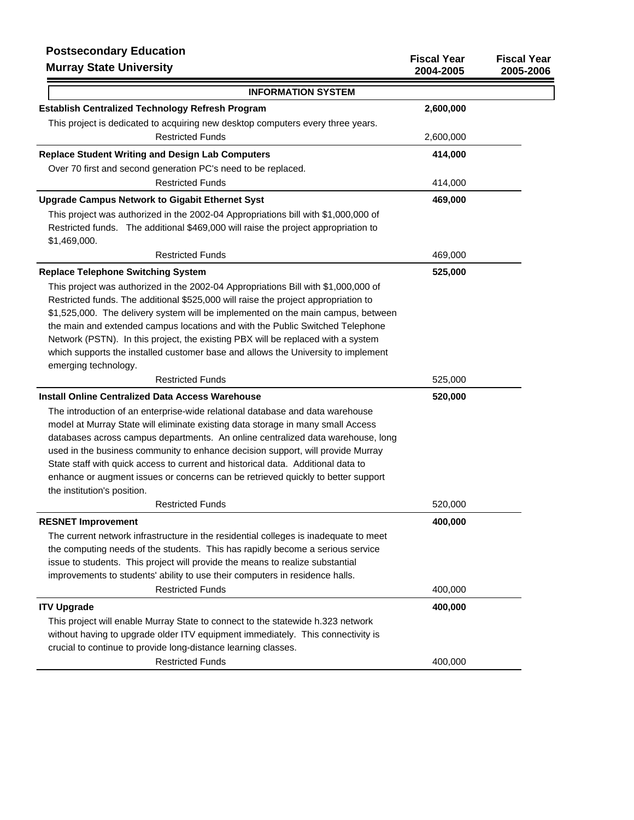| <b>Postsecondary Education</b><br><b>Murray State University</b>                                                                                                                                                                                                                                                                                                                                                                                                                                                                               | <b>Fiscal Year</b><br>2004-2005 | <b>Fiscal Year</b><br>2005-2006 |
|------------------------------------------------------------------------------------------------------------------------------------------------------------------------------------------------------------------------------------------------------------------------------------------------------------------------------------------------------------------------------------------------------------------------------------------------------------------------------------------------------------------------------------------------|---------------------------------|---------------------------------|
| <b>INFORMATION SYSTEM</b>                                                                                                                                                                                                                                                                                                                                                                                                                                                                                                                      |                                 |                                 |
| <b>Establish Centralized Technology Refresh Program</b>                                                                                                                                                                                                                                                                                                                                                                                                                                                                                        | 2,600,000                       |                                 |
| This project is dedicated to acquiring new desktop computers every three years.                                                                                                                                                                                                                                                                                                                                                                                                                                                                |                                 |                                 |
| <b>Restricted Funds</b>                                                                                                                                                                                                                                                                                                                                                                                                                                                                                                                        | 2,600,000                       |                                 |
| <b>Replace Student Writing and Design Lab Computers</b>                                                                                                                                                                                                                                                                                                                                                                                                                                                                                        | 414,000                         |                                 |
| Over 70 first and second generation PC's need to be replaced.                                                                                                                                                                                                                                                                                                                                                                                                                                                                                  |                                 |                                 |
| <b>Restricted Funds</b>                                                                                                                                                                                                                                                                                                                                                                                                                                                                                                                        | 414,000                         |                                 |
| <b>Upgrade Campus Network to Gigabit Ethernet Syst</b>                                                                                                                                                                                                                                                                                                                                                                                                                                                                                         | 469,000                         |                                 |
| This project was authorized in the 2002-04 Appropriations bill with \$1,000,000 of                                                                                                                                                                                                                                                                                                                                                                                                                                                             |                                 |                                 |
| Restricted funds. The additional \$469,000 will raise the project appropriation to<br>\$1,469,000.                                                                                                                                                                                                                                                                                                                                                                                                                                             |                                 |                                 |
| <b>Restricted Funds</b>                                                                                                                                                                                                                                                                                                                                                                                                                                                                                                                        | 469,000                         |                                 |
| <b>Replace Telephone Switching System</b>                                                                                                                                                                                                                                                                                                                                                                                                                                                                                                      | 525,000                         |                                 |
| This project was authorized in the 2002-04 Appropriations Bill with \$1,000,000 of<br>Restricted funds. The additional \$525,000 will raise the project appropriation to<br>\$1,525,000. The delivery system will be implemented on the main campus, between<br>the main and extended campus locations and with the Public Switched Telephone<br>Network (PSTN). In this project, the existing PBX will be replaced with a system<br>which supports the installed customer base and allows the University to implement<br>emerging technology. |                                 |                                 |
| <b>Restricted Funds</b>                                                                                                                                                                                                                                                                                                                                                                                                                                                                                                                        | 525,000                         |                                 |
| <b>Install Online Centralized Data Access Warehouse</b>                                                                                                                                                                                                                                                                                                                                                                                                                                                                                        | 520,000                         |                                 |
| The introduction of an enterprise-wide relational database and data warehouse<br>model at Murray State will eliminate existing data storage in many small Access<br>databases across campus departments. An online centralized data warehouse, long<br>used in the business community to enhance decision support, will provide Murray<br>State staff with quick access to current and historical data. Additional data to<br>enhance or augment issues or concerns can be retrieved quickly to better support<br>the institution's position.  |                                 |                                 |
| <b>Restricted Funds</b>                                                                                                                                                                                                                                                                                                                                                                                                                                                                                                                        | 520,000                         |                                 |
| <b>RESNET Improvement</b>                                                                                                                                                                                                                                                                                                                                                                                                                                                                                                                      | 400,000                         |                                 |
| The current network infrastructure in the residential colleges is inadequate to meet<br>the computing needs of the students. This has rapidly become a serious service<br>issue to students. This project will provide the means to realize substantial<br>improvements to students' ability to use their computers in residence halls.<br><b>Restricted Funds</b>                                                                                                                                                                             | 400,000                         |                                 |
| <b>ITV Upgrade</b>                                                                                                                                                                                                                                                                                                                                                                                                                                                                                                                             | 400,000                         |                                 |
| This project will enable Murray State to connect to the statewide h.323 network<br>without having to upgrade older ITV equipment immediately. This connectivity is<br>crucial to continue to provide long-distance learning classes.                                                                                                                                                                                                                                                                                                           |                                 |                                 |
| <b>Restricted Funds</b>                                                                                                                                                                                                                                                                                                                                                                                                                                                                                                                        | 400,000                         |                                 |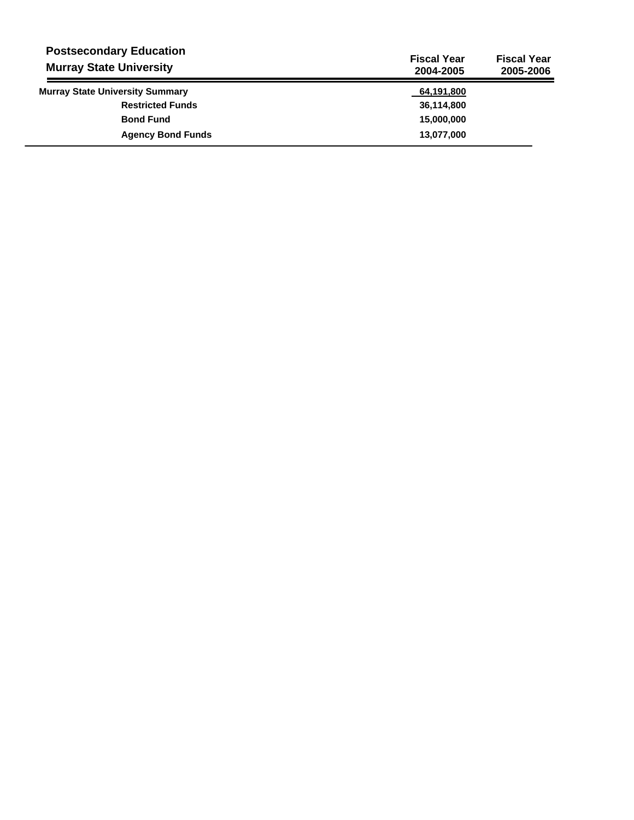| <b>Postsecondary Education</b><br><b>Murray State University</b> | <b>Fiscal Year</b><br>2004-2005 | <b>Fiscal Year</b><br>2005-2006 |
|------------------------------------------------------------------|---------------------------------|---------------------------------|
| <b>Murray State University Summary</b>                           | 64,191,800                      |                                 |
| <b>Restricted Funds</b>                                          | 36,114,800                      |                                 |
| <b>Bond Fund</b>                                                 | 15,000,000                      |                                 |
| <b>Agency Bond Funds</b>                                         | 13,077,000                      |                                 |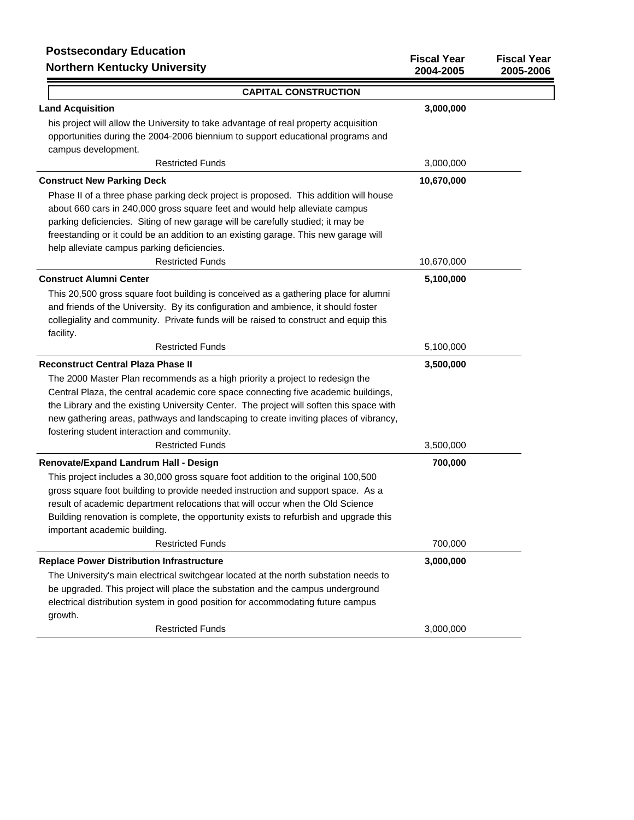# **Postsecondary Education**

| <b>FUSISCUDIUALY LUUCALIUII</b><br><b>Northern Kentucky University</b>                  | <b>Fiscal Year</b><br>2004-2005 | <b>Fiscal Year</b><br>2005-2006 |
|-----------------------------------------------------------------------------------------|---------------------------------|---------------------------------|
| <b>CAPITAL CONSTRUCTION</b>                                                             |                                 |                                 |
| <b>Land Acquisition</b>                                                                 | 3,000,000                       |                                 |
| his project will allow the University to take advantage of real property acquisition    |                                 |                                 |
| opportunities during the 2004-2006 biennium to support educational programs and         |                                 |                                 |
| campus development.                                                                     |                                 |                                 |
| <b>Restricted Funds</b>                                                                 | 3,000,000                       |                                 |
| <b>Construct New Parking Deck</b>                                                       | 10,670,000                      |                                 |
| Phase II of a three phase parking deck project is proposed. This addition will house    |                                 |                                 |
| about 660 cars in 240,000 gross square feet and would help alleviate campus             |                                 |                                 |
| parking deficiencies. Siting of new garage will be carefully studied; it may be         |                                 |                                 |
| freestanding or it could be an addition to an existing garage. This new garage will     |                                 |                                 |
| help alleviate campus parking deficiencies.                                             |                                 |                                 |
| <b>Restricted Funds</b>                                                                 | 10,670,000                      |                                 |
| <b>Construct Alumni Center</b>                                                          | 5,100,000                       |                                 |
| This 20,500 gross square foot building is conceived as a gathering place for alumni     |                                 |                                 |
| and friends of the University. By its configuration and ambience, it should foster      |                                 |                                 |
| collegiality and community. Private funds will be raised to construct and equip this    |                                 |                                 |
| facility.                                                                               |                                 |                                 |
| <b>Restricted Funds</b>                                                                 | 5,100,000                       |                                 |
| <b>Reconstruct Central Plaza Phase II</b>                                               | 3,500,000                       |                                 |
| The 2000 Master Plan recommends as a high priority a project to redesign the            |                                 |                                 |
| Central Plaza, the central academic core space connecting five academic buildings,      |                                 |                                 |
| the Library and the existing University Center. The project will soften this space with |                                 |                                 |
| new gathering areas, pathways and landscaping to create inviting places of vibrancy,    |                                 |                                 |
| fostering student interaction and community.                                            |                                 |                                 |
| <b>Restricted Funds</b>                                                                 | 3,500,000                       |                                 |
| Renovate/Expand Landrum Hall - Design                                                   | 700,000                         |                                 |
| This project includes a 30,000 gross square foot addition to the original 100,500       |                                 |                                 |
| gross square foot building to provide needed instruction and support space. As a        |                                 |                                 |
| result of academic department relocations that will occur when the Old Science          |                                 |                                 |
| Building renovation is complete, the opportunity exists to refurbish and upgrade this   |                                 |                                 |
| important academic building.                                                            |                                 |                                 |
| <b>Restricted Funds</b>                                                                 | 700,000                         |                                 |
| <b>Replace Power Distribution Infrastructure</b>                                        | 3,000,000                       |                                 |
| The University's main electrical switchgear located at the north substation needs to    |                                 |                                 |
| be upgraded. This project will place the substation and the campus underground          |                                 |                                 |
| electrical distribution system in good position for accommodating future campus         |                                 |                                 |
| growth.                                                                                 |                                 |                                 |
| <b>Restricted Funds</b>                                                                 | 3,000,000                       |                                 |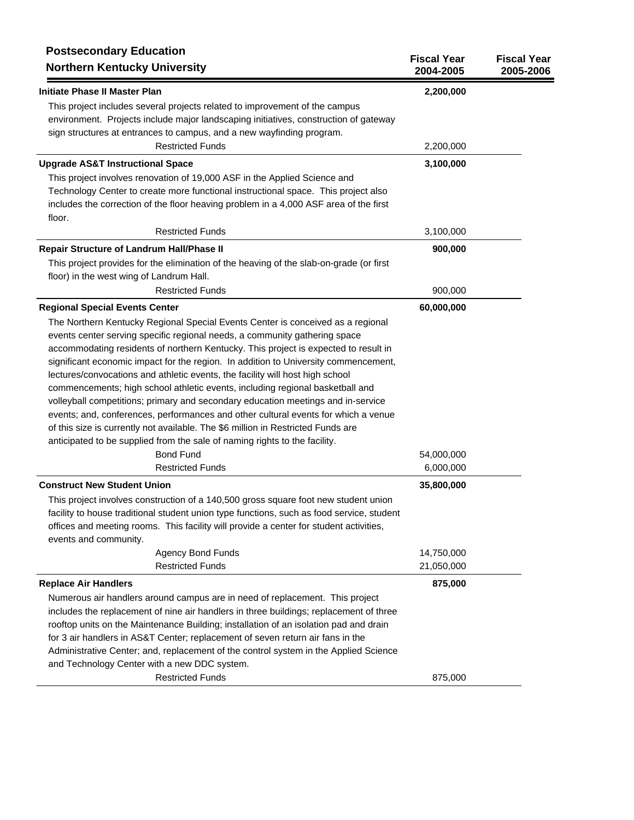| <b>Postsecondary Education</b><br><b>Northern Kentucky University</b>                           | <b>Fiscal Year</b><br>2004-2005 | <b>Fiscal Year</b><br>2005-2006 |
|-------------------------------------------------------------------------------------------------|---------------------------------|---------------------------------|
| <b>Initiate Phase II Master Plan</b>                                                            | 2,200,000                       |                                 |
| This project includes several projects related to improvement of the campus                     |                                 |                                 |
| environment. Projects include major landscaping initiatives, construction of gateway            |                                 |                                 |
| sign structures at entrances to campus, and a new wayfinding program.                           |                                 |                                 |
| <b>Restricted Funds</b>                                                                         | 2,200,000                       |                                 |
| <b>Upgrade AS&amp;T Instructional Space</b>                                                     | 3,100,000                       |                                 |
| This project involves renovation of 19,000 ASF in the Applied Science and                       |                                 |                                 |
| Technology Center to create more functional instructional space. This project also              |                                 |                                 |
| includes the correction of the floor heaving problem in a 4,000 ASF area of the first<br>floor. |                                 |                                 |
| <b>Restricted Funds</b>                                                                         | 3,100,000                       |                                 |
| Repair Structure of Landrum Hall/Phase II                                                       | 900,000                         |                                 |
| This project provides for the elimination of the heaving of the slab-on-grade (or first         |                                 |                                 |
| floor) in the west wing of Landrum Hall.                                                        |                                 |                                 |
| <b>Restricted Funds</b>                                                                         | 900,000                         |                                 |
| <b>Regional Special Events Center</b>                                                           | 60,000,000                      |                                 |
| The Northern Kentucky Regional Special Events Center is conceived as a regional                 |                                 |                                 |
| events center serving specific regional needs, a community gathering space                      |                                 |                                 |
| accommodating residents of northern Kentucky. This project is expected to result in             |                                 |                                 |
| significant economic impact for the region. In addition to University commencement,             |                                 |                                 |
| lectures/convocations and athletic events, the facility will host high school                   |                                 |                                 |
| commencements; high school athletic events, including regional basketball and                   |                                 |                                 |
| volleyball competitions; primary and secondary education meetings and in-service                |                                 |                                 |
| events; and, conferences, performances and other cultural events for which a venue              |                                 |                                 |
| of this size is currently not available. The \$6 million in Restricted Funds are                |                                 |                                 |
| anticipated to be supplied from the sale of naming rights to the facility.                      |                                 |                                 |
| <b>Bond Fund</b>                                                                                | 54,000,000                      |                                 |
| <b>Restricted Funds</b>                                                                         | 6,000,000                       |                                 |
| <b>Construct New Student Union</b>                                                              | 35,800,000                      |                                 |
| This project involves construction of a 140,500 gross square foot new student union             |                                 |                                 |
| facility to house traditional student union type functions, such as food service, student       |                                 |                                 |
| offices and meeting rooms. This facility will provide a center for student activities,          |                                 |                                 |
| events and community.                                                                           |                                 |                                 |
| Agency Bond Funds                                                                               | 14,750,000                      |                                 |
| <b>Restricted Funds</b>                                                                         | 21,050,000                      |                                 |
| <b>Replace Air Handlers</b>                                                                     | 875,000                         |                                 |
| Numerous air handlers around campus are in need of replacement. This project                    |                                 |                                 |
| includes the replacement of nine air handlers in three buildings; replacement of three          |                                 |                                 |
| rooftop units on the Maintenance Building; installation of an isolation pad and drain           |                                 |                                 |
| for 3 air handlers in AS&T Center; replacement of seven return air fans in the                  |                                 |                                 |
| Administrative Center; and, replacement of the control system in the Applied Science            |                                 |                                 |
| and Technology Center with a new DDC system.                                                    |                                 |                                 |
| <b>Restricted Funds</b>                                                                         | 875,000                         |                                 |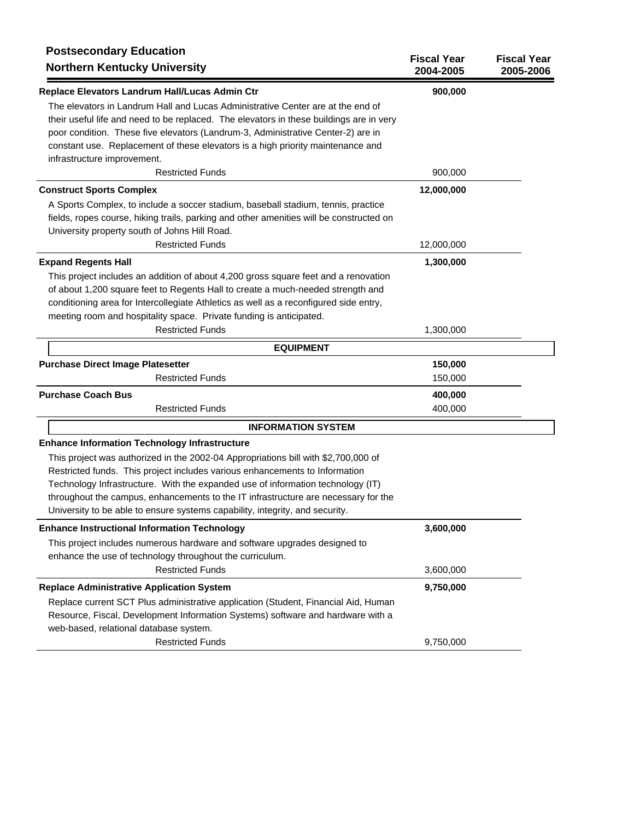| <b>Postsecondary Education</b><br><b>Northern Kentucky University</b>                   | <b>Fiscal Year</b><br>2004-2005 | <b>Fiscal Year</b><br>2005-2006 |
|-----------------------------------------------------------------------------------------|---------------------------------|---------------------------------|
| Replace Elevators Landrum Hall/Lucas Admin Ctr                                          | 900,000                         |                                 |
| The elevators in Landrum Hall and Lucas Administrative Center are at the end of         |                                 |                                 |
| their useful life and need to be replaced. The elevators in these buildings are in very |                                 |                                 |
| poor condition. These five elevators (Landrum-3, Administrative Center-2) are in        |                                 |                                 |
| constant use. Replacement of these elevators is a high priority maintenance and         |                                 |                                 |
| infrastructure improvement.                                                             |                                 |                                 |
| <b>Restricted Funds</b>                                                                 | 900,000                         |                                 |
| <b>Construct Sports Complex</b>                                                         | 12,000,000                      |                                 |
| A Sports Complex, to include a soccer stadium, baseball stadium, tennis, practice       |                                 |                                 |
| fields, ropes course, hiking trails, parking and other amenities will be constructed on |                                 |                                 |
| University property south of Johns Hill Road.                                           |                                 |                                 |
| <b>Restricted Funds</b>                                                                 | 12,000,000                      |                                 |
| <b>Expand Regents Hall</b>                                                              | 1,300,000                       |                                 |
| This project includes an addition of about 4,200 gross square feet and a renovation     |                                 |                                 |
| of about 1,200 square feet to Regents Hall to create a much-needed strength and         |                                 |                                 |
| conditioning area for Intercollegiate Athletics as well as a reconfigured side entry,   |                                 |                                 |
| meeting room and hospitality space. Private funding is anticipated.                     |                                 |                                 |
| <b>Restricted Funds</b>                                                                 | 1,300,000                       |                                 |
| <b>EQUIPMENT</b>                                                                        |                                 |                                 |
| <b>Purchase Direct Image Platesetter</b>                                                | 150,000                         |                                 |
| <b>Restricted Funds</b>                                                                 | 150,000                         |                                 |
| <b>Purchase Coach Bus</b>                                                               | 400,000                         |                                 |
| <b>Restricted Funds</b>                                                                 | 400,000                         |                                 |
| <b>INFORMATION SYSTEM</b>                                                               |                                 |                                 |
| <b>Enhance Information Technology Infrastructure</b>                                    |                                 |                                 |
| This project was authorized in the 2002-04 Appropriations bill with \$2,700,000 of      |                                 |                                 |
| Restricted funds. This project includes various enhancements to Information             |                                 |                                 |
| Technology Infrastructure. With the expanded use of information technology (IT)         |                                 |                                 |
| throughout the campus, enhancements to the IT infrastructure are necessary for the      |                                 |                                 |
| University to be able to ensure systems capability, integrity, and security.            |                                 |                                 |
| <b>Enhance Instructional Information Technology</b>                                     | 3,600,000                       |                                 |
| This project includes numerous hardware and software upgrades designed to               |                                 |                                 |
| enhance the use of technology throughout the curriculum.                                |                                 |                                 |
| <b>Restricted Funds</b>                                                                 | 3,600,000                       |                                 |
| <b>Replace Administrative Application System</b>                                        | 9,750,000                       |                                 |
| Replace current SCT Plus administrative application (Student, Financial Aid, Human      |                                 |                                 |
| Resource, Fiscal, Development Information Systems) software and hardware with a         |                                 |                                 |
| web-based, relational database system.                                                  |                                 |                                 |
| <b>Restricted Funds</b>                                                                 | 9,750,000                       |                                 |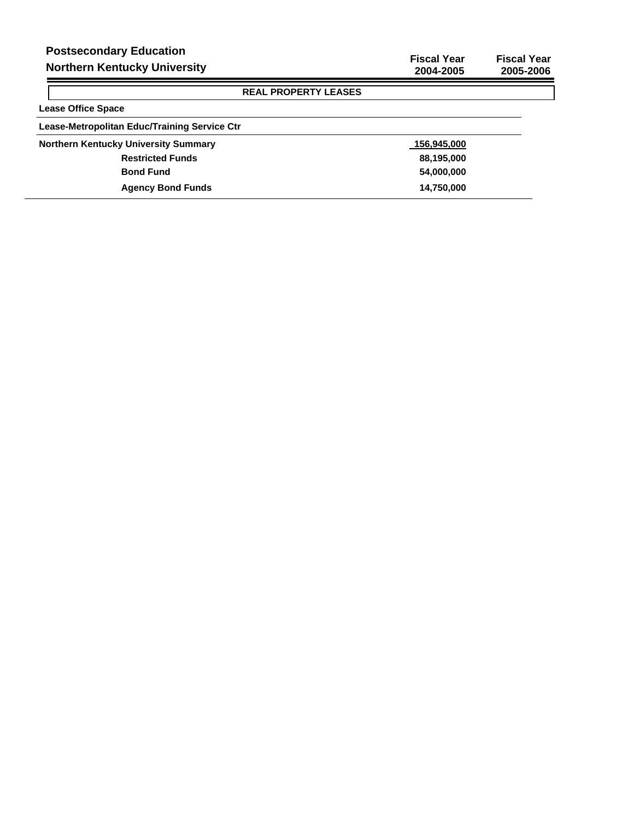$\blacksquare$  $\lceil$ 

# **REAL PROPERTY LEASES**

| <b>Lease Office Space</b>                    |             |
|----------------------------------------------|-------------|
| Lease-Metropolitan Educ/Training Service Ctr |             |
| <b>Northern Kentucky University Summary</b>  | 156,945,000 |
| <b>Restricted Funds</b>                      | 88,195,000  |
| <b>Bond Fund</b>                             | 54,000,000  |
| <b>Agency Bond Funds</b>                     | 14,750,000  |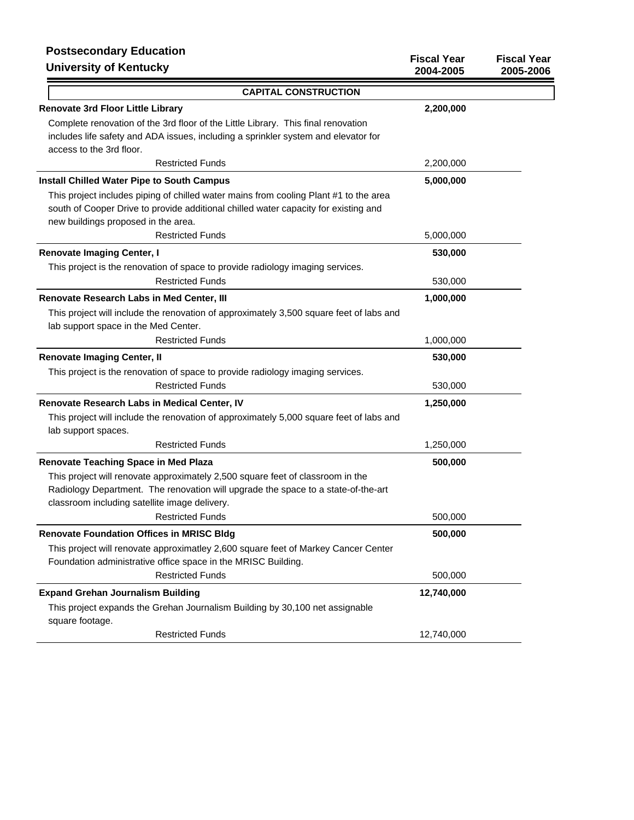# **Postsecondary Education University of Kentucky**

| FUSISCUUIUAI J LUUUAIIUII<br><b>University of Kentucky</b>                                                                                                                                                           | <b>Fiscal Year</b><br>2004-2005 | <b>Fiscal Year</b><br>2005-2006 |
|----------------------------------------------------------------------------------------------------------------------------------------------------------------------------------------------------------------------|---------------------------------|---------------------------------|
| <b>CAPITAL CONSTRUCTION</b>                                                                                                                                                                                          |                                 |                                 |
| <b>Renovate 3rd Floor Little Library</b>                                                                                                                                                                             | 2,200,000                       |                                 |
| Complete renovation of the 3rd floor of the Little Library. This final renovation                                                                                                                                    |                                 |                                 |
| includes life safety and ADA issues, including a sprinkler system and elevator for                                                                                                                                   |                                 |                                 |
| access to the 3rd floor.                                                                                                                                                                                             |                                 |                                 |
| <b>Restricted Funds</b>                                                                                                                                                                                              | 2,200,000                       |                                 |
| <b>Install Chilled Water Pipe to South Campus</b>                                                                                                                                                                    | 5,000,000                       |                                 |
| This project includes piping of chilled water mains from cooling Plant #1 to the area                                                                                                                                |                                 |                                 |
| south of Cooper Drive to provide additional chilled water capacity for existing and                                                                                                                                  |                                 |                                 |
| new buildings proposed in the area.                                                                                                                                                                                  |                                 |                                 |
| <b>Restricted Funds</b>                                                                                                                                                                                              | 5,000,000                       |                                 |
| <b>Renovate Imaging Center, I</b>                                                                                                                                                                                    | 530,000                         |                                 |
| This project is the renovation of space to provide radiology imaging services.                                                                                                                                       |                                 |                                 |
| <b>Restricted Funds</b>                                                                                                                                                                                              | 530,000                         |                                 |
| Renovate Research Labs in Med Center, III                                                                                                                                                                            | 1,000,000                       |                                 |
| This project will include the renovation of approximately 3,500 square feet of labs and                                                                                                                              |                                 |                                 |
| lab support space in the Med Center.                                                                                                                                                                                 |                                 |                                 |
| <b>Restricted Funds</b>                                                                                                                                                                                              | 1,000,000                       |                                 |
| <b>Renovate Imaging Center, II</b>                                                                                                                                                                                   | 530,000                         |                                 |
| This project is the renovation of space to provide radiology imaging services.                                                                                                                                       |                                 |                                 |
| <b>Restricted Funds</b>                                                                                                                                                                                              | 530,000                         |                                 |
| Renovate Research Labs in Medical Center, IV                                                                                                                                                                         | 1,250,000                       |                                 |
| This project will include the renovation of approximately 5,000 square feet of labs and<br>lab support spaces.                                                                                                       |                                 |                                 |
| <b>Restricted Funds</b>                                                                                                                                                                                              | 1,250,000                       |                                 |
| <b>Renovate Teaching Space in Med Plaza</b>                                                                                                                                                                          | 500,000                         |                                 |
| This project will renovate approximately 2,500 square feet of classroom in the<br>Radiology Department. The renovation will upgrade the space to a state-of-the-art<br>classroom including satellite image delivery. |                                 |                                 |
| <b>Restricted Funds</b>                                                                                                                                                                                              | 500,000                         |                                 |
| <b>Renovate Foundation Offices in MRISC Bldg</b>                                                                                                                                                                     | 500,000                         |                                 |
| This project will renovate approximatley 2,600 square feet of Markey Cancer Center                                                                                                                                   |                                 |                                 |
| Foundation administrative office space in the MRISC Building.                                                                                                                                                        |                                 |                                 |
| <b>Restricted Funds</b>                                                                                                                                                                                              | 500,000                         |                                 |
| <b>Expand Grehan Journalism Building</b>                                                                                                                                                                             | 12,740,000                      |                                 |
| This project expands the Grehan Journalism Building by 30,100 net assignable<br>square footage.                                                                                                                      |                                 |                                 |
| <b>Restricted Funds</b>                                                                                                                                                                                              | 12,740,000                      |                                 |
|                                                                                                                                                                                                                      |                                 |                                 |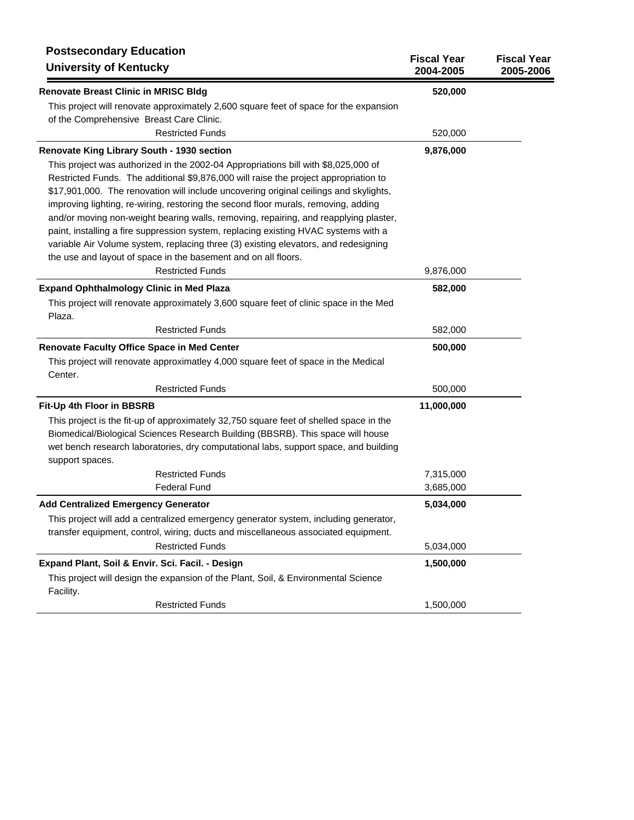| <b>Postsecondary Education</b><br><b>University of Kentucky</b>                                                                                                                                                                                                                                                                                                                                                                                                                                                                                                                                                                                                               | <b>Fiscal Year</b><br>2004-2005 | <b>Fiscal Year</b><br>2005-2006 |
|-------------------------------------------------------------------------------------------------------------------------------------------------------------------------------------------------------------------------------------------------------------------------------------------------------------------------------------------------------------------------------------------------------------------------------------------------------------------------------------------------------------------------------------------------------------------------------------------------------------------------------------------------------------------------------|---------------------------------|---------------------------------|
| <b>Renovate Breast Clinic in MRISC Bldg</b>                                                                                                                                                                                                                                                                                                                                                                                                                                                                                                                                                                                                                                   | 520,000                         |                                 |
| This project will renovate approximately 2,600 square feet of space for the expansion<br>of the Comprehensive Breast Care Clinic.<br><b>Restricted Funds</b>                                                                                                                                                                                                                                                                                                                                                                                                                                                                                                                  | 520,000                         |                                 |
|                                                                                                                                                                                                                                                                                                                                                                                                                                                                                                                                                                                                                                                                               |                                 |                                 |
| Renovate King Library South - 1930 section<br>This project was authorized in the 2002-04 Appropriations bill with \$8,025,000 of<br>Restricted Funds. The additional \$9,876,000 will raise the project appropriation to<br>\$17,901,000. The renovation will include uncovering original ceilings and skylights,<br>improving lighting, re-wiring, restoring the second floor murals, removing, adding<br>and/or moving non-weight bearing walls, removing, repairing, and reapplying plaster,<br>paint, installing a fire suppression system, replacing existing HVAC systems with a<br>variable Air Volume system, replacing three (3) existing elevators, and redesigning | 9,876,000                       |                                 |
| the use and layout of space in the basement and on all floors.                                                                                                                                                                                                                                                                                                                                                                                                                                                                                                                                                                                                                |                                 |                                 |
| <b>Restricted Funds</b>                                                                                                                                                                                                                                                                                                                                                                                                                                                                                                                                                                                                                                                       | 9,876,000                       |                                 |
| <b>Expand Ophthalmology Clinic in Med Plaza</b>                                                                                                                                                                                                                                                                                                                                                                                                                                                                                                                                                                                                                               | 582,000                         |                                 |
| This project will renovate approximately 3,600 square feet of clinic space in the Med<br>Plaza.                                                                                                                                                                                                                                                                                                                                                                                                                                                                                                                                                                               |                                 |                                 |
| <b>Restricted Funds</b>                                                                                                                                                                                                                                                                                                                                                                                                                                                                                                                                                                                                                                                       | 582,000                         |                                 |
| Renovate Faculty Office Space in Med Center                                                                                                                                                                                                                                                                                                                                                                                                                                                                                                                                                                                                                                   | 500,000                         |                                 |
| This project will renovate approximatley 4,000 square feet of space in the Medical<br>Center.                                                                                                                                                                                                                                                                                                                                                                                                                                                                                                                                                                                 |                                 |                                 |
| <b>Restricted Funds</b>                                                                                                                                                                                                                                                                                                                                                                                                                                                                                                                                                                                                                                                       | 500,000                         |                                 |
| Fit-Up 4th Floor in BBSRB                                                                                                                                                                                                                                                                                                                                                                                                                                                                                                                                                                                                                                                     | 11,000,000                      |                                 |
| This project is the fit-up of approximately 32,750 square feet of shelled space in the<br>Biomedical/Biological Sciences Research Building (BBSRB). This space will house<br>wet bench research laboratories, dry computational labs, support space, and building<br>support spaces.                                                                                                                                                                                                                                                                                                                                                                                          |                                 |                                 |
| <b>Restricted Funds</b>                                                                                                                                                                                                                                                                                                                                                                                                                                                                                                                                                                                                                                                       | 7,315,000                       |                                 |
| <b>Federal Fund</b>                                                                                                                                                                                                                                                                                                                                                                                                                                                                                                                                                                                                                                                           | 3,685,000                       |                                 |
| <b>Add Centralized Emergency Generator</b>                                                                                                                                                                                                                                                                                                                                                                                                                                                                                                                                                                                                                                    | 5,034,000                       |                                 |
| This project will add a centralized emergency generator system, including generator,<br>transfer equipment, control, wiring, ducts and miscellaneous associated equipment.<br><b>Restricted Funds</b>                                                                                                                                                                                                                                                                                                                                                                                                                                                                         | 5,034,000                       |                                 |
|                                                                                                                                                                                                                                                                                                                                                                                                                                                                                                                                                                                                                                                                               |                                 |                                 |
| Expand Plant, Soil & Envir. Sci. Facil. - Design<br>This project will design the expansion of the Plant, Soil, & Environmental Science<br>Facility.                                                                                                                                                                                                                                                                                                                                                                                                                                                                                                                           | 1,500,000                       |                                 |
| <b>Restricted Funds</b>                                                                                                                                                                                                                                                                                                                                                                                                                                                                                                                                                                                                                                                       | 1,500,000                       |                                 |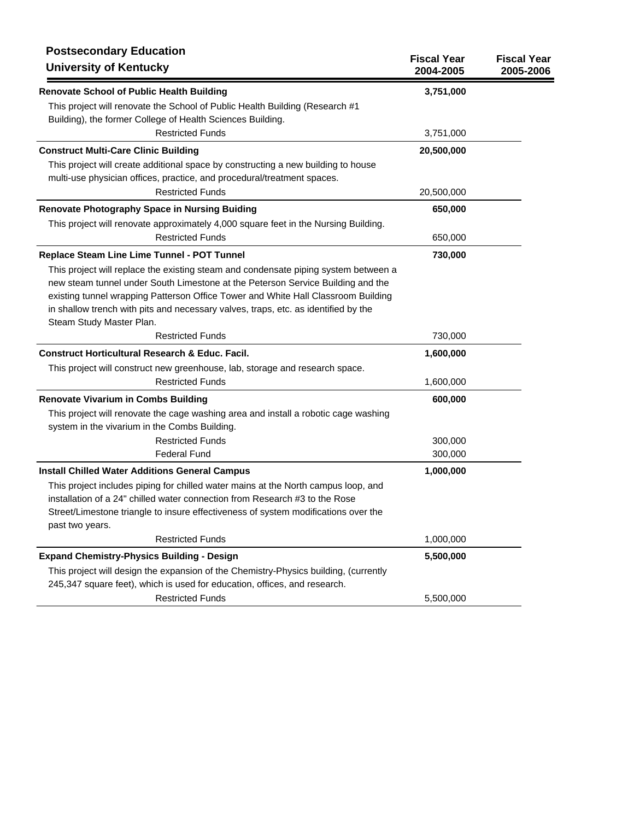| <b>Postsecondary Education</b><br><b>University of Kentucky</b>                                                                                                                                                                                                                                                                                                               | <b>Fiscal Year</b><br>2004-2005 | <b>Fiscal Year</b><br>2005-2006 |
|-------------------------------------------------------------------------------------------------------------------------------------------------------------------------------------------------------------------------------------------------------------------------------------------------------------------------------------------------------------------------------|---------------------------------|---------------------------------|
| <b>Renovate School of Public Health Building</b>                                                                                                                                                                                                                                                                                                                              | 3,751,000                       |                                 |
| This project will renovate the School of Public Health Building (Research #1<br>Building), the former College of Health Sciences Building.                                                                                                                                                                                                                                    |                                 |                                 |
| <b>Restricted Funds</b>                                                                                                                                                                                                                                                                                                                                                       | 3,751,000                       |                                 |
| <b>Construct Multi-Care Clinic Building</b>                                                                                                                                                                                                                                                                                                                                   | 20,500,000                      |                                 |
| This project will create additional space by constructing a new building to house<br>multi-use physician offices, practice, and procedural/treatment spaces.                                                                                                                                                                                                                  |                                 |                                 |
| <b>Restricted Funds</b>                                                                                                                                                                                                                                                                                                                                                       | 20,500,000                      |                                 |
| <b>Renovate Photography Space in Nursing Buiding</b>                                                                                                                                                                                                                                                                                                                          | 650,000                         |                                 |
| This project will renovate approximately 4,000 square feet in the Nursing Building.                                                                                                                                                                                                                                                                                           |                                 |                                 |
| <b>Restricted Funds</b>                                                                                                                                                                                                                                                                                                                                                       | 650,000                         |                                 |
| Replace Steam Line Lime Tunnel - POT Tunnel                                                                                                                                                                                                                                                                                                                                   | 730,000                         |                                 |
| This project will replace the existing steam and condensate piping system between a<br>new steam tunnel under South Limestone at the Peterson Service Building and the<br>existing tunnel wrapping Patterson Office Tower and White Hall Classroom Building<br>in shallow trench with pits and necessary valves, traps, etc. as identified by the<br>Steam Study Master Plan. |                                 |                                 |
| <b>Restricted Funds</b>                                                                                                                                                                                                                                                                                                                                                       | 730,000                         |                                 |
| <b>Construct Horticultural Research &amp; Educ. Facil.</b>                                                                                                                                                                                                                                                                                                                    | 1,600,000                       |                                 |
| This project will construct new greenhouse, lab, storage and research space.                                                                                                                                                                                                                                                                                                  |                                 |                                 |
| <b>Restricted Funds</b>                                                                                                                                                                                                                                                                                                                                                       | 1,600,000                       |                                 |
| <b>Renovate Vivarium in Combs Building</b>                                                                                                                                                                                                                                                                                                                                    | 600,000                         |                                 |
| This project will renovate the cage washing area and install a robotic cage washing<br>system in the vivarium in the Combs Building.                                                                                                                                                                                                                                          |                                 |                                 |
| <b>Restricted Funds</b>                                                                                                                                                                                                                                                                                                                                                       | 300,000                         |                                 |
| <b>Federal Fund</b>                                                                                                                                                                                                                                                                                                                                                           | 300,000                         |                                 |
| <b>Install Chilled Water Additions General Campus</b>                                                                                                                                                                                                                                                                                                                         | 1,000,000                       |                                 |
| This project includes piping for chilled water mains at the North campus loop, and<br>installation of a 24" chilled water connection from Research #3 to the Rose<br>Street/Limestone triangle to insure effectiveness of system modifications over the<br>past two years.                                                                                                    |                                 |                                 |
| <b>Restricted Funds</b>                                                                                                                                                                                                                                                                                                                                                       | 1,000,000                       |                                 |
| <b>Expand Chemistry-Physics Building - Design</b>                                                                                                                                                                                                                                                                                                                             | 5,500,000                       |                                 |
| This project will design the expansion of the Chemistry-Physics building, (currently<br>245,347 square feet), which is used for education, offices, and research.                                                                                                                                                                                                             |                                 |                                 |
| <b>Restricted Funds</b>                                                                                                                                                                                                                                                                                                                                                       | 5,500,000                       |                                 |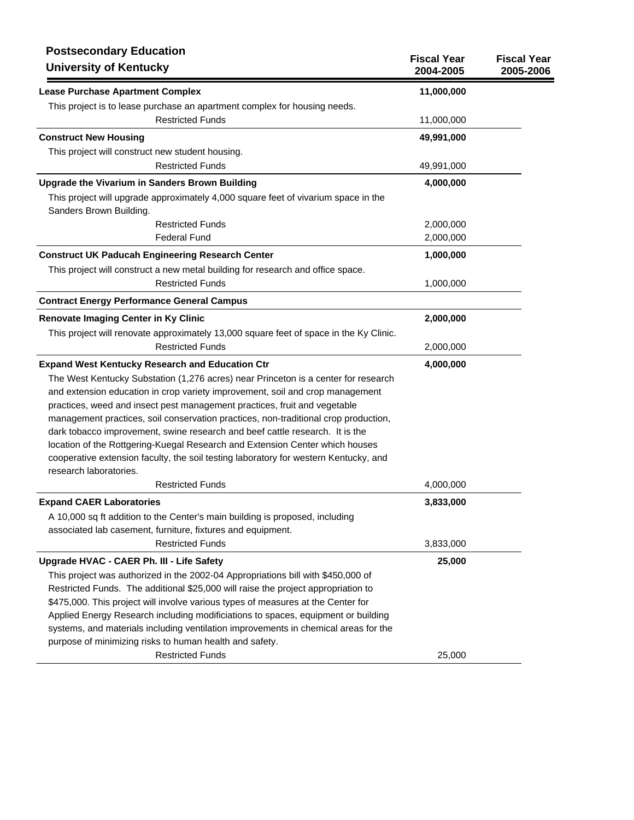| <b>Postsecondary Education</b><br><b>University of Kentucky</b>                                                | <b>Fiscal Year</b><br>2004-2005 | <b>Fiscal Year</b><br>2005-2006 |
|----------------------------------------------------------------------------------------------------------------|---------------------------------|---------------------------------|
| <b>Lease Purchase Apartment Complex</b>                                                                        | 11,000,000                      |                                 |
| This project is to lease purchase an apartment complex for housing needs.                                      |                                 |                                 |
| <b>Restricted Funds</b>                                                                                        | 11,000,000                      |                                 |
| <b>Construct New Housing</b>                                                                                   | 49,991,000                      |                                 |
| This project will construct new student housing.                                                               |                                 |                                 |
| <b>Restricted Funds</b>                                                                                        | 49,991,000                      |                                 |
| <b>Upgrade the Vivarium in Sanders Brown Building</b>                                                          | 4,000,000                       |                                 |
| This project will upgrade approximately 4,000 square feet of vivarium space in the<br>Sanders Brown Building.  |                                 |                                 |
| <b>Restricted Funds</b>                                                                                        | 2,000,000                       |                                 |
| <b>Federal Fund</b>                                                                                            | 2,000,000                       |                                 |
| <b>Construct UK Paducah Engineering Research Center</b>                                                        | 1,000,000                       |                                 |
| This project will construct a new metal building for research and office space.                                |                                 |                                 |
| <b>Restricted Funds</b>                                                                                        | 1,000,000                       |                                 |
| <b>Contract Energy Performance General Campus</b>                                                              |                                 |                                 |
| Renovate Imaging Center in Ky Clinic                                                                           | 2,000,000                       |                                 |
| This project will renovate approximately 13,000 square feet of space in the Ky Clinic.                         |                                 |                                 |
| <b>Restricted Funds</b>                                                                                        | 2,000,000                       |                                 |
| <b>Expand West Kentucky Research and Education Ctr</b>                                                         | 4,000,000                       |                                 |
| The West Kentucky Substation (1,276 acres) near Princeton is a center for research                             |                                 |                                 |
| and extension education in crop variety improvement, soil and crop management                                  |                                 |                                 |
| practices, weed and insect pest management practices, fruit and vegetable                                      |                                 |                                 |
| management practices, soil conservation practices, non-traditional crop production,                            |                                 |                                 |
| dark tobacco improvement, swine research and beef cattle research. It is the                                   |                                 |                                 |
| location of the Rottgering-Kuegal Research and Extension Center which houses                                   |                                 |                                 |
| cooperative extension faculty, the soil testing laboratory for western Kentucky, and<br>research laboratories. |                                 |                                 |
| <b>Restricted Funds</b>                                                                                        | 4,000,000                       |                                 |
| <b>Expand CAER Laboratories</b>                                                                                | 3,833,000                       |                                 |
| A 10,000 sq ft addition to the Center's main building is proposed, including                                   |                                 |                                 |
| associated lab casement, furniture, fixtures and equipment.                                                    |                                 |                                 |
| <b>Restricted Funds</b>                                                                                        | 3,833,000                       |                                 |
| Upgrade HVAC - CAER Ph. III - Life Safety                                                                      | 25,000                          |                                 |
| This project was authorized in the 2002-04 Appropriations bill with \$450,000 of                               |                                 |                                 |
| Restricted Funds. The additional \$25,000 will raise the project appropriation to                              |                                 |                                 |
| \$475,000. This project will involve various types of measures at the Center for                               |                                 |                                 |
| Applied Energy Research including modificiations to spaces, equipment or building                              |                                 |                                 |
| systems, and materials including ventilation improvements in chemical areas for the                            |                                 |                                 |
| purpose of minimizing risks to human health and safety.                                                        |                                 |                                 |
| <b>Restricted Funds</b>                                                                                        | 25,000                          |                                 |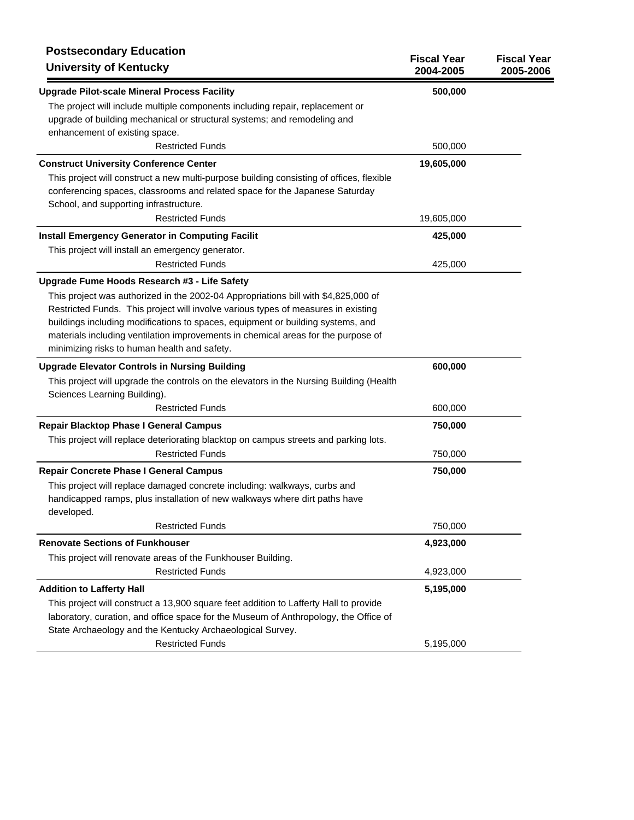| <b>Postsecondary Education</b><br><b>University of Kentucky</b>                          | <b>Fiscal Year</b><br>2004-2005 | <b>Fiscal Year</b><br>2005-2006 |
|------------------------------------------------------------------------------------------|---------------------------------|---------------------------------|
| <b>Upgrade Pilot-scale Mineral Process Facility</b>                                      | 500,000                         |                                 |
| The project will include multiple components including repair, replacement or            |                                 |                                 |
| upgrade of building mechanical or structural systems; and remodeling and                 |                                 |                                 |
| enhancement of existing space.                                                           |                                 |                                 |
| <b>Restricted Funds</b>                                                                  | 500,000                         |                                 |
| <b>Construct University Conference Center</b>                                            | 19,605,000                      |                                 |
| This project will construct a new multi-purpose building consisting of offices, flexible |                                 |                                 |
| conferencing spaces, classrooms and related space for the Japanese Saturday              |                                 |                                 |
| School, and supporting infrastructure.                                                   |                                 |                                 |
| <b>Restricted Funds</b>                                                                  | 19,605,000                      |                                 |
| <b>Install Emergency Generator in Computing Facilit</b>                                  | 425,000                         |                                 |
| This project will install an emergency generator.                                        |                                 |                                 |
| <b>Restricted Funds</b>                                                                  | 425,000                         |                                 |
| Upgrade Fume Hoods Research #3 - Life Safety                                             |                                 |                                 |
| This project was authorized in the 2002-04 Appropriations bill with \$4,825,000 of       |                                 |                                 |
| Restricted Funds. This project will involve various types of measures in existing        |                                 |                                 |
| buildings including modifications to spaces, equipment or building systems, and          |                                 |                                 |
| materials including ventilation improvements in chemical areas for the purpose of        |                                 |                                 |
| minimizing risks to human health and safety.                                             |                                 |                                 |
| <b>Upgrade Elevator Controls in Nursing Building</b>                                     | 600,000                         |                                 |
| This project will upgrade the controls on the elevators in the Nursing Building (Health  |                                 |                                 |
| Sciences Learning Building).                                                             |                                 |                                 |
| <b>Restricted Funds</b>                                                                  | 600,000                         |                                 |
| <b>Repair Blacktop Phase I General Campus</b>                                            | 750,000                         |                                 |
| This project will replace deteriorating blacktop on campus streets and parking lots.     |                                 |                                 |
| <b>Restricted Funds</b>                                                                  | 750,000                         |                                 |
| <b>Repair Concrete Phase I General Campus</b>                                            | 750,000                         |                                 |
| This project will replace damaged concrete including: walkways, curbs and                |                                 |                                 |
| handicapped ramps, plus installation of new walkways where dirt paths have               |                                 |                                 |
| developed.                                                                               |                                 |                                 |
| <b>Restricted Funds</b>                                                                  | 750,000                         |                                 |
| <b>Renovate Sections of Funkhouser</b>                                                   | 4,923,000                       |                                 |
| This project will renovate areas of the Funkhouser Building.                             |                                 |                                 |
| <b>Restricted Funds</b>                                                                  | 4,923,000                       |                                 |
| <b>Addition to Lafferty Hall</b>                                                         | 5,195,000                       |                                 |
| This project will construct a 13,900 square feet addition to Lafferty Hall to provide    |                                 |                                 |
| laboratory, curation, and office space for the Museum of Anthropology, the Office of     |                                 |                                 |
| State Archaeology and the Kentucky Archaeological Survey.                                |                                 |                                 |
| <b>Restricted Funds</b>                                                                  | 5,195,000                       |                                 |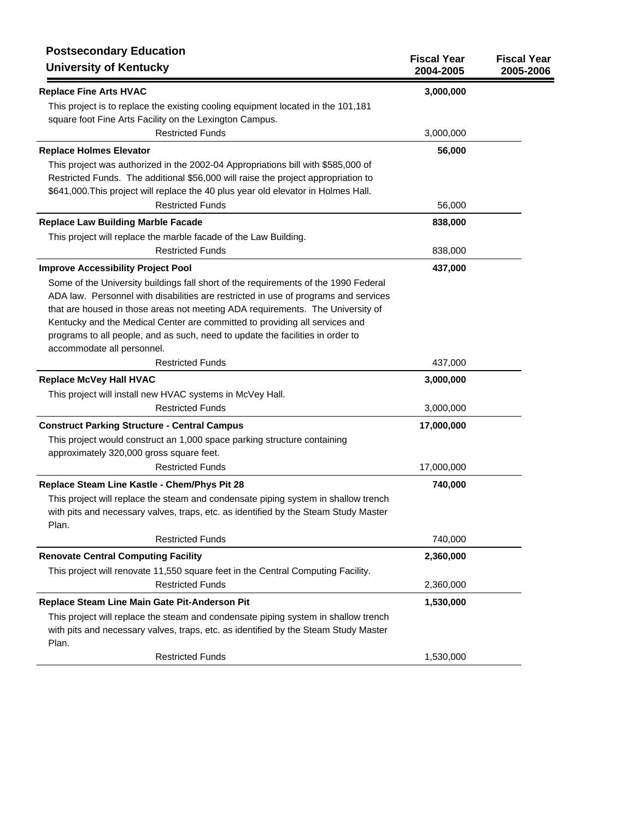| <b>Postsecondary Education</b><br><b>University of Kentucky</b>                     | <b>Fiscal Year</b><br>2004-2005 | <b>Fiscal Year</b><br>2005-2006 |
|-------------------------------------------------------------------------------------|---------------------------------|---------------------------------|
| <b>Replace Fine Arts HVAC</b>                                                       | 3,000,000                       |                                 |
| This project is to replace the existing cooling equipment located in the 101,181    |                                 |                                 |
| square foot Fine Arts Facility on the Lexington Campus.                             |                                 |                                 |
| <b>Restricted Funds</b>                                                             | 3,000,000                       |                                 |
| <b>Replace Holmes Elevator</b>                                                      | 56,000                          |                                 |
| This project was authorized in the 2002-04 Appropriations bill with \$585,000 of    |                                 |                                 |
| Restricted Funds. The additional \$56,000 will raise the project appropriation to   |                                 |                                 |
| \$641,000. This project will replace the 40 plus year old elevator in Holmes Hall.  |                                 |                                 |
| <b>Restricted Funds</b>                                                             | 56,000                          |                                 |
| <b>Replace Law Building Marble Facade</b>                                           | 838,000                         |                                 |
| This project will replace the marble facade of the Law Building.                    |                                 |                                 |
| <b>Restricted Funds</b>                                                             | 838,000                         |                                 |
| <b>Improve Accessibility Project Pool</b>                                           | 437,000                         |                                 |
| Some of the University buildings fall short of the requirements of the 1990 Federal |                                 |                                 |
| ADA law. Personnel with disabilities are restricted in use of programs and services |                                 |                                 |
| that are housed in those areas not meeting ADA requirements. The University of      |                                 |                                 |
| Kentucky and the Medical Center are committed to providing all services and         |                                 |                                 |
| programs to all people, and as such, need to update the facilities in order to      |                                 |                                 |
| accommodate all personnel.                                                          |                                 |                                 |
| <b>Restricted Funds</b>                                                             | 437,000                         |                                 |
| <b>Replace McVey Hall HVAC</b>                                                      | 3,000,000                       |                                 |
| This project will install new HVAC systems in McVey Hall.                           |                                 |                                 |
| <b>Restricted Funds</b>                                                             | 3,000,000                       |                                 |
| <b>Construct Parking Structure - Central Campus</b>                                 | 17,000,000                      |                                 |
| This project would construct an 1,000 space parking structure containing            |                                 |                                 |
| approximately 320,000 gross square feet.                                            |                                 |                                 |
| <b>Restricted Funds</b>                                                             | 17,000,000                      |                                 |
| Replace Steam Line Kastle - Chem/Phys Pit 28                                        | 740,000                         |                                 |
| This project will replace the steam and condensate piping system in shallow trench  |                                 |                                 |
| with pits and necessary valves, traps, etc. as identified by the Steam Study Master |                                 |                                 |
| Plan.                                                                               |                                 |                                 |
| <b>Restricted Funds</b>                                                             | 740,000                         |                                 |
| <b>Renovate Central Computing Facility</b>                                          | 2,360,000                       |                                 |
| This project will renovate 11,550 square feet in the Central Computing Facility.    |                                 |                                 |
| <b>Restricted Funds</b>                                                             | 2,360,000                       |                                 |
| Replace Steam Line Main Gate Pit-Anderson Pit                                       | 1,530,000                       |                                 |
| This project will replace the steam and condensate piping system in shallow trench  |                                 |                                 |
| with pits and necessary valves, traps, etc. as identified by the Steam Study Master |                                 |                                 |
| Plan.                                                                               |                                 |                                 |
| <b>Restricted Funds</b>                                                             | 1,530,000                       |                                 |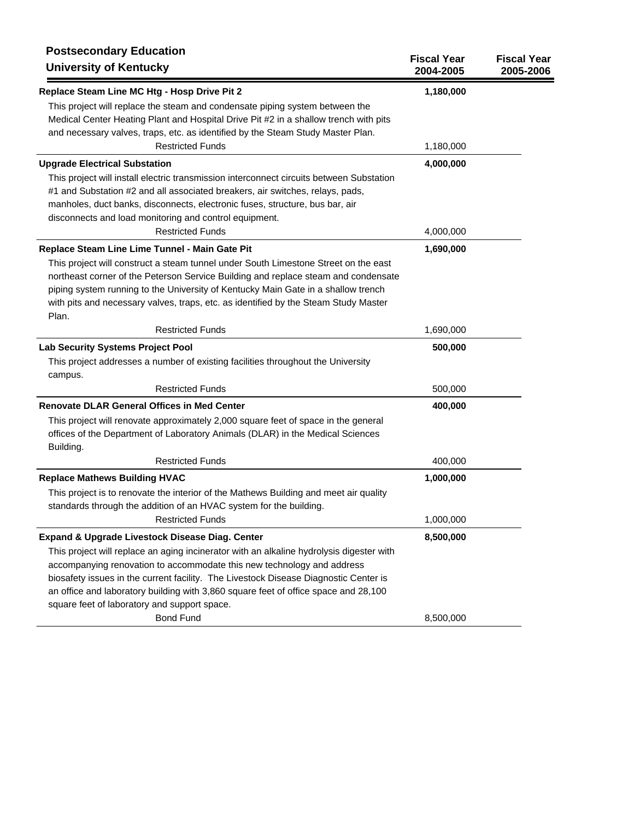| <b>Postsecondary Education</b><br><b>University of Kentucky</b>                                                                                                                                                                                                                                                                                                                                                                                      | <b>Fiscal Year</b><br>2004-2005 | <b>Fiscal Year</b><br>2005-2006 |
|------------------------------------------------------------------------------------------------------------------------------------------------------------------------------------------------------------------------------------------------------------------------------------------------------------------------------------------------------------------------------------------------------------------------------------------------------|---------------------------------|---------------------------------|
| Replace Steam Line MC Htg - Hosp Drive Pit 2                                                                                                                                                                                                                                                                                                                                                                                                         | 1,180,000                       |                                 |
| This project will replace the steam and condensate piping system between the<br>Medical Center Heating Plant and Hospital Drive Pit #2 in a shallow trench with pits<br>and necessary valves, traps, etc. as identified by the Steam Study Master Plan.<br><b>Restricted Funds</b>                                                                                                                                                                   | 1,180,000                       |                                 |
| <b>Upgrade Electrical Substation</b>                                                                                                                                                                                                                                                                                                                                                                                                                 | 4,000,000                       |                                 |
| This project will install electric transmission interconnect circuits between Substation<br>#1 and Substation #2 and all associated breakers, air switches, relays, pads,<br>manholes, duct banks, disconnects, electronic fuses, structure, bus bar, air<br>disconnects and load monitoring and control equipment.                                                                                                                                  |                                 |                                 |
| <b>Restricted Funds</b>                                                                                                                                                                                                                                                                                                                                                                                                                              | 4,000,000                       |                                 |
| Replace Steam Line Lime Tunnel - Main Gate Pit<br>This project will construct a steam tunnel under South Limestone Street on the east<br>northeast corner of the Peterson Service Building and replace steam and condensate<br>piping system running to the University of Kentucky Main Gate in a shallow trench<br>with pits and necessary valves, traps, etc. as identified by the Steam Study Master<br>Plan.                                     | 1,690,000                       |                                 |
| <b>Restricted Funds</b>                                                                                                                                                                                                                                                                                                                                                                                                                              | 1,690,000                       |                                 |
| <b>Lab Security Systems Project Pool</b>                                                                                                                                                                                                                                                                                                                                                                                                             | 500,000                         |                                 |
| This project addresses a number of existing facilities throughout the University<br>campus.                                                                                                                                                                                                                                                                                                                                                          |                                 |                                 |
| <b>Restricted Funds</b>                                                                                                                                                                                                                                                                                                                                                                                                                              | 500,000                         |                                 |
| <b>Renovate DLAR General Offices in Med Center</b><br>This project will renovate approximately 2,000 square feet of space in the general<br>offices of the Department of Laboratory Animals (DLAR) in the Medical Sciences<br>Building.                                                                                                                                                                                                              | 400,000                         |                                 |
| <b>Restricted Funds</b>                                                                                                                                                                                                                                                                                                                                                                                                                              | 400,000                         |                                 |
| <b>Replace Mathews Building HVAC</b><br>This project is to renovate the interior of the Mathews Building and meet air quality<br>standards through the addition of an HVAC system for the building.                                                                                                                                                                                                                                                  | 1,000,000                       |                                 |
| <b>Restricted Funds</b>                                                                                                                                                                                                                                                                                                                                                                                                                              | 1,000,000                       |                                 |
| Expand & Upgrade Livestock Disease Diag. Center<br>This project will replace an aging incinerator with an alkaline hydrolysis digester with<br>accompanying renovation to accommodate this new technology and address<br>biosafety issues in the current facility. The Livestock Disease Diagnostic Center is<br>an office and laboratory building with 3,860 square feet of office space and 28,100<br>square feet of laboratory and support space. | 8,500,000                       |                                 |
| <b>Bond Fund</b>                                                                                                                                                                                                                                                                                                                                                                                                                                     | 8,500,000                       |                                 |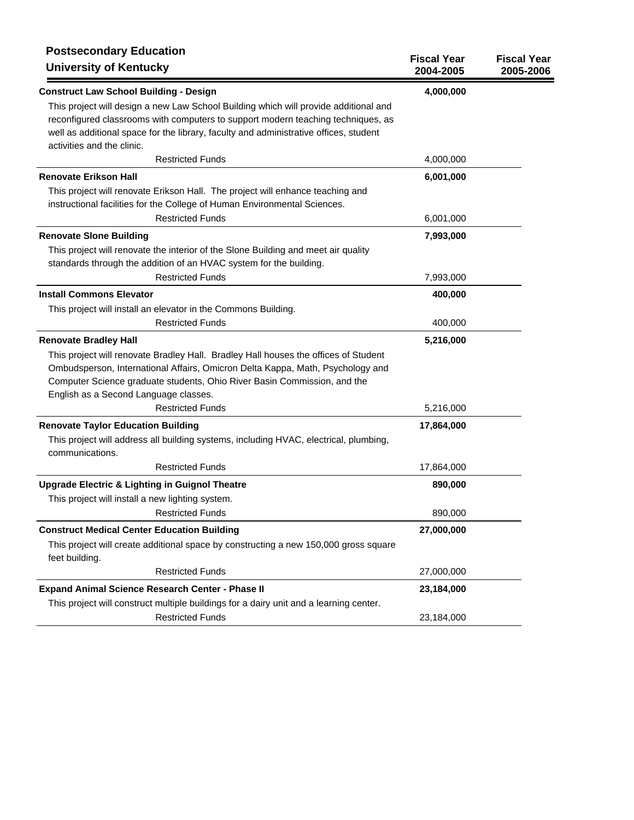| <b>Postsecondary Education</b><br><b>University of Kentucky</b>                                                                                                                                                                                                                                                                                       | <b>Fiscal Year</b><br>2004-2005 | <b>Fiscal Year</b><br>2005-2006 |
|-------------------------------------------------------------------------------------------------------------------------------------------------------------------------------------------------------------------------------------------------------------------------------------------------------------------------------------------------------|---------------------------------|---------------------------------|
| <b>Construct Law School Building - Design</b>                                                                                                                                                                                                                                                                                                         | 4,000,000                       |                                 |
| This project will design a new Law School Building which will provide additional and<br>reconfigured classrooms with computers to support modern teaching techniques, as<br>well as additional space for the library, faculty and administrative offices, student<br>activities and the clinic.                                                       |                                 |                                 |
| <b>Restricted Funds</b>                                                                                                                                                                                                                                                                                                                               | 4,000,000                       |                                 |
| <b>Renovate Erikson Hall</b>                                                                                                                                                                                                                                                                                                                          | 6,001,000                       |                                 |
| This project will renovate Erikson Hall. The project will enhance teaching and<br>instructional facilities for the College of Human Environmental Sciences.<br><b>Restricted Funds</b>                                                                                                                                                                | 6,001,000                       |                                 |
| <b>Renovate Slone Building</b>                                                                                                                                                                                                                                                                                                                        | 7,993,000                       |                                 |
| This project will renovate the interior of the Slone Building and meet air quality<br>standards through the addition of an HVAC system for the building.                                                                                                                                                                                              |                                 |                                 |
| <b>Restricted Funds</b>                                                                                                                                                                                                                                                                                                                               | 7,993,000                       |                                 |
| <b>Install Commons Elevator</b><br>This project will install an elevator in the Commons Building.                                                                                                                                                                                                                                                     | 400,000                         |                                 |
| <b>Restricted Funds</b>                                                                                                                                                                                                                                                                                                                               | 400,000                         |                                 |
| <b>Renovate Bradley Hall</b><br>This project will renovate Bradley Hall. Bradley Hall houses the offices of Student<br>Ombudsperson, International Affairs, Omicron Delta Kappa, Math, Psychology and<br>Computer Science graduate students, Ohio River Basin Commission, and the<br>English as a Second Language classes.<br><b>Restricted Funds</b> | 5,216,000<br>5,216,000          |                                 |
| <b>Renovate Taylor Education Building</b>                                                                                                                                                                                                                                                                                                             | 17,864,000                      |                                 |
| This project will address all building systems, including HVAC, electrical, plumbing,<br>communications.                                                                                                                                                                                                                                              |                                 |                                 |
| <b>Restricted Funds</b>                                                                                                                                                                                                                                                                                                                               | 17,864,000                      |                                 |
| <b>Upgrade Electric &amp; Lighting in Guignol Theatre</b><br>This project will install a new lighting system.                                                                                                                                                                                                                                         | 890,000                         |                                 |
| <b>Restricted Funds</b>                                                                                                                                                                                                                                                                                                                               | 890,000                         |                                 |
| <b>Construct Medical Center Education Building</b><br>This project will create additional space by constructing a new 150,000 gross square<br>feet building.                                                                                                                                                                                          | 27,000,000                      |                                 |
| <b>Restricted Funds</b>                                                                                                                                                                                                                                                                                                                               | 27,000,000                      |                                 |
| <b>Expand Animal Science Research Center - Phase II</b><br>This project will construct multiple buildings for a dairy unit and a learning center.                                                                                                                                                                                                     | 23,184,000                      |                                 |
| <b>Restricted Funds</b>                                                                                                                                                                                                                                                                                                                               | 23,184,000                      |                                 |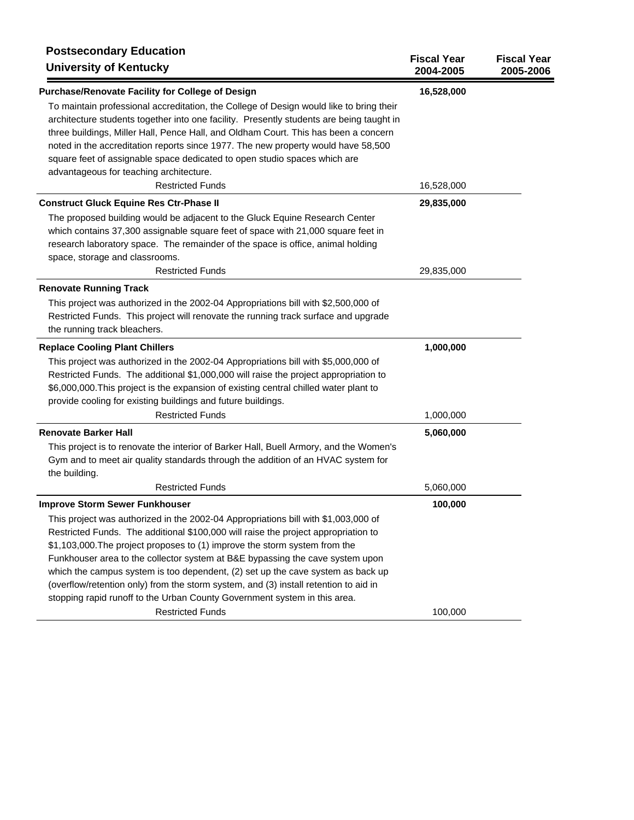| <b>Postsecondary Education</b><br><b>University of Kentucky</b>                                                                                                                                                                                                                                                                                                                                                                                                                                                                                                                                 | <b>Fiscal Year</b><br>2004-2005 | <b>Fiscal Year</b><br>2005-2006 |
|-------------------------------------------------------------------------------------------------------------------------------------------------------------------------------------------------------------------------------------------------------------------------------------------------------------------------------------------------------------------------------------------------------------------------------------------------------------------------------------------------------------------------------------------------------------------------------------------------|---------------------------------|---------------------------------|
| Purchase/Renovate Facility for College of Design                                                                                                                                                                                                                                                                                                                                                                                                                                                                                                                                                | 16,528,000                      |                                 |
| To maintain professional accreditation, the College of Design would like to bring their<br>architecture students together into one facility. Presently students are being taught in<br>three buildings, Miller Hall, Pence Hall, and Oldham Court. This has been a concern<br>noted in the accreditation reports since 1977. The new property would have 58,500<br>square feet of assignable space dedicated to open studio spaces which are<br>advantageous for teaching architecture.                                                                                                         |                                 |                                 |
| <b>Restricted Funds</b>                                                                                                                                                                                                                                                                                                                                                                                                                                                                                                                                                                         | 16,528,000                      |                                 |
| <b>Construct Gluck Equine Res Ctr-Phase II</b>                                                                                                                                                                                                                                                                                                                                                                                                                                                                                                                                                  | 29,835,000                      |                                 |
| The proposed building would be adjacent to the Gluck Equine Research Center<br>which contains 37,300 assignable square feet of space with 21,000 square feet in<br>research laboratory space. The remainder of the space is office, animal holding<br>space, storage and classrooms.                                                                                                                                                                                                                                                                                                            |                                 |                                 |
| <b>Restricted Funds</b>                                                                                                                                                                                                                                                                                                                                                                                                                                                                                                                                                                         | 29,835,000                      |                                 |
| <b>Renovate Running Track</b>                                                                                                                                                                                                                                                                                                                                                                                                                                                                                                                                                                   |                                 |                                 |
| This project was authorized in the 2002-04 Appropriations bill with \$2,500,000 of<br>Restricted Funds. This project will renovate the running track surface and upgrade<br>the running track bleachers.                                                                                                                                                                                                                                                                                                                                                                                        |                                 |                                 |
| <b>Replace Cooling Plant Chillers</b>                                                                                                                                                                                                                                                                                                                                                                                                                                                                                                                                                           | 1,000,000                       |                                 |
| This project was authorized in the 2002-04 Appropriations bill with \$5,000,000 of<br>Restricted Funds. The additional \$1,000,000 will raise the project appropriation to<br>\$6,000,000. This project is the expansion of existing central chilled water plant to<br>provide cooling for existing buildings and future buildings.                                                                                                                                                                                                                                                             |                                 |                                 |
| <b>Restricted Funds</b>                                                                                                                                                                                                                                                                                                                                                                                                                                                                                                                                                                         | 1,000,000                       |                                 |
| <b>Renovate Barker Hall</b>                                                                                                                                                                                                                                                                                                                                                                                                                                                                                                                                                                     | 5,060,000                       |                                 |
| This project is to renovate the interior of Barker Hall, Buell Armory, and the Women's<br>Gym and to meet air quality standards through the addition of an HVAC system for<br>the building.                                                                                                                                                                                                                                                                                                                                                                                                     |                                 |                                 |
| <b>Restricted Funds</b>                                                                                                                                                                                                                                                                                                                                                                                                                                                                                                                                                                         | 5,060,000                       |                                 |
| <b>Improve Storm Sewer Funkhouser</b>                                                                                                                                                                                                                                                                                                                                                                                                                                                                                                                                                           | 100,000                         |                                 |
| This project was authorized in the 2002-04 Appropriations bill with \$1,003,000 of<br>Restricted Funds. The additional \$100,000 will raise the project appropriation to<br>\$1,103,000. The project proposes to (1) improve the storm system from the<br>Funkhouser area to the collector system at B&E bypassing the cave system upon<br>which the campus system is too dependent, (2) set up the cave system as back up<br>(overflow/retention only) from the storm system, and (3) install retention to aid in<br>stopping rapid runoff to the Urban County Government system in this area. |                                 |                                 |
| <b>Restricted Funds</b>                                                                                                                                                                                                                                                                                                                                                                                                                                                                                                                                                                         | 100,000                         |                                 |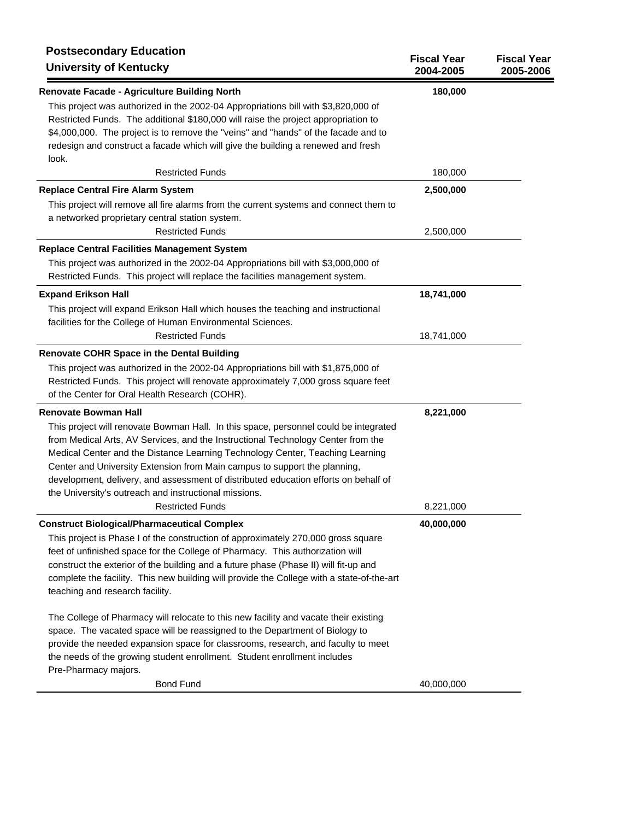| <b>Postsecondary Education</b><br><b>University of Kentucky</b>                                                                                                                                                                                                                                                                                             | <b>Fiscal Year</b><br>2004-2005 | <b>Fiscal Year</b><br>2005-2006 |
|-------------------------------------------------------------------------------------------------------------------------------------------------------------------------------------------------------------------------------------------------------------------------------------------------------------------------------------------------------------|---------------------------------|---------------------------------|
| Renovate Facade - Agriculture Building North<br>This project was authorized in the 2002-04 Appropriations bill with \$3,820,000 of<br>Restricted Funds. The additional \$180,000 will raise the project appropriation to                                                                                                                                    | 180,000                         |                                 |
| \$4,000,000. The project is to remove the "veins" and "hands" of the facade and to<br>redesign and construct a facade which will give the building a renewed and fresh<br>look.                                                                                                                                                                             |                                 |                                 |
| <b>Restricted Funds</b>                                                                                                                                                                                                                                                                                                                                     | 180,000                         |                                 |
| <b>Replace Central Fire Alarm System</b>                                                                                                                                                                                                                                                                                                                    | 2,500,000                       |                                 |
| This project will remove all fire alarms from the current systems and connect them to                                                                                                                                                                                                                                                                       |                                 |                                 |
| a networked proprietary central station system.                                                                                                                                                                                                                                                                                                             |                                 |                                 |
| <b>Restricted Funds</b>                                                                                                                                                                                                                                                                                                                                     | 2,500,000                       |                                 |
| <b>Replace Central Facilities Management System</b>                                                                                                                                                                                                                                                                                                         |                                 |                                 |
| This project was authorized in the 2002-04 Appropriations bill with \$3,000,000 of<br>Restricted Funds. This project will replace the facilities management system.                                                                                                                                                                                         |                                 |                                 |
| <b>Expand Erikson Hall</b>                                                                                                                                                                                                                                                                                                                                  | 18,741,000                      |                                 |
| This project will expand Erikson Hall which houses the teaching and instructional<br>facilities for the College of Human Environmental Sciences.                                                                                                                                                                                                            |                                 |                                 |
| <b>Restricted Funds</b>                                                                                                                                                                                                                                                                                                                                     | 18,741,000                      |                                 |
| <b>Renovate COHR Space in the Dental Building</b>                                                                                                                                                                                                                                                                                                           |                                 |                                 |
| This project was authorized in the 2002-04 Appropriations bill with \$1,875,000 of                                                                                                                                                                                                                                                                          |                                 |                                 |
| Restricted Funds. This project will renovate approximately 7,000 gross square feet<br>of the Center for Oral Health Research (COHR).                                                                                                                                                                                                                        |                                 |                                 |
| <b>Renovate Bowman Hall</b>                                                                                                                                                                                                                                                                                                                                 | 8,221,000                       |                                 |
| This project will renovate Bowman Hall. In this space, personnel could be integrated                                                                                                                                                                                                                                                                        |                                 |                                 |
| from Medical Arts, AV Services, and the Instructional Technology Center from the                                                                                                                                                                                                                                                                            |                                 |                                 |
| Medical Center and the Distance Learning Technology Center, Teaching Learning                                                                                                                                                                                                                                                                               |                                 |                                 |
| Center and University Extension from Main campus to support the planning,                                                                                                                                                                                                                                                                                   |                                 |                                 |
| development, delivery, and assessment of distributed education efforts on behalf of<br>the University's outreach and instructional missions.                                                                                                                                                                                                                |                                 |                                 |
| <b>Restricted Funds</b>                                                                                                                                                                                                                                                                                                                                     | 8,221,000                       |                                 |
| <b>Construct Biological/Pharmaceutical Complex</b>                                                                                                                                                                                                                                                                                                          | 40,000,000                      |                                 |
| This project is Phase I of the construction of approximately 270,000 gross square<br>feet of unfinished space for the College of Pharmacy. This authorization will<br>construct the exterior of the building and a future phase (Phase II) will fit-up and<br>complete the facility. This new building will provide the College with a state-of-the-art     |                                 |                                 |
| teaching and research facility.                                                                                                                                                                                                                                                                                                                             |                                 |                                 |
| The College of Pharmacy will relocate to this new facility and vacate their existing<br>space. The vacated space will be reassigned to the Department of Biology to<br>provide the needed expansion space for classrooms, research, and faculty to meet<br>the needs of the growing student enrollment. Student enrollment includes<br>Pre-Pharmacy majors. |                                 |                                 |
| <b>Bond Fund</b>                                                                                                                                                                                                                                                                                                                                            | 40,000,000                      |                                 |
|                                                                                                                                                                                                                                                                                                                                                             |                                 |                                 |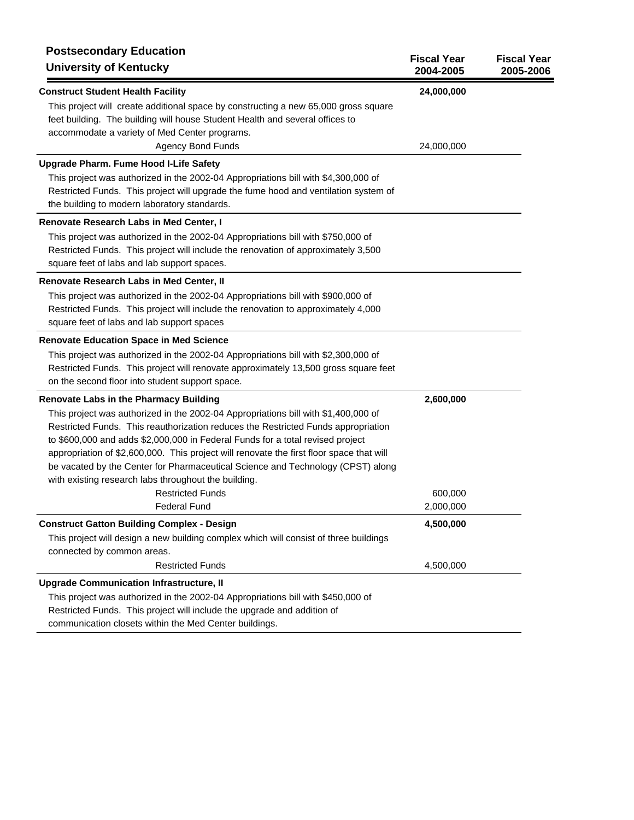| <b>Postsecondary Education</b><br><b>University of Kentucky</b>                                                                                                                                                                                                                                                                                                                                                                                                                                                                                                                                     | <b>Fiscal Year</b><br>2004-2005   | <b>Fiscal Year</b><br>2005-2006 |
|-----------------------------------------------------------------------------------------------------------------------------------------------------------------------------------------------------------------------------------------------------------------------------------------------------------------------------------------------------------------------------------------------------------------------------------------------------------------------------------------------------------------------------------------------------------------------------------------------------|-----------------------------------|---------------------------------|
| <b>Construct Student Health Facility</b><br>This project will create additional space by constructing a new 65,000 gross square<br>feet building. The building will house Student Health and several offices to<br>accommodate a variety of Med Center programs.<br><b>Agency Bond Funds</b>                                                                                                                                                                                                                                                                                                        | 24,000,000<br>24,000,000          |                                 |
| <b>Upgrade Pharm. Fume Hood I-Life Safety</b><br>This project was authorized in the 2002-04 Appropriations bill with \$4,300,000 of<br>Restricted Funds. This project will upgrade the fume hood and ventilation system of<br>the building to modern laboratory standards.                                                                                                                                                                                                                                                                                                                          |                                   |                                 |
| Renovate Research Labs in Med Center, I<br>This project was authorized in the 2002-04 Appropriations bill with \$750,000 of<br>Restricted Funds. This project will include the renovation of approximately 3,500<br>square feet of labs and lab support spaces.                                                                                                                                                                                                                                                                                                                                     |                                   |                                 |
| Renovate Research Labs in Med Center, II<br>This project was authorized in the 2002-04 Appropriations bill with \$900,000 of<br>Restricted Funds. This project will include the renovation to approximately 4,000<br>square feet of labs and lab support spaces                                                                                                                                                                                                                                                                                                                                     |                                   |                                 |
| <b>Renovate Education Space in Med Science</b><br>This project was authorized in the 2002-04 Appropriations bill with \$2,300,000 of<br>Restricted Funds. This project will renovate approximately 13,500 gross square feet<br>on the second floor into student support space.                                                                                                                                                                                                                                                                                                                      |                                   |                                 |
| <b>Renovate Labs in the Pharmacy Building</b><br>This project was authorized in the 2002-04 Appropriations bill with \$1,400,000 of<br>Restricted Funds. This reauthorization reduces the Restricted Funds appropriation<br>to \$600,000 and adds \$2,000,000 in Federal Funds for a total revised project<br>appropriation of \$2,600,000. This project will renovate the first floor space that will<br>be vacated by the Center for Pharmaceutical Science and Technology (CPST) along<br>with existing research labs throughout the building.<br><b>Restricted Funds</b><br><b>Federal Fund</b> | 2,600,000<br>600,000<br>2,000,000 |                                 |
| <b>Construct Gatton Building Complex - Design</b><br>This project will design a new building complex which will consist of three buildings<br>connected by common areas.<br><b>Restricted Funds</b>                                                                                                                                                                                                                                                                                                                                                                                                 | 4,500,000<br>4,500,000            |                                 |
| <b>Upgrade Communication Infrastructure, II</b><br>This project was authorized in the 2002-04 Appropriations bill with \$450,000 of<br>Restricted Funds. This project will include the upgrade and addition of<br>communication closets within the Med Center buildings.                                                                                                                                                                                                                                                                                                                            |                                   |                                 |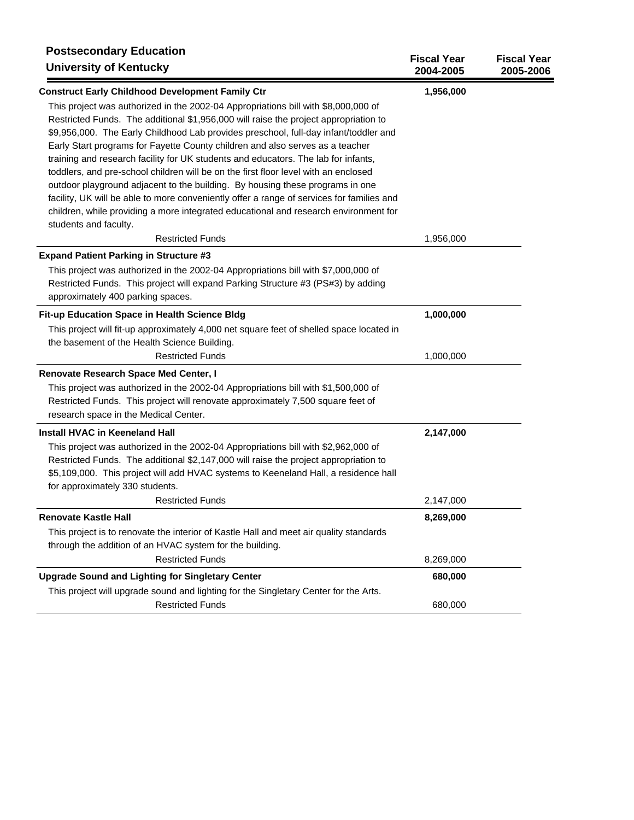| <b>Postsecondary Education</b><br><b>University of Kentucky</b>                                                                                                                                                                                                                                                                                                                                                                                                                                                                                                                                                                                                                                                                                                                                                                 | <b>Fiscal Year</b><br>2004-2005 | <b>Fiscal Year</b><br>2005-2006 |
|---------------------------------------------------------------------------------------------------------------------------------------------------------------------------------------------------------------------------------------------------------------------------------------------------------------------------------------------------------------------------------------------------------------------------------------------------------------------------------------------------------------------------------------------------------------------------------------------------------------------------------------------------------------------------------------------------------------------------------------------------------------------------------------------------------------------------------|---------------------------------|---------------------------------|
| <b>Construct Early Childhood Development Family Ctr</b>                                                                                                                                                                                                                                                                                                                                                                                                                                                                                                                                                                                                                                                                                                                                                                         | 1,956,000                       |                                 |
| This project was authorized in the 2002-04 Appropriations bill with \$8,000,000 of<br>Restricted Funds. The additional \$1,956,000 will raise the project appropriation to<br>\$9,956,000. The Early Childhood Lab provides preschool, full-day infant/toddler and<br>Early Start programs for Fayette County children and also serves as a teacher<br>training and research facility for UK students and educators. The lab for infants,<br>toddlers, and pre-school children will be on the first floor level with an enclosed<br>outdoor playground adjacent to the building. By housing these programs in one<br>facility, UK will be able to more conveniently offer a range of services for families and<br>children, while providing a more integrated educational and research environment for<br>students and faculty. |                                 |                                 |
| <b>Restricted Funds</b>                                                                                                                                                                                                                                                                                                                                                                                                                                                                                                                                                                                                                                                                                                                                                                                                         | 1,956,000                       |                                 |
| <b>Expand Patient Parking in Structure #3</b><br>This project was authorized in the 2002-04 Appropriations bill with \$7,000,000 of<br>Restricted Funds. This project will expand Parking Structure #3 (PS#3) by adding<br>approximately 400 parking spaces.                                                                                                                                                                                                                                                                                                                                                                                                                                                                                                                                                                    |                                 |                                 |
| Fit-up Education Space in Health Science Bldg                                                                                                                                                                                                                                                                                                                                                                                                                                                                                                                                                                                                                                                                                                                                                                                   | 1,000,000                       |                                 |
| This project will fit-up approximately 4,000 net square feet of shelled space located in                                                                                                                                                                                                                                                                                                                                                                                                                                                                                                                                                                                                                                                                                                                                        |                                 |                                 |
| the basement of the Health Science Building.<br><b>Restricted Funds</b>                                                                                                                                                                                                                                                                                                                                                                                                                                                                                                                                                                                                                                                                                                                                                         | 1,000,000                       |                                 |
| Renovate Research Space Med Center, I                                                                                                                                                                                                                                                                                                                                                                                                                                                                                                                                                                                                                                                                                                                                                                                           |                                 |                                 |
| This project was authorized in the 2002-04 Appropriations bill with \$1,500,000 of<br>Restricted Funds. This project will renovate approximately 7,500 square feet of<br>research space in the Medical Center.                                                                                                                                                                                                                                                                                                                                                                                                                                                                                                                                                                                                                  |                                 |                                 |
| <b>Install HVAC in Keeneland Hall</b>                                                                                                                                                                                                                                                                                                                                                                                                                                                                                                                                                                                                                                                                                                                                                                                           | 2,147,000                       |                                 |
| This project was authorized in the 2002-04 Appropriations bill with \$2,962,000 of<br>Restricted Funds. The additional \$2,147,000 will raise the project appropriation to<br>\$5,109,000. This project will add HVAC systems to Keeneland Hall, a residence hall<br>for approximately 330 students.                                                                                                                                                                                                                                                                                                                                                                                                                                                                                                                            |                                 |                                 |
| <b>Restricted Funds</b>                                                                                                                                                                                                                                                                                                                                                                                                                                                                                                                                                                                                                                                                                                                                                                                                         | 2,147,000                       |                                 |
| <b>Renovate Kastle Hall</b>                                                                                                                                                                                                                                                                                                                                                                                                                                                                                                                                                                                                                                                                                                                                                                                                     | 8,269,000                       |                                 |
| This project is to renovate the interior of Kastle Hall and meet air quality standards<br>through the addition of an HVAC system for the building.                                                                                                                                                                                                                                                                                                                                                                                                                                                                                                                                                                                                                                                                              |                                 |                                 |
| <b>Restricted Funds</b>                                                                                                                                                                                                                                                                                                                                                                                                                                                                                                                                                                                                                                                                                                                                                                                                         | 8,269,000                       |                                 |
| <b>Upgrade Sound and Lighting for Singletary Center</b><br>This project will upgrade sound and lighting for the Singletary Center for the Arts.                                                                                                                                                                                                                                                                                                                                                                                                                                                                                                                                                                                                                                                                                 | 680,000                         |                                 |
| <b>Restricted Funds</b>                                                                                                                                                                                                                                                                                                                                                                                                                                                                                                                                                                                                                                                                                                                                                                                                         | 680,000                         |                                 |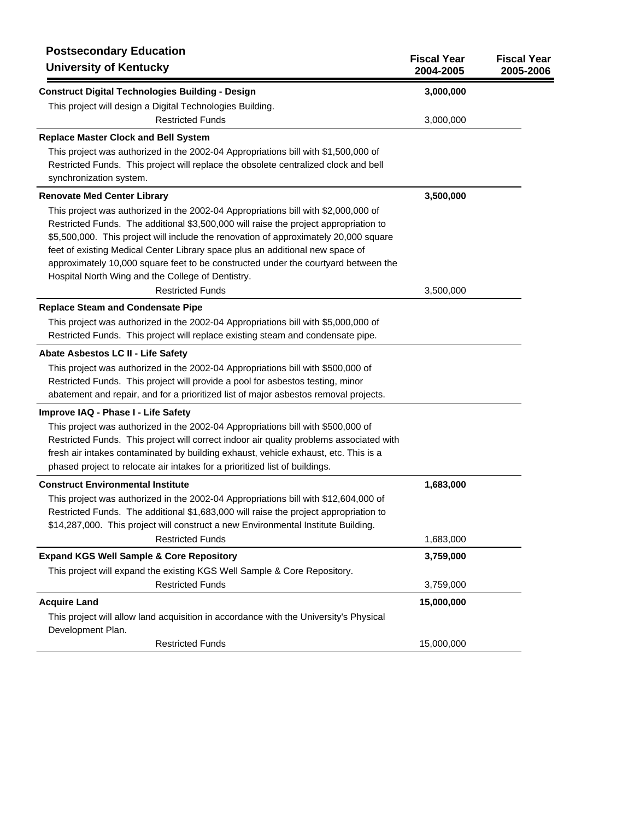| <b>Postsecondary Education</b><br><b>University of Kentucky</b>                                                                                                                                                                                                                                                                                                                                                                                                                                | <b>Fiscal Year</b><br>2004-2005 | <b>Fiscal Year</b><br>2005-2006 |
|------------------------------------------------------------------------------------------------------------------------------------------------------------------------------------------------------------------------------------------------------------------------------------------------------------------------------------------------------------------------------------------------------------------------------------------------------------------------------------------------|---------------------------------|---------------------------------|
| <b>Construct Digital Technologies Building - Design</b>                                                                                                                                                                                                                                                                                                                                                                                                                                        | 3,000,000                       |                                 |
| This project will design a Digital Technologies Building.                                                                                                                                                                                                                                                                                                                                                                                                                                      |                                 |                                 |
| <b>Restricted Funds</b>                                                                                                                                                                                                                                                                                                                                                                                                                                                                        | 3,000,000                       |                                 |
| <b>Replace Master Clock and Bell System</b>                                                                                                                                                                                                                                                                                                                                                                                                                                                    |                                 |                                 |
| This project was authorized in the 2002-04 Appropriations bill with \$1,500,000 of<br>Restricted Funds. This project will replace the obsolete centralized clock and bell<br>synchronization system.                                                                                                                                                                                                                                                                                           |                                 |                                 |
| <b>Renovate Med Center Library</b>                                                                                                                                                                                                                                                                                                                                                                                                                                                             | 3,500,000                       |                                 |
| This project was authorized in the 2002-04 Appropriations bill with \$2,000,000 of<br>Restricted Funds. The additional \$3,500,000 will raise the project appropriation to<br>\$5,500,000. This project will include the renovation of approximately 20,000 square<br>feet of existing Medical Center Library space plus an additional new space of<br>approximately 10,000 square feet to be constructed under the courtyard between the<br>Hospital North Wing and the College of Dentistry. |                                 |                                 |
| <b>Restricted Funds</b>                                                                                                                                                                                                                                                                                                                                                                                                                                                                        | 3,500,000                       |                                 |
| <b>Replace Steam and Condensate Pipe</b>                                                                                                                                                                                                                                                                                                                                                                                                                                                       |                                 |                                 |
| This project was authorized in the 2002-04 Appropriations bill with \$5,000,000 of<br>Restricted Funds. This project will replace existing steam and condensate pipe.                                                                                                                                                                                                                                                                                                                          |                                 |                                 |
| Abate Asbestos LC II - Life Safety                                                                                                                                                                                                                                                                                                                                                                                                                                                             |                                 |                                 |
| This project was authorized in the 2002-04 Appropriations bill with \$500,000 of<br>Restricted Funds. This project will provide a pool for asbestos testing, minor<br>abatement and repair, and for a prioritized list of major asbestos removal projects.                                                                                                                                                                                                                                     |                                 |                                 |
| Improve IAQ - Phase I - Life Safety                                                                                                                                                                                                                                                                                                                                                                                                                                                            |                                 |                                 |
| This project was authorized in the 2002-04 Appropriations bill with \$500,000 of<br>Restricted Funds. This project will correct indoor air quality problems associated with<br>fresh air intakes contaminated by building exhaust, vehicle exhaust, etc. This is a<br>phased project to relocate air intakes for a prioritized list of buildings.                                                                                                                                              |                                 |                                 |
| <b>Construct Environmental Institute</b>                                                                                                                                                                                                                                                                                                                                                                                                                                                       | 1,683,000                       |                                 |
| This project was authorized in the 2002-04 Appropriations bill with \$12,604,000 of<br>Restricted Funds. The additional \$1,683,000 will raise the project appropriation to<br>\$14,287,000. This project will construct a new Environmental Institute Building.                                                                                                                                                                                                                               |                                 |                                 |
| <b>Restricted Funds</b>                                                                                                                                                                                                                                                                                                                                                                                                                                                                        | 1,683,000                       |                                 |
| <b>Expand KGS Well Sample &amp; Core Repository</b>                                                                                                                                                                                                                                                                                                                                                                                                                                            | 3,759,000                       |                                 |
| This project will expand the existing KGS Well Sample & Core Repository.                                                                                                                                                                                                                                                                                                                                                                                                                       |                                 |                                 |
| <b>Restricted Funds</b>                                                                                                                                                                                                                                                                                                                                                                                                                                                                        | 3,759,000                       |                                 |
| <b>Acquire Land</b>                                                                                                                                                                                                                                                                                                                                                                                                                                                                            | 15,000,000                      |                                 |
| This project will allow land acquisition in accordance with the University's Physical<br>Development Plan.                                                                                                                                                                                                                                                                                                                                                                                     |                                 |                                 |
| <b>Restricted Funds</b>                                                                                                                                                                                                                                                                                                                                                                                                                                                                        | 15,000,000                      |                                 |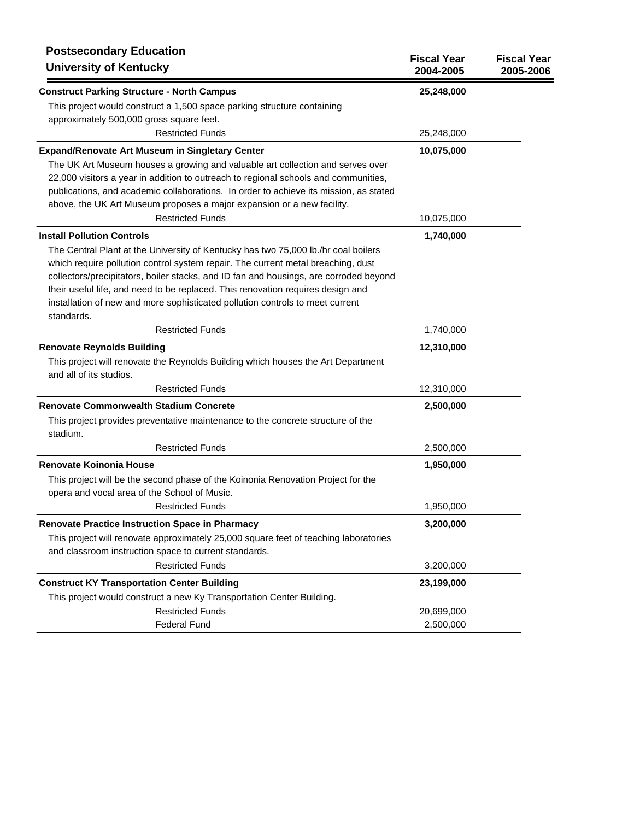| <b>Construct Parking Structure - North Campus</b><br>25,248,000<br>This project would construct a 1,500 space parking structure containing<br>approximately 500,000 gross square feet.<br><b>Restricted Funds</b><br>25,248,000<br><b>Expand/Renovate Art Museum in Singletary Center</b><br>10,075,000<br>The UK Art Museum houses a growing and valuable art collection and serves over<br>22,000 visitors a year in addition to outreach to regional schools and communities,<br>publications, and academic collaborations. In order to achieve its mission, as stated<br>above, the UK Art Museum proposes a major expansion or a new facility.<br><b>Restricted Funds</b><br>10,075,000<br><b>Install Pollution Controls</b><br>1,740,000<br>The Central Plant at the University of Kentucky has two 75,000 lb./hr coal boilers<br>which require pollution control system repair. The current metal breaching, dust<br>collectors/precipitators, boiler stacks, and ID fan and housings, are corroded beyond<br>their useful life, and need to be replaced. This renovation requires design and<br>installation of new and more sophisticated pollution controls to meet current<br>standards.<br><b>Restricted Funds</b><br>1,740,000<br><b>Renovate Reynolds Building</b><br>12,310,000<br>This project will renovate the Reynolds Building which houses the Art Department<br>and all of its studios.<br><b>Restricted Funds</b><br>12,310,000<br><b>Renovate Commonwealth Stadium Concrete</b><br>2,500,000<br>This project provides preventative maintenance to the concrete structure of the<br>stadium.<br><b>Restricted Funds</b><br>2,500,000<br><b>Renovate Koinonia House</b><br>1,950,000<br>This project will be the second phase of the Koinonia Renovation Project for the<br>opera and vocal area of the School of Music.<br><b>Restricted Funds</b><br>1,950,000<br>3,200,000<br><b>Renovate Practice Instruction Space in Pharmacy</b><br>This project will renovate approximately 25,000 square feet of teaching laboratories<br>and classroom instruction space to current standards. | <b>Postsecondary Education</b><br><b>University of Kentucky</b> | <b>Fiscal Year</b><br>2004-2005 | <b>Fiscal Year</b><br>2005-2006 |
|----------------------------------------------------------------------------------------------------------------------------------------------------------------------------------------------------------------------------------------------------------------------------------------------------------------------------------------------------------------------------------------------------------------------------------------------------------------------------------------------------------------------------------------------------------------------------------------------------------------------------------------------------------------------------------------------------------------------------------------------------------------------------------------------------------------------------------------------------------------------------------------------------------------------------------------------------------------------------------------------------------------------------------------------------------------------------------------------------------------------------------------------------------------------------------------------------------------------------------------------------------------------------------------------------------------------------------------------------------------------------------------------------------------------------------------------------------------------------------------------------------------------------------------------------------------------------------------------------------------------------------------------------------------------------------------------------------------------------------------------------------------------------------------------------------------------------------------------------------------------------------------------------------------------------------------------------------------------------------------------------------------------------------------------------------------------------------------------------------------|-----------------------------------------------------------------|---------------------------------|---------------------------------|
|                                                                                                                                                                                                                                                                                                                                                                                                                                                                                                                                                                                                                                                                                                                                                                                                                                                                                                                                                                                                                                                                                                                                                                                                                                                                                                                                                                                                                                                                                                                                                                                                                                                                                                                                                                                                                                                                                                                                                                                                                                                                                                                |                                                                 |                                 |                                 |
|                                                                                                                                                                                                                                                                                                                                                                                                                                                                                                                                                                                                                                                                                                                                                                                                                                                                                                                                                                                                                                                                                                                                                                                                                                                                                                                                                                                                                                                                                                                                                                                                                                                                                                                                                                                                                                                                                                                                                                                                                                                                                                                |                                                                 |                                 |                                 |
|                                                                                                                                                                                                                                                                                                                                                                                                                                                                                                                                                                                                                                                                                                                                                                                                                                                                                                                                                                                                                                                                                                                                                                                                                                                                                                                                                                                                                                                                                                                                                                                                                                                                                                                                                                                                                                                                                                                                                                                                                                                                                                                |                                                                 |                                 |                                 |
|                                                                                                                                                                                                                                                                                                                                                                                                                                                                                                                                                                                                                                                                                                                                                                                                                                                                                                                                                                                                                                                                                                                                                                                                                                                                                                                                                                                                                                                                                                                                                                                                                                                                                                                                                                                                                                                                                                                                                                                                                                                                                                                |                                                                 |                                 |                                 |
|                                                                                                                                                                                                                                                                                                                                                                                                                                                                                                                                                                                                                                                                                                                                                                                                                                                                                                                                                                                                                                                                                                                                                                                                                                                                                                                                                                                                                                                                                                                                                                                                                                                                                                                                                                                                                                                                                                                                                                                                                                                                                                                |                                                                 |                                 |                                 |
|                                                                                                                                                                                                                                                                                                                                                                                                                                                                                                                                                                                                                                                                                                                                                                                                                                                                                                                                                                                                                                                                                                                                                                                                                                                                                                                                                                                                                                                                                                                                                                                                                                                                                                                                                                                                                                                                                                                                                                                                                                                                                                                |                                                                 |                                 |                                 |
|                                                                                                                                                                                                                                                                                                                                                                                                                                                                                                                                                                                                                                                                                                                                                                                                                                                                                                                                                                                                                                                                                                                                                                                                                                                                                                                                                                                                                                                                                                                                                                                                                                                                                                                                                                                                                                                                                                                                                                                                                                                                                                                |                                                                 |                                 |                                 |
|                                                                                                                                                                                                                                                                                                                                                                                                                                                                                                                                                                                                                                                                                                                                                                                                                                                                                                                                                                                                                                                                                                                                                                                                                                                                                                                                                                                                                                                                                                                                                                                                                                                                                                                                                                                                                                                                                                                                                                                                                                                                                                                |                                                                 |                                 |                                 |
|                                                                                                                                                                                                                                                                                                                                                                                                                                                                                                                                                                                                                                                                                                                                                                                                                                                                                                                                                                                                                                                                                                                                                                                                                                                                                                                                                                                                                                                                                                                                                                                                                                                                                                                                                                                                                                                                                                                                                                                                                                                                                                                |                                                                 |                                 |                                 |
|                                                                                                                                                                                                                                                                                                                                                                                                                                                                                                                                                                                                                                                                                                                                                                                                                                                                                                                                                                                                                                                                                                                                                                                                                                                                                                                                                                                                                                                                                                                                                                                                                                                                                                                                                                                                                                                                                                                                                                                                                                                                                                                |                                                                 |                                 |                                 |
|                                                                                                                                                                                                                                                                                                                                                                                                                                                                                                                                                                                                                                                                                                                                                                                                                                                                                                                                                                                                                                                                                                                                                                                                                                                                                                                                                                                                                                                                                                                                                                                                                                                                                                                                                                                                                                                                                                                                                                                                                                                                                                                |                                                                 |                                 |                                 |
|                                                                                                                                                                                                                                                                                                                                                                                                                                                                                                                                                                                                                                                                                                                                                                                                                                                                                                                                                                                                                                                                                                                                                                                                                                                                                                                                                                                                                                                                                                                                                                                                                                                                                                                                                                                                                                                                                                                                                                                                                                                                                                                |                                                                 |                                 |                                 |
|                                                                                                                                                                                                                                                                                                                                                                                                                                                                                                                                                                                                                                                                                                                                                                                                                                                                                                                                                                                                                                                                                                                                                                                                                                                                                                                                                                                                                                                                                                                                                                                                                                                                                                                                                                                                                                                                                                                                                                                                                                                                                                                |                                                                 |                                 |                                 |
|                                                                                                                                                                                                                                                                                                                                                                                                                                                                                                                                                                                                                                                                                                                                                                                                                                                                                                                                                                                                                                                                                                                                                                                                                                                                                                                                                                                                                                                                                                                                                                                                                                                                                                                                                                                                                                                                                                                                                                                                                                                                                                                |                                                                 |                                 |                                 |
|                                                                                                                                                                                                                                                                                                                                                                                                                                                                                                                                                                                                                                                                                                                                                                                                                                                                                                                                                                                                                                                                                                                                                                                                                                                                                                                                                                                                                                                                                                                                                                                                                                                                                                                                                                                                                                                                                                                                                                                                                                                                                                                |                                                                 |                                 |                                 |
|                                                                                                                                                                                                                                                                                                                                                                                                                                                                                                                                                                                                                                                                                                                                                                                                                                                                                                                                                                                                                                                                                                                                                                                                                                                                                                                                                                                                                                                                                                                                                                                                                                                                                                                                                                                                                                                                                                                                                                                                                                                                                                                |                                                                 |                                 |                                 |
|                                                                                                                                                                                                                                                                                                                                                                                                                                                                                                                                                                                                                                                                                                                                                                                                                                                                                                                                                                                                                                                                                                                                                                                                                                                                                                                                                                                                                                                                                                                                                                                                                                                                                                                                                                                                                                                                                                                                                                                                                                                                                                                |                                                                 |                                 |                                 |
|                                                                                                                                                                                                                                                                                                                                                                                                                                                                                                                                                                                                                                                                                                                                                                                                                                                                                                                                                                                                                                                                                                                                                                                                                                                                                                                                                                                                                                                                                                                                                                                                                                                                                                                                                                                                                                                                                                                                                                                                                                                                                                                |                                                                 |                                 |                                 |
|                                                                                                                                                                                                                                                                                                                                                                                                                                                                                                                                                                                                                                                                                                                                                                                                                                                                                                                                                                                                                                                                                                                                                                                                                                                                                                                                                                                                                                                                                                                                                                                                                                                                                                                                                                                                                                                                                                                                                                                                                                                                                                                |                                                                 |                                 |                                 |
|                                                                                                                                                                                                                                                                                                                                                                                                                                                                                                                                                                                                                                                                                                                                                                                                                                                                                                                                                                                                                                                                                                                                                                                                                                                                                                                                                                                                                                                                                                                                                                                                                                                                                                                                                                                                                                                                                                                                                                                                                                                                                                                |                                                                 |                                 |                                 |
|                                                                                                                                                                                                                                                                                                                                                                                                                                                                                                                                                                                                                                                                                                                                                                                                                                                                                                                                                                                                                                                                                                                                                                                                                                                                                                                                                                                                                                                                                                                                                                                                                                                                                                                                                                                                                                                                                                                                                                                                                                                                                                                |                                                                 |                                 |                                 |
|                                                                                                                                                                                                                                                                                                                                                                                                                                                                                                                                                                                                                                                                                                                                                                                                                                                                                                                                                                                                                                                                                                                                                                                                                                                                                                                                                                                                                                                                                                                                                                                                                                                                                                                                                                                                                                                                                                                                                                                                                                                                                                                |                                                                 |                                 |                                 |
|                                                                                                                                                                                                                                                                                                                                                                                                                                                                                                                                                                                                                                                                                                                                                                                                                                                                                                                                                                                                                                                                                                                                                                                                                                                                                                                                                                                                                                                                                                                                                                                                                                                                                                                                                                                                                                                                                                                                                                                                                                                                                                                |                                                                 |                                 |                                 |
|                                                                                                                                                                                                                                                                                                                                                                                                                                                                                                                                                                                                                                                                                                                                                                                                                                                                                                                                                                                                                                                                                                                                                                                                                                                                                                                                                                                                                                                                                                                                                                                                                                                                                                                                                                                                                                                                                                                                                                                                                                                                                                                |                                                                 |                                 |                                 |
|                                                                                                                                                                                                                                                                                                                                                                                                                                                                                                                                                                                                                                                                                                                                                                                                                                                                                                                                                                                                                                                                                                                                                                                                                                                                                                                                                                                                                                                                                                                                                                                                                                                                                                                                                                                                                                                                                                                                                                                                                                                                                                                |                                                                 |                                 |                                 |
|                                                                                                                                                                                                                                                                                                                                                                                                                                                                                                                                                                                                                                                                                                                                                                                                                                                                                                                                                                                                                                                                                                                                                                                                                                                                                                                                                                                                                                                                                                                                                                                                                                                                                                                                                                                                                                                                                                                                                                                                                                                                                                                |                                                                 |                                 |                                 |
|                                                                                                                                                                                                                                                                                                                                                                                                                                                                                                                                                                                                                                                                                                                                                                                                                                                                                                                                                                                                                                                                                                                                                                                                                                                                                                                                                                                                                                                                                                                                                                                                                                                                                                                                                                                                                                                                                                                                                                                                                                                                                                                |                                                                 |                                 |                                 |
|                                                                                                                                                                                                                                                                                                                                                                                                                                                                                                                                                                                                                                                                                                                                                                                                                                                                                                                                                                                                                                                                                                                                                                                                                                                                                                                                                                                                                                                                                                                                                                                                                                                                                                                                                                                                                                                                                                                                                                                                                                                                                                                |                                                                 |                                 |                                 |
|                                                                                                                                                                                                                                                                                                                                                                                                                                                                                                                                                                                                                                                                                                                                                                                                                                                                                                                                                                                                                                                                                                                                                                                                                                                                                                                                                                                                                                                                                                                                                                                                                                                                                                                                                                                                                                                                                                                                                                                                                                                                                                                |                                                                 |                                 |                                 |
|                                                                                                                                                                                                                                                                                                                                                                                                                                                                                                                                                                                                                                                                                                                                                                                                                                                                                                                                                                                                                                                                                                                                                                                                                                                                                                                                                                                                                                                                                                                                                                                                                                                                                                                                                                                                                                                                                                                                                                                                                                                                                                                |                                                                 |                                 |                                 |
|                                                                                                                                                                                                                                                                                                                                                                                                                                                                                                                                                                                                                                                                                                                                                                                                                                                                                                                                                                                                                                                                                                                                                                                                                                                                                                                                                                                                                                                                                                                                                                                                                                                                                                                                                                                                                                                                                                                                                                                                                                                                                                                |                                                                 |                                 |                                 |
|                                                                                                                                                                                                                                                                                                                                                                                                                                                                                                                                                                                                                                                                                                                                                                                                                                                                                                                                                                                                                                                                                                                                                                                                                                                                                                                                                                                                                                                                                                                                                                                                                                                                                                                                                                                                                                                                                                                                                                                                                                                                                                                | <b>Restricted Funds</b>                                         | 3,200,000                       |                                 |
| <b>Construct KY Transportation Center Building</b><br>23,199,000                                                                                                                                                                                                                                                                                                                                                                                                                                                                                                                                                                                                                                                                                                                                                                                                                                                                                                                                                                                                                                                                                                                                                                                                                                                                                                                                                                                                                                                                                                                                                                                                                                                                                                                                                                                                                                                                                                                                                                                                                                               |                                                                 |                                 |                                 |
| This project would construct a new Ky Transportation Center Building.                                                                                                                                                                                                                                                                                                                                                                                                                                                                                                                                                                                                                                                                                                                                                                                                                                                                                                                                                                                                                                                                                                                                                                                                                                                                                                                                                                                                                                                                                                                                                                                                                                                                                                                                                                                                                                                                                                                                                                                                                                          |                                                                 |                                 |                                 |
| <b>Restricted Funds</b><br>20,699,000                                                                                                                                                                                                                                                                                                                                                                                                                                                                                                                                                                                                                                                                                                                                                                                                                                                                                                                                                                                                                                                                                                                                                                                                                                                                                                                                                                                                                                                                                                                                                                                                                                                                                                                                                                                                                                                                                                                                                                                                                                                                          |                                                                 |                                 |                                 |
| <b>Federal Fund</b><br>2,500,000                                                                                                                                                                                                                                                                                                                                                                                                                                                                                                                                                                                                                                                                                                                                                                                                                                                                                                                                                                                                                                                                                                                                                                                                                                                                                                                                                                                                                                                                                                                                                                                                                                                                                                                                                                                                                                                                                                                                                                                                                                                                               |                                                                 |                                 |                                 |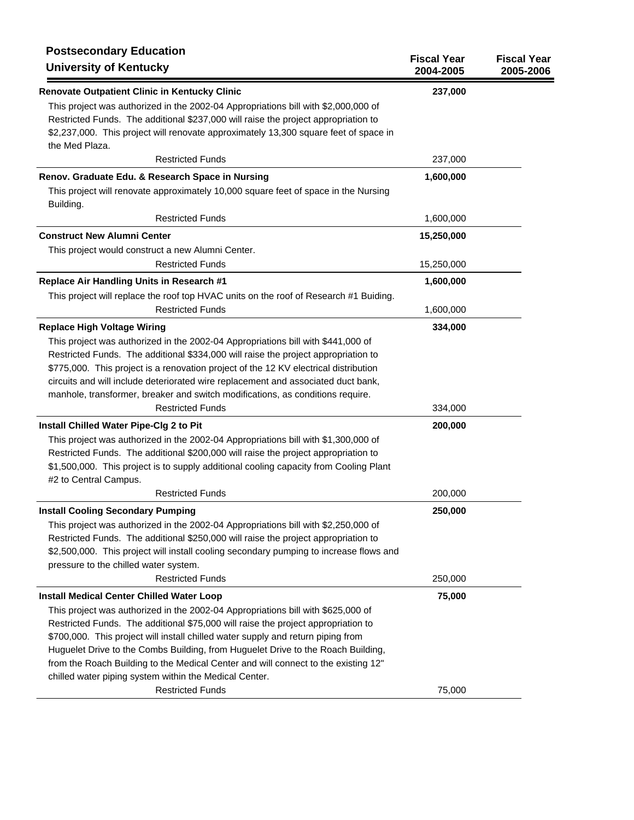| <b>Postsecondary Education</b><br><b>University of Kentucky</b>                                                                                                                                                                                                                                                                                                                                                                                                                               | <b>Fiscal Year</b><br>2004-2005 | <b>Fiscal Year</b><br>2005-2006 |
|-----------------------------------------------------------------------------------------------------------------------------------------------------------------------------------------------------------------------------------------------------------------------------------------------------------------------------------------------------------------------------------------------------------------------------------------------------------------------------------------------|---------------------------------|---------------------------------|
| <b>Renovate Outpatient Clinic in Kentucky Clinic</b><br>This project was authorized in the 2002-04 Appropriations bill with \$2,000,000 of<br>Restricted Funds. The additional \$237,000 will raise the project appropriation to<br>\$2,237,000. This project will renovate approximately 13,300 square feet of space in<br>the Med Plaza.                                                                                                                                                    | 237,000                         |                                 |
| <b>Restricted Funds</b>                                                                                                                                                                                                                                                                                                                                                                                                                                                                       | 237,000                         |                                 |
| Renov. Graduate Edu. & Research Space in Nursing                                                                                                                                                                                                                                                                                                                                                                                                                                              | 1,600,000                       |                                 |
| This project will renovate approximately 10,000 square feet of space in the Nursing<br>Building.                                                                                                                                                                                                                                                                                                                                                                                              |                                 |                                 |
| <b>Restricted Funds</b>                                                                                                                                                                                                                                                                                                                                                                                                                                                                       | 1,600,000                       |                                 |
| <b>Construct New Alumni Center</b>                                                                                                                                                                                                                                                                                                                                                                                                                                                            | 15,250,000                      |                                 |
| This project would construct a new Alumni Center.                                                                                                                                                                                                                                                                                                                                                                                                                                             |                                 |                                 |
| <b>Restricted Funds</b>                                                                                                                                                                                                                                                                                                                                                                                                                                                                       | 15,250,000                      |                                 |
| Replace Air Handling Units in Research #1                                                                                                                                                                                                                                                                                                                                                                                                                                                     | 1,600,000                       |                                 |
| This project will replace the roof top HVAC units on the roof of Research #1 Buiding.                                                                                                                                                                                                                                                                                                                                                                                                         |                                 |                                 |
| <b>Restricted Funds</b>                                                                                                                                                                                                                                                                                                                                                                                                                                                                       | 1,600,000                       |                                 |
| <b>Replace High Voltage Wiring</b>                                                                                                                                                                                                                                                                                                                                                                                                                                                            | 334,000                         |                                 |
| This project was authorized in the 2002-04 Appropriations bill with \$441,000 of<br>Restricted Funds. The additional \$334,000 will raise the project appropriation to<br>\$775,000. This project is a renovation project of the 12 KV electrical distribution<br>circuits and will include deteriorated wire replacement and associated duct bank,<br>manhole, transformer, breaker and switch modifications, as conditions require.                                                         |                                 |                                 |
| <b>Restricted Funds</b>                                                                                                                                                                                                                                                                                                                                                                                                                                                                       | 334,000                         |                                 |
| Install Chilled Water Pipe-Clg 2 to Pit                                                                                                                                                                                                                                                                                                                                                                                                                                                       | 200,000                         |                                 |
| This project was authorized in the 2002-04 Appropriations bill with \$1,300,000 of<br>Restricted Funds. The additional \$200,000 will raise the project appropriation to<br>\$1,500,000. This project is to supply additional cooling capacity from Cooling Plant<br>#2 to Central Campus.                                                                                                                                                                                                    |                                 |                                 |
| <b>Restricted Funds</b>                                                                                                                                                                                                                                                                                                                                                                                                                                                                       | 200,000                         |                                 |
| <b>Install Cooling Secondary Pumping</b><br>This project was authorized in the 2002-04 Appropriations bill with \$2,250,000 of<br>Restricted Funds. The additional \$250,000 will raise the project appropriation to<br>\$2,500,000. This project will install cooling secondary pumping to increase flows and                                                                                                                                                                                | 250,000                         |                                 |
| pressure to the chilled water system.                                                                                                                                                                                                                                                                                                                                                                                                                                                         |                                 |                                 |
| <b>Restricted Funds</b>                                                                                                                                                                                                                                                                                                                                                                                                                                                                       | 250,000                         |                                 |
| <b>Install Medical Center Chilled Water Loop</b>                                                                                                                                                                                                                                                                                                                                                                                                                                              | 75,000                          |                                 |
| This project was authorized in the 2002-04 Appropriations bill with \$625,000 of<br>Restricted Funds. The additional \$75,000 will raise the project appropriation to<br>\$700,000. This project will install chilled water supply and return piping from<br>Huguelet Drive to the Combs Building, from Huguelet Drive to the Roach Building,<br>from the Roach Building to the Medical Center and will connect to the existing 12"<br>chilled water piping system within the Medical Center. |                                 |                                 |
| <b>Restricted Funds</b>                                                                                                                                                                                                                                                                                                                                                                                                                                                                       | 75,000                          |                                 |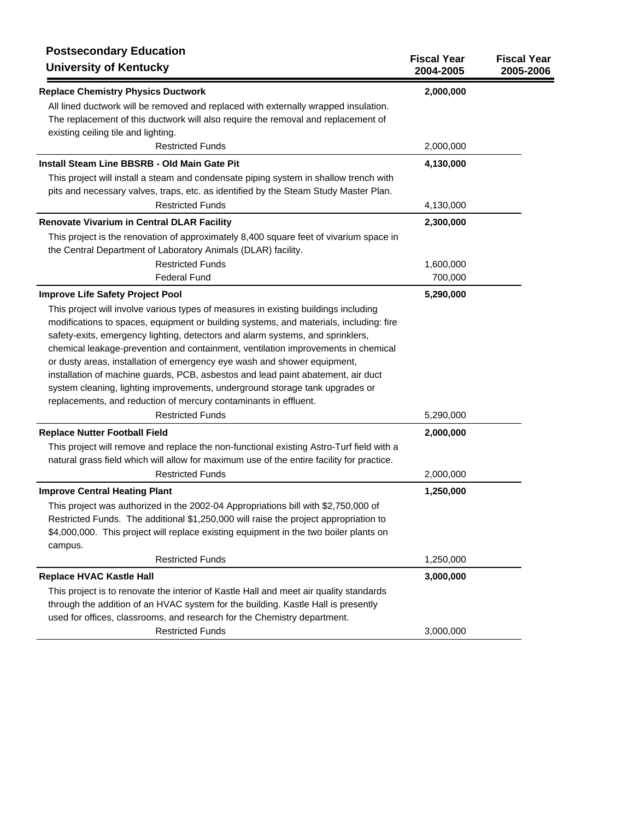| <b>Postsecondary Education</b><br><b>University of Kentucky</b>                           | <b>Fiscal Year</b><br>2004-2005 | <b>Fiscal Year</b><br>2005-2006 |
|-------------------------------------------------------------------------------------------|---------------------------------|---------------------------------|
| <b>Replace Chemistry Physics Ductwork</b>                                                 | 2,000,000                       |                                 |
| All lined ductwork will be removed and replaced with externally wrapped insulation.       |                                 |                                 |
| The replacement of this ductwork will also require the removal and replacement of         |                                 |                                 |
| existing ceiling tile and lighting.                                                       |                                 |                                 |
| <b>Restricted Funds</b>                                                                   | 2,000,000                       |                                 |
| Install Steam Line BBSRB - Old Main Gate Pit                                              | 4,130,000                       |                                 |
| This project will install a steam and condensate piping system in shallow trench with     |                                 |                                 |
| pits and necessary valves, traps, etc. as identified by the Steam Study Master Plan.      |                                 |                                 |
| <b>Restricted Funds</b>                                                                   | 4,130,000                       |                                 |
| <b>Renovate Vivarium in Central DLAR Facility</b>                                         | 2,300,000                       |                                 |
| This project is the renovation of approximately 8,400 square feet of vivarium space in    |                                 |                                 |
| the Central Department of Laboratory Animals (DLAR) facility.                             |                                 |                                 |
| <b>Restricted Funds</b>                                                                   | 1,600,000                       |                                 |
| <b>Federal Fund</b>                                                                       | 700,000                         |                                 |
| <b>Improve Life Safety Project Pool</b>                                                   | 5,290,000                       |                                 |
| This project will involve various types of measures in existing buildings including       |                                 |                                 |
| modifications to spaces, equipment or building systems, and materials, including: fire    |                                 |                                 |
| safety-exits, emergency lighting, detectors and alarm systems, and sprinklers,            |                                 |                                 |
| chemical leakage-prevention and containment, ventilation improvements in chemical         |                                 |                                 |
| or dusty areas, installation of emergency eye wash and shower equipment,                  |                                 |                                 |
| installation of machine guards, PCB, asbestos and lead paint abatement, air duct          |                                 |                                 |
| system cleaning, lighting improvements, underground storage tank upgrades or              |                                 |                                 |
| replacements, and reduction of mercury contaminants in effluent.                          |                                 |                                 |
| <b>Restricted Funds</b>                                                                   | 5,290,000                       |                                 |
| <b>Replace Nutter Football Field</b>                                                      | 2,000,000                       |                                 |
| This project will remove and replace the non-functional existing Astro-Turf field with a  |                                 |                                 |
| natural grass field which will allow for maximum use of the entire facility for practice. |                                 |                                 |
| <b>Restricted Funds</b>                                                                   | 2,000,000                       |                                 |
| <b>Improve Central Heating Plant</b>                                                      | 1,250,000                       |                                 |
| This project was authorized in the 2002-04 Appropriations bill with \$2,750,000 of        |                                 |                                 |
| Restricted Funds. The additional \$1,250,000 will raise the project appropriation to      |                                 |                                 |
| \$4,000,000. This project will replace existing equipment in the two boiler plants on     |                                 |                                 |
| campus.                                                                                   |                                 |                                 |
| <b>Restricted Funds</b>                                                                   | 1,250,000                       |                                 |
| <b>Replace HVAC Kastle Hall</b>                                                           | 3,000,000                       |                                 |
| This project is to renovate the interior of Kastle Hall and meet air quality standards    |                                 |                                 |
| through the addition of an HVAC system for the building. Kastle Hall is presently         |                                 |                                 |
| used for offices, classrooms, and research for the Chemistry department.                  |                                 |                                 |
| <b>Restricted Funds</b>                                                                   | 3,000,000                       |                                 |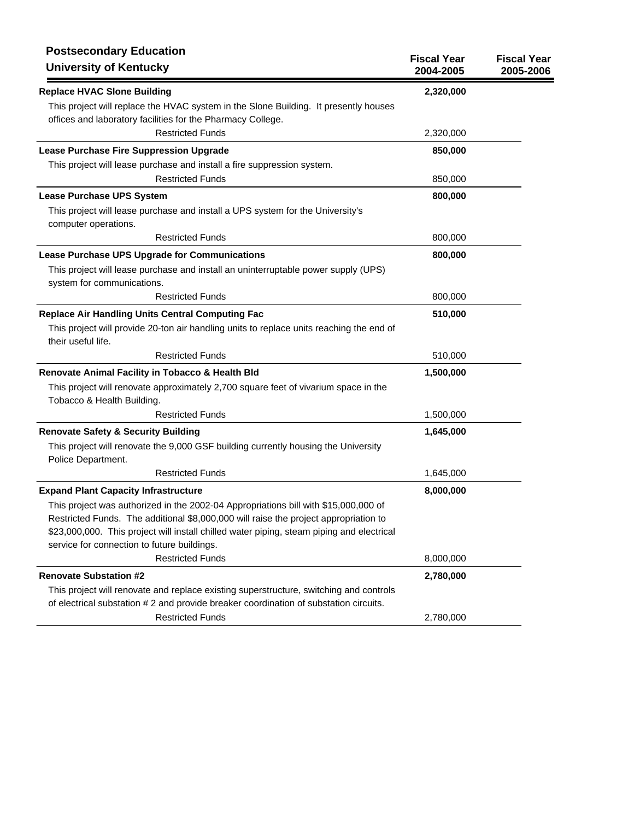| <b>Postsecondary Education</b><br><b>University of Kentucky</b>                                                   | <b>Fiscal Year</b><br>2004-2005 | <b>Fiscal Year</b><br>2005-2006 |
|-------------------------------------------------------------------------------------------------------------------|---------------------------------|---------------------------------|
| <b>Replace HVAC Slone Building</b>                                                                                | 2,320,000                       |                                 |
| This project will replace the HVAC system in the Slone Building. It presently houses                              |                                 |                                 |
| offices and laboratory facilities for the Pharmacy College.                                                       |                                 |                                 |
| <b>Restricted Funds</b>                                                                                           | 2,320,000                       |                                 |
| Lease Purchase Fire Suppression Upgrade                                                                           | 850,000                         |                                 |
| This project will lease purchase and install a fire suppression system.                                           |                                 |                                 |
| <b>Restricted Funds</b>                                                                                           | 850,000                         |                                 |
| <b>Lease Purchase UPS System</b>                                                                                  | 800,000                         |                                 |
| This project will lease purchase and install a UPS system for the University's                                    |                                 |                                 |
| computer operations.                                                                                              |                                 |                                 |
| <b>Restricted Funds</b>                                                                                           | 800,000                         |                                 |
| Lease Purchase UPS Upgrade for Communications                                                                     | 800,000                         |                                 |
| This project will lease purchase and install an uninterruptable power supply (UPS)                                |                                 |                                 |
| system for communications.                                                                                        |                                 |                                 |
| <b>Restricted Funds</b>                                                                                           | 800,000                         |                                 |
| <b>Replace Air Handling Units Central Computing Fac</b>                                                           | 510,000                         |                                 |
| This project will provide 20-ton air handling units to replace units reaching the end of                          |                                 |                                 |
| their useful life.                                                                                                |                                 |                                 |
| <b>Restricted Funds</b>                                                                                           | 510,000                         |                                 |
| Renovate Animal Facility in Tobacco & Health Bld                                                                  | 1,500,000                       |                                 |
| This project will renovate approximately 2,700 square feet of vivarium space in the<br>Tobacco & Health Building. |                                 |                                 |
| <b>Restricted Funds</b>                                                                                           | 1,500,000                       |                                 |
| <b>Renovate Safety &amp; Security Building</b>                                                                    | 1,645,000                       |                                 |
| This project will renovate the 9,000 GSF building currently housing the University                                |                                 |                                 |
| Police Department.                                                                                                |                                 |                                 |
| <b>Restricted Funds</b>                                                                                           | 1,645,000                       |                                 |
| <b>Expand Plant Capacity Infrastructure</b>                                                                       | 8,000,000                       |                                 |
| This project was authorized in the 2002-04 Appropriations bill with \$15,000,000 of                               |                                 |                                 |
| Restricted Funds. The additional \$8,000,000 will raise the project appropriation to                              |                                 |                                 |
| \$23,000,000. This project will install chilled water piping, steam piping and electrical                         |                                 |                                 |
| service for connection to future buildings.                                                                       |                                 |                                 |
| <b>Restricted Funds</b>                                                                                           | 8,000,000                       |                                 |
| <b>Renovate Substation #2</b>                                                                                     | 2,780,000                       |                                 |
| This project will renovate and replace existing superstructure, switching and controls                            |                                 |                                 |
| of electrical substation # 2 and provide breaker coordination of substation circuits.                             |                                 |                                 |
| <b>Restricted Funds</b>                                                                                           | 2,780,000                       |                                 |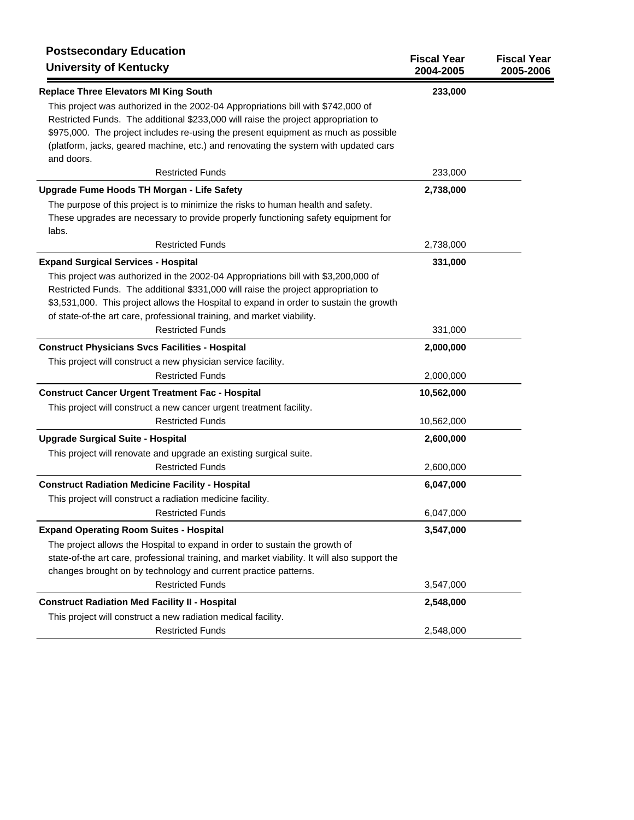| <b>Postsecondary Education</b><br><b>University of Kentucky</b>                              | <b>Fiscal Year</b><br>2004-2005 | <b>Fiscal Year</b><br>2005-2006 |
|----------------------------------------------------------------------------------------------|---------------------------------|---------------------------------|
| <b>Replace Three Elevators MI King South</b>                                                 | 233,000                         |                                 |
| This project was authorized in the 2002-04 Appropriations bill with \$742,000 of             |                                 |                                 |
| Restricted Funds. The additional \$233,000 will raise the project appropriation to           |                                 |                                 |
| \$975,000. The project includes re-using the present equipment as much as possible           |                                 |                                 |
| (platform, jacks, geared machine, etc.) and renovating the system with updated cars          |                                 |                                 |
| and doors.<br><b>Restricted Funds</b>                                                        | 233,000                         |                                 |
| Upgrade Fume Hoods TH Morgan - Life Safety                                                   | 2,738,000                       |                                 |
| The purpose of this project is to minimize the risks to human health and safety.             |                                 |                                 |
| These upgrades are necessary to provide properly functioning safety equipment for<br>labs.   |                                 |                                 |
| <b>Restricted Funds</b>                                                                      | 2,738,000                       |                                 |
| <b>Expand Surgical Services - Hospital</b>                                                   | 331,000                         |                                 |
| This project was authorized in the 2002-04 Appropriations bill with \$3,200,000 of           |                                 |                                 |
| Restricted Funds. The additional \$331,000 will raise the project appropriation to           |                                 |                                 |
| \$3,531,000. This project allows the Hospital to expand in order to sustain the growth       |                                 |                                 |
| of state-of-the art care, professional training, and market viability.                       |                                 |                                 |
| <b>Restricted Funds</b>                                                                      | 331,000                         |                                 |
| <b>Construct Physicians Svcs Facilities - Hospital</b>                                       | 2,000,000                       |                                 |
| This project will construct a new physician service facility.                                |                                 |                                 |
| <b>Restricted Funds</b>                                                                      | 2,000,000                       |                                 |
| <b>Construct Cancer Urgent Treatment Fac - Hospital</b>                                      | 10,562,000                      |                                 |
| This project will construct a new cancer urgent treatment facility.                          |                                 |                                 |
| <b>Restricted Funds</b>                                                                      | 10,562,000                      |                                 |
| <b>Upgrade Surgical Suite - Hospital</b>                                                     | 2,600,000                       |                                 |
| This project will renovate and upgrade an existing surgical suite.                           |                                 |                                 |
| <b>Restricted Funds</b>                                                                      | 2,600,000                       |                                 |
| <b>Construct Radiation Medicine Facility - Hospital</b>                                      | 6,047,000                       |                                 |
| This project will construct a radiation medicine facility.                                   |                                 |                                 |
| <b>Restricted Funds</b>                                                                      | 6,047,000                       |                                 |
| <b>Expand Operating Room Suites - Hospital</b>                                               | 3,547,000                       |                                 |
| The project allows the Hospital to expand in order to sustain the growth of                  |                                 |                                 |
| state-of-the art care, professional training, and market viability. It will also support the |                                 |                                 |
| changes brought on by technology and current practice patterns.                              |                                 |                                 |
| <b>Restricted Funds</b>                                                                      | 3,547,000                       |                                 |
| <b>Construct Radiation Med Facility II - Hospital</b>                                        | 2,548,000                       |                                 |
| This project will construct a new radiation medical facility.                                |                                 |                                 |
| <b>Restricted Funds</b>                                                                      | 2,548,000                       |                                 |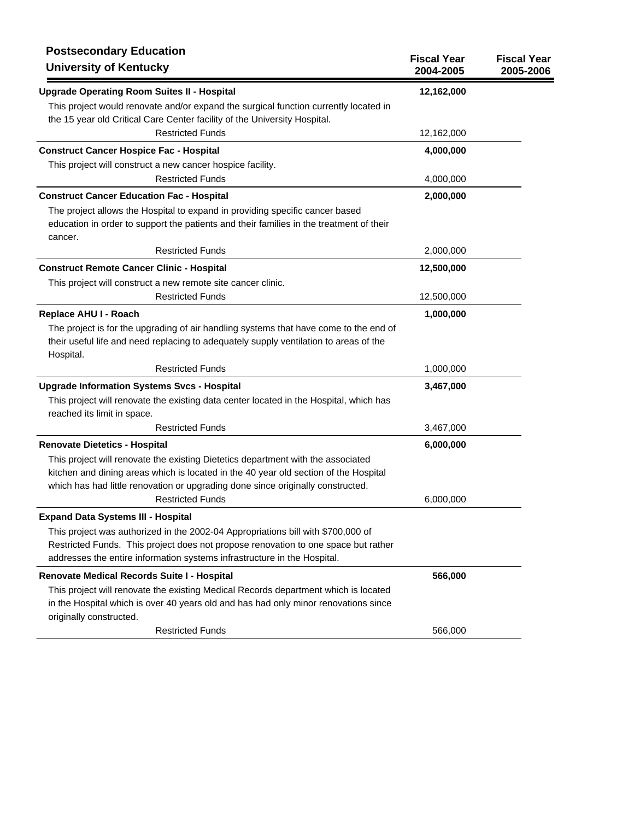| <b>Postsecondary Education</b><br><b>University of Kentucky</b>                                    | <b>Fiscal Year</b><br>2004-2005 | <b>Fiscal Year</b><br>2005-2006 |
|----------------------------------------------------------------------------------------------------|---------------------------------|---------------------------------|
| <b>Upgrade Operating Room Suites II - Hospital</b>                                                 | 12,162,000                      |                                 |
| This project would renovate and/or expand the surgical function currently located in               |                                 |                                 |
| the 15 year old Critical Care Center facility of the University Hospital.                          |                                 |                                 |
| <b>Restricted Funds</b>                                                                            | 12,162,000                      |                                 |
| <b>Construct Cancer Hospice Fac - Hospital</b>                                                     | 4,000,000                       |                                 |
| This project will construct a new cancer hospice facility.                                         |                                 |                                 |
| <b>Restricted Funds</b>                                                                            | 4,000,000                       |                                 |
| <b>Construct Cancer Education Fac - Hospital</b>                                                   | 2,000,000                       |                                 |
| The project allows the Hospital to expand in providing specific cancer based                       |                                 |                                 |
| education in order to support the patients and their families in the treatment of their            |                                 |                                 |
| cancer.                                                                                            |                                 |                                 |
| <b>Restricted Funds</b>                                                                            | 2,000,000                       |                                 |
| <b>Construct Remote Cancer Clinic - Hospital</b>                                                   | 12,500,000                      |                                 |
| This project will construct a new remote site cancer clinic.                                       |                                 |                                 |
| <b>Restricted Funds</b>                                                                            | 12,500,000                      |                                 |
| Replace AHU I - Roach                                                                              | 1,000,000                       |                                 |
| The project is for the upgrading of air handling systems that have come to the end of              |                                 |                                 |
| their useful life and need replacing to adequately supply ventilation to areas of the<br>Hospital. |                                 |                                 |
| <b>Restricted Funds</b>                                                                            | 1,000,000                       |                                 |
| <b>Upgrade Information Systems Svcs - Hospital</b>                                                 | 3,467,000                       |                                 |
| This project will renovate the existing data center located in the Hospital, which has             |                                 |                                 |
| reached its limit in space.                                                                        |                                 |                                 |
| <b>Restricted Funds</b>                                                                            | 3,467,000                       |                                 |
| <b>Renovate Dietetics - Hospital</b>                                                               | 6,000,000                       |                                 |
| This project will renovate the existing Dietetics department with the associated                   |                                 |                                 |
| kitchen and dining areas which is located in the 40 year old section of the Hospital               |                                 |                                 |
| which has had little renovation or upgrading done since originally constructed.                    |                                 |                                 |
| <b>Restricted Funds</b>                                                                            | 6,000,000                       |                                 |
| <b>Expand Data Systems III - Hospital</b>                                                          |                                 |                                 |
| This project was authorized in the 2002-04 Appropriations bill with \$700,000 of                   |                                 |                                 |
| Restricted Funds. This project does not propose renovation to one space but rather                 |                                 |                                 |
| addresses the entire information systems infrastructure in the Hospital.                           |                                 |                                 |
| Renovate Medical Records Suite I - Hospital                                                        | 566,000                         |                                 |
| This project will renovate the existing Medical Records department which is located                |                                 |                                 |
| in the Hospital which is over 40 years old and has had only minor renovations since                |                                 |                                 |
| originally constructed.                                                                            |                                 |                                 |
| <b>Restricted Funds</b>                                                                            | 566,000                         |                                 |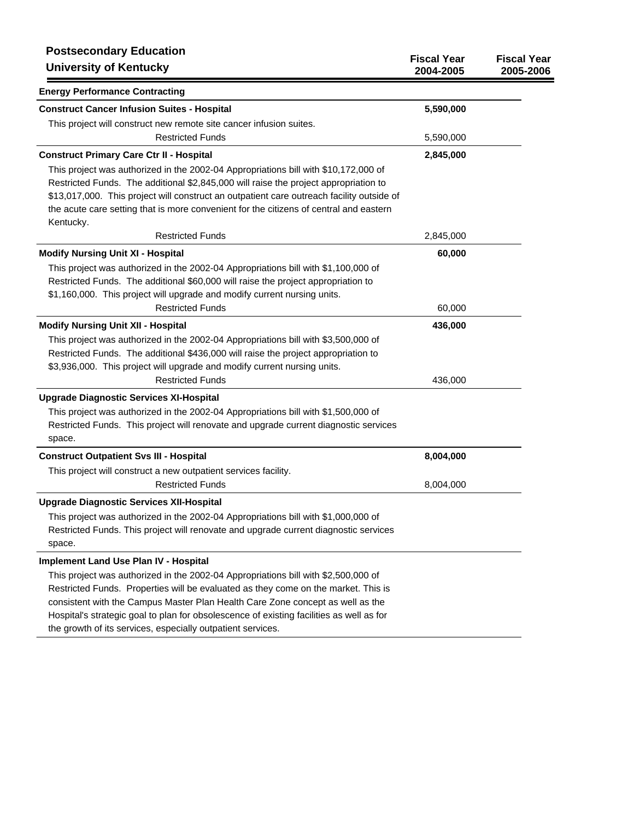| <b>Postsecondary Education</b><br><b>University of Kentucky</b>                                                                                                          | <b>Fiscal Year</b><br>2004-2005 | <b>Fiscal Year</b><br>2005-2006 |
|--------------------------------------------------------------------------------------------------------------------------------------------------------------------------|---------------------------------|---------------------------------|
| <b>Energy Performance Contracting</b>                                                                                                                                    |                                 |                                 |
| <b>Construct Cancer Infusion Suites - Hospital</b>                                                                                                                       | 5,590,000                       |                                 |
| This project will construct new remote site cancer infusion suites.                                                                                                      |                                 |                                 |
| <b>Restricted Funds</b>                                                                                                                                                  | 5,590,000                       |                                 |
| <b>Construct Primary Care Ctr II - Hospital</b>                                                                                                                          | 2,845,000                       |                                 |
| This project was authorized in the 2002-04 Appropriations bill with \$10,172,000 of                                                                                      |                                 |                                 |
| Restricted Funds. The additional \$2,845,000 will raise the project appropriation to                                                                                     |                                 |                                 |
| \$13,017,000. This project will construct an outpatient care outreach facility outside of                                                                                |                                 |                                 |
| the acute care setting that is more convenient for the citizens of central and eastern                                                                                   |                                 |                                 |
| Kentucky.                                                                                                                                                                |                                 |                                 |
| <b>Restricted Funds</b>                                                                                                                                                  | 2,845,000                       |                                 |
| <b>Modify Nursing Unit XI - Hospital</b>                                                                                                                                 | 60,000                          |                                 |
| This project was authorized in the 2002-04 Appropriations bill with \$1,100,000 of                                                                                       |                                 |                                 |
| Restricted Funds. The additional \$60,000 will raise the project appropriation to                                                                                        |                                 |                                 |
| \$1,160,000. This project will upgrade and modify current nursing units.<br><b>Restricted Funds</b>                                                                      | 60,000                          |                                 |
|                                                                                                                                                                          |                                 |                                 |
| <b>Modify Nursing Unit XII - Hospital</b>                                                                                                                                | 436,000                         |                                 |
| This project was authorized in the 2002-04 Appropriations bill with \$3,500,000 of<br>Restricted Funds. The additional \$436,000 will raise the project appropriation to |                                 |                                 |
| \$3,936,000. This project will upgrade and modify current nursing units.                                                                                                 |                                 |                                 |
| <b>Restricted Funds</b>                                                                                                                                                  | 436,000                         |                                 |
| <b>Upgrade Diagnostic Services XI-Hospital</b>                                                                                                                           |                                 |                                 |
| This project was authorized in the 2002-04 Appropriations bill with \$1,500,000 of                                                                                       |                                 |                                 |
| Restricted Funds. This project will renovate and upgrade current diagnostic services                                                                                     |                                 |                                 |
| space.                                                                                                                                                                   |                                 |                                 |
| <b>Construct Outpatient Svs III - Hospital</b>                                                                                                                           | 8,004,000                       |                                 |
| This project will construct a new outpatient services facility.                                                                                                          |                                 |                                 |
| <b>Restricted Funds</b>                                                                                                                                                  | 8,004,000                       |                                 |
| <b>Upgrade Diagnostic Services XII-Hospital</b>                                                                                                                          |                                 |                                 |
| This project was authorized in the 2002-04 Appropriations bill with \$1,000,000 of                                                                                       |                                 |                                 |
| Restricted Funds. This project will renovate and upgrade current diagnostic services                                                                                     |                                 |                                 |
| space.                                                                                                                                                                   |                                 |                                 |
| <b>Implement Land Use Plan IV - Hospital</b>                                                                                                                             |                                 |                                 |
| This project was authorized in the 2002-04 Appropriations bill with \$2,500,000 of                                                                                       |                                 |                                 |
| Restricted Funds. Properties will be evaluated as they come on the market. This is                                                                                       |                                 |                                 |
| consistent with the Campus Master Plan Health Care Zone concept as well as the                                                                                           |                                 |                                 |
| Hospital's strategic goal to plan for obsolescence of existing facilities as well as for                                                                                 |                                 |                                 |
| the growth of its services, especially outpatient services.                                                                                                              |                                 |                                 |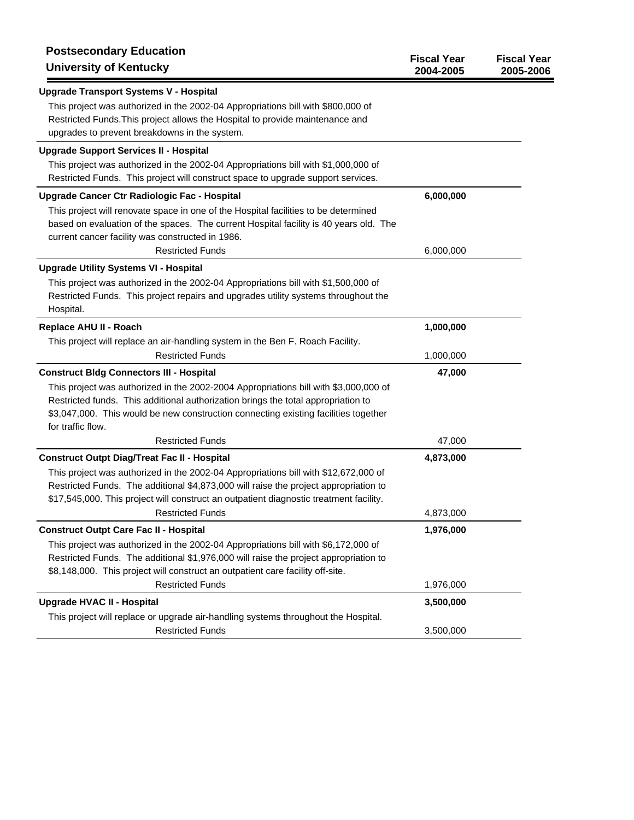| <b>Postsecondary Education</b><br><b>University of Kentucky</b>                                                                                                                                                                                                                       | <b>Fiscal Year</b><br>2004-2005 | <b>Fiscal Year</b><br>2005-2006 |
|---------------------------------------------------------------------------------------------------------------------------------------------------------------------------------------------------------------------------------------------------------------------------------------|---------------------------------|---------------------------------|
| <b>Upgrade Transport Systems V - Hospital</b>                                                                                                                                                                                                                                         |                                 |                                 |
| This project was authorized in the 2002-04 Appropriations bill with \$800,000 of<br>Restricted Funds. This project allows the Hospital to provide maintenance and<br>upgrades to prevent breakdowns in the system.                                                                    |                                 |                                 |
| <b>Upgrade Support Services II - Hospital</b>                                                                                                                                                                                                                                         |                                 |                                 |
| This project was authorized in the 2002-04 Appropriations bill with \$1,000,000 of<br>Restricted Funds. This project will construct space to upgrade support services.                                                                                                                |                                 |                                 |
| Upgrade Cancer Ctr Radiologic Fac - Hospital                                                                                                                                                                                                                                          | 6,000,000                       |                                 |
| This project will renovate space in one of the Hospital facilities to be determined<br>based on evaluation of the spaces. The current Hospital facility is 40 years old. The<br>current cancer facility was constructed in 1986.                                                      |                                 |                                 |
| <b>Restricted Funds</b>                                                                                                                                                                                                                                                               | 6,000,000                       |                                 |
| <b>Upgrade Utility Systems VI - Hospital</b>                                                                                                                                                                                                                                          |                                 |                                 |
| This project was authorized in the 2002-04 Appropriations bill with \$1,500,000 of<br>Restricted Funds. This project repairs and upgrades utility systems throughout the<br>Hospital.                                                                                                 |                                 |                                 |
| Replace AHU II - Roach                                                                                                                                                                                                                                                                | 1,000,000                       |                                 |
| This project will replace an air-handling system in the Ben F. Roach Facility.                                                                                                                                                                                                        |                                 |                                 |
| <b>Restricted Funds</b>                                                                                                                                                                                                                                                               | 1,000,000                       |                                 |
| <b>Construct Bldg Connectors III - Hospital</b>                                                                                                                                                                                                                                       | 47,000                          |                                 |
| This project was authorized in the 2002-2004 Appropriations bill with \$3,000,000 of<br>Restricted funds. This additional authorization brings the total appropriation to<br>\$3,047,000. This would be new construction connecting existing facilities together<br>for traffic flow. |                                 |                                 |
| <b>Restricted Funds</b>                                                                                                                                                                                                                                                               | 47,000                          |                                 |
| <b>Construct Outpt Diag/Treat Fac II - Hospital</b>                                                                                                                                                                                                                                   | 4,873,000                       |                                 |
| This project was authorized in the 2002-04 Appropriations bill with \$12,672,000 of<br>Restricted Funds. The additional \$4,873,000 will raise the project appropriation to<br>\$17,545,000. This project will construct an outpatient diagnostic treatment facility.                 |                                 |                                 |
| <b>Restricted Funds</b>                                                                                                                                                                                                                                                               | 4,873,000                       |                                 |
| <b>Construct Outpt Care Fac II - Hospital</b>                                                                                                                                                                                                                                         | 1,976,000                       |                                 |
| This project was authorized in the 2002-04 Appropriations bill with \$6,172,000 of<br>Restricted Funds. The additional \$1,976,000 will raise the project appropriation to<br>\$8,148,000. This project will construct an outpatient care facility off-site.                          |                                 |                                 |
| <b>Restricted Funds</b>                                                                                                                                                                                                                                                               | 1,976,000                       |                                 |
| <b>Upgrade HVAC II - Hospital</b>                                                                                                                                                                                                                                                     | 3,500,000                       |                                 |
| This project will replace or upgrade air-handling systems throughout the Hospital.<br><b>Restricted Funds</b>                                                                                                                                                                         | 3,500,000                       |                                 |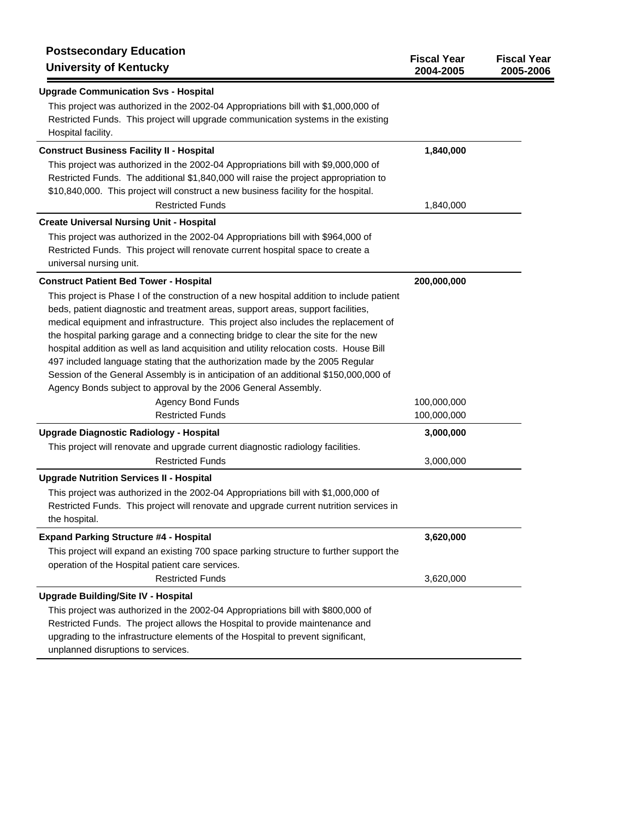| <b>Postsecondary Education</b><br><b>University of Kentucky</b>                                                                                                                                                                                                                                                                                                                                                                                                                                                                                                                                                                                                                                                     | <b>Fiscal Year</b><br>2004-2005 | <b>Fiscal Year</b><br>2005-2006 |
|---------------------------------------------------------------------------------------------------------------------------------------------------------------------------------------------------------------------------------------------------------------------------------------------------------------------------------------------------------------------------------------------------------------------------------------------------------------------------------------------------------------------------------------------------------------------------------------------------------------------------------------------------------------------------------------------------------------------|---------------------------------|---------------------------------|
| <b>Upgrade Communication Svs - Hospital</b>                                                                                                                                                                                                                                                                                                                                                                                                                                                                                                                                                                                                                                                                         |                                 |                                 |
| This project was authorized in the 2002-04 Appropriations bill with \$1,000,000 of<br>Restricted Funds. This project will upgrade communication systems in the existing<br>Hospital facility.                                                                                                                                                                                                                                                                                                                                                                                                                                                                                                                       |                                 |                                 |
| <b>Construct Business Facility II - Hospital</b>                                                                                                                                                                                                                                                                                                                                                                                                                                                                                                                                                                                                                                                                    | 1,840,000                       |                                 |
| This project was authorized in the 2002-04 Appropriations bill with \$9,000,000 of<br>Restricted Funds. The additional \$1,840,000 will raise the project appropriation to<br>\$10,840,000. This project will construct a new business facility for the hospital.<br><b>Restricted Funds</b>                                                                                                                                                                                                                                                                                                                                                                                                                        | 1,840,000                       |                                 |
| <b>Create Universal Nursing Unit - Hospital</b>                                                                                                                                                                                                                                                                                                                                                                                                                                                                                                                                                                                                                                                                     |                                 |                                 |
| This project was authorized in the 2002-04 Appropriations bill with \$964,000 of<br>Restricted Funds. This project will renovate current hospital space to create a<br>universal nursing unit.                                                                                                                                                                                                                                                                                                                                                                                                                                                                                                                      |                                 |                                 |
| <b>Construct Patient Bed Tower - Hospital</b>                                                                                                                                                                                                                                                                                                                                                                                                                                                                                                                                                                                                                                                                       | 200,000,000                     |                                 |
| This project is Phase I of the construction of a new hospital addition to include patient<br>beds, patient diagnostic and treatment areas, support areas, support facilities,<br>medical equipment and infrastructure. This project also includes the replacement of<br>the hospital parking garage and a connecting bridge to clear the site for the new<br>hospital addition as well as land acquisition and utility relocation costs. House Bill<br>497 included language stating that the authorization made by the 2005 Regular<br>Session of the General Assembly is in anticipation of an additional \$150,000,000 of<br>Agency Bonds subject to approval by the 2006 General Assembly.<br>Agency Bond Funds |                                 |                                 |
| <b>Restricted Funds</b>                                                                                                                                                                                                                                                                                                                                                                                                                                                                                                                                                                                                                                                                                             | 100,000,000<br>100,000,000      |                                 |
| <b>Upgrade Diagnostic Radiology - Hospital</b>                                                                                                                                                                                                                                                                                                                                                                                                                                                                                                                                                                                                                                                                      | 3,000,000                       |                                 |
| This project will renovate and upgrade current diagnostic radiology facilities.<br><b>Restricted Funds</b>                                                                                                                                                                                                                                                                                                                                                                                                                                                                                                                                                                                                          | 3,000,000                       |                                 |
| <b>Upgrade Nutrition Services II - Hospital</b>                                                                                                                                                                                                                                                                                                                                                                                                                                                                                                                                                                                                                                                                     |                                 |                                 |
| This project was authorized in the 2002-04 Appropriations bill with \$1,000,000 of<br>Restricted Funds. This project will renovate and upgrade current nutrition services in<br>the hospital.                                                                                                                                                                                                                                                                                                                                                                                                                                                                                                                       |                                 |                                 |
| <b>Expand Parking Structure #4 - Hospital</b>                                                                                                                                                                                                                                                                                                                                                                                                                                                                                                                                                                                                                                                                       | 3,620,000                       |                                 |
| This project will expand an existing 700 space parking structure to further support the<br>operation of the Hospital patient care services.<br><b>Restricted Funds</b>                                                                                                                                                                                                                                                                                                                                                                                                                                                                                                                                              |                                 |                                 |
|                                                                                                                                                                                                                                                                                                                                                                                                                                                                                                                                                                                                                                                                                                                     | 3,620,000                       |                                 |
| <b>Upgrade Building/Site IV - Hospital</b><br>This project was authorized in the 2002-04 Appropriations bill with \$800,000 of<br>Restricted Funds. The project allows the Hospital to provide maintenance and<br>upgrading to the infrastructure elements of the Hospital to prevent significant,<br>unplanned disruptions to services.                                                                                                                                                                                                                                                                                                                                                                            |                                 |                                 |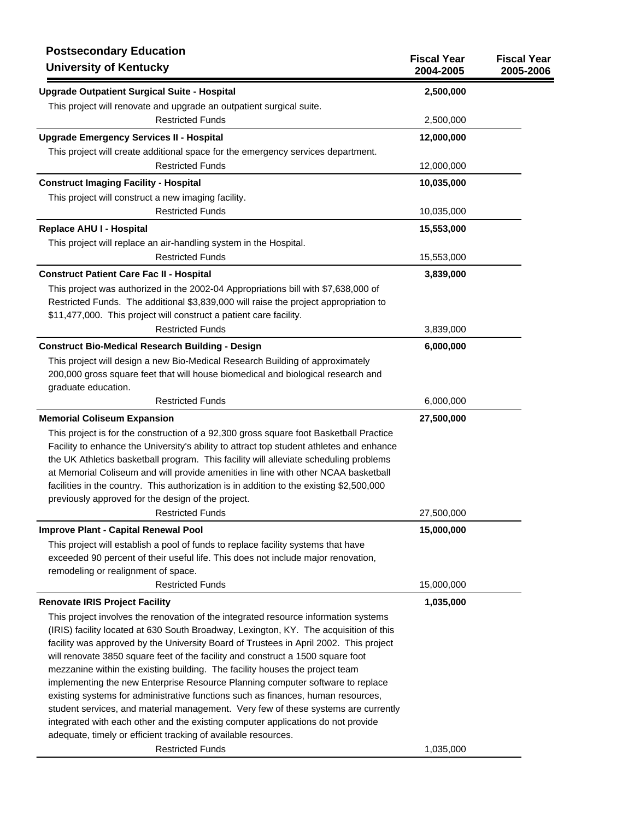| <b>Postsecondary Education</b><br><b>University of Kentucky</b>                                                                                                                                                                                                                                                                                                                                                                                                                                                                                                                                                                                                                                                                                                                          | <b>Fiscal Year</b><br>2004-2005 | <b>Fiscal Year</b><br>2005-2006 |
|------------------------------------------------------------------------------------------------------------------------------------------------------------------------------------------------------------------------------------------------------------------------------------------------------------------------------------------------------------------------------------------------------------------------------------------------------------------------------------------------------------------------------------------------------------------------------------------------------------------------------------------------------------------------------------------------------------------------------------------------------------------------------------------|---------------------------------|---------------------------------|
| <b>Upgrade Outpatient Surgical Suite - Hospital</b>                                                                                                                                                                                                                                                                                                                                                                                                                                                                                                                                                                                                                                                                                                                                      | 2,500,000                       |                                 |
| This project will renovate and upgrade an outpatient surgical suite.                                                                                                                                                                                                                                                                                                                                                                                                                                                                                                                                                                                                                                                                                                                     |                                 |                                 |
| <b>Restricted Funds</b>                                                                                                                                                                                                                                                                                                                                                                                                                                                                                                                                                                                                                                                                                                                                                                  | 2,500,000                       |                                 |
| <b>Upgrade Emergency Services II - Hospital</b>                                                                                                                                                                                                                                                                                                                                                                                                                                                                                                                                                                                                                                                                                                                                          | 12,000,000                      |                                 |
| This project will create additional space for the emergency services department.                                                                                                                                                                                                                                                                                                                                                                                                                                                                                                                                                                                                                                                                                                         |                                 |                                 |
| <b>Restricted Funds</b>                                                                                                                                                                                                                                                                                                                                                                                                                                                                                                                                                                                                                                                                                                                                                                  | 12,000,000                      |                                 |
| <b>Construct Imaging Facility - Hospital</b>                                                                                                                                                                                                                                                                                                                                                                                                                                                                                                                                                                                                                                                                                                                                             | 10,035,000                      |                                 |
| This project will construct a new imaging facility.                                                                                                                                                                                                                                                                                                                                                                                                                                                                                                                                                                                                                                                                                                                                      |                                 |                                 |
| <b>Restricted Funds</b>                                                                                                                                                                                                                                                                                                                                                                                                                                                                                                                                                                                                                                                                                                                                                                  | 10,035,000                      |                                 |
| Replace AHU I - Hospital                                                                                                                                                                                                                                                                                                                                                                                                                                                                                                                                                                                                                                                                                                                                                                 | 15,553,000                      |                                 |
| This project will replace an air-handling system in the Hospital.                                                                                                                                                                                                                                                                                                                                                                                                                                                                                                                                                                                                                                                                                                                        |                                 |                                 |
| <b>Restricted Funds</b>                                                                                                                                                                                                                                                                                                                                                                                                                                                                                                                                                                                                                                                                                                                                                                  | 15,553,000                      |                                 |
| <b>Construct Patient Care Fac II - Hospital</b>                                                                                                                                                                                                                                                                                                                                                                                                                                                                                                                                                                                                                                                                                                                                          | 3,839,000                       |                                 |
| This project was authorized in the 2002-04 Appropriations bill with \$7,638,000 of<br>Restricted Funds. The additional \$3,839,000 will raise the project appropriation to<br>\$11,477,000. This project will construct a patient care facility.                                                                                                                                                                                                                                                                                                                                                                                                                                                                                                                                         |                                 |                                 |
| <b>Restricted Funds</b>                                                                                                                                                                                                                                                                                                                                                                                                                                                                                                                                                                                                                                                                                                                                                                  | 3,839,000                       |                                 |
| <b>Construct Bio-Medical Research Building - Design</b>                                                                                                                                                                                                                                                                                                                                                                                                                                                                                                                                                                                                                                                                                                                                  | 6,000,000                       |                                 |
| This project will design a new Bio-Medical Research Building of approximately<br>200,000 gross square feet that will house biomedical and biological research and<br>graduate education.                                                                                                                                                                                                                                                                                                                                                                                                                                                                                                                                                                                                 |                                 |                                 |
| <b>Restricted Funds</b>                                                                                                                                                                                                                                                                                                                                                                                                                                                                                                                                                                                                                                                                                                                                                                  | 6,000,000                       |                                 |
| <b>Memorial Coliseum Expansion</b>                                                                                                                                                                                                                                                                                                                                                                                                                                                                                                                                                                                                                                                                                                                                                       | 27,500,000                      |                                 |
| This project is for the construction of a 92,300 gross square foot Basketball Practice<br>Facility to enhance the University's ability to attract top student athletes and enhance<br>the UK Athletics basketball program. This facility will alleviate scheduling problems<br>at Memorial Coliseum and will provide amenities in line with other NCAA basketball<br>facilities in the country. This authorization is in addition to the existing \$2,500,000<br>previously approved for the design of the project.                                                                                                                                                                                                                                                                      |                                 |                                 |
| <b>Restricted Funds</b>                                                                                                                                                                                                                                                                                                                                                                                                                                                                                                                                                                                                                                                                                                                                                                  | 27,500,000                      |                                 |
| Improve Plant - Capital Renewal Pool<br>This project will establish a pool of funds to replace facility systems that have<br>exceeded 90 percent of their useful life. This does not include major renovation,<br>remodeling or realignment of space.                                                                                                                                                                                                                                                                                                                                                                                                                                                                                                                                    | 15,000,000                      |                                 |
| <b>Restricted Funds</b>                                                                                                                                                                                                                                                                                                                                                                                                                                                                                                                                                                                                                                                                                                                                                                  | 15,000,000                      |                                 |
| <b>Renovate IRIS Project Facility</b>                                                                                                                                                                                                                                                                                                                                                                                                                                                                                                                                                                                                                                                                                                                                                    | 1,035,000                       |                                 |
| This project involves the renovation of the integrated resource information systems<br>(IRIS) facility located at 630 South Broadway, Lexington, KY. The acquisition of this<br>facility was approved by the University Board of Trustees in April 2002. This project<br>will renovate 3850 square feet of the facility and construct a 1500 square foot<br>mezzanine within the existing building. The facility houses the project team<br>implementing the new Enterprise Resource Planning computer software to replace<br>existing systems for administrative functions such as finances, human resources,<br>student services, and material management. Very few of these systems are currently<br>integrated with each other and the existing computer applications do not provide |                                 |                                 |
| adequate, timely or efficient tracking of available resources.<br><b>Restricted Funds</b>                                                                                                                                                                                                                                                                                                                                                                                                                                                                                                                                                                                                                                                                                                | 1,035,000                       |                                 |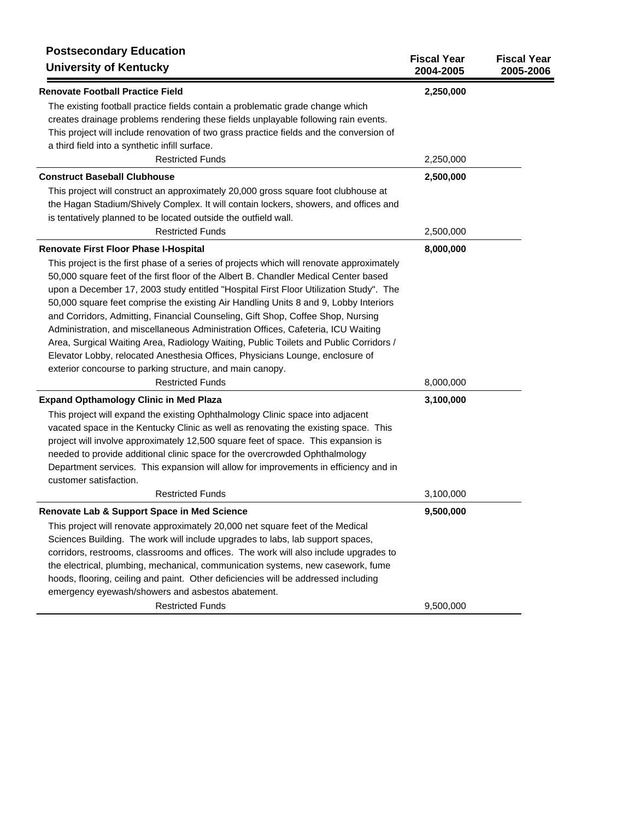| <b>Postsecondary Education</b><br><b>University of Kentucky</b>                           | <b>Fiscal Year</b><br>2004-2005 | <b>Fiscal Year</b><br>2005-2006 |
|-------------------------------------------------------------------------------------------|---------------------------------|---------------------------------|
| <b>Renovate Football Practice Field</b>                                                   | 2,250,000                       |                                 |
| The existing football practice fields contain a problematic grade change which            |                                 |                                 |
| creates drainage problems rendering these fields unplayable following rain events.        |                                 |                                 |
| This project will include renovation of two grass practice fields and the conversion of   |                                 |                                 |
| a third field into a synthetic infill surface.                                            |                                 |                                 |
| <b>Restricted Funds</b>                                                                   | 2,250,000                       |                                 |
| <b>Construct Baseball Clubhouse</b>                                                       | 2,500,000                       |                                 |
| This project will construct an approximately 20,000 gross square foot clubhouse at        |                                 |                                 |
| the Hagan Stadium/Shively Complex. It will contain lockers, showers, and offices and      |                                 |                                 |
| is tentatively planned to be located outside the outfield wall.                           |                                 |                                 |
| <b>Restricted Funds</b>                                                                   | 2,500,000                       |                                 |
| Renovate First Floor Phase I-Hospital                                                     | 8,000,000                       |                                 |
| This project is the first phase of a series of projects which will renovate approximately |                                 |                                 |
| 50,000 square feet of the first floor of the Albert B. Chandler Medical Center based      |                                 |                                 |
| upon a December 17, 2003 study entitled "Hospital First Floor Utilization Study". The     |                                 |                                 |
| 50,000 square feet comprise the existing Air Handling Units 8 and 9, Lobby Interiors      |                                 |                                 |
| and Corridors, Admitting, Financial Counseling, Gift Shop, Coffee Shop, Nursing           |                                 |                                 |
| Administration, and miscellaneous Administration Offices, Cafeteria, ICU Waiting          |                                 |                                 |
| Area, Surgical Waiting Area, Radiology Waiting, Public Toilets and Public Corridors /     |                                 |                                 |
| Elevator Lobby, relocated Anesthesia Offices, Physicians Lounge, enclosure of             |                                 |                                 |
| exterior concourse to parking structure, and main canopy.                                 |                                 |                                 |
| <b>Restricted Funds</b>                                                                   | 8,000,000                       |                                 |
| <b>Expand Opthamology Clinic in Med Plaza</b>                                             | 3,100,000                       |                                 |
| This project will expand the existing Ophthalmology Clinic space into adjacent            |                                 |                                 |
| vacated space in the Kentucky Clinic as well as renovating the existing space. This       |                                 |                                 |
| project will involve approximately 12,500 square feet of space. This expansion is         |                                 |                                 |
| needed to provide additional clinic space for the overcrowded Ophthalmology               |                                 |                                 |
| Department services. This expansion will allow for improvements in efficiency and in      |                                 |                                 |
| customer satisfaction.                                                                    |                                 |                                 |
| <b>Restricted Funds</b>                                                                   | 3,100,000                       |                                 |
| Renovate Lab & Support Space in Med Science                                               | 9,500,000                       |                                 |
| This project will renovate approximately 20,000 net square feet of the Medical            |                                 |                                 |
| Sciences Building. The work will include upgrades to labs, lab support spaces,            |                                 |                                 |
| corridors, restrooms, classrooms and offices. The work will also include upgrades to      |                                 |                                 |
| the electrical, plumbing, mechanical, communication systems, new casework, fume           |                                 |                                 |
| hoods, flooring, ceiling and paint. Other deficiencies will be addressed including        |                                 |                                 |
| emergency eyewash/showers and asbestos abatement.                                         |                                 |                                 |
| <b>Restricted Funds</b>                                                                   | 9,500,000                       |                                 |
|                                                                                           |                                 |                                 |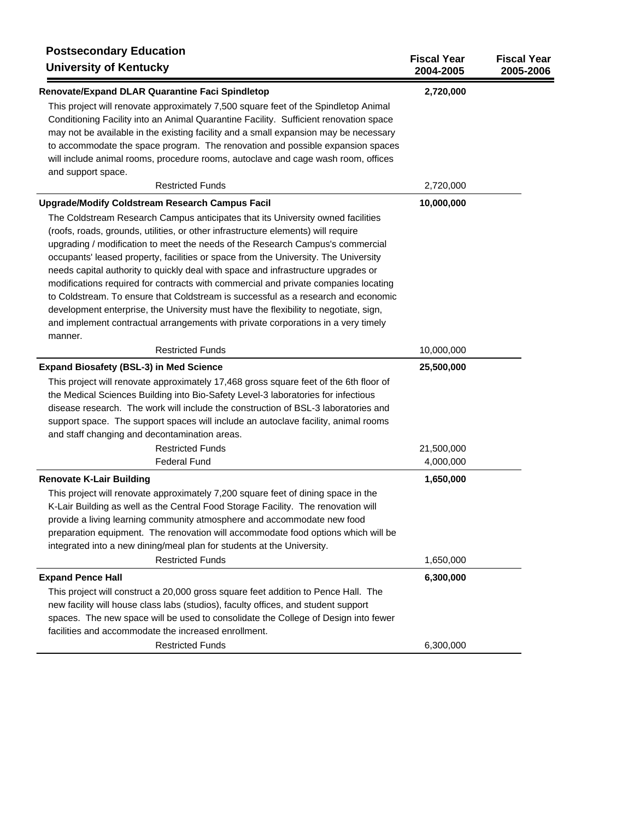| <b>Postsecondary Education</b><br><b>University of Kentucky</b>                       | <b>Fiscal Year</b><br>2004-2005 | <b>Fiscal Year</b><br>2005-2006 |
|---------------------------------------------------------------------------------------|---------------------------------|---------------------------------|
| Renovate/Expand DLAR Quarantine Faci Spindletop                                       | 2,720,000                       |                                 |
| This project will renovate approximately 7,500 square feet of the Spindletop Animal   |                                 |                                 |
| Conditioning Facility into an Animal Quarantine Facility. Sufficient renovation space |                                 |                                 |
| may not be available in the existing facility and a small expansion may be necessary  |                                 |                                 |
| to accommodate the space program. The renovation and possible expansion spaces        |                                 |                                 |
| will include animal rooms, procedure rooms, autoclave and cage wash room, offices     |                                 |                                 |
| and support space.                                                                    |                                 |                                 |
| <b>Restricted Funds</b>                                                               | 2,720,000                       |                                 |
| <b>Upgrade/Modify Coldstream Research Campus Facil</b>                                | 10,000,000                      |                                 |
| The Coldstream Research Campus anticipates that its University owned facilities       |                                 |                                 |
| (roofs, roads, grounds, utilities, or other infrastructure elements) will require     |                                 |                                 |
| upgrading / modification to meet the needs of the Research Campus's commercial        |                                 |                                 |
| occupants' leased property, facilities or space from the University. The University   |                                 |                                 |
| needs capital authority to quickly deal with space and infrastructure upgrades or     |                                 |                                 |
| modifications required for contracts with commercial and private companies locating   |                                 |                                 |
| to Coldstream. To ensure that Coldstream is successful as a research and economic     |                                 |                                 |
| development enterprise, the University must have the flexibility to negotiate, sign,  |                                 |                                 |
| and implement contractual arrangements with private corporations in a very timely     |                                 |                                 |
| manner.                                                                               |                                 |                                 |
| <b>Restricted Funds</b>                                                               | 10,000,000                      |                                 |
| <b>Expand Biosafety (BSL-3) in Med Science</b>                                        | 25,500,000                      |                                 |
| This project will renovate approximately 17,468 gross square feet of the 6th floor of |                                 |                                 |
| the Medical Sciences Building into Bio-Safety Level-3 laboratories for infectious     |                                 |                                 |
| disease research. The work will include the construction of BSL-3 laboratories and    |                                 |                                 |
| support space. The support spaces will include an autoclave facility, animal rooms    |                                 |                                 |
| and staff changing and decontamination areas.                                         |                                 |                                 |
| <b>Restricted Funds</b>                                                               | 21,500,000                      |                                 |
| <b>Federal Fund</b>                                                                   | 4,000,000                       |                                 |
| <b>Renovate K-Lair Building</b>                                                       | 1,650,000                       |                                 |
| This project will renovate approximately 7,200 square feet of dining space in the     |                                 |                                 |
| K-Lair Building as well as the Central Food Storage Facility. The renovation will     |                                 |                                 |
| provide a living learning community atmosphere and accommodate new food               |                                 |                                 |
| preparation equipment. The renovation will accommodate food options which will be     |                                 |                                 |
| integrated into a new dining/meal plan for students at the University.                |                                 |                                 |
| <b>Restricted Funds</b>                                                               | 1,650,000                       |                                 |
| <b>Expand Pence Hall</b>                                                              | 6,300,000                       |                                 |
| This project will construct a 20,000 gross square feet addition to Pence Hall. The    |                                 |                                 |
| new facility will house class labs (studios), faculty offices, and student support    |                                 |                                 |
| spaces. The new space will be used to consolidate the College of Design into fewer    |                                 |                                 |
| facilities and accommodate the increased enrollment.                                  |                                 |                                 |
| <b>Restricted Funds</b>                                                               | 6,300,000                       |                                 |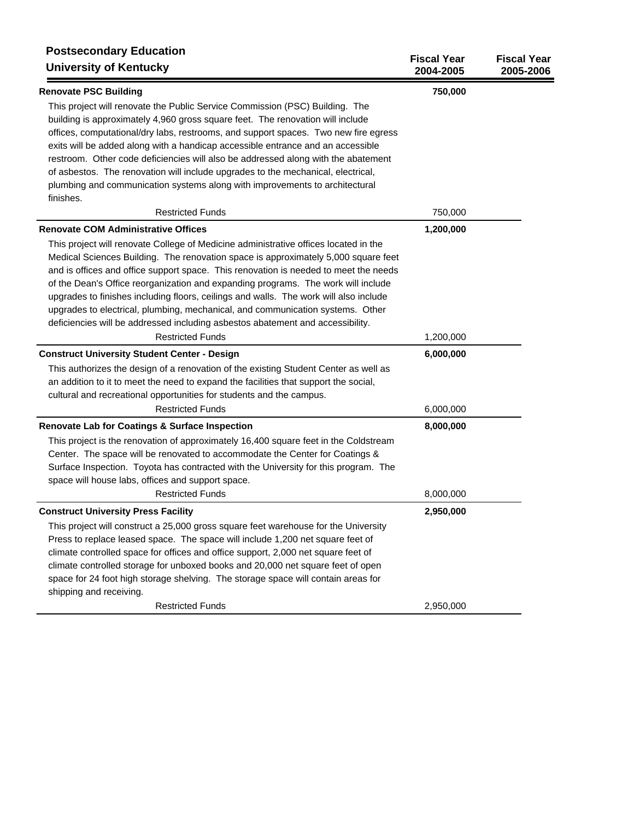| <b>Postsecondary Education</b><br><b>University of Kentucky</b>                       | <b>Fiscal Year</b><br>2004-2005 | <b>Fiscal Year</b><br>2005-2006 |
|---------------------------------------------------------------------------------------|---------------------------------|---------------------------------|
| <b>Renovate PSC Building</b>                                                          | 750,000                         |                                 |
| This project will renovate the Public Service Commission (PSC) Building. The          |                                 |                                 |
| building is approximately 4,960 gross square feet. The renovation will include        |                                 |                                 |
| offices, computational/dry labs, restrooms, and support spaces. Two new fire egress   |                                 |                                 |
| exits will be added along with a handicap accessible entrance and an accessible       |                                 |                                 |
| restroom. Other code deficiencies will also be addressed along with the abatement     |                                 |                                 |
| of asbestos. The renovation will include upgrades to the mechanical, electrical,      |                                 |                                 |
| plumbing and communication systems along with improvements to architectural           |                                 |                                 |
| finishes.                                                                             |                                 |                                 |
| <b>Restricted Funds</b>                                                               | 750,000                         |                                 |
| <b>Renovate COM Administrative Offices</b>                                            | 1,200,000                       |                                 |
| This project will renovate College of Medicine administrative offices located in the  |                                 |                                 |
| Medical Sciences Building. The renovation space is approximately 5,000 square feet    |                                 |                                 |
| and is offices and office support space. This renovation is needed to meet the needs  |                                 |                                 |
| of the Dean's Office reorganization and expanding programs. The work will include     |                                 |                                 |
| upgrades to finishes including floors, ceilings and walls. The work will also include |                                 |                                 |
| upgrades to electrical, plumbing, mechanical, and communication systems. Other        |                                 |                                 |
| deficiencies will be addressed including asbestos abatement and accessibility.        |                                 |                                 |
| <b>Restricted Funds</b>                                                               | 1,200,000                       |                                 |
| <b>Construct University Student Center - Design</b>                                   | 6,000,000                       |                                 |
| This authorizes the design of a renovation of the existing Student Center as well as  |                                 |                                 |
| an addition to it to meet the need to expand the facilities that support the social,  |                                 |                                 |
| cultural and recreational opportunities for students and the campus.                  |                                 |                                 |
| <b>Restricted Funds</b>                                                               | 6,000,000                       |                                 |
| Renovate Lab for Coatings & Surface Inspection                                        | 8,000,000                       |                                 |
| This project is the renovation of approximately 16,400 square feet in the Coldstream  |                                 |                                 |
| Center. The space will be renovated to accommodate the Center for Coatings &          |                                 |                                 |
| Surface Inspection. Toyota has contracted with the University for this program. The   |                                 |                                 |
| space will house labs, offices and support space.                                     |                                 |                                 |
| <b>Restricted Funds</b>                                                               | 8,000,000                       |                                 |
| <b>Construct University Press Facility</b>                                            | 2,950,000                       |                                 |
| This project will construct a 25,000 gross square feet warehouse for the University   |                                 |                                 |
| Press to replace leased space. The space will include 1,200 net square feet of        |                                 |                                 |
| climate controlled space for offices and office support, 2,000 net square feet of     |                                 |                                 |
| climate controlled storage for unboxed books and 20,000 net square feet of open       |                                 |                                 |
| space for 24 foot high storage shelving. The storage space will contain areas for     |                                 |                                 |
| shipping and receiving.                                                               |                                 |                                 |
| <b>Restricted Funds</b>                                                               | 2,950,000                       |                                 |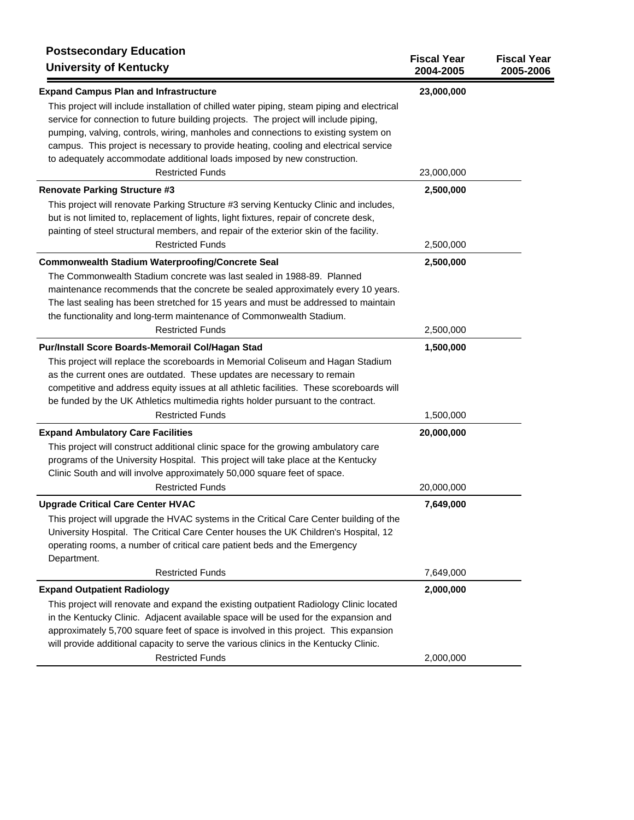| <b>Postsecondary Education</b><br><b>University of Kentucky</b>                             | <b>Fiscal Year</b><br>2004-2005 | <b>Fiscal Year</b><br>2005-2006 |
|---------------------------------------------------------------------------------------------|---------------------------------|---------------------------------|
| <b>Expand Campus Plan and Infrastructure</b>                                                | 23,000,000                      |                                 |
| This project will include installation of chilled water piping, steam piping and electrical |                                 |                                 |
| service for connection to future building projects. The project will include piping,        |                                 |                                 |
| pumping, valving, controls, wiring, manholes and connections to existing system on          |                                 |                                 |
| campus. This project is necessary to provide heating, cooling and electrical service        |                                 |                                 |
| to adequately accommodate additional loads imposed by new construction.                     |                                 |                                 |
| <b>Restricted Funds</b>                                                                     | 23,000,000                      |                                 |
| <b>Renovate Parking Structure #3</b>                                                        | 2,500,000                       |                                 |
| This project will renovate Parking Structure #3 serving Kentucky Clinic and includes,       |                                 |                                 |
| but is not limited to, replacement of lights, light fixtures, repair of concrete desk,      |                                 |                                 |
| painting of steel structural members, and repair of the exterior skin of the facility.      |                                 |                                 |
| <b>Restricted Funds</b>                                                                     | 2,500,000                       |                                 |
| Commonwealth Stadium Waterproofing/Concrete Seal                                            | 2,500,000                       |                                 |
| The Commonwealth Stadium concrete was last sealed in 1988-89. Planned                       |                                 |                                 |
| maintenance recommends that the concrete be sealed approximately every 10 years.            |                                 |                                 |
| The last sealing has been stretched for 15 years and must be addressed to maintain          |                                 |                                 |
| the functionality and long-term maintenance of Commonwealth Stadium.                        |                                 |                                 |
| <b>Restricted Funds</b>                                                                     | 2,500,000                       |                                 |
| Pur/Install Score Boards-Memorail Col/Hagan Stad                                            | 1,500,000                       |                                 |
| This project will replace the scoreboards in Memorial Coliseum and Hagan Stadium            |                                 |                                 |
| as the current ones are outdated. These updates are necessary to remain                     |                                 |                                 |
| competitive and address equity issues at all athletic facilities. These scoreboards will    |                                 |                                 |
| be funded by the UK Athletics multimedia rights holder pursuant to the contract.            |                                 |                                 |
| <b>Restricted Funds</b>                                                                     | 1,500,000                       |                                 |
| <b>Expand Ambulatory Care Facilities</b>                                                    | 20,000,000                      |                                 |
| This project will construct additional clinic space for the growing ambulatory care         |                                 |                                 |
| programs of the University Hospital. This project will take place at the Kentucky           |                                 |                                 |
| Clinic South and will involve approximately 50,000 square feet of space.                    |                                 |                                 |
| <b>Restricted Funds</b>                                                                     | 20,000,000                      |                                 |
| <b>Upgrade Critical Care Center HVAC</b>                                                    | 7,649,000                       |                                 |
| This project will upgrade the HVAC systems in the Critical Care Center building of the      |                                 |                                 |
| University Hospital. The Critical Care Center houses the UK Children's Hospital, 12         |                                 |                                 |
| operating rooms, a number of critical care patient beds and the Emergency                   |                                 |                                 |
| Department.                                                                                 |                                 |                                 |
| <b>Restricted Funds</b>                                                                     | 7,649,000                       |                                 |
| <b>Expand Outpatient Radiology</b>                                                          | 2,000,000                       |                                 |
| This project will renovate and expand the existing outpatient Radiology Clinic located      |                                 |                                 |
| in the Kentucky Clinic. Adjacent available space will be used for the expansion and         |                                 |                                 |
| approximately 5,700 square feet of space is involved in this project. This expansion        |                                 |                                 |
| will provide additional capacity to serve the various clinics in the Kentucky Clinic.       |                                 |                                 |
| <b>Restricted Funds</b>                                                                     | 2,000,000                       |                                 |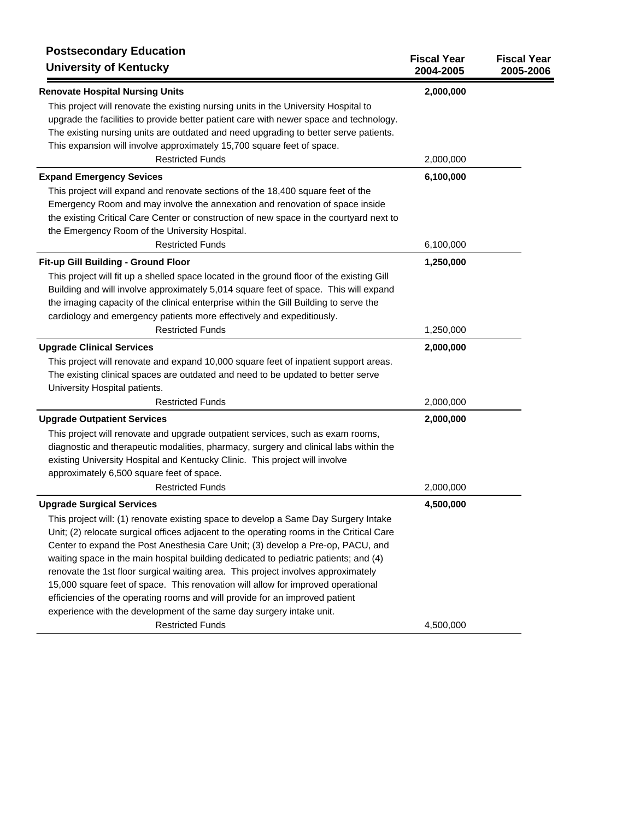| <b>Postsecondary Education</b><br><b>University of Kentucky</b>                                                                                                                                                                                                                                                                                                                                                                                                                                                                                                                                                                                                                             | <b>Fiscal Year</b><br>2004-2005 | <b>Fiscal Year</b><br>2005-2006 |
|---------------------------------------------------------------------------------------------------------------------------------------------------------------------------------------------------------------------------------------------------------------------------------------------------------------------------------------------------------------------------------------------------------------------------------------------------------------------------------------------------------------------------------------------------------------------------------------------------------------------------------------------------------------------------------------------|---------------------------------|---------------------------------|
| <b>Renovate Hospital Nursing Units</b>                                                                                                                                                                                                                                                                                                                                                                                                                                                                                                                                                                                                                                                      | 2,000,000                       |                                 |
| This project will renovate the existing nursing units in the University Hospital to<br>upgrade the facilities to provide better patient care with newer space and technology.<br>The existing nursing units are outdated and need upgrading to better serve patients.                                                                                                                                                                                                                                                                                                                                                                                                                       |                                 |                                 |
| This expansion will involve approximately 15,700 square feet of space.<br><b>Restricted Funds</b>                                                                                                                                                                                                                                                                                                                                                                                                                                                                                                                                                                                           | 2,000,000                       |                                 |
| <b>Expand Emergency Sevices</b>                                                                                                                                                                                                                                                                                                                                                                                                                                                                                                                                                                                                                                                             | 6,100,000                       |                                 |
| This project will expand and renovate sections of the 18,400 square feet of the<br>Emergency Room and may involve the annexation and renovation of space inside<br>the existing Critical Care Center or construction of new space in the courtyard next to<br>the Emergency Room of the University Hospital.                                                                                                                                                                                                                                                                                                                                                                                |                                 |                                 |
| <b>Restricted Funds</b>                                                                                                                                                                                                                                                                                                                                                                                                                                                                                                                                                                                                                                                                     | 6,100,000                       |                                 |
| Fit-up Gill Building - Ground Floor<br>This project will fit up a shelled space located in the ground floor of the existing Gill<br>Building and will involve approximately 5,014 square feet of space. This will expand<br>the imaging capacity of the clinical enterprise within the Gill Building to serve the<br>cardiology and emergency patients more effectively and expeditiously.                                                                                                                                                                                                                                                                                                  | 1,250,000                       |                                 |
| <b>Restricted Funds</b>                                                                                                                                                                                                                                                                                                                                                                                                                                                                                                                                                                                                                                                                     | 1,250,000                       |                                 |
| <b>Upgrade Clinical Services</b><br>This project will renovate and expand 10,000 square feet of inpatient support areas.<br>The existing clinical spaces are outdated and need to be updated to better serve<br>University Hospital patients.                                                                                                                                                                                                                                                                                                                                                                                                                                               | 2,000,000                       |                                 |
| <b>Restricted Funds</b>                                                                                                                                                                                                                                                                                                                                                                                                                                                                                                                                                                                                                                                                     | 2,000,000                       |                                 |
| <b>Upgrade Outpatient Services</b><br>This project will renovate and upgrade outpatient services, such as exam rooms,<br>diagnostic and therapeutic modalities, pharmacy, surgery and clinical labs within the<br>existing University Hospital and Kentucky Clinic. This project will involve                                                                                                                                                                                                                                                                                                                                                                                               | 2,000,000                       |                                 |
| approximately 6,500 square feet of space.<br><b>Restricted Funds</b>                                                                                                                                                                                                                                                                                                                                                                                                                                                                                                                                                                                                                        | 2,000,000                       |                                 |
| <b>Upgrade Surgical Services</b>                                                                                                                                                                                                                                                                                                                                                                                                                                                                                                                                                                                                                                                            | 4,500,000                       |                                 |
| This project will: (1) renovate existing space to develop a Same Day Surgery Intake<br>Unit; (2) relocate surgical offices adjacent to the operating rooms in the Critical Care<br>Center to expand the Post Anesthesia Care Unit; (3) develop a Pre-op, PACU, and<br>waiting space in the main hospital building dedicated to pediatric patients; and (4)<br>renovate the 1st floor surgical waiting area. This project involves approximately<br>15,000 square feet of space. This renovation will allow for improved operational<br>efficiencies of the operating rooms and will provide for an improved patient<br>experience with the development of the same day surgery intake unit. |                                 |                                 |
| <b>Restricted Funds</b>                                                                                                                                                                                                                                                                                                                                                                                                                                                                                                                                                                                                                                                                     | 4,500,000                       |                                 |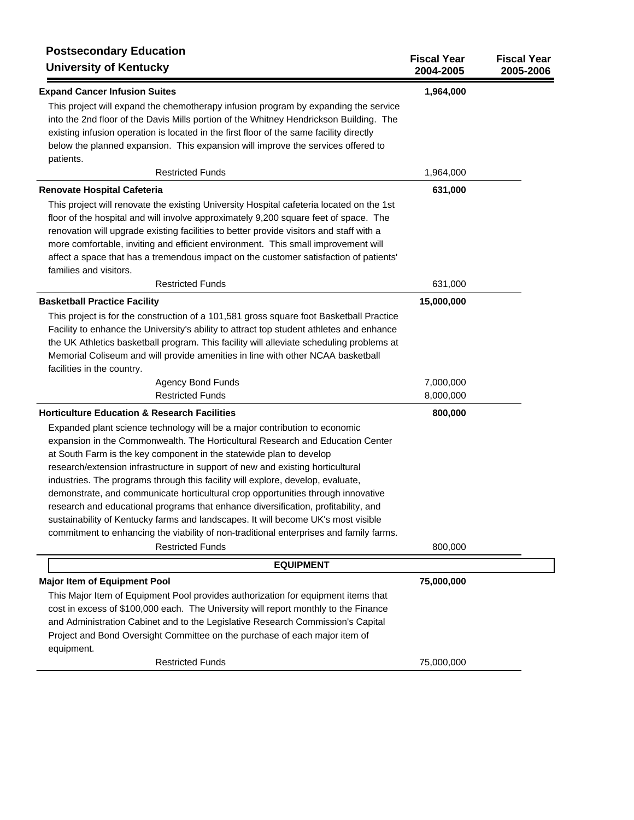| <b>Postsecondary Education</b><br><b>University of Kentucky</b>                                                                                                                                                                                                                                                                                                                                                                                                                                                                                                                                                                                                                                                                                                                              | <b>Fiscal Year</b><br>2004-2005 | <b>Fiscal Year</b><br>2005-2006 |
|----------------------------------------------------------------------------------------------------------------------------------------------------------------------------------------------------------------------------------------------------------------------------------------------------------------------------------------------------------------------------------------------------------------------------------------------------------------------------------------------------------------------------------------------------------------------------------------------------------------------------------------------------------------------------------------------------------------------------------------------------------------------------------------------|---------------------------------|---------------------------------|
| <b>Expand Cancer Infusion Suites</b>                                                                                                                                                                                                                                                                                                                                                                                                                                                                                                                                                                                                                                                                                                                                                         | 1,964,000                       |                                 |
| This project will expand the chemotherapy infusion program by expanding the service<br>into the 2nd floor of the Davis Mills portion of the Whitney Hendrickson Building. The<br>existing infusion operation is located in the first floor of the same facility directly<br>below the planned expansion. This expansion will improve the services offered to<br>patients.                                                                                                                                                                                                                                                                                                                                                                                                                    |                                 |                                 |
| <b>Restricted Funds</b>                                                                                                                                                                                                                                                                                                                                                                                                                                                                                                                                                                                                                                                                                                                                                                      | 1,964,000                       |                                 |
| Renovate Hospital Cafeteria                                                                                                                                                                                                                                                                                                                                                                                                                                                                                                                                                                                                                                                                                                                                                                  | 631,000                         |                                 |
| This project will renovate the existing University Hospital cafeteria located on the 1st<br>floor of the hospital and will involve approximately 9,200 square feet of space. The<br>renovation will upgrade existing facilities to better provide visitors and staff with a<br>more comfortable, inviting and efficient environment. This small improvement will<br>affect a space that has a tremendous impact on the customer satisfaction of patients'<br>families and visitors.                                                                                                                                                                                                                                                                                                          |                                 |                                 |
| <b>Restricted Funds</b>                                                                                                                                                                                                                                                                                                                                                                                                                                                                                                                                                                                                                                                                                                                                                                      | 631,000                         |                                 |
| <b>Basketball Practice Facility</b><br>This project is for the construction of a 101,581 gross square foot Basketball Practice<br>Facility to enhance the University's ability to attract top student athletes and enhance<br>the UK Athletics basketball program. This facility will alleviate scheduling problems at<br>Memorial Coliseum and will provide amenities in line with other NCAA basketball                                                                                                                                                                                                                                                                                                                                                                                    | 15,000,000                      |                                 |
| facilities in the country.                                                                                                                                                                                                                                                                                                                                                                                                                                                                                                                                                                                                                                                                                                                                                                   |                                 |                                 |
| <b>Agency Bond Funds</b><br><b>Restricted Funds</b>                                                                                                                                                                                                                                                                                                                                                                                                                                                                                                                                                                                                                                                                                                                                          | 7,000,000<br>8,000,000          |                                 |
| <b>Horticulture Education &amp; Research Facilities</b>                                                                                                                                                                                                                                                                                                                                                                                                                                                                                                                                                                                                                                                                                                                                      | 800,000                         |                                 |
| Expanded plant science technology will be a major contribution to economic<br>expansion in the Commonwealth. The Horticultural Research and Education Center<br>at South Farm is the key component in the statewide plan to develop<br>research/extension infrastructure in support of new and existing horticultural<br>industries. The programs through this facility will explore, develop, evaluate,<br>demonstrate, and communicate horticultural crop opportunities through innovative<br>research and educational programs that enhance diversification, profitability, and<br>sustainability of Kentucky farms and landscapes. It will become UK's most visible<br>commitment to enhancing the viability of non-traditional enterprises and family farms.<br><b>Restricted Funds</b> | 800,000                         |                                 |
| <b>EQUIPMENT</b>                                                                                                                                                                                                                                                                                                                                                                                                                                                                                                                                                                                                                                                                                                                                                                             |                                 |                                 |
| <b>Major Item of Equipment Pool</b><br>This Major Item of Equipment Pool provides authorization for equipment items that<br>cost in excess of \$100,000 each. The University will report monthly to the Finance<br>and Administration Cabinet and to the Legislative Research Commission's Capital<br>Project and Bond Oversight Committee on the purchase of each major item of<br>equipment.                                                                                                                                                                                                                                                                                                                                                                                               | 75,000,000                      |                                 |
| <b>Restricted Funds</b>                                                                                                                                                                                                                                                                                                                                                                                                                                                                                                                                                                                                                                                                                                                                                                      | 75,000,000                      |                                 |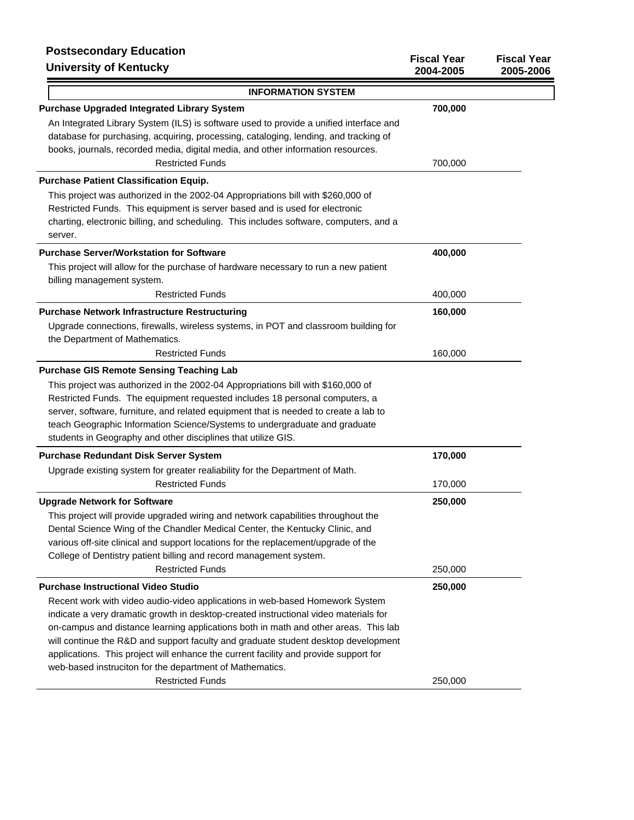## **Postsecondary Education** University of Ke

| r vələcuviludiy Luuudlivii<br><b>University of Kentucky</b>                                                                                                                                                                                                                                                                                                                                                                                                                                           | <b>Fiscal Year</b><br>2004-2005 | <b>Fiscal Year</b><br>2005-2006 |
|-------------------------------------------------------------------------------------------------------------------------------------------------------------------------------------------------------------------------------------------------------------------------------------------------------------------------------------------------------------------------------------------------------------------------------------------------------------------------------------------------------|---------------------------------|---------------------------------|
| <b>INFORMATION SYSTEM</b>                                                                                                                                                                                                                                                                                                                                                                                                                                                                             |                                 |                                 |
| <b>Purchase Upgraded Integrated Library System</b>                                                                                                                                                                                                                                                                                                                                                                                                                                                    | 700,000                         |                                 |
| An Integrated Library System (ILS) is software used to provide a unified interface and<br>database for purchasing, acquiring, processing, cataloging, lending, and tracking of<br>books, journals, recorded media, digital media, and other information resources.                                                                                                                                                                                                                                    |                                 |                                 |
| <b>Restricted Funds</b>                                                                                                                                                                                                                                                                                                                                                                                                                                                                               | 700,000                         |                                 |
| <b>Purchase Patient Classification Equip.</b>                                                                                                                                                                                                                                                                                                                                                                                                                                                         |                                 |                                 |
| This project was authorized in the 2002-04 Appropriations bill with \$260,000 of<br>Restricted Funds. This equipment is server based and is used for electronic<br>charting, electronic billing, and scheduling. This includes software, computers, and a<br>server.                                                                                                                                                                                                                                  |                                 |                                 |
| <b>Purchase Server/Workstation for Software</b>                                                                                                                                                                                                                                                                                                                                                                                                                                                       | 400,000                         |                                 |
| This project will allow for the purchase of hardware necessary to run a new patient<br>billing management system.                                                                                                                                                                                                                                                                                                                                                                                     |                                 |                                 |
| <b>Restricted Funds</b>                                                                                                                                                                                                                                                                                                                                                                                                                                                                               | 400,000                         |                                 |
| <b>Purchase Network Infrastructure Restructuring</b><br>Upgrade connections, firewalls, wireless systems, in POT and classroom building for<br>the Department of Mathematics.                                                                                                                                                                                                                                                                                                                         | 160,000                         |                                 |
| <b>Restricted Funds</b>                                                                                                                                                                                                                                                                                                                                                                                                                                                                               | 160,000                         |                                 |
| <b>Purchase GIS Remote Sensing Teaching Lab</b>                                                                                                                                                                                                                                                                                                                                                                                                                                                       |                                 |                                 |
| This project was authorized in the 2002-04 Appropriations bill with \$160,000 of<br>Restricted Funds. The equipment requested includes 18 personal computers, a<br>server, software, furniture, and related equipment that is needed to create a lab to<br>teach Geographic Information Science/Systems to undergraduate and graduate<br>students in Geography and other disciplines that utilize GIS.                                                                                                |                                 |                                 |
| <b>Purchase Redundant Disk Server System</b>                                                                                                                                                                                                                                                                                                                                                                                                                                                          | 170,000                         |                                 |
| Upgrade existing system for greater realiability for the Department of Math.                                                                                                                                                                                                                                                                                                                                                                                                                          |                                 |                                 |
| <b>Restricted Funds</b>                                                                                                                                                                                                                                                                                                                                                                                                                                                                               | 170,000                         |                                 |
| <b>Upgrade Network for Software</b>                                                                                                                                                                                                                                                                                                                                                                                                                                                                   | 250,000                         |                                 |
| This project will provide upgraded wiring and network capabilities throughout the<br>Dental Science Wing of the Chandler Medical Center, the Kentucky Clinic, and<br>various off-site clinical and support locations for the replacement/upgrade of the<br>College of Dentistry patient billing and record management system.                                                                                                                                                                         |                                 |                                 |
| <b>Restricted Funds</b>                                                                                                                                                                                                                                                                                                                                                                                                                                                                               | 250,000                         |                                 |
| <b>Purchase Instructional Video Studio</b>                                                                                                                                                                                                                                                                                                                                                                                                                                                            | 250,000                         |                                 |
| Recent work with video audio-video applications in web-based Homework System<br>indicate a very dramatic growth in desktop-created instructional video materials for<br>on-campus and distance learning applications both in math and other areas. This lab<br>will continue the R&D and support faculty and graduate student desktop development<br>applications. This project will enhance the current facility and provide support for<br>web-based instruciton for the department of Mathematics. |                                 |                                 |
| <b>Restricted Funds</b>                                                                                                                                                                                                                                                                                                                                                                                                                                                                               | 250,000                         |                                 |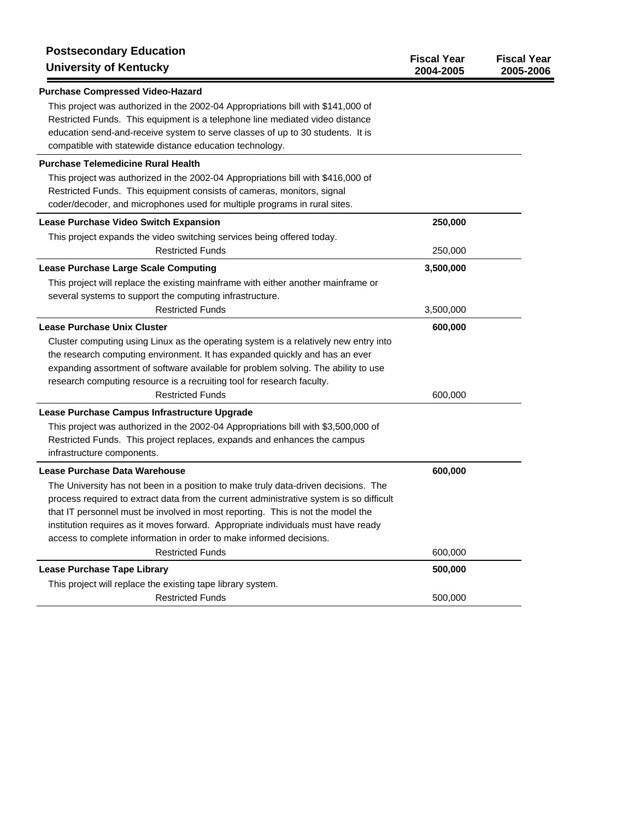| <b>Postsecondary Education</b><br><b>University of Kentucky</b>                                                                                                                                                                                                                                                                                                                                                              | <b>Fiscal Year</b><br>2004-2005 | <b>Fiscal Year</b><br>2005-2006 |
|------------------------------------------------------------------------------------------------------------------------------------------------------------------------------------------------------------------------------------------------------------------------------------------------------------------------------------------------------------------------------------------------------------------------------|---------------------------------|---------------------------------|
| <b>Purchase Compressed Video-Hazard</b>                                                                                                                                                                                                                                                                                                                                                                                      |                                 |                                 |
| This project was authorized in the 2002-04 Appropriations bill with \$141,000 of<br>Restricted Funds. This equipment is a telephone line mediated video distance<br>education send-and-receive system to serve classes of up to 30 students. It is<br>compatible with statewide distance education technology.                                                                                                               |                                 |                                 |
| <b>Purchase Telemedicine Rural Health</b>                                                                                                                                                                                                                                                                                                                                                                                    |                                 |                                 |
| This project was authorized in the 2002-04 Appropriations bill with \$416,000 of<br>Restricted Funds. This equipment consists of cameras, monitors, signal<br>coder/decoder, and microphones used for multiple programs in rural sites.                                                                                                                                                                                      |                                 |                                 |
| Lease Purchase Video Switch Expansion                                                                                                                                                                                                                                                                                                                                                                                        | 250,000                         |                                 |
| This project expands the video switching services being offered today.<br><b>Restricted Funds</b>                                                                                                                                                                                                                                                                                                                            | 250,000                         |                                 |
| <b>Lease Purchase Large Scale Computing</b>                                                                                                                                                                                                                                                                                                                                                                                  | 3,500,000                       |                                 |
| This project will replace the existing mainframe with either another mainframe or<br>several systems to support the computing infrastructure.                                                                                                                                                                                                                                                                                |                                 |                                 |
| <b>Restricted Funds</b>                                                                                                                                                                                                                                                                                                                                                                                                      | 3,500,000                       |                                 |
| <b>Lease Purchase Unix Cluster</b>                                                                                                                                                                                                                                                                                                                                                                                           | 600,000                         |                                 |
| Cluster computing using Linux as the operating system is a relatively new entry into<br>the research computing environment. It has expanded quickly and has an ever<br>expanding assortment of software available for problem solving. The ability to use<br>research computing resource is a recruiting tool for research faculty.<br><b>Restricted Funds</b>                                                               | 600,000                         |                                 |
| Lease Purchase Campus Infrastructure Upgrade                                                                                                                                                                                                                                                                                                                                                                                 |                                 |                                 |
| This project was authorized in the 2002-04 Appropriations bill with \$3,500,000 of<br>Restricted Funds. This project replaces, expands and enhances the campus<br>infrastructure components.                                                                                                                                                                                                                                 |                                 |                                 |
| Lease Purchase Data Warehouse                                                                                                                                                                                                                                                                                                                                                                                                | 600,000                         |                                 |
| The University has not been in a position to make truly data-driven decisions. The<br>process required to extract data from the current administrative system is so difficult<br>that IT personnel must be involved in most reporting. This is not the model the<br>institution requires as it moves forward. Appropriate individuals must have ready<br>access to complete information in order to make informed decisions. |                                 |                                 |
| <b>Restricted Funds</b>                                                                                                                                                                                                                                                                                                                                                                                                      | 600,000                         |                                 |
| <b>Lease Purchase Tape Library</b>                                                                                                                                                                                                                                                                                                                                                                                           | 500,000                         |                                 |
| This project will replace the existing tape library system.                                                                                                                                                                                                                                                                                                                                                                  |                                 |                                 |
| <b>Restricted Funds</b>                                                                                                                                                                                                                                                                                                                                                                                                      | 500,000                         |                                 |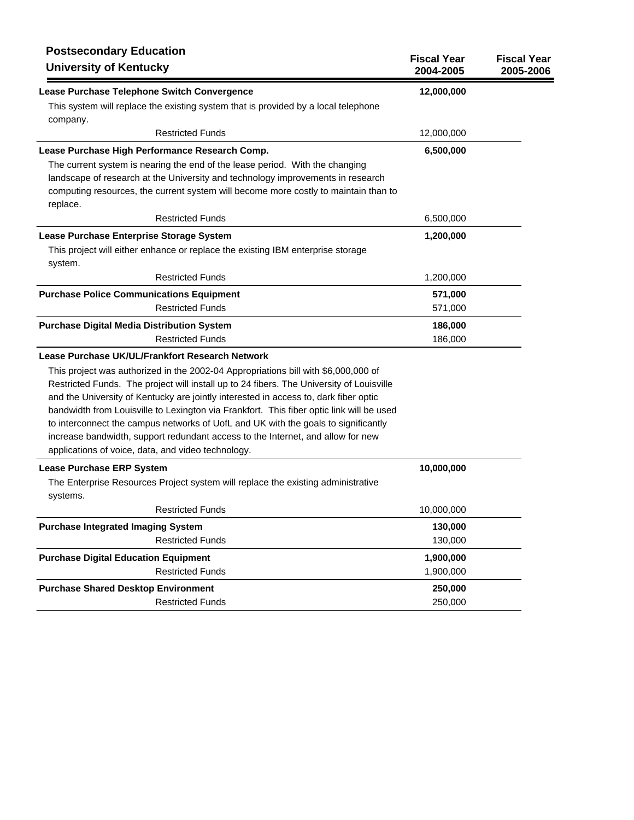| <b>Postsecondary Education</b><br><b>University of Kentucky</b>                                                                                                                                                                                                                                                                                                                                                                                                                                                                                                                                   | <b>Fiscal Year</b><br>2004-2005 | <b>Fiscal Year</b><br>2005-2006 |
|---------------------------------------------------------------------------------------------------------------------------------------------------------------------------------------------------------------------------------------------------------------------------------------------------------------------------------------------------------------------------------------------------------------------------------------------------------------------------------------------------------------------------------------------------------------------------------------------------|---------------------------------|---------------------------------|
| Lease Purchase Telephone Switch Convergence                                                                                                                                                                                                                                                                                                                                                                                                                                                                                                                                                       | 12,000,000                      |                                 |
| This system will replace the existing system that is provided by a local telephone<br>company.                                                                                                                                                                                                                                                                                                                                                                                                                                                                                                    |                                 |                                 |
| <b>Restricted Funds</b>                                                                                                                                                                                                                                                                                                                                                                                                                                                                                                                                                                           | 12,000,000                      |                                 |
| Lease Purchase High Performance Research Comp.                                                                                                                                                                                                                                                                                                                                                                                                                                                                                                                                                    | 6,500,000                       |                                 |
| The current system is nearing the end of the lease period. With the changing<br>landscape of research at the University and technology improvements in research<br>computing resources, the current system will become more costly to maintain than to<br>replace.                                                                                                                                                                                                                                                                                                                                |                                 |                                 |
| <b>Restricted Funds</b>                                                                                                                                                                                                                                                                                                                                                                                                                                                                                                                                                                           | 6,500,000                       |                                 |
| Lease Purchase Enterprise Storage System                                                                                                                                                                                                                                                                                                                                                                                                                                                                                                                                                          | 1,200,000                       |                                 |
| This project will either enhance or replace the existing IBM enterprise storage<br>system.                                                                                                                                                                                                                                                                                                                                                                                                                                                                                                        |                                 |                                 |
| <b>Restricted Funds</b>                                                                                                                                                                                                                                                                                                                                                                                                                                                                                                                                                                           | 1,200,000                       |                                 |
| <b>Purchase Police Communications Equipment</b>                                                                                                                                                                                                                                                                                                                                                                                                                                                                                                                                                   | 571,000                         |                                 |
| <b>Restricted Funds</b>                                                                                                                                                                                                                                                                                                                                                                                                                                                                                                                                                                           | 571,000                         |                                 |
| <b>Purchase Digital Media Distribution System</b>                                                                                                                                                                                                                                                                                                                                                                                                                                                                                                                                                 | 186,000                         |                                 |
| <b>Restricted Funds</b>                                                                                                                                                                                                                                                                                                                                                                                                                                                                                                                                                                           | 186,000                         |                                 |
| Lease Purchase UK/UL/Frankfort Research Network                                                                                                                                                                                                                                                                                                                                                                                                                                                                                                                                                   |                                 |                                 |
| This project was authorized in the 2002-04 Appropriations bill with \$6,000,000 of<br>Restricted Funds. The project will install up to 24 fibers. The University of Louisville<br>and the University of Kentucky are jointly interested in access to, dark fiber optic<br>bandwidth from Louisville to Lexington via Frankfort. This fiber optic link will be used<br>to interconnect the campus networks of UofL and UK with the goals to significantly<br>increase bandwidth, support redundant access to the Internet, and allow for new<br>applications of voice, data, and video technology. |                                 |                                 |
| <b>Lease Purchase ERP System</b>                                                                                                                                                                                                                                                                                                                                                                                                                                                                                                                                                                  | 10,000,000                      |                                 |
| The Enterprise Resources Project system will replace the existing administrative<br>systems.                                                                                                                                                                                                                                                                                                                                                                                                                                                                                                      |                                 |                                 |
| <b>Restricted Funds</b>                                                                                                                                                                                                                                                                                                                                                                                                                                                                                                                                                                           | 10,000,000                      |                                 |
| <b>Purchase Integrated Imaging System</b>                                                                                                                                                                                                                                                                                                                                                                                                                                                                                                                                                         | 130,000                         |                                 |
| <b>Restricted Funds</b>                                                                                                                                                                                                                                                                                                                                                                                                                                                                                                                                                                           | 130,000                         |                                 |
| <b>Purchase Digital Education Equipment</b>                                                                                                                                                                                                                                                                                                                                                                                                                                                                                                                                                       | 1,900,000                       |                                 |
| <b>Restricted Funds</b>                                                                                                                                                                                                                                                                                                                                                                                                                                                                                                                                                                           | 1,900,000                       |                                 |
| <b>Purchase Shared Desktop Environment</b><br><b>Restricted Funds</b>                                                                                                                                                                                                                                                                                                                                                                                                                                                                                                                             | 250,000<br>250,000              |                                 |
|                                                                                                                                                                                                                                                                                                                                                                                                                                                                                                                                                                                                   |                                 |                                 |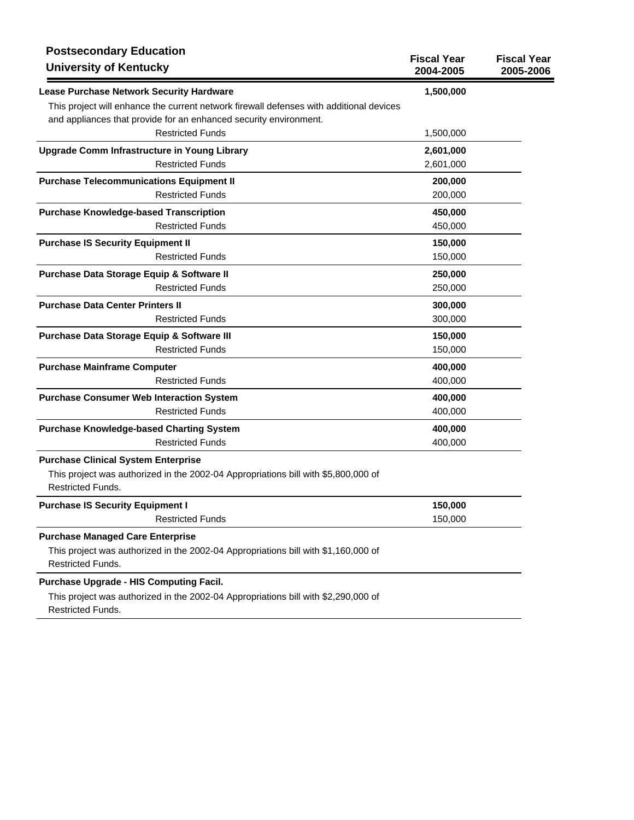| <b>Postsecondary Education</b><br><b>University of Kentucky</b>                                                | <b>Fiscal Year</b><br>2004-2005 | <b>Fiscal Year</b><br>2005-2006 |
|----------------------------------------------------------------------------------------------------------------|---------------------------------|---------------------------------|
| Lease Purchase Network Security Hardware                                                                       | 1,500,000                       |                                 |
| This project will enhance the current network firewall defenses with additional devices                        |                                 |                                 |
| and appliances that provide for an enhanced security environment.                                              |                                 |                                 |
| <b>Restricted Funds</b>                                                                                        | 1,500,000                       |                                 |
| Upgrade Comm Infrastructure in Young Library                                                                   | 2,601,000                       |                                 |
| <b>Restricted Funds</b>                                                                                        | 2,601,000                       |                                 |
| <b>Purchase Telecommunications Equipment II</b>                                                                | 200,000                         |                                 |
| <b>Restricted Funds</b>                                                                                        | 200,000                         |                                 |
| <b>Purchase Knowledge-based Transcription</b>                                                                  | 450,000                         |                                 |
| <b>Restricted Funds</b>                                                                                        | 450,000                         |                                 |
| <b>Purchase IS Security Equipment II</b>                                                                       | 150,000                         |                                 |
| <b>Restricted Funds</b>                                                                                        | 150,000                         |                                 |
| Purchase Data Storage Equip & Software II                                                                      | 250,000                         |                                 |
| <b>Restricted Funds</b>                                                                                        | 250,000                         |                                 |
| <b>Purchase Data Center Printers II</b>                                                                        | 300,000                         |                                 |
| <b>Restricted Funds</b>                                                                                        | 300,000                         |                                 |
| Purchase Data Storage Equip & Software III                                                                     | 150,000                         |                                 |
| <b>Restricted Funds</b>                                                                                        | 150,000                         |                                 |
| <b>Purchase Mainframe Computer</b>                                                                             | 400,000                         |                                 |
| <b>Restricted Funds</b>                                                                                        | 400,000                         |                                 |
| <b>Purchase Consumer Web Interaction System</b>                                                                | 400,000                         |                                 |
| <b>Restricted Funds</b>                                                                                        | 400,000                         |                                 |
| <b>Purchase Knowledge-based Charting System</b>                                                                | 400,000                         |                                 |
| <b>Restricted Funds</b>                                                                                        | 400,000                         |                                 |
| <b>Purchase Clinical System Enterprise</b>                                                                     |                                 |                                 |
| This project was authorized in the 2002-04 Appropriations bill with \$5,800,000 of                             |                                 |                                 |
| <b>Restricted Funds.</b>                                                                                       |                                 |                                 |
| <b>Purchase IS Security Equipment I</b>                                                                        | 150,000                         |                                 |
| <b>Restricted Funds</b>                                                                                        | 150,000                         |                                 |
| <b>Purchase Managed Care Enterprise</b>                                                                        |                                 |                                 |
| This project was authorized in the 2002-04 Appropriations bill with \$1,160,000 of<br><b>Restricted Funds.</b> |                                 |                                 |

## **Purchase Upgrade - HIS Computing Facil.**

This project was authorized in the 2002-04 Appropriations bill with \$2,290,000 of Restricted Funds.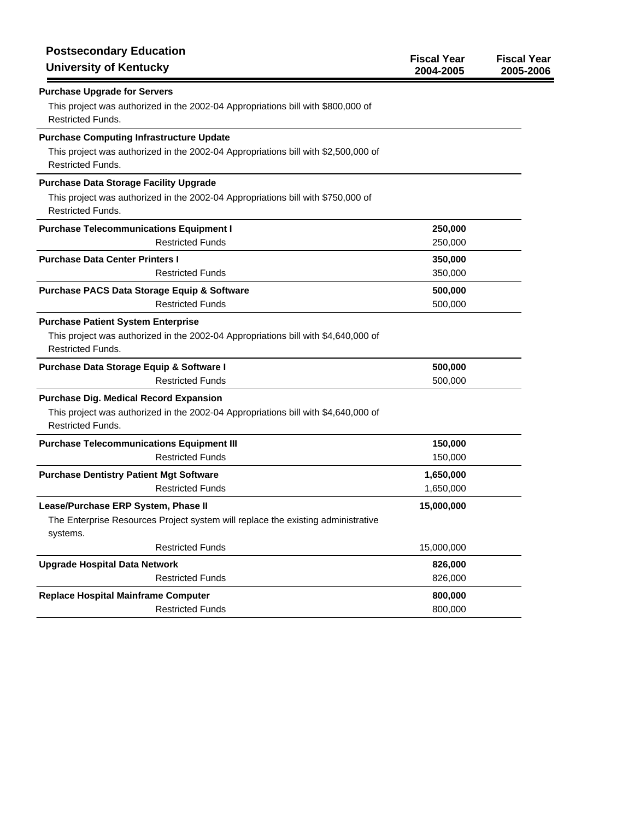| <b>Postsecondary Education</b><br><b>University of Kentucky</b>                                                                                                   | <b>Fiscal Year</b><br>2004-2005 | <b>Fiscal Year</b><br>2005-2006 |
|-------------------------------------------------------------------------------------------------------------------------------------------------------------------|---------------------------------|---------------------------------|
| <b>Purchase Upgrade for Servers</b><br>This project was authorized in the 2002-04 Appropriations bill with \$800,000 of<br><b>Restricted Funds.</b>               |                                 |                                 |
| <b>Purchase Computing Infrastructure Update</b><br>This project was authorized in the 2002-04 Appropriations bill with \$2,500,000 of<br><b>Restricted Funds.</b> |                                 |                                 |
| <b>Purchase Data Storage Facility Upgrade</b><br>This project was authorized in the 2002-04 Appropriations bill with \$750,000 of<br>Restricted Funds.            |                                 |                                 |
| <b>Purchase Telecommunications Equipment I</b><br><b>Restricted Funds</b>                                                                                         | 250,000<br>250,000              |                                 |
| <b>Purchase Data Center Printers I</b><br><b>Restricted Funds</b>                                                                                                 | 350,000<br>350,000              |                                 |
| Purchase PACS Data Storage Equip & Software<br><b>Restricted Funds</b>                                                                                            | 500,000<br>500,000              |                                 |
| <b>Purchase Patient System Enterprise</b><br>This project was authorized in the 2002-04 Appropriations bill with \$4,640,000 of<br><b>Restricted Funds.</b>       |                                 |                                 |
| Purchase Data Storage Equip & Software I<br><b>Restricted Funds</b>                                                                                               | 500,000<br>500,000              |                                 |
| <b>Purchase Dig. Medical Record Expansion</b><br>This project was authorized in the 2002-04 Appropriations bill with \$4,640,000 of<br><b>Restricted Funds.</b>   |                                 |                                 |
| <b>Purchase Telecommunications Equipment III</b><br><b>Restricted Funds</b>                                                                                       | 150,000<br>150,000              |                                 |
| <b>Purchase Dentistry Patient Mgt Software</b><br><b>Restricted Funds</b>                                                                                         | 1,650,000<br>1,650,000          |                                 |
| Lease/Purchase ERP System. Phase II<br>The Enterprise Resources Project system will replace the existing administrative<br>systems.                               | 15,000,000                      |                                 |
| <b>Restricted Funds</b>                                                                                                                                           | 15,000,000                      |                                 |
| <b>Upgrade Hospital Data Network</b>                                                                                                                              | 826,000                         |                                 |
| <b>Restricted Funds</b>                                                                                                                                           | 826,000                         |                                 |
| <b>Replace Hospital Mainframe Computer</b><br><b>Restricted Funds</b>                                                                                             | 800,000<br>800,000              |                                 |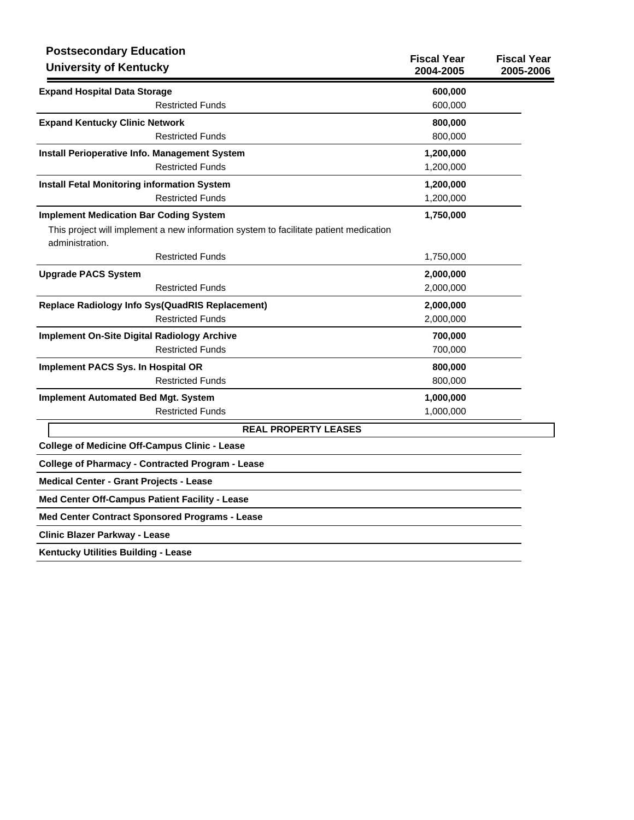| <b>Postsecondary Education</b><br><b>University of Kentucky</b>                                          | <b>Fiscal Year</b><br>2004-2005 | <b>Fiscal Year</b><br>2005-2006 |
|----------------------------------------------------------------------------------------------------------|---------------------------------|---------------------------------|
| <b>Expand Hospital Data Storage</b>                                                                      | 600,000                         |                                 |
| <b>Restricted Funds</b>                                                                                  | 600,000                         |                                 |
| <b>Expand Kentucky Clinic Network</b>                                                                    | 800,000                         |                                 |
| <b>Restricted Funds</b>                                                                                  | 800,000                         |                                 |
| <b>Install Perioperative Info. Management System</b>                                                     | 1,200,000                       |                                 |
| <b>Restricted Funds</b>                                                                                  | 1,200,000                       |                                 |
| <b>Install Fetal Monitoring information System</b>                                                       | 1,200,000                       |                                 |
| <b>Restricted Funds</b>                                                                                  | 1,200,000                       |                                 |
| <b>Implement Medication Bar Coding System</b>                                                            | 1,750,000                       |                                 |
| This project will implement a new information system to facilitate patient medication<br>administration. |                                 |                                 |
| <b>Restricted Funds</b>                                                                                  | 1,750,000                       |                                 |
| <b>Upgrade PACS System</b>                                                                               | 2,000,000                       |                                 |
| <b>Restricted Funds</b>                                                                                  | 2,000,000                       |                                 |
| <b>Replace Radiology Info Sys(QuadRIS Replacement)</b>                                                   | 2,000,000                       |                                 |
| <b>Restricted Funds</b>                                                                                  | 2,000,000                       |                                 |
| <b>Implement On-Site Digital Radiology Archive</b>                                                       | 700,000                         |                                 |
| <b>Restricted Funds</b>                                                                                  | 700,000                         |                                 |
| Implement PACS Sys. In Hospital OR                                                                       | 800,000                         |                                 |
| <b>Restricted Funds</b>                                                                                  | 800,000                         |                                 |
| <b>Implement Automated Bed Mgt. System</b>                                                               | 1,000,000                       |                                 |
| <b>Restricted Funds</b>                                                                                  | 1,000,000                       |                                 |
| <b>REAL PROPERTY LEASES</b>                                                                              |                                 |                                 |
| <b>College of Medicine Off-Campus Clinic - Lease</b>                                                     |                                 |                                 |
| <b>College of Pharmacy - Contracted Program - Lease</b>                                                  |                                 |                                 |
| <b>Medical Center - Grant Projects - Lease</b>                                                           |                                 |                                 |
| Med Center Off-Campus Patient Facility - Lease                                                           |                                 |                                 |
| Med Center Contract Sponsored Programs - Lease                                                           |                                 |                                 |
| <b>Clinic Blazer Parkway - Lease</b>                                                                     |                                 |                                 |
| Kentucky Utilities Building - Lease                                                                      |                                 |                                 |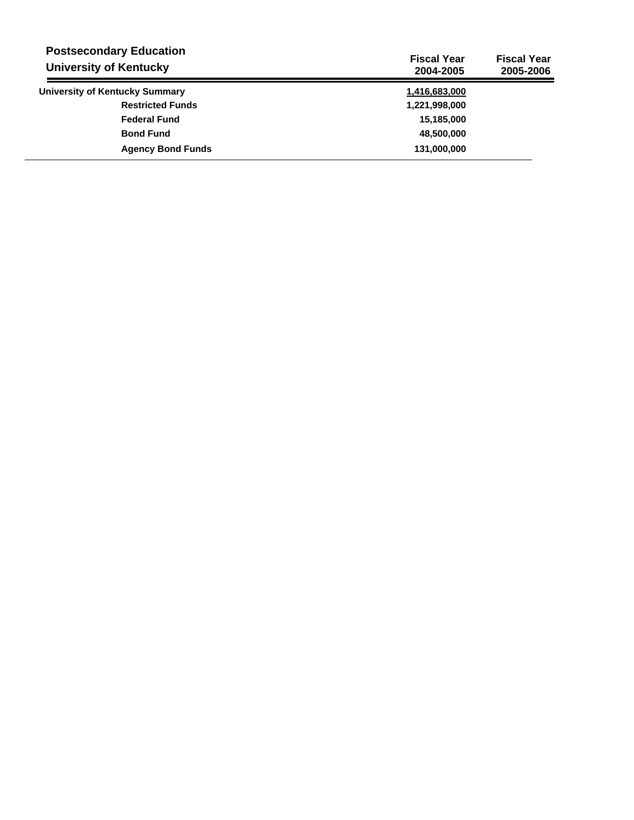| <b>Postsecondary Education</b><br><b>University of Kentucky</b> | <b>Fiscal Year</b><br>2004-2005 | <b>Fiscal Year</b><br>2005-2006 |
|-----------------------------------------------------------------|---------------------------------|---------------------------------|
| University of Kentucky Summary                                  | 1,416,683,000                   |                                 |
| <b>Restricted Funds</b>                                         | 1,221,998,000                   |                                 |
| <b>Federal Fund</b>                                             | 15,185,000                      |                                 |
| <b>Bond Fund</b>                                                | 48,500,000                      |                                 |
| <b>Agency Bond Funds</b>                                        | 131,000,000                     |                                 |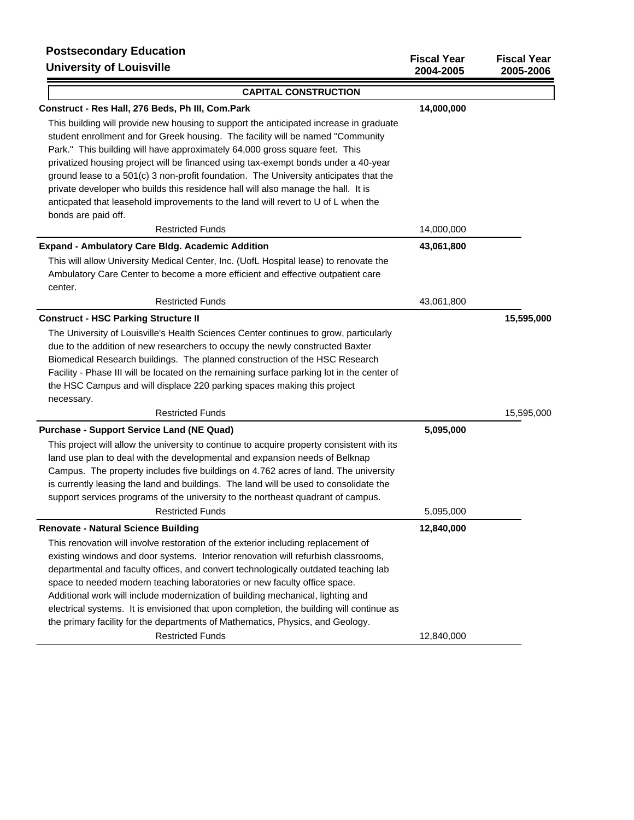## **Postsecondary Education**

| <b>PUSISECUTIUALY EQUUATION</b><br><b>University of Louisville</b>                         | <b>Fiscal Year</b><br>2004-2005 | <b>Fiscal Year</b><br>2005-2006 |
|--------------------------------------------------------------------------------------------|---------------------------------|---------------------------------|
| <b>CAPITAL CONSTRUCTION</b>                                                                |                                 |                                 |
| Construct - Res Hall, 276 Beds, Ph III, Com.Park                                           | 14,000,000                      |                                 |
| This building will provide new housing to support the anticipated increase in graduate     |                                 |                                 |
| student enrollment and for Greek housing. The facility will be named "Community            |                                 |                                 |
| Park." This building will have approximately 64,000 gross square feet. This                |                                 |                                 |
| privatized housing project will be financed using tax-exempt bonds under a 40-year         |                                 |                                 |
| ground lease to a 501(c) 3 non-profit foundation. The University anticipates that the      |                                 |                                 |
| private developer who builds this residence hall will also manage the hall. It is          |                                 |                                 |
| anticpated that leasehold improvements to the land will revert to U of L when the          |                                 |                                 |
| bonds are paid off.                                                                        |                                 |                                 |
| <b>Restricted Funds</b>                                                                    | 14,000,000                      |                                 |
| <b>Expand - Ambulatory Care Bidg. Academic Addition</b>                                    | 43,061,800                      |                                 |
| This will allow University Medical Center, Inc. (UofL Hospital lease) to renovate the      |                                 |                                 |
| Ambulatory Care Center to become a more efficient and effective outpatient care            |                                 |                                 |
| center.                                                                                    |                                 |                                 |
| <b>Restricted Funds</b>                                                                    | 43,061,800                      |                                 |
| <b>Construct - HSC Parking Structure II</b>                                                |                                 | 15,595,000                      |
| The University of Louisville's Health Sciences Center continues to grow, particularly      |                                 |                                 |
| due to the addition of new researchers to occupy the newly constructed Baxter              |                                 |                                 |
| Biomedical Research buildings. The planned construction of the HSC Research                |                                 |                                 |
| Facility - Phase III will be located on the remaining surface parking lot in the center of |                                 |                                 |
| the HSC Campus and will displace 220 parking spaces making this project<br>necessary.      |                                 |                                 |
| <b>Restricted Funds</b>                                                                    |                                 | 15,595,000                      |
| <b>Purchase - Support Service Land (NE Quad)</b>                                           | 5,095,000                       |                                 |
| This project will allow the university to continue to acquire property consistent with its |                                 |                                 |
| land use plan to deal with the developmental and expansion needs of Belknap                |                                 |                                 |
| Campus. The property includes five buildings on 4.762 acres of land. The university        |                                 |                                 |
| is currently leasing the land and buildings. The land will be used to consolidate the      |                                 |                                 |
| support services programs of the university to the northeast quadrant of campus.           |                                 |                                 |
| <b>Restricted Funds</b>                                                                    | 5,095,000                       |                                 |
| <b>Renovate - Natural Science Building</b>                                                 | 12,840,000                      |                                 |
| This renovation will involve restoration of the exterior including replacement of          |                                 |                                 |
| existing windows and door systems. Interior renovation will refurbish classrooms,          |                                 |                                 |
| departmental and faculty offices, and convert technologically outdated teaching lab        |                                 |                                 |
| space to needed modern teaching laboratories or new faculty office space.                  |                                 |                                 |
| Additional work will include modernization of building mechanical, lighting and            |                                 |                                 |
| electrical systems. It is envisioned that upon completion, the building will continue as   |                                 |                                 |
| the primary facility for the departments of Mathematics, Physics, and Geology.             |                                 |                                 |
| <b>Restricted Funds</b>                                                                    | 12,840,000                      |                                 |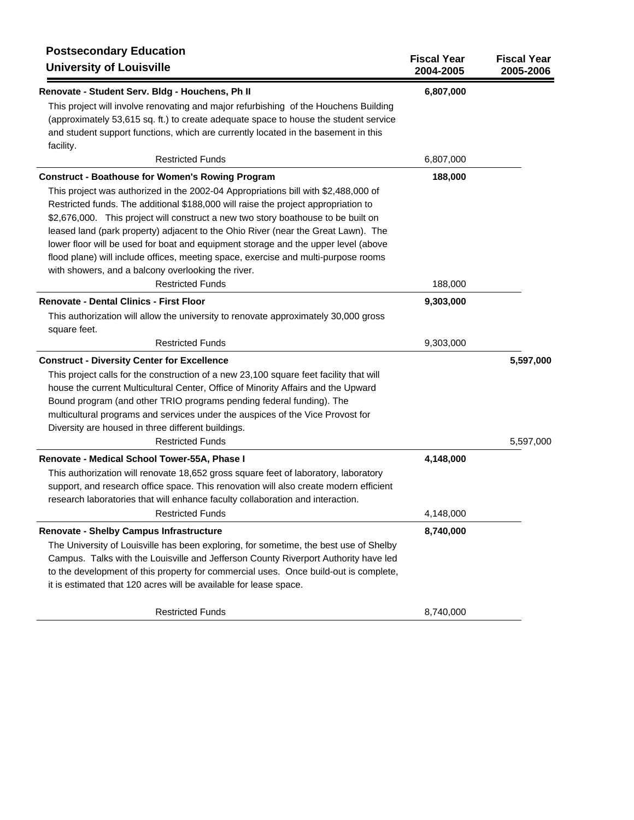| <b>Postsecondary Education</b><br><b>University of Louisville</b>                                                                                                                                                                                                                                                                                                                                                                                                                                                                                                                                                                               | <b>Fiscal Year</b><br>2004-2005 | <b>Fiscal Year</b><br>2005-2006 |
|-------------------------------------------------------------------------------------------------------------------------------------------------------------------------------------------------------------------------------------------------------------------------------------------------------------------------------------------------------------------------------------------------------------------------------------------------------------------------------------------------------------------------------------------------------------------------------------------------------------------------------------------------|---------------------------------|---------------------------------|
| Renovate - Student Serv. Bldg - Houchens, Ph II                                                                                                                                                                                                                                                                                                                                                                                                                                                                                                                                                                                                 | 6,807,000                       |                                 |
| This project will involve renovating and major refurbishing of the Houchens Building<br>(approximately 53,615 sq. ft.) to create adequate space to house the student service<br>and student support functions, which are currently located in the basement in this<br>facility.                                                                                                                                                                                                                                                                                                                                                                 |                                 |                                 |
| <b>Restricted Funds</b>                                                                                                                                                                                                                                                                                                                                                                                                                                                                                                                                                                                                                         | 6,807,000                       |                                 |
| <b>Construct - Boathouse for Women's Rowing Program</b><br>This project was authorized in the 2002-04 Appropriations bill with \$2,488,000 of<br>Restricted funds. The additional \$188,000 will raise the project appropriation to<br>\$2,676,000. This project will construct a new two story boathouse to be built on<br>leased land (park property) adjacent to the Ohio River (near the Great Lawn). The<br>lower floor will be used for boat and equipment storage and the upper level (above<br>flood plane) will include offices, meeting space, exercise and multi-purpose rooms<br>with showers, and a balcony overlooking the river. | 188,000                         |                                 |
| <b>Restricted Funds</b>                                                                                                                                                                                                                                                                                                                                                                                                                                                                                                                                                                                                                         | 188,000                         |                                 |
| <b>Renovate - Dental Clinics - First Floor</b><br>This authorization will allow the university to renovate approximately 30,000 gross<br>square feet.                                                                                                                                                                                                                                                                                                                                                                                                                                                                                           | 9,303,000                       |                                 |
| <b>Restricted Funds</b>                                                                                                                                                                                                                                                                                                                                                                                                                                                                                                                                                                                                                         | 9,303,000                       |                                 |
| <b>Construct - Diversity Center for Excellence</b>                                                                                                                                                                                                                                                                                                                                                                                                                                                                                                                                                                                              |                                 | 5,597,000                       |
| This project calls for the construction of a new 23,100 square feet facility that will<br>house the current Multicultural Center, Office of Minority Affairs and the Upward<br>Bound program (and other TRIO programs pending federal funding). The<br>multicultural programs and services under the auspices of the Vice Provost for<br>Diversity are housed in three different buildings.                                                                                                                                                                                                                                                     |                                 |                                 |
| <b>Restricted Funds</b>                                                                                                                                                                                                                                                                                                                                                                                                                                                                                                                                                                                                                         |                                 | 5,597,000                       |
| Renovate - Medical School Tower-55A, Phase I<br>This authorization will renovate 18,652 gross square feet of laboratory, laboratory<br>support, and research office space. This renovation will also create modern efficient<br>research laboratories that will enhance faculty collaboration and interaction.                                                                                                                                                                                                                                                                                                                                  | 4,148,000                       |                                 |
| <b>Restricted Funds</b>                                                                                                                                                                                                                                                                                                                                                                                                                                                                                                                                                                                                                         | 4,148,000                       |                                 |
| Renovate - Shelby Campus Infrastructure<br>The University of Louisville has been exploring, for sometime, the best use of Shelby<br>Campus. Talks with the Louisville and Jefferson County Riverport Authority have led<br>to the development of this property for commercial uses. Once build-out is complete,<br>it is estimated that 120 acres will be available for lease space.                                                                                                                                                                                                                                                            | 8,740,000                       |                                 |
| <b>Restricted Funds</b>                                                                                                                                                                                                                                                                                                                                                                                                                                                                                                                                                                                                                         | 8,740,000                       |                                 |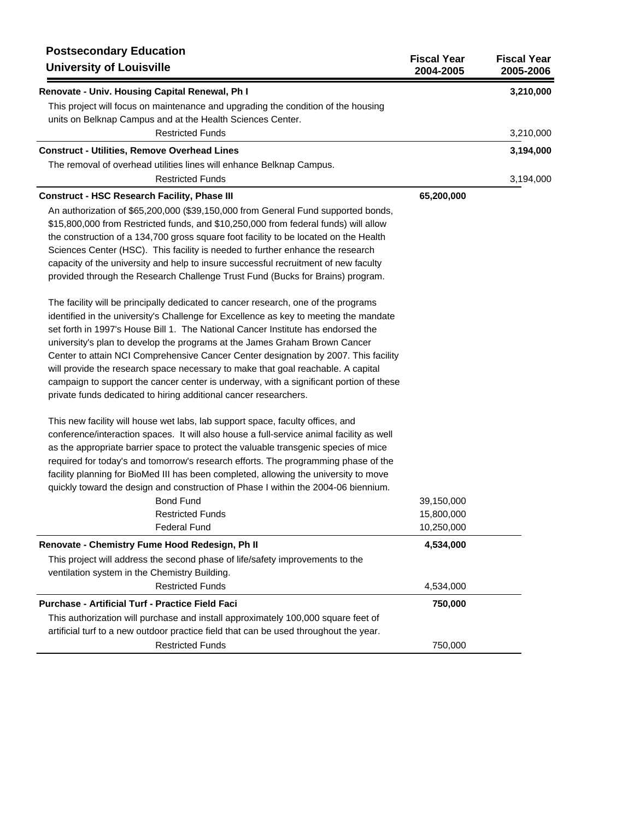| <b>Postsecondary Education</b><br><b>University of Louisville</b>                        | <b>Fiscal Year</b><br>2004-2005 | <b>Fiscal Year</b><br>2005-2006 |
|------------------------------------------------------------------------------------------|---------------------------------|---------------------------------|
| Renovate - Univ. Housing Capital Renewal, Ph I                                           |                                 | 3,210,000                       |
| This project will focus on maintenance and upgrading the condition of the housing        |                                 |                                 |
| units on Belknap Campus and at the Health Sciences Center.                               |                                 |                                 |
| <b>Restricted Funds</b>                                                                  |                                 | 3,210,000                       |
| <b>Construct - Utilities, Remove Overhead Lines</b>                                      |                                 | 3,194,000                       |
| The removal of overhead utilities lines will enhance Belknap Campus.                     |                                 |                                 |
| <b>Restricted Funds</b>                                                                  |                                 | 3,194,000                       |
| <b>Construct - HSC Research Facility, Phase III</b>                                      | 65,200,000                      |                                 |
| An authorization of \$65,200,000 (\$39,150,000 from General Fund supported bonds,        |                                 |                                 |
| \$15,800,000 from Restricted funds, and \$10,250,000 from federal funds) will allow      |                                 |                                 |
| the construction of a 134,700 gross square foot facility to be located on the Health     |                                 |                                 |
| Sciences Center (HSC). This facility is needed to further enhance the research           |                                 |                                 |
| capacity of the university and help to insure successful recruitment of new faculty      |                                 |                                 |
| provided through the Research Challenge Trust Fund (Bucks for Brains) program.           |                                 |                                 |
| The facility will be principally dedicated to cancer research, one of the programs       |                                 |                                 |
| identified in the university's Challenge for Excellence as key to meeting the mandate    |                                 |                                 |
| set forth in 1997's House Bill 1. The National Cancer Institute has endorsed the         |                                 |                                 |
| university's plan to develop the programs at the James Graham Brown Cancer               |                                 |                                 |
| Center to attain NCI Comprehensive Cancer Center designation by 2007. This facility      |                                 |                                 |
| will provide the research space necessary to make that goal reachable. A capital         |                                 |                                 |
| campaign to support the cancer center is underway, with a significant portion of these   |                                 |                                 |
| private funds dedicated to hiring additional cancer researchers.                         |                                 |                                 |
| This new facility will house wet labs, lab support space, faculty offices, and           |                                 |                                 |
| conference/interaction spaces. It will also house a full-service animal facility as well |                                 |                                 |
| as the appropriate barrier space to protect the valuable transgenic species of mice      |                                 |                                 |
| required for today's and tomorrow's research efforts. The programming phase of the       |                                 |                                 |
| facility planning for BioMed III has been completed, allowing the university to move     |                                 |                                 |
| quickly toward the design and construction of Phase I within the 2004-06 biennium.       |                                 |                                 |
| <b>Bond Fund</b>                                                                         | 39,150,000                      |                                 |
| <b>Restricted Funds</b>                                                                  | 15,800,000                      |                                 |
| <b>Federal Fund</b>                                                                      | 10,250,000                      |                                 |
| Renovate - Chemistry Fume Hood Redesign, Ph II                                           | 4,534,000                       |                                 |
| This project will address the second phase of life/safety improvements to the            |                                 |                                 |
| ventilation system in the Chemistry Building.                                            |                                 |                                 |
| <b>Restricted Funds</b>                                                                  | 4,534,000                       |                                 |
| <b>Purchase - Artificial Turf - Practice Field Faci</b>                                  | 750,000                         |                                 |
| This authorization will purchase and install approximately 100,000 square feet of        |                                 |                                 |
| artificial turf to a new outdoor practice field that can be used throughout the year.    |                                 |                                 |
| <b>Restricted Funds</b>                                                                  | 750,000                         |                                 |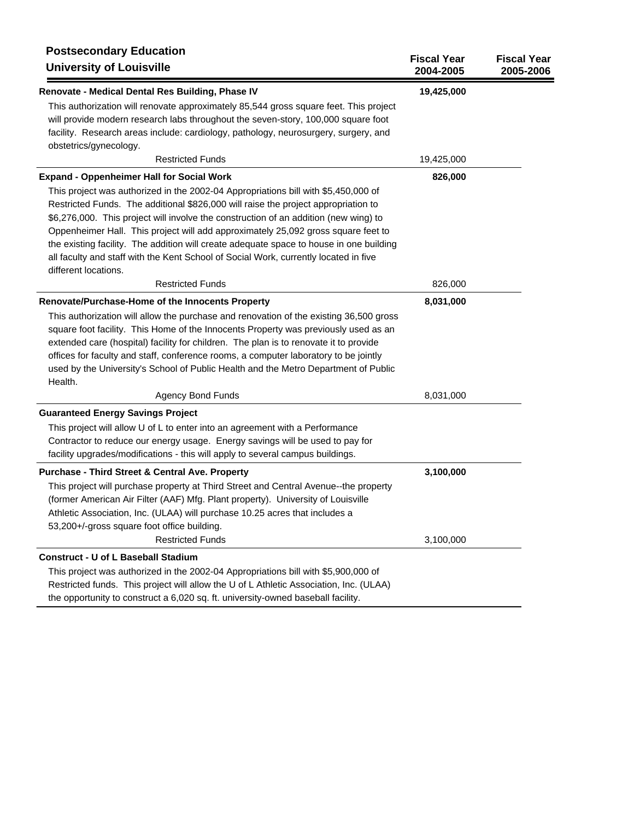| <b>Postsecondary Education</b><br><b>University of Louisville</b>                                                                                                                                                                                                                                                                                                                                                                                                                                                                                                | <b>Fiscal Year</b><br>2004-2005 | <b>Fiscal Year</b><br>2005-2006 |
|------------------------------------------------------------------------------------------------------------------------------------------------------------------------------------------------------------------------------------------------------------------------------------------------------------------------------------------------------------------------------------------------------------------------------------------------------------------------------------------------------------------------------------------------------------------|---------------------------------|---------------------------------|
| Renovate - Medical Dental Res Building, Phase IV                                                                                                                                                                                                                                                                                                                                                                                                                                                                                                                 | 19,425,000                      |                                 |
| This authorization will renovate approximately 85,544 gross square feet. This project<br>will provide modern research labs throughout the seven-story, 100,000 square foot<br>facility. Research areas include: cardiology, pathology, neurosurgery, surgery, and<br>obstetrics/gynecology.                                                                                                                                                                                                                                                                      |                                 |                                 |
| <b>Restricted Funds</b>                                                                                                                                                                                                                                                                                                                                                                                                                                                                                                                                          | 19,425,000                      |                                 |
| <b>Expand - Oppenheimer Hall for Social Work</b>                                                                                                                                                                                                                                                                                                                                                                                                                                                                                                                 | 826,000                         |                                 |
| This project was authorized in the 2002-04 Appropriations bill with \$5,450,000 of<br>Restricted Funds. The additional \$826,000 will raise the project appropriation to<br>\$6,276,000. This project will involve the construction of an addition (new wing) to<br>Oppenheimer Hall. This project will add approximately 25,092 gross square feet to<br>the existing facility. The addition will create adequate space to house in one building<br>all faculty and staff with the Kent School of Social Work, currently located in five<br>different locations. |                                 |                                 |
| <b>Restricted Funds</b>                                                                                                                                                                                                                                                                                                                                                                                                                                                                                                                                          | 826,000                         |                                 |
| Renovate/Purchase-Home of the Innocents Property<br>This authorization will allow the purchase and renovation of the existing 36,500 gross<br>square foot facility. This Home of the Innocents Property was previously used as an<br>extended care (hospital) facility for children. The plan is to renovate it to provide<br>offices for faculty and staff, conference rooms, a computer laboratory to be jointly<br>used by the University's School of Public Health and the Metro Department of Public<br>Health.                                             | 8,031,000                       |                                 |
| <b>Agency Bond Funds</b>                                                                                                                                                                                                                                                                                                                                                                                                                                                                                                                                         | 8,031,000                       |                                 |
| <b>Guaranteed Energy Savings Project</b><br>This project will allow U of L to enter into an agreement with a Performance<br>Contractor to reduce our energy usage. Energy savings will be used to pay for<br>facility upgrades/modifications - this will apply to several campus buildings.                                                                                                                                                                                                                                                                      |                                 |                                 |
| <b>Purchase - Third Street &amp; Central Ave. Property</b>                                                                                                                                                                                                                                                                                                                                                                                                                                                                                                       | 3,100,000                       |                                 |
| This project will purchase property at Third Street and Central Avenue--the property<br>(former American Air Filter (AAF) Mfg. Plant property). University of Louisville<br>Athletic Association, Inc. (ULAA) will purchase 10.25 acres that includes a<br>53,200+/-gross square foot office building.<br><b>Restricted Funds</b>                                                                                                                                                                                                                                | 3,100,000                       |                                 |
| <b>Construct - U of L Baseball Stadium</b>                                                                                                                                                                                                                                                                                                                                                                                                                                                                                                                       |                                 |                                 |
| This project was authorized in the 2002-04 Appropriations bill with \$5,900,000 of<br>Restricted funds. This project will allow the U of L Athletic Association, Inc. (ULAA)<br>the opportunity to construct a 6,020 sq. ft. university-owned baseball facility.                                                                                                                                                                                                                                                                                                 |                                 |                                 |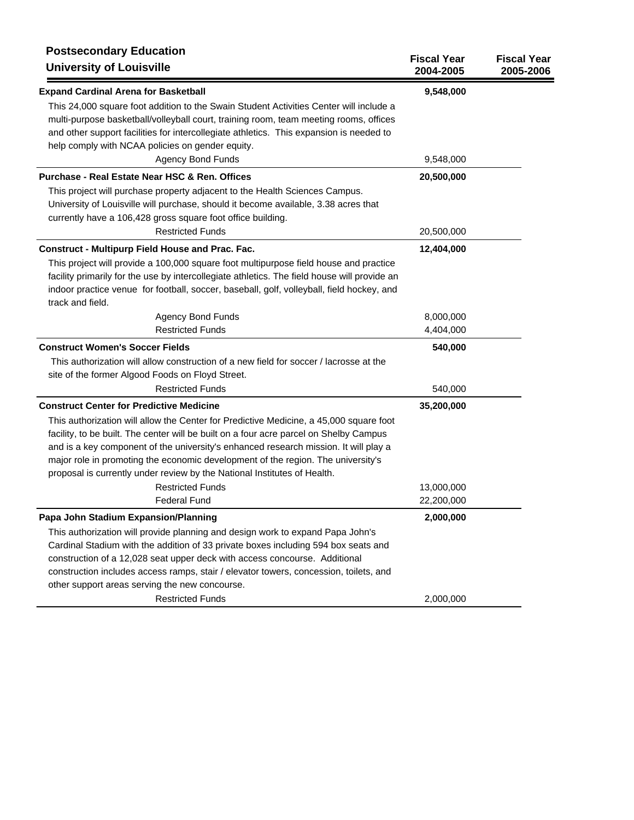| <b>Postsecondary Education</b><br><b>University of Louisville</b>                                                                                                                                                                                                                                                                                                                                                                                                   | <b>Fiscal Year</b><br>2004-2005 | <b>Fiscal Year</b><br>2005-2006 |
|---------------------------------------------------------------------------------------------------------------------------------------------------------------------------------------------------------------------------------------------------------------------------------------------------------------------------------------------------------------------------------------------------------------------------------------------------------------------|---------------------------------|---------------------------------|
| <b>Expand Cardinal Arena for Basketball</b>                                                                                                                                                                                                                                                                                                                                                                                                                         | 9,548,000                       |                                 |
| This 24,000 square foot addition to the Swain Student Activities Center will include a<br>multi-purpose basketball/volleyball court, training room, team meeting rooms, offices<br>and other support facilities for intercollegiate athletics. This expansion is needed to<br>help comply with NCAA policies on gender equity.                                                                                                                                      |                                 |                                 |
| <b>Agency Bond Funds</b>                                                                                                                                                                                                                                                                                                                                                                                                                                            | 9,548,000                       |                                 |
| Purchase - Real Estate Near HSC & Ren. Offices                                                                                                                                                                                                                                                                                                                                                                                                                      | 20,500,000                      |                                 |
| This project will purchase property adjacent to the Health Sciences Campus.<br>University of Louisville will purchase, should it become available, 3.38 acres that<br>currently have a 106,428 gross square foot office building.                                                                                                                                                                                                                                   |                                 |                                 |
| <b>Restricted Funds</b>                                                                                                                                                                                                                                                                                                                                                                                                                                             | 20,500,000                      |                                 |
| <b>Construct - Multipurp Field House and Prac. Fac.</b>                                                                                                                                                                                                                                                                                                                                                                                                             | 12,404,000                      |                                 |
| This project will provide a 100,000 square foot multipurpose field house and practice<br>facility primarily for the use by intercollegiate athletics. The field house will provide an<br>indoor practice venue for football, soccer, baseball, golf, volleyball, field hockey, and<br>track and field.                                                                                                                                                              |                                 |                                 |
| <b>Agency Bond Funds</b>                                                                                                                                                                                                                                                                                                                                                                                                                                            | 8,000,000                       |                                 |
| <b>Restricted Funds</b>                                                                                                                                                                                                                                                                                                                                                                                                                                             | 4,404,000                       |                                 |
| <b>Construct Women's Soccer Fields</b>                                                                                                                                                                                                                                                                                                                                                                                                                              | 540,000                         |                                 |
| This authorization will allow construction of a new field for soccer / lacrosse at the<br>site of the former Algood Foods on Floyd Street.                                                                                                                                                                                                                                                                                                                          |                                 |                                 |
| <b>Restricted Funds</b>                                                                                                                                                                                                                                                                                                                                                                                                                                             | 540,000                         |                                 |
| <b>Construct Center for Predictive Medicine</b>                                                                                                                                                                                                                                                                                                                                                                                                                     | 35,200,000                      |                                 |
| This authorization will allow the Center for Predictive Medicine, a 45,000 square foot<br>facility, to be built. The center will be built on a four acre parcel on Shelby Campus<br>and is a key component of the university's enhanced research mission. It will play a<br>major role in promoting the economic development of the region. The university's<br>proposal is currently under review by the National Institutes of Health.<br><b>Restricted Funds</b> | 13,000,000                      |                                 |
| <b>Federal Fund</b>                                                                                                                                                                                                                                                                                                                                                                                                                                                 | 22,200,000                      |                                 |
| Papa John Stadium Expansion/Planning                                                                                                                                                                                                                                                                                                                                                                                                                                | 2,000,000                       |                                 |
| This authorization will provide planning and design work to expand Papa John's<br>Cardinal Stadium with the addition of 33 private boxes including 594 box seats and<br>construction of a 12,028 seat upper deck with access concourse. Additional<br>construction includes access ramps, stair / elevator towers, concession, toilets, and<br>other support areas serving the new concourse.                                                                       |                                 |                                 |
| <b>Restricted Funds</b>                                                                                                                                                                                                                                                                                                                                                                                                                                             | 2,000,000                       |                                 |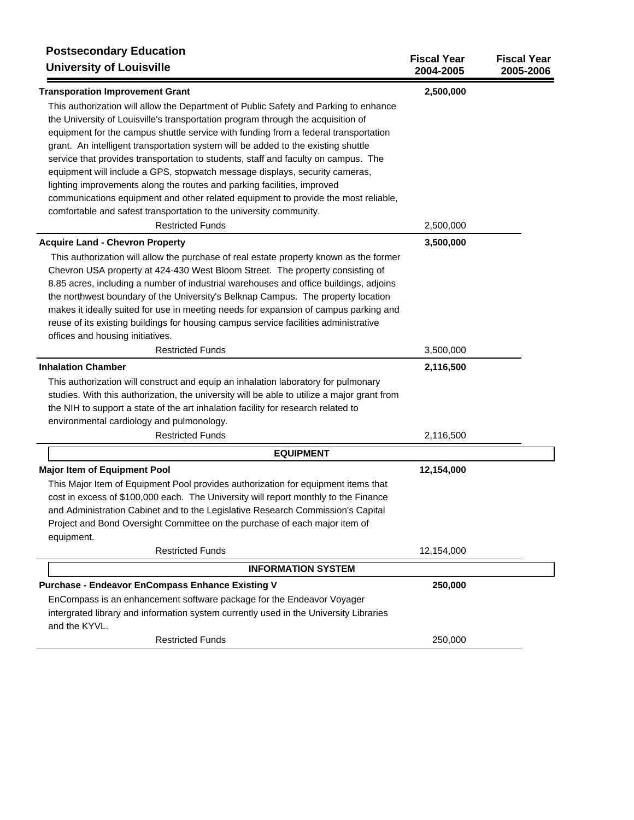| <b>Postsecondary Education</b><br><b>University of Louisville</b>                                                                                                                                                                                                                                                                                    | <b>Fiscal Year</b><br>2004-2005 | <b>Fiscal Year</b><br>2005-2006 |
|------------------------------------------------------------------------------------------------------------------------------------------------------------------------------------------------------------------------------------------------------------------------------------------------------------------------------------------------------|---------------------------------|---------------------------------|
| <b>Transporation Improvement Grant</b>                                                                                                                                                                                                                                                                                                               | 2,500,000                       |                                 |
| This authorization will allow the Department of Public Safety and Parking to enhance<br>the University of Louisville's transportation program through the acquisition of<br>equipment for the campus shuttle service with funding from a federal transportation<br>grant. An intelligent transportation system will be added to the existing shuttle |                                 |                                 |
| service that provides transportation to students, staff and faculty on campus. The<br>equipment will include a GPS, stopwatch message displays, security cameras,<br>lighting improvements along the routes and parking facilities, improved<br>communications equipment and other related equipment to provide the most reliable,                   |                                 |                                 |
| comfortable and safest transportation to the university community.                                                                                                                                                                                                                                                                                   |                                 |                                 |
| <b>Restricted Funds</b>                                                                                                                                                                                                                                                                                                                              | 2,500,000                       |                                 |
| <b>Acquire Land - Chevron Property</b>                                                                                                                                                                                                                                                                                                               | 3,500,000                       |                                 |
| This authorization will allow the purchase of real estate property known as the former<br>Chevron USA property at 424-430 West Bloom Street. The property consisting of<br>8.85 acres, including a number of industrial warehouses and office buildings, adjoins                                                                                     |                                 |                                 |
| the northwest boundary of the University's Belknap Campus. The property location<br>makes it ideally suited for use in meeting needs for expansion of campus parking and<br>reuse of its existing buildings for housing campus service facilities administrative                                                                                     |                                 |                                 |
| offices and housing initiatives.                                                                                                                                                                                                                                                                                                                     |                                 |                                 |
| <b>Restricted Funds</b>                                                                                                                                                                                                                                                                                                                              | 3,500,000                       |                                 |
| <b>Inhalation Chamber</b>                                                                                                                                                                                                                                                                                                                            | 2,116,500                       |                                 |
| This authorization will construct and equip an inhalation laboratory for pulmonary                                                                                                                                                                                                                                                                   |                                 |                                 |
| studies. With this authorization, the university will be able to utilize a major grant from                                                                                                                                                                                                                                                          |                                 |                                 |
| the NIH to support a state of the art inhalation facility for research related to                                                                                                                                                                                                                                                                    |                                 |                                 |
| environmental cardiology and pulmonology.                                                                                                                                                                                                                                                                                                            |                                 |                                 |
| <b>Restricted Funds</b>                                                                                                                                                                                                                                                                                                                              | 2,116,500                       |                                 |
| <b>EQUIPMENT</b>                                                                                                                                                                                                                                                                                                                                     |                                 |                                 |
| <b>Major Item of Equipment Pool</b>                                                                                                                                                                                                                                                                                                                  | 12,154,000                      |                                 |
| This Major Item of Equipment Pool provides authorization for equipment items that                                                                                                                                                                                                                                                                    |                                 |                                 |
| cost in excess of \$100,000 each. The University will report monthly to the Finance                                                                                                                                                                                                                                                                  |                                 |                                 |
| and Administration Cabinet and to the Legislative Research Commission's Capital                                                                                                                                                                                                                                                                      |                                 |                                 |
| Project and Bond Oversight Committee on the purchase of each major item of<br>equipment.                                                                                                                                                                                                                                                             |                                 |                                 |
| <b>Restricted Funds</b>                                                                                                                                                                                                                                                                                                                              | 12,154,000                      |                                 |
| <b>INFORMATION SYSTEM</b>                                                                                                                                                                                                                                                                                                                            |                                 |                                 |
| <b>Purchase - Endeavor EnCompass Enhance Existing V</b>                                                                                                                                                                                                                                                                                              | 250,000                         |                                 |
| EnCompass is an enhancement software package for the Endeavor Voyager                                                                                                                                                                                                                                                                                |                                 |                                 |
| intergrated library and information system currently used in the University Libraries<br>and the KYVL.                                                                                                                                                                                                                                               |                                 |                                 |
| <b>Restricted Funds</b>                                                                                                                                                                                                                                                                                                                              | 250,000                         |                                 |
|                                                                                                                                                                                                                                                                                                                                                      |                                 |                                 |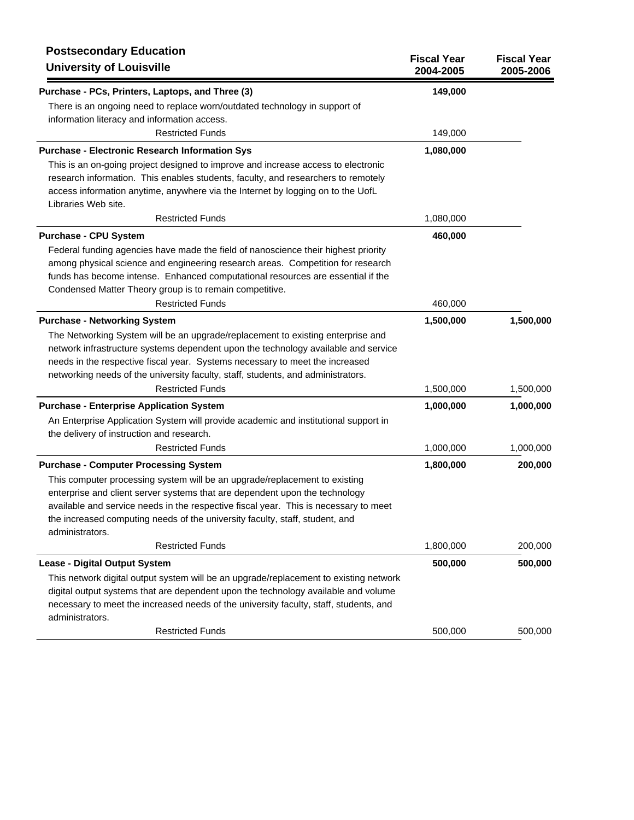| <b>Postsecondary Education</b><br><b>University of Louisville</b>                                                                                                                                                                                                                                                                                                                                    | <b>Fiscal Year</b><br>2004-2005 | <b>Fiscal Year</b><br>2005-2006 |
|------------------------------------------------------------------------------------------------------------------------------------------------------------------------------------------------------------------------------------------------------------------------------------------------------------------------------------------------------------------------------------------------------|---------------------------------|---------------------------------|
| Purchase - PCs, Printers, Laptops, and Three (3)                                                                                                                                                                                                                                                                                                                                                     | 149,000                         |                                 |
| There is an ongoing need to replace worn/outdated technology in support of<br>information literacy and information access.<br><b>Restricted Funds</b>                                                                                                                                                                                                                                                | 149,000                         |                                 |
| <b>Purchase - Electronic Research Information Sys</b>                                                                                                                                                                                                                                                                                                                                                | 1,080,000                       |                                 |
| This is an on-going project designed to improve and increase access to electronic<br>research information. This enables students, faculty, and researchers to remotely<br>access information anytime, anywhere via the Internet by logging on to the UofL<br>Libraries Web site.                                                                                                                     |                                 |                                 |
| <b>Restricted Funds</b>                                                                                                                                                                                                                                                                                                                                                                              | 1,080,000                       |                                 |
| <b>Purchase - CPU System</b><br>Federal funding agencies have made the field of nanoscience their highest priority<br>among physical science and engineering research areas. Competition for research<br>funds has become intense. Enhanced computational resources are essential if the<br>Condensed Matter Theory group is to remain competitive.                                                  | 460,000                         |                                 |
| <b>Restricted Funds</b>                                                                                                                                                                                                                                                                                                                                                                              | 460,000                         |                                 |
| <b>Purchase - Networking System</b><br>The Networking System will be an upgrade/replacement to existing enterprise and<br>network infrastructure systems dependent upon the technology available and service<br>needs in the respective fiscal year. Systems necessary to meet the increased<br>networking needs of the university faculty, staff, students, and administrators.                     | 1,500,000                       | 1,500,000                       |
| <b>Restricted Funds</b>                                                                                                                                                                                                                                                                                                                                                                              | 1,500,000                       | 1,500,000                       |
| <b>Purchase - Enterprise Application System</b><br>An Enterprise Application System will provide academic and institutional support in<br>the delivery of instruction and research.                                                                                                                                                                                                                  | 1,000,000                       | 1,000,000                       |
| <b>Restricted Funds</b>                                                                                                                                                                                                                                                                                                                                                                              | 1,000,000                       | 1,000,000                       |
| <b>Purchase - Computer Processing System</b><br>This computer processing system will be an upgrade/replacement to existing<br>enterprise and client server systems that are dependent upon the technology<br>available and service needs in the respective fiscal year. This is necessary to meet<br>the increased computing needs of the university faculty, staff, student, and<br>administrators. | 1,800,000                       | 200,000                         |
| <b>Restricted Funds</b>                                                                                                                                                                                                                                                                                                                                                                              | 1,800,000                       | 200,000                         |
| <b>Lease - Digital Output System</b>                                                                                                                                                                                                                                                                                                                                                                 | 500,000                         | 500,000                         |
| This network digital output system will be an upgrade/replacement to existing network<br>digital output systems that are dependent upon the technology available and volume<br>necessary to meet the increased needs of the university faculty, staff, students, and<br>administrators.                                                                                                              |                                 |                                 |
| <b>Restricted Funds</b>                                                                                                                                                                                                                                                                                                                                                                              | 500,000                         | 500,000                         |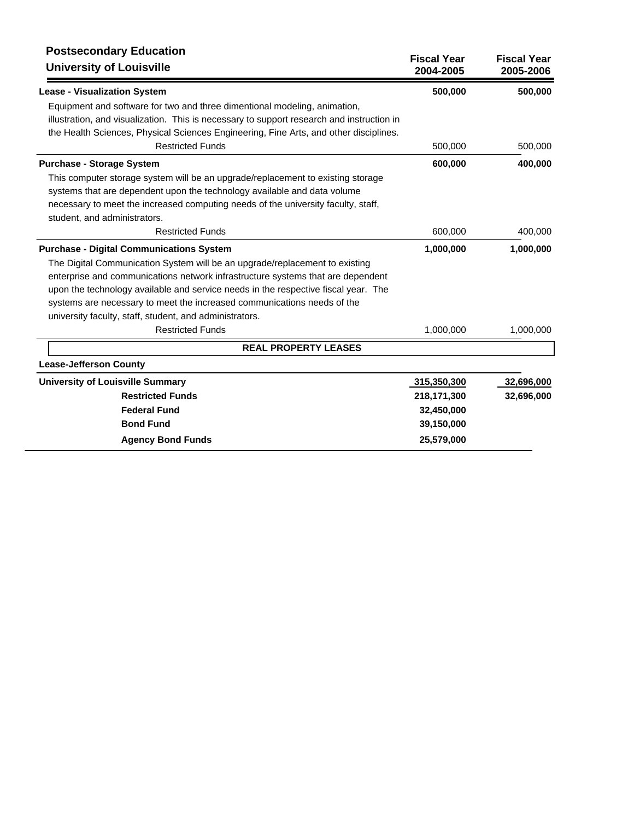| <b>Postsecondary Education</b><br><b>University of Louisville</b>                         | <b>Fiscal Year</b><br>2004-2005 | <b>Fiscal Year</b><br>2005-2006 |
|-------------------------------------------------------------------------------------------|---------------------------------|---------------------------------|
| <b>Lease - Visualization System</b>                                                       | 500,000                         | 500,000                         |
| Equipment and software for two and three dimentional modeling, animation,                 |                                 |                                 |
| illustration, and visualization. This is necessary to support research and instruction in |                                 |                                 |
| the Health Sciences, Physical Sciences Engineering, Fine Arts, and other disciplines.     |                                 |                                 |
| <b>Restricted Funds</b>                                                                   | 500,000                         | 500,000                         |
| <b>Purchase - Storage System</b>                                                          | 600,000                         | 400,000                         |
| This computer storage system will be an upgrade/replacement to existing storage           |                                 |                                 |
| systems that are dependent upon the technology available and data volume                  |                                 |                                 |
| necessary to meet the increased computing needs of the university faculty, staff,         |                                 |                                 |
| student, and administrators.                                                              |                                 |                                 |
| <b>Restricted Funds</b>                                                                   | 600,000                         | 400,000                         |
| <b>Purchase - Digital Communications System</b>                                           | 1,000,000                       | 1,000,000                       |
| The Digital Communication System will be an upgrade/replacement to existing               |                                 |                                 |
| enterprise and communications network infrastructure systems that are dependent           |                                 |                                 |
| upon the technology available and service needs in the respective fiscal year. The        |                                 |                                 |
| systems are necessary to meet the increased communications needs of the                   |                                 |                                 |
| university faculty, staff, student, and administrators.                                   |                                 |                                 |
| <b>Restricted Funds</b>                                                                   | 1,000,000                       | 1,000,000                       |
| <b>REAL PROPERTY LEASES</b>                                                               |                                 |                                 |
| <b>Lease-Jefferson County</b>                                                             |                                 |                                 |
| <b>University of Louisville Summary</b>                                                   | 315,350,300                     | 32,696,000                      |
| <b>Restricted Funds</b>                                                                   | 218,171,300                     | 32,696,000                      |
| <b>Federal Fund</b>                                                                       | 32,450,000                      |                                 |
| <b>Bond Fund</b>                                                                          | 39,150,000                      |                                 |
| <b>Agency Bond Funds</b>                                                                  | 25,579,000                      |                                 |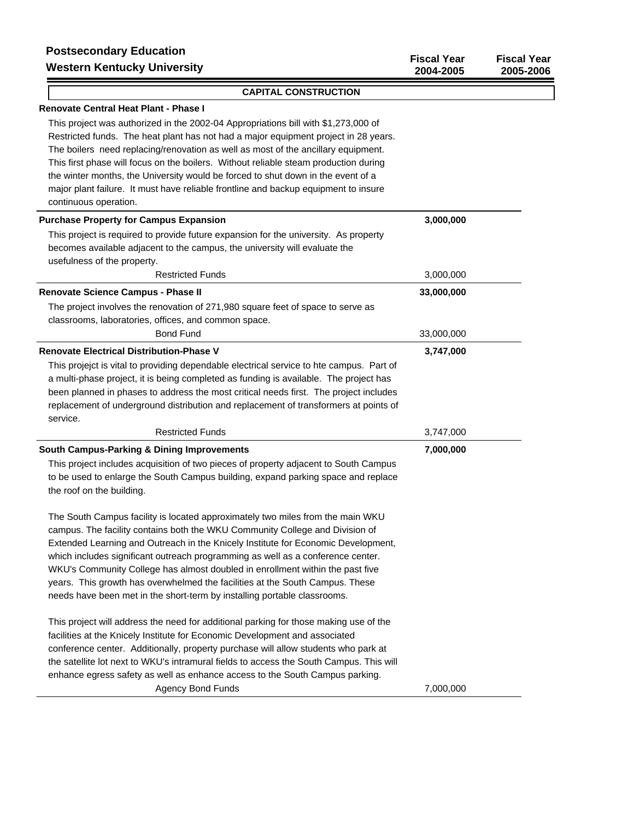### **CAPITAL CONSTRUCTION**

## **Renovate Central Heat Plant - Phase I**

This project was authorized in the 2002-04 Appropriations bill with \$1,273,000 of Restricted funds. The heat plant has not had a major equipment project in 28 years. The boilers need replacing/renovation as well as most of the ancillary equipment. This first phase will focus on the boilers. Without reliable steam production during the winter months, the University would be forced to shut down in the event of a major plant failure. It must have reliable frontline and backup equipment to insure continuous operation.

| <b>Purchase Property for Campus Expansion</b>                                            | 3,000,000  |
|------------------------------------------------------------------------------------------|------------|
| This project is required to provide future expansion for the university. As property     |            |
| becomes available adjacent to the campus, the university will evaluate the               |            |
| usefulness of the property.                                                              |            |
| <b>Restricted Funds</b>                                                                  | 3,000,000  |
| Renovate Science Campus - Phase II                                                       | 33,000,000 |
| The project involves the renovation of 271,980 square feet of space to serve as          |            |
| classrooms, laboratories, offices, and common space.                                     |            |
| <b>Bond Fund</b>                                                                         | 33,000,000 |
| <b>Renovate Electrical Distribution-Phase V</b>                                          | 3,747,000  |
| This projejct is vital to providing dependable electrical service to hte campus. Part of |            |
| a multi-phase project, it is being completed as funding is available. The project has    |            |
| been planned in phases to address the most critical needs first. The project includes    |            |
| replacement of underground distribution and replacement of transformers at points of     |            |
| service.                                                                                 |            |
| <b>Restricted Funds</b>                                                                  | 3,747,000  |
| <b>South Campus-Parking &amp; Dining Improvements</b>                                    | 7,000,000  |
| This project includes acquisition of two pieces of property adjacent to South Campus     |            |
| to be used to enlarge the South Campus building, expand parking space and replace        |            |
| the roof on the building.                                                                |            |
|                                                                                          |            |
| The South Campus facility is located approximately two miles from the main WKU           |            |
| campus. The facility contains both the WKU Community College and Division of             |            |
| Extended Learning and Outreach in the Knicely Institute for Economic Development,        |            |
| which includes significant outreach programming as well as a conference center.          |            |
| WKU's Community College has almost doubled in enrollment within the past five            |            |
| years. This growth has overwhelmed the facilities at the South Campus. These             |            |
| needs have been met in the short-term by installing portable classrooms.                 |            |
| This project will address the need for additional parking for those making use of the    |            |
| facilities at the Knicely Institute for Economic Development and associated              |            |
| conference center. Additionally, property purchase will allow students who park at       |            |
| the satellite lot next to WKU's intramural fields to access the South Campus. This will  |            |
| enhance egress safety as well as enhance access to the South Campus parking.             |            |
| <b>Agency Bond Funds</b>                                                                 | 7,000,000  |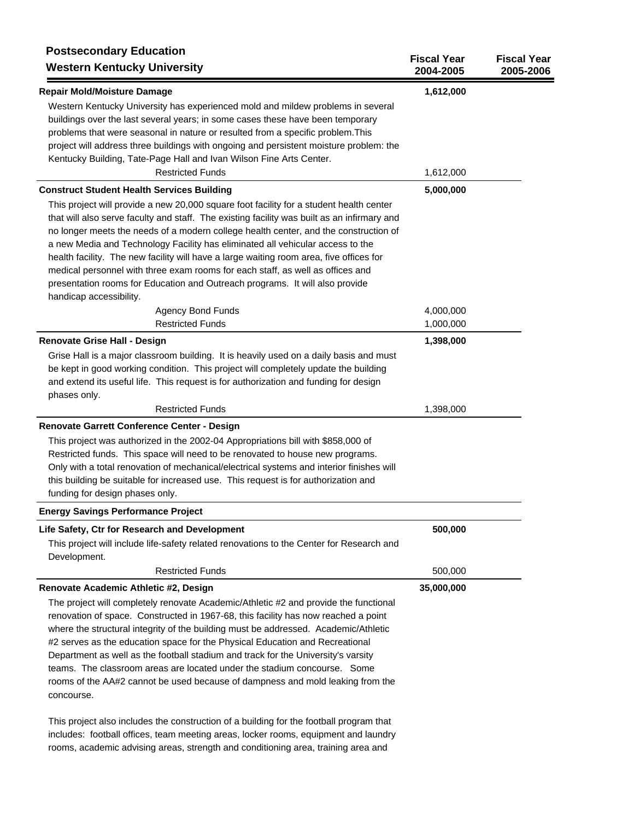| <b>Postsecondary Education</b><br><b>Western Kentucky University</b>                                                                                                                                                                                                                                                                                                                                                                                                                                                                                                                                                                                     | <b>Fiscal Year</b><br>2004-2005 | <b>Fiscal Year</b><br>2005-2006 |
|----------------------------------------------------------------------------------------------------------------------------------------------------------------------------------------------------------------------------------------------------------------------------------------------------------------------------------------------------------------------------------------------------------------------------------------------------------------------------------------------------------------------------------------------------------------------------------------------------------------------------------------------------------|---------------------------------|---------------------------------|
| <b>Repair Mold/Moisture Damage</b><br>Western Kentucky University has experienced mold and mildew problems in several<br>buildings over the last several years; in some cases these have been temporary<br>problems that were seasonal in nature or resulted from a specific problem. This<br>project will address three buildings with ongoing and persistent moisture problem: the<br>Kentucky Building, Tate-Page Hall and Ivan Wilson Fine Arts Center.                                                                                                                                                                                              | 1,612,000                       |                                 |
| <b>Restricted Funds</b>                                                                                                                                                                                                                                                                                                                                                                                                                                                                                                                                                                                                                                  | 1,612,000                       |                                 |
| <b>Construct Student Health Services Building</b>                                                                                                                                                                                                                                                                                                                                                                                                                                                                                                                                                                                                        | 5,000,000                       |                                 |
| This project will provide a new 20,000 square foot facility for a student health center<br>that will also serve faculty and staff. The existing facility was built as an infirmary and<br>no longer meets the needs of a modern college health center, and the construction of<br>a new Media and Technology Facility has eliminated all vehicular access to the<br>health facility. The new facility will have a large waiting room area, five offices for<br>medical personnel with three exam rooms for each staff, as well as offices and<br>presentation rooms for Education and Outreach programs. It will also provide<br>handicap accessibility. |                                 |                                 |
| <b>Agency Bond Funds</b>                                                                                                                                                                                                                                                                                                                                                                                                                                                                                                                                                                                                                                 | 4,000,000                       |                                 |
| <b>Restricted Funds</b>                                                                                                                                                                                                                                                                                                                                                                                                                                                                                                                                                                                                                                  | 1,000,000                       |                                 |
| <b>Renovate Grise Hall - Design</b><br>Grise Hall is a major classroom building. It is heavily used on a daily basis and must<br>be kept in good working condition. This project will completely update the building<br>and extend its useful life. This request is for authorization and funding for design                                                                                                                                                                                                                                                                                                                                             | 1,398,000                       |                                 |
| phases only.<br><b>Restricted Funds</b>                                                                                                                                                                                                                                                                                                                                                                                                                                                                                                                                                                                                                  | 1,398,000                       |                                 |
| Renovate Garrett Conference Center - Design                                                                                                                                                                                                                                                                                                                                                                                                                                                                                                                                                                                                              |                                 |                                 |
| This project was authorized in the 2002-04 Appropriations bill with \$858,000 of<br>Restricted funds. This space will need to be renovated to house new programs.<br>Only with a total renovation of mechanical/electrical systems and interior finishes will<br>this building be suitable for increased use. This request is for authorization and<br>funding for design phases only.                                                                                                                                                                                                                                                                   |                                 |                                 |
| <b>Energy Savings Performance Project</b>                                                                                                                                                                                                                                                                                                                                                                                                                                                                                                                                                                                                                |                                 |                                 |
| Life Safety, Ctr for Research and Development<br>This project will include life-safety related renovations to the Center for Research and<br>Development.                                                                                                                                                                                                                                                                                                                                                                                                                                                                                                | 500,000                         |                                 |
| <b>Restricted Funds</b>                                                                                                                                                                                                                                                                                                                                                                                                                                                                                                                                                                                                                                  | 500,000                         |                                 |
| Renovate Academic Athletic #2, Design                                                                                                                                                                                                                                                                                                                                                                                                                                                                                                                                                                                                                    | 35,000,000                      |                                 |
| The project will completely renovate Academic/Athletic #2 and provide the functional<br>renovation of space. Constructed in 1967-68, this facility has now reached a point<br>where the structural integrity of the building must be addressed. Academic/Athletic<br>#2 serves as the education space for the Physical Education and Recreational<br>Department as well as the football stadium and track for the University's varsity<br>teams. The classroom areas are located under the stadium concourse. Some<br>rooms of the AA#2 cannot be used because of dampness and mold leaking from the<br>concourse.                                       |                                 |                                 |
| This project also includes the construction of a building for the football program that                                                                                                                                                                                                                                                                                                                                                                                                                                                                                                                                                                  |                                 |                                 |

includes: football offices, team meeting areas, locker rooms, equipment and laundry rooms, academic advising areas, strength and conditioning area, training area and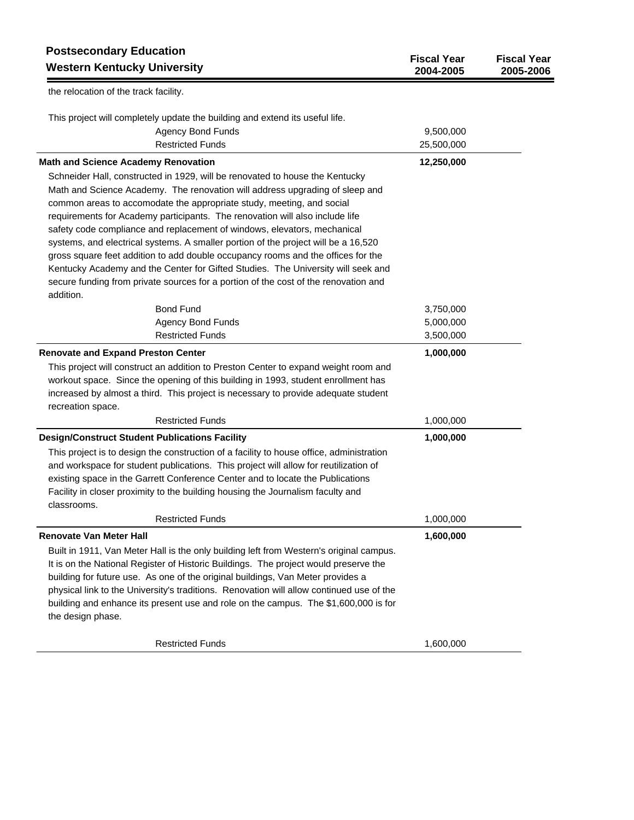| <b>Postsecondary Education</b><br><b>Western Kentucky University</b>                                                                                                                                                                                                                | <b>Fiscal Year</b><br>2004-2005 | <b>Fiscal Year</b><br>2005-2006 |
|-------------------------------------------------------------------------------------------------------------------------------------------------------------------------------------------------------------------------------------------------------------------------------------|---------------------------------|---------------------------------|
| the relocation of the track facility.                                                                                                                                                                                                                                               |                                 |                                 |
| This project will completely update the building and extend its useful life.                                                                                                                                                                                                        |                                 |                                 |
| <b>Agency Bond Funds</b>                                                                                                                                                                                                                                                            | 9,500,000                       |                                 |
| <b>Restricted Funds</b>                                                                                                                                                                                                                                                             | 25,500,000                      |                                 |
| <b>Math and Science Academy Renovation</b>                                                                                                                                                                                                                                          | 12,250,000                      |                                 |
| Schneider Hall, constructed in 1929, will be renovated to house the Kentucky                                                                                                                                                                                                        |                                 |                                 |
| Math and Science Academy. The renovation will address upgrading of sleep and                                                                                                                                                                                                        |                                 |                                 |
| common areas to accomodate the appropriate study, meeting, and social                                                                                                                                                                                                               |                                 |                                 |
| requirements for Academy participants. The renovation will also include life                                                                                                                                                                                                        |                                 |                                 |
| safety code compliance and replacement of windows, elevators, mechanical                                                                                                                                                                                                            |                                 |                                 |
| systems, and electrical systems. A smaller portion of the project will be a 16,520                                                                                                                                                                                                  |                                 |                                 |
| gross square feet addition to add double occupancy rooms and the offices for the                                                                                                                                                                                                    |                                 |                                 |
| Kentucky Academy and the Center for Gifted Studies. The University will seek and                                                                                                                                                                                                    |                                 |                                 |
| secure funding from private sources for a portion of the cost of the renovation and                                                                                                                                                                                                 |                                 |                                 |
| addition.                                                                                                                                                                                                                                                                           |                                 |                                 |
| <b>Bond Fund</b>                                                                                                                                                                                                                                                                    | 3,750,000                       |                                 |
| <b>Agency Bond Funds</b>                                                                                                                                                                                                                                                            | 5,000,000                       |                                 |
| <b>Restricted Funds</b>                                                                                                                                                                                                                                                             | 3,500,000                       |                                 |
| <b>Renovate and Expand Preston Center</b>                                                                                                                                                                                                                                           | 1,000,000                       |                                 |
| This project will construct an addition to Preston Center to expand weight room and<br>workout space. Since the opening of this building in 1993, student enrollment has<br>increased by almost a third. This project is necessary to provide adequate student<br>recreation space. |                                 |                                 |
| <b>Restricted Funds</b>                                                                                                                                                                                                                                                             | 1,000,000                       |                                 |
| <b>Design/Construct Student Publications Facility</b>                                                                                                                                                                                                                               | 1,000,000                       |                                 |
| This project is to design the construction of a facility to house office, administration                                                                                                                                                                                            |                                 |                                 |
| and workspace for student publications. This project will allow for reutilization of                                                                                                                                                                                                |                                 |                                 |
| existing space in the Garrett Conference Center and to locate the Publications                                                                                                                                                                                                      |                                 |                                 |
| Facility in closer proximity to the building housing the Journalism faculty and                                                                                                                                                                                                     |                                 |                                 |
| classrooms.                                                                                                                                                                                                                                                                         |                                 |                                 |
| <b>Restricted Funds</b>                                                                                                                                                                                                                                                             | 1,000,000                       |                                 |
| <b>Renovate Van Meter Hall</b>                                                                                                                                                                                                                                                      | 1,600,000                       |                                 |
| Built in 1911, Van Meter Hall is the only building left from Western's original campus.                                                                                                                                                                                             |                                 |                                 |
| It is on the National Register of Historic Buildings. The project would preserve the                                                                                                                                                                                                |                                 |                                 |
| building for future use. As one of the original buildings, Van Meter provides a                                                                                                                                                                                                     |                                 |                                 |
| physical link to the University's traditions. Renovation will allow continued use of the                                                                                                                                                                                            |                                 |                                 |
| building and enhance its present use and role on the campus. The \$1,600,000 is for                                                                                                                                                                                                 |                                 |                                 |
| the design phase.                                                                                                                                                                                                                                                                   |                                 |                                 |
| <b>Restricted Funds</b>                                                                                                                                                                                                                                                             | 1,600,000                       |                                 |
|                                                                                                                                                                                                                                                                                     |                                 |                                 |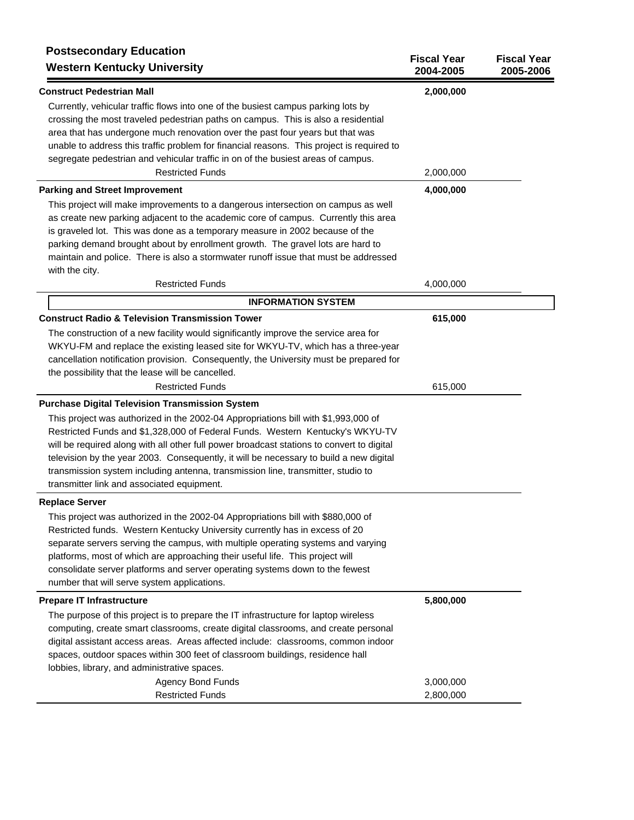| <b>Postsecondary Education</b><br><b>Western Kentucky University</b>                                                                                                                                                                                                                                                                                                                                                                                                                         | <b>Fiscal Year</b><br>2004-2005 | <b>Fiscal Year</b><br>2005-2006 |
|----------------------------------------------------------------------------------------------------------------------------------------------------------------------------------------------------------------------------------------------------------------------------------------------------------------------------------------------------------------------------------------------------------------------------------------------------------------------------------------------|---------------------------------|---------------------------------|
| <b>Construct Pedestrian Mall</b>                                                                                                                                                                                                                                                                                                                                                                                                                                                             | 2,000,000                       |                                 |
| Currently, vehicular traffic flows into one of the busiest campus parking lots by<br>crossing the most traveled pedestrian paths on campus. This is also a residential<br>area that has undergone much renovation over the past four years but that was<br>unable to address this traffic problem for financial reasons. This project is required to<br>segregate pedestrian and vehicular traffic in on of the busiest areas of campus.<br><b>Restricted Funds</b>                          |                                 |                                 |
|                                                                                                                                                                                                                                                                                                                                                                                                                                                                                              | 2,000,000                       |                                 |
| <b>Parking and Street Improvement</b>                                                                                                                                                                                                                                                                                                                                                                                                                                                        | 4,000,000                       |                                 |
| This project will make improvements to a dangerous intersection on campus as well<br>as create new parking adjacent to the academic core of campus. Currently this area<br>is graveled lot. This was done as a temporary measure in 2002 because of the<br>parking demand brought about by enrollment growth. The gravel lots are hard to<br>maintain and police. There is also a stormwater runoff issue that must be addressed                                                             |                                 |                                 |
| with the city.<br><b>Restricted Funds</b>                                                                                                                                                                                                                                                                                                                                                                                                                                                    | 4,000,000                       |                                 |
| <b>INFORMATION SYSTEM</b>                                                                                                                                                                                                                                                                                                                                                                                                                                                                    |                                 |                                 |
| <b>Construct Radio &amp; Television Transmission Tower</b>                                                                                                                                                                                                                                                                                                                                                                                                                                   | 615,000                         |                                 |
| The construction of a new facility would significantly improve the service area for<br>WKYU-FM and replace the existing leased site for WKYU-TV, which has a three-year<br>cancellation notification provision. Consequently, the University must be prepared for                                                                                                                                                                                                                            |                                 |                                 |
| the possibility that the lease will be cancelled.<br><b>Restricted Funds</b>                                                                                                                                                                                                                                                                                                                                                                                                                 | 615,000                         |                                 |
| <b>Purchase Digital Television Transmission System</b>                                                                                                                                                                                                                                                                                                                                                                                                                                       |                                 |                                 |
| This project was authorized in the 2002-04 Appropriations bill with \$1,993,000 of<br>Restricted Funds and \$1,328,000 of Federal Funds. Western Kentucky's WKYU-TV<br>will be required along with all other full power broadcast stations to convert to digital<br>television by the year 2003. Consequently, it will be necessary to build a new digital<br>transmission system including antenna, transmission line, transmitter, studio to<br>transmitter link and associated equipment. |                                 |                                 |
| <b>Replace Server</b>                                                                                                                                                                                                                                                                                                                                                                                                                                                                        |                                 |                                 |
| This project was authorized in the 2002-04 Appropriations bill with \$880,000 of<br>Restricted funds. Western Kentucky University currently has in excess of 20<br>separate servers serving the campus, with multiple operating systems and varying<br>platforms, most of which are approaching their useful life. This project will<br>consolidate server platforms and server operating systems down to the fewest<br>number that will serve system applications.                          |                                 |                                 |
| <b>Prepare IT Infrastructure</b>                                                                                                                                                                                                                                                                                                                                                                                                                                                             | 5,800,000                       |                                 |
| The purpose of this project is to prepare the IT infrastructure for laptop wireless<br>computing, create smart classrooms, create digital classrooms, and create personal<br>digital assistant access areas. Areas affected include: classrooms, common indoor<br>spaces, outdoor spaces within 300 feet of classroom buildings, residence hall<br>lobbies, library, and administrative spaces.                                                                                              |                                 |                                 |
| <b>Agency Bond Funds</b>                                                                                                                                                                                                                                                                                                                                                                                                                                                                     | 3,000,000                       |                                 |
| <b>Restricted Funds</b>                                                                                                                                                                                                                                                                                                                                                                                                                                                                      | 2,800,000                       |                                 |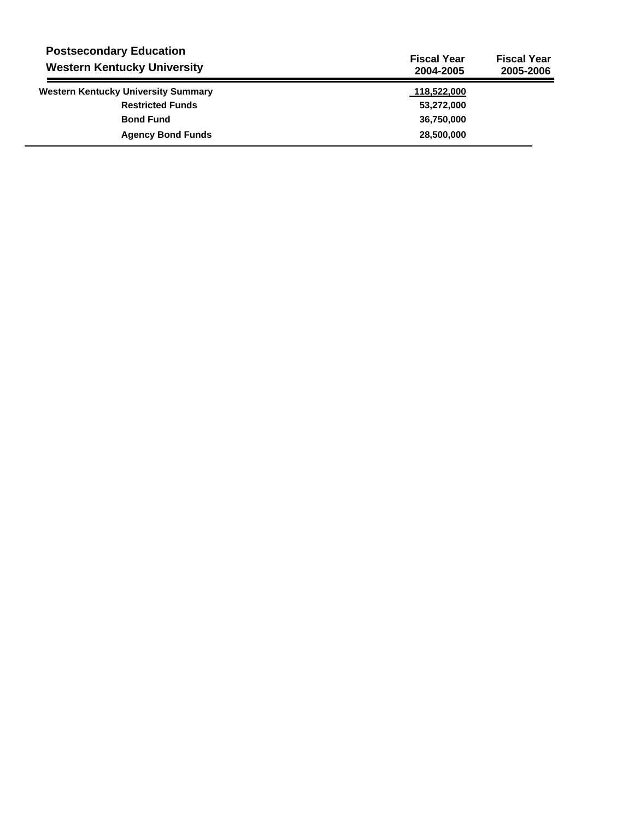| <b>Postsecondary Education</b><br><b>Western Kentucky University</b> | <b>Fiscal Year</b><br>2004-2005 | <b>Fiscal Year</b><br>2005-2006 |
|----------------------------------------------------------------------|---------------------------------|---------------------------------|
| <b>Western Kentucky University Summary</b>                           | 118,522,000                     |                                 |
| <b>Restricted Funds</b>                                              | 53,272,000                      |                                 |
| <b>Bond Fund</b>                                                     | 36,750,000                      |                                 |
| <b>Agency Bond Funds</b>                                             | 28,500,000                      |                                 |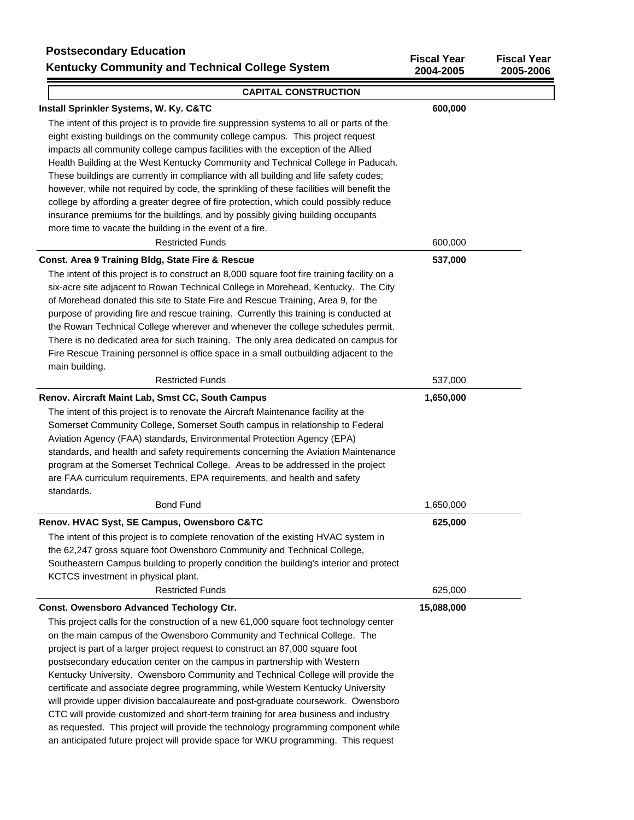## **Postsecondary Education Kentucky Community and Technical College System**

| i vələcuvildal y Lududlivii<br><b>Kentucky Community and Technical College System</b>       | <b>Fiscal Year</b><br>2004-2005 | <b>Fiscal Year</b><br>2005-2006 |
|---------------------------------------------------------------------------------------------|---------------------------------|---------------------------------|
| <b>CAPITAL CONSTRUCTION</b>                                                                 |                                 |                                 |
| Install Sprinkler Systems, W. Ky. C&TC                                                      | 600,000                         |                                 |
| The intent of this project is to provide fire suppression systems to all or parts of the    |                                 |                                 |
| eight existing buildings on the community college campus. This project request              |                                 |                                 |
| impacts all community college campus facilities with the exception of the Allied            |                                 |                                 |
| Health Building at the West Kentucky Community and Technical College in Paducah.            |                                 |                                 |
| These buildings are currently in compliance with all building and life safety codes;        |                                 |                                 |
| however, while not required by code, the sprinkling of these facilities will benefit the    |                                 |                                 |
| college by affording a greater degree of fire protection, which could possibly reduce       |                                 |                                 |
| insurance premiums for the buildings, and by possibly giving building occupants             |                                 |                                 |
| more time to vacate the building in the event of a fire.                                    |                                 |                                 |
| <b>Restricted Funds</b>                                                                     | 600,000                         |                                 |
| Const. Area 9 Training Bldg, State Fire & Rescue                                            | 537,000                         |                                 |
| The intent of this project is to construct an 8,000 square foot fire training facility on a |                                 |                                 |
| six-acre site adjacent to Rowan Technical College in Morehead, Kentucky. The City           |                                 |                                 |
| of Morehead donated this site to State Fire and Rescue Training, Area 9, for the            |                                 |                                 |
| purpose of providing fire and rescue training. Currently this training is conducted at      |                                 |                                 |
| the Rowan Technical College wherever and whenever the college schedules permit.             |                                 |                                 |
| There is no dedicated area for such training. The only area dedicated on campus for         |                                 |                                 |
| Fire Rescue Training personnel is office space in a small outbuilding adjacent to the       |                                 |                                 |
| main building.                                                                              |                                 |                                 |
| <b>Restricted Funds</b>                                                                     | 537,000                         |                                 |
| Renov. Aircraft Maint Lab, Smst CC, South Campus                                            | 1,650,000                       |                                 |
| The intent of this project is to renovate the Aircraft Maintenance facility at the          |                                 |                                 |
| Somerset Community College, Somerset South campus in relationship to Federal                |                                 |                                 |
| Aviation Agency (FAA) standards, Environmental Protection Agency (EPA)                      |                                 |                                 |
| standards, and health and safety requirements concerning the Aviation Maintenance           |                                 |                                 |
| program at the Somerset Technical College. Areas to be addressed in the project             |                                 |                                 |
| are FAA curriculum requirements, EPA requirements, and health and safety<br>standards.      |                                 |                                 |
| <b>Bond Fund</b>                                                                            | 1,650,000                       |                                 |
| Renov. HVAC Syst, SE Campus, Owensboro C&TC                                                 | 625,000                         |                                 |
| The intent of this project is to complete renovation of the existing HVAC system in         |                                 |                                 |
| the 62,247 gross square foot Owensboro Community and Technical College,                     |                                 |                                 |
| Southeastern Campus building to properly condition the building's interior and protect      |                                 |                                 |
| KCTCS investment in physical plant.                                                         |                                 |                                 |
| <b>Restricted Funds</b>                                                                     | 625,000                         |                                 |
| <b>Const. Owensboro Advanced Techology Ctr.</b>                                             | 15,088,000                      |                                 |
| This project calls for the construction of a new 61,000 square foot technology center       |                                 |                                 |
| on the main campus of the Owensboro Community and Technical College. The                    |                                 |                                 |
| project is part of a larger project request to construct an 87,000 square foot              |                                 |                                 |
| postsecondary education center on the campus in partnership with Western                    |                                 |                                 |
| Kentucky University. Owensboro Community and Technical College will provide the             |                                 |                                 |
| certificate and associate degree programming, while Western Kentucky University             |                                 |                                 |
| will provide upper division baccalaureate and post-graduate coursework. Owensboro           |                                 |                                 |
| CTC will provide customized and short-term training for area business and industry          |                                 |                                 |

as requested. This project will provide the technology programming component while an anticipated future project will provide space for WKU programming. This request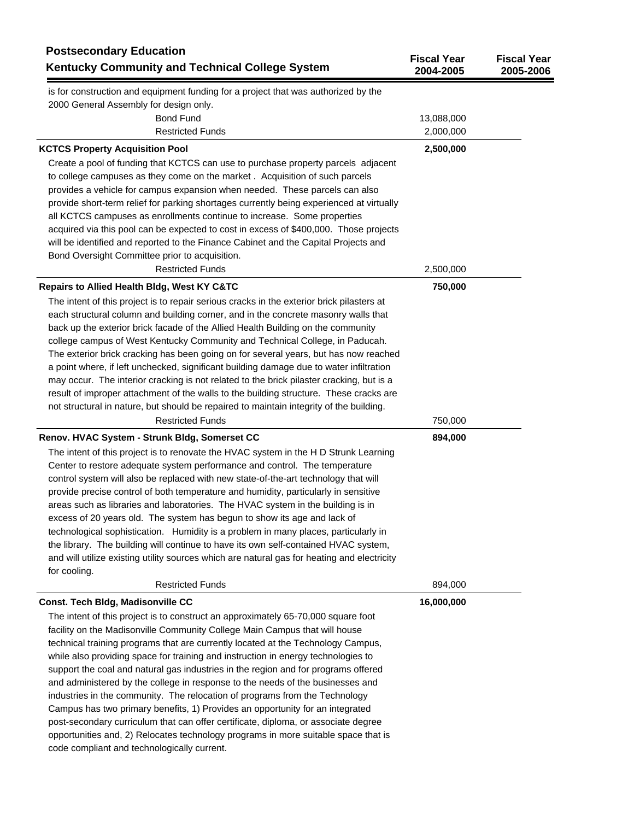| <b>Postsecondary Education</b><br>Kentucky Community and Technical College System                                                                                                                                                                                                                                                                                                                                                                                                                                                                                                                                                                                                                                                                                                                                                                            | <b>Fiscal Year</b><br>2004-2005 | <b>Fiscal Year</b><br>2005-2006 |
|--------------------------------------------------------------------------------------------------------------------------------------------------------------------------------------------------------------------------------------------------------------------------------------------------------------------------------------------------------------------------------------------------------------------------------------------------------------------------------------------------------------------------------------------------------------------------------------------------------------------------------------------------------------------------------------------------------------------------------------------------------------------------------------------------------------------------------------------------------------|---------------------------------|---------------------------------|
| is for construction and equipment funding for a project that was authorized by the                                                                                                                                                                                                                                                                                                                                                                                                                                                                                                                                                                                                                                                                                                                                                                           |                                 |                                 |
| 2000 General Assembly for design only.                                                                                                                                                                                                                                                                                                                                                                                                                                                                                                                                                                                                                                                                                                                                                                                                                       |                                 |                                 |
| <b>Bond Fund</b>                                                                                                                                                                                                                                                                                                                                                                                                                                                                                                                                                                                                                                                                                                                                                                                                                                             | 13,088,000                      |                                 |
| <b>Restricted Funds</b>                                                                                                                                                                                                                                                                                                                                                                                                                                                                                                                                                                                                                                                                                                                                                                                                                                      | 2,000,000                       |                                 |
| <b>KCTCS Property Acquisition Pool</b>                                                                                                                                                                                                                                                                                                                                                                                                                                                                                                                                                                                                                                                                                                                                                                                                                       | 2,500,000                       |                                 |
| Create a pool of funding that KCTCS can use to purchase property parcels adjacent<br>to college campuses as they come on the market. Acquisition of such parcels<br>provides a vehicle for campus expansion when needed. These parcels can also<br>provide short-term relief for parking shortages currently being experienced at virtually<br>all KCTCS campuses as enrollments continue to increase. Some properties<br>acquired via this pool can be expected to cost in excess of \$400,000. Those projects<br>will be identified and reported to the Finance Cabinet and the Capital Projects and                                                                                                                                                                                                                                                       |                                 |                                 |
| Bond Oversight Committee prior to acquisition.<br><b>Restricted Funds</b>                                                                                                                                                                                                                                                                                                                                                                                                                                                                                                                                                                                                                                                                                                                                                                                    | 2,500,000                       |                                 |
| <b>Repairs to Allied Health Bldg, West KY C&amp;TC</b>                                                                                                                                                                                                                                                                                                                                                                                                                                                                                                                                                                                                                                                                                                                                                                                                       | 750,000                         |                                 |
| The intent of this project is to repair serious cracks in the exterior brick pilasters at<br>each structural column and building corner, and in the concrete masonry walls that<br>back up the exterior brick facade of the Allied Health Building on the community<br>college campus of West Kentucky Community and Technical College, in Paducah.<br>The exterior brick cracking has been going on for several years, but has now reached<br>a point where, if left unchecked, significant building damage due to water infiltration<br>may occur. The interior cracking is not related to the brick pilaster cracking, but is a<br>result of improper attachment of the walls to the building structure. These cracks are<br>not structural in nature, but should be repaired to maintain integrity of the building.                                      |                                 |                                 |
| <b>Restricted Funds</b>                                                                                                                                                                                                                                                                                                                                                                                                                                                                                                                                                                                                                                                                                                                                                                                                                                      | 750,000                         |                                 |
| Renov. HVAC System - Strunk Bldg, Somerset CC                                                                                                                                                                                                                                                                                                                                                                                                                                                                                                                                                                                                                                                                                                                                                                                                                | 894,000                         |                                 |
| The intent of this project is to renovate the HVAC system in the H D Strunk Learning<br>Center to restore adequate system performance and control. The temperature<br>control system will also be replaced with new state-of-the-art technology that will<br>provide precise control of both temperature and humidity, particularly in sensitive<br>areas such as libraries and laboratories. The HVAC system in the building is in<br>excess of 20 years old. The system has begun to show its age and lack of<br>technological sophistication. Humidity is a problem in many places, particularly in<br>the library. The building will continue to have its own self-contained HVAC system,<br>and will utilize existing utility sources which are natural gas for heating and electricity<br>for cooling.                                                 |                                 |                                 |
| <b>Restricted Funds</b>                                                                                                                                                                                                                                                                                                                                                                                                                                                                                                                                                                                                                                                                                                                                                                                                                                      | 894,000                         |                                 |
| Const. Tech Bldg, Madisonville CC                                                                                                                                                                                                                                                                                                                                                                                                                                                                                                                                                                                                                                                                                                                                                                                                                            | 16,000,000                      |                                 |
| The intent of this project is to construct an approximately 65-70,000 square foot<br>facility on the Madisonville Community College Main Campus that will house<br>technical training programs that are currently located at the Technology Campus,<br>while also providing space for training and instruction in energy technologies to<br>support the coal and natural gas industries in the region and for programs offered<br>and administered by the college in response to the needs of the businesses and<br>industries in the community. The relocation of programs from the Technology<br>Campus has two primary benefits, 1) Provides an opportunity for an integrated<br>post-secondary curriculum that can offer certificate, diploma, or associate degree<br>opportunities and, 2) Relocates technology programs in more suitable space that is |                                 |                                 |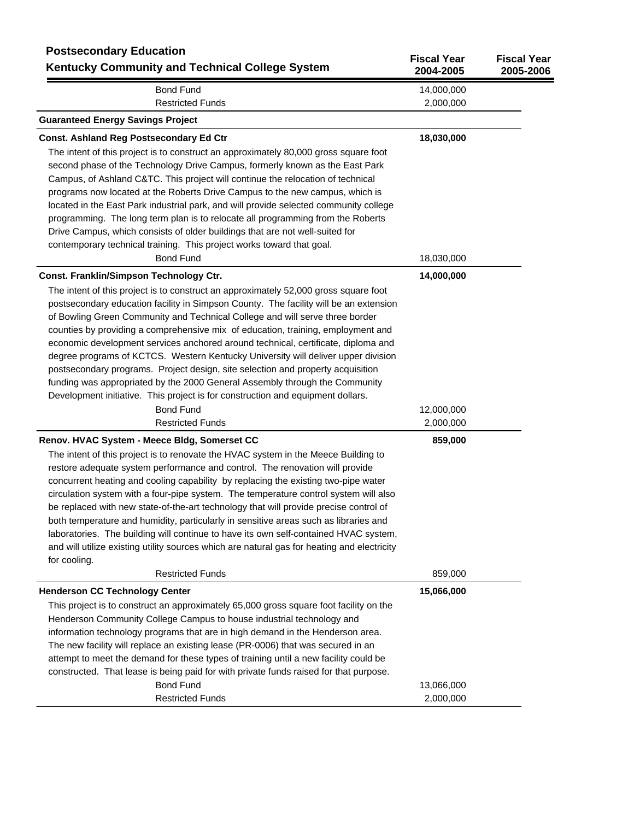| <b>Postsecondary Education</b><br><b>Kentucky Community and Technical College System</b>                                                                                                                                                                                                                                                                                                                                                                                                                                                                                                                                                                                                                                                                                                                                                                                                                                                                                                                                                                                                                                                                                                                                                                                                                                                                                                                                                                        | <b>Fiscal Year</b><br>2004-2005                  | <b>Fiscal Year</b><br>2005-2006 |
|-----------------------------------------------------------------------------------------------------------------------------------------------------------------------------------------------------------------------------------------------------------------------------------------------------------------------------------------------------------------------------------------------------------------------------------------------------------------------------------------------------------------------------------------------------------------------------------------------------------------------------------------------------------------------------------------------------------------------------------------------------------------------------------------------------------------------------------------------------------------------------------------------------------------------------------------------------------------------------------------------------------------------------------------------------------------------------------------------------------------------------------------------------------------------------------------------------------------------------------------------------------------------------------------------------------------------------------------------------------------------------------------------------------------------------------------------------------------|--------------------------------------------------|---------------------------------|
| <b>Bond Fund</b>                                                                                                                                                                                                                                                                                                                                                                                                                                                                                                                                                                                                                                                                                                                                                                                                                                                                                                                                                                                                                                                                                                                                                                                                                                                                                                                                                                                                                                                | 14,000,000                                       |                                 |
| <b>Restricted Funds</b><br><b>Guaranteed Energy Savings Project</b>                                                                                                                                                                                                                                                                                                                                                                                                                                                                                                                                                                                                                                                                                                                                                                                                                                                                                                                                                                                                                                                                                                                                                                                                                                                                                                                                                                                             | 2,000,000                                        |                                 |
| <b>Const. Ashland Reg Postsecondary Ed Ctr</b>                                                                                                                                                                                                                                                                                                                                                                                                                                                                                                                                                                                                                                                                                                                                                                                                                                                                                                                                                                                                                                                                                                                                                                                                                                                                                                                                                                                                                  | 18,030,000                                       |                                 |
| The intent of this project is to construct an approximately 80,000 gross square foot<br>second phase of the Technology Drive Campus, formerly known as the East Park<br>Campus, of Ashland C&TC. This project will continue the relocation of technical<br>programs now located at the Roberts Drive Campus to the new campus, which is<br>located in the East Park industrial park, and will provide selected community college                                                                                                                                                                                                                                                                                                                                                                                                                                                                                                                                                                                                                                                                                                                                                                                                                                                                                                                                                                                                                                |                                                  |                                 |
| programming. The long term plan is to relocate all programming from the Roberts<br>Drive Campus, which consists of older buildings that are not well-suited for<br>contemporary technical training. This project works toward that goal.                                                                                                                                                                                                                                                                                                                                                                                                                                                                                                                                                                                                                                                                                                                                                                                                                                                                                                                                                                                                                                                                                                                                                                                                                        |                                                  |                                 |
| <b>Bond Fund</b>                                                                                                                                                                                                                                                                                                                                                                                                                                                                                                                                                                                                                                                                                                                                                                                                                                                                                                                                                                                                                                                                                                                                                                                                                                                                                                                                                                                                                                                | 18,030,000                                       |                                 |
| Const. Franklin/Simpson Technology Ctr.<br>The intent of this project is to construct an approximately 52,000 gross square foot<br>postsecondary education facility in Simpson County. The facility will be an extension<br>of Bowling Green Community and Technical College and will serve three border<br>counties by providing a comprehensive mix of education, training, employment and<br>economic development services anchored around technical, certificate, diploma and<br>degree programs of KCTCS. Western Kentucky University will deliver upper division<br>postsecondary programs. Project design, site selection and property acquisition<br>funding was appropriated by the 2000 General Assembly through the Community<br>Development initiative. This project is for construction and equipment dollars.<br><b>Bond Fund</b><br><b>Restricted Funds</b><br>Renov. HVAC System - Meece Bldg, Somerset CC<br>The intent of this project is to renovate the HVAC system in the Meece Building to<br>restore adequate system performance and control. The renovation will provide<br>concurrent heating and cooling capability by replacing the existing two-pipe water<br>circulation system with a four-pipe system. The temperature control system will also<br>be replaced with new state-of-the-art technology that will provide precise control of<br>both temperature and humidity, particularly in sensitive areas such as libraries and | 14,000,000<br>12,000,000<br>2,000,000<br>859,000 |                                 |
| laboratories. The building will continue to have its own self-contained HVAC system,<br>and will utilize existing utility sources which are natural gas for heating and electricity<br>for cooling.<br><b>Restricted Funds</b>                                                                                                                                                                                                                                                                                                                                                                                                                                                                                                                                                                                                                                                                                                                                                                                                                                                                                                                                                                                                                                                                                                                                                                                                                                  | 859,000                                          |                                 |
| <b>Henderson CC Technology Center</b>                                                                                                                                                                                                                                                                                                                                                                                                                                                                                                                                                                                                                                                                                                                                                                                                                                                                                                                                                                                                                                                                                                                                                                                                                                                                                                                                                                                                                           | 15,066,000                                       |                                 |
| This project is to construct an approximately 65,000 gross square foot facility on the<br>Henderson Community College Campus to house industrial technology and<br>information technology programs that are in high demand in the Henderson area.<br>The new facility will replace an existing lease (PR-0006) that was secured in an<br>attempt to meet the demand for these types of training until a new facility could be<br>constructed. That lease is being paid for with private funds raised for that purpose.                                                                                                                                                                                                                                                                                                                                                                                                                                                                                                                                                                                                                                                                                                                                                                                                                                                                                                                                          |                                                  |                                 |
| <b>Bond Fund</b>                                                                                                                                                                                                                                                                                                                                                                                                                                                                                                                                                                                                                                                                                                                                                                                                                                                                                                                                                                                                                                                                                                                                                                                                                                                                                                                                                                                                                                                | 13,066,000                                       |                                 |
| <b>Restricted Funds</b>                                                                                                                                                                                                                                                                                                                                                                                                                                                                                                                                                                                                                                                                                                                                                                                                                                                                                                                                                                                                                                                                                                                                                                                                                                                                                                                                                                                                                                         | 2,000,000                                        |                                 |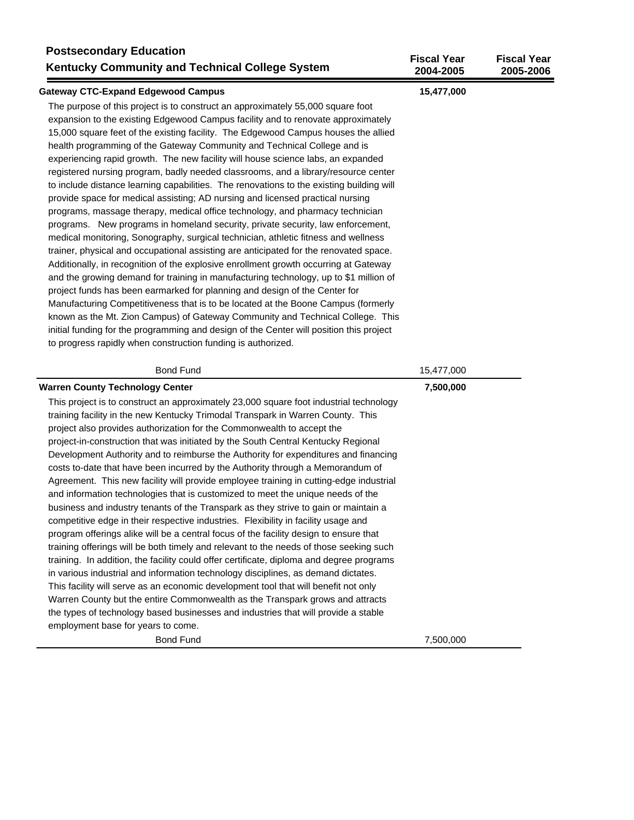| <b>Postsecondary Education</b><br>Kentucky Community and Technical College System                                                                                                                                                                                                                                                                                                                                                                                                                                                                                                                                                                                                                                                                                                                                                                                                                                                                                                                                                                                                                                                                                                                                                                                                                                                                                                                                                                                                                                                                                                                                                                 | <b>Fiscal Year</b><br>2004-2005 | <b>Fiscal Year</b><br>2005-2006 |
|---------------------------------------------------------------------------------------------------------------------------------------------------------------------------------------------------------------------------------------------------------------------------------------------------------------------------------------------------------------------------------------------------------------------------------------------------------------------------------------------------------------------------------------------------------------------------------------------------------------------------------------------------------------------------------------------------------------------------------------------------------------------------------------------------------------------------------------------------------------------------------------------------------------------------------------------------------------------------------------------------------------------------------------------------------------------------------------------------------------------------------------------------------------------------------------------------------------------------------------------------------------------------------------------------------------------------------------------------------------------------------------------------------------------------------------------------------------------------------------------------------------------------------------------------------------------------------------------------------------------------------------------------|---------------------------------|---------------------------------|
| <b>Gateway CTC-Expand Edgewood Campus</b>                                                                                                                                                                                                                                                                                                                                                                                                                                                                                                                                                                                                                                                                                                                                                                                                                                                                                                                                                                                                                                                                                                                                                                                                                                                                                                                                                                                                                                                                                                                                                                                                         | 15,477,000                      |                                 |
| The purpose of this project is to construct an approximately 55,000 square foot<br>expansion to the existing Edgewood Campus facility and to renovate approximately<br>15,000 square feet of the existing facility. The Edgewood Campus houses the allied<br>health programming of the Gateway Community and Technical College and is<br>experiencing rapid growth. The new facility will house science labs, an expanded<br>registered nursing program, badly needed classrooms, and a library/resource center<br>to include distance learning capabilities. The renovations to the existing building will<br>provide space for medical assisting; AD nursing and licensed practical nursing<br>programs, massage therapy, medical office technology, and pharmacy technician<br>programs. New programs in homeland security, private security, law enforcement,<br>medical monitoring, Sonography, surgical technician, athletic fitness and wellness<br>trainer, physical and occupational assisting are anticipated for the renovated space.<br>Additionally, in recognition of the explosive enrollment growth occurring at Gateway<br>and the growing demand for training in manufacturing technology, up to \$1 million of<br>project funds has been earmarked for planning and design of the Center for<br>Manufacturing Competitiveness that is to be located at the Boone Campus (formerly<br>known as the Mt. Zion Campus) of Gateway Community and Technical College. This<br>initial funding for the programming and design of the Center will position this project<br>to progress rapidly when construction funding is authorized. |                                 |                                 |
| <b>Bond Fund</b>                                                                                                                                                                                                                                                                                                                                                                                                                                                                                                                                                                                                                                                                                                                                                                                                                                                                                                                                                                                                                                                                                                                                                                                                                                                                                                                                                                                                                                                                                                                                                                                                                                  | 15,477,000                      |                                 |
| <b>Warren County Technology Center</b><br>This project is to construct an approximately 23,000 square foot industrial technology<br>training facility in the new Kentucky Trimodal Transpark in Warren County. This<br>project also provides authorization for the Commonwealth to accept the<br>project-in-construction that was initiated by the South Central Kentucky Regional<br>Development Authority and to reimburse the Authority for expenditures and financing<br>costs to-date that have been incurred by the Authority through a Memorandum of<br>Agreement. This new facility will provide employee training in cutting-edge industrial<br>and information technologies that is customized to meet the unique needs of the<br>business and industry tenants of the Transpark as they strive to gain or maintain a<br>competitive edge in their respective industries. Flexibility in facility usage and<br>program offerings alike will be a central focus of the facility design to ensure that<br>training offerings will be both timely and relevant to the needs of those seeking such<br>training. In addition, the facility could offer certificate, diploma and degree programs<br>in various industrial and information technology disciplines, as demand dictates.<br>This facility will serve as an economic development tool that will benefit not only<br>Warren County but the entire Commonwealth as the Transpark grows and attracts<br>the types of technology based businesses and industries that will provide a stable                                                                                           | 7,500,000                       |                                 |
| employment base for years to come.                                                                                                                                                                                                                                                                                                                                                                                                                                                                                                                                                                                                                                                                                                                                                                                                                                                                                                                                                                                                                                                                                                                                                                                                                                                                                                                                                                                                                                                                                                                                                                                                                |                                 |                                 |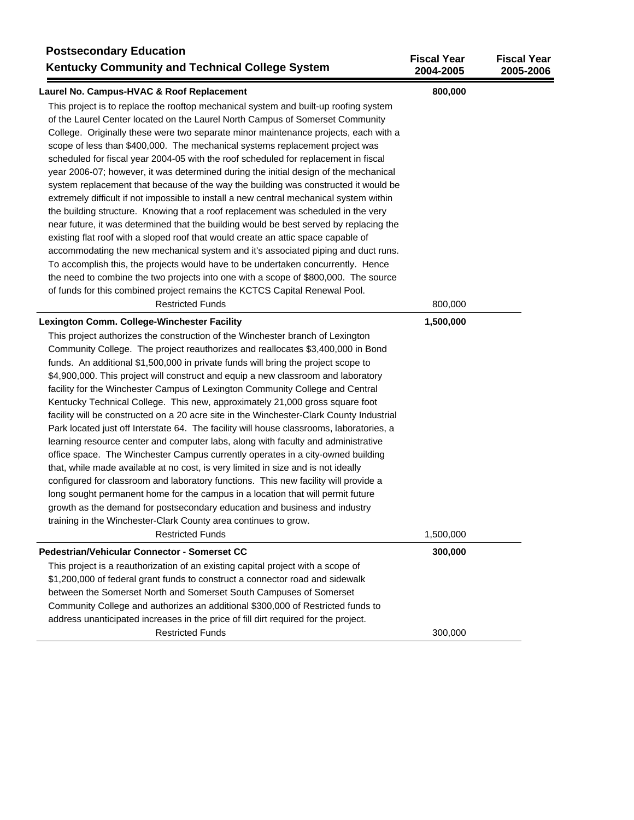| <b>Postsecondary Education</b><br><b>Kentucky Community and Technical College System</b>                                                                                                                                                                                                                                                                                                                                                                                                                                                                                                                                                                                                                                                                                                                                                                                                                                                                                                                                                                                                                                                                                                                   | <b>Fiscal Year</b><br>2004-2005 | <b>Fiscal Year</b><br>2005-2006 |
|------------------------------------------------------------------------------------------------------------------------------------------------------------------------------------------------------------------------------------------------------------------------------------------------------------------------------------------------------------------------------------------------------------------------------------------------------------------------------------------------------------------------------------------------------------------------------------------------------------------------------------------------------------------------------------------------------------------------------------------------------------------------------------------------------------------------------------------------------------------------------------------------------------------------------------------------------------------------------------------------------------------------------------------------------------------------------------------------------------------------------------------------------------------------------------------------------------|---------------------------------|---------------------------------|
| Laurel No. Campus-HVAC & Roof Replacement                                                                                                                                                                                                                                                                                                                                                                                                                                                                                                                                                                                                                                                                                                                                                                                                                                                                                                                                                                                                                                                                                                                                                                  | 800,000                         |                                 |
| This project is to replace the rooftop mechanical system and built-up roofing system<br>of the Laurel Center located on the Laurel North Campus of Somerset Community<br>College. Originally these were two separate minor maintenance projects, each with a<br>scope of less than \$400,000. The mechanical systems replacement project was<br>scheduled for fiscal year 2004-05 with the roof scheduled for replacement in fiscal<br>year 2006-07; however, it was determined during the initial design of the mechanical<br>system replacement that because of the way the building was constructed it would be<br>extremely difficult if not impossible to install a new central mechanical system within<br>the building structure. Knowing that a roof replacement was scheduled in the very<br>near future, it was determined that the building would be best served by replacing the<br>existing flat roof with a sloped roof that would create an attic space capable of<br>accommodating the new mechanical system and it's associated piping and duct runs.<br>To accomplish this, the projects would have to be undertaken concurrently. Hence                                                 |                                 |                                 |
| the need to combine the two projects into one with a scope of \$800,000. The source                                                                                                                                                                                                                                                                                                                                                                                                                                                                                                                                                                                                                                                                                                                                                                                                                                                                                                                                                                                                                                                                                                                        |                                 |                                 |
| of funds for this combined project remains the KCTCS Capital Renewal Pool.<br><b>Restricted Funds</b>                                                                                                                                                                                                                                                                                                                                                                                                                                                                                                                                                                                                                                                                                                                                                                                                                                                                                                                                                                                                                                                                                                      | 800,000                         |                                 |
|                                                                                                                                                                                                                                                                                                                                                                                                                                                                                                                                                                                                                                                                                                                                                                                                                                                                                                                                                                                                                                                                                                                                                                                                            |                                 |                                 |
| Lexington Comm. College-Winchester Facility<br>This project authorizes the construction of the Winchester branch of Lexington                                                                                                                                                                                                                                                                                                                                                                                                                                                                                                                                                                                                                                                                                                                                                                                                                                                                                                                                                                                                                                                                              | 1,500,000                       |                                 |
| Community College. The project reauthorizes and reallocates \$3,400,000 in Bond<br>funds. An additional \$1,500,000 in private funds will bring the project scope to<br>\$4,900,000. This project will construct and equip a new classroom and laboratory<br>facility for the Winchester Campus of Lexington Community College and Central<br>Kentucky Technical College. This new, approximately 21,000 gross square foot<br>facility will be constructed on a 20 acre site in the Winchester-Clark County Industrial<br>Park located just off Interstate 64. The facility will house classrooms, laboratories, a<br>learning resource center and computer labs, along with faculty and administrative<br>office space. The Winchester Campus currently operates in a city-owned building<br>that, while made available at no cost, is very limited in size and is not ideally<br>configured for classroom and laboratory functions. This new facility will provide a<br>long sought permanent home for the campus in a location that will permit future<br>growth as the demand for postsecondary education and business and industry<br>training in the Winchester-Clark County area continues to grow. |                                 |                                 |
| <b>Restricted Funds</b>                                                                                                                                                                                                                                                                                                                                                                                                                                                                                                                                                                                                                                                                                                                                                                                                                                                                                                                                                                                                                                                                                                                                                                                    | 1,500,000                       |                                 |
| Pedestrian/Vehicular Connector - Somerset CC<br>This project is a reauthorization of an existing capital project with a scope of<br>\$1,200,000 of federal grant funds to construct a connector road and sidewalk<br>between the Somerset North and Somerset South Campuses of Somerset<br>Community College and authorizes an additional \$300,000 of Restricted funds to<br>address unanticipated increases in the price of fill dirt required for the project.                                                                                                                                                                                                                                                                                                                                                                                                                                                                                                                                                                                                                                                                                                                                          | 300,000                         |                                 |
| <b>Restricted Funds</b>                                                                                                                                                                                                                                                                                                                                                                                                                                                                                                                                                                                                                                                                                                                                                                                                                                                                                                                                                                                                                                                                                                                                                                                    | 300,000                         |                                 |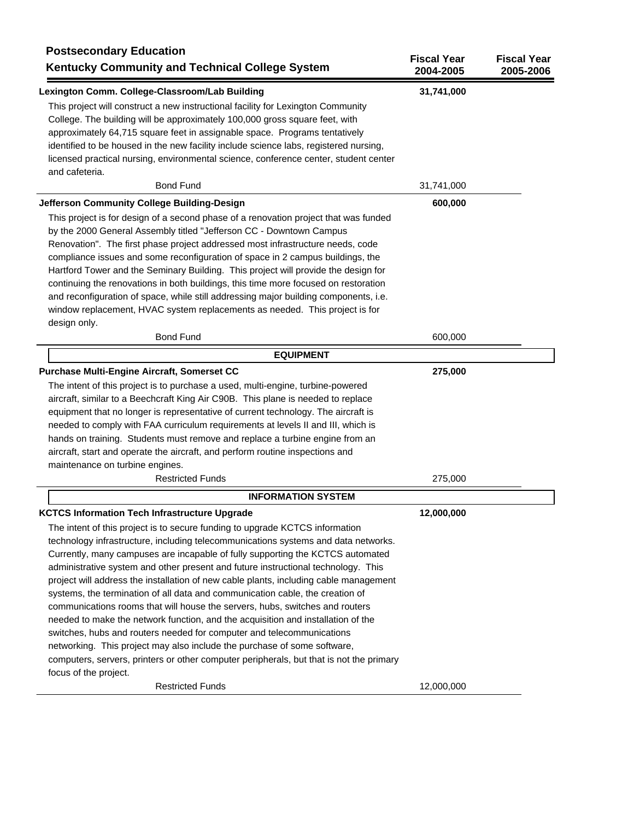| Lexington Comm. College-Classroom/Lab Building<br>31,741,000<br>This project will construct a new instructional facility for Lexington Community<br>College. The building will be approximately 100,000 gross square feet, with<br>approximately 64,715 square feet in assignable space. Programs tentatively<br>identified to be housed in the new facility include science labs, registered nursing,<br>licensed practical nursing, environmental science, conference center, student center<br>and cafeteria.<br><b>Bond Fund</b><br>31,741,000<br>Jefferson Community College Building-Design<br>600,000<br>This project is for design of a second phase of a renovation project that was funded<br>by the 2000 General Assembly titled "Jefferson CC - Downtown Campus<br>Renovation". The first phase project addressed most infrastructure needs, code<br>compliance issues and some reconfiguration of space in 2 campus buildings, the<br>Hartford Tower and the Seminary Building. This project will provide the design for<br>continuing the renovations in both buildings, this time more focused on restoration<br>and reconfiguration of space, while still addressing major building components, i.e.<br>window replacement, HVAC system replacements as needed. This project is for<br>design only.<br><b>Bond Fund</b><br>600,000<br><b>EQUIPMENT</b><br>Purchase Multi-Engine Aircraft, Somerset CC<br>275,000<br>The intent of this project is to purchase a used, multi-engine, turbine-powered<br>aircraft, similar to a Beechcraft King Air C90B. This plane is needed to replace<br>equipment that no longer is representative of current technology. The aircraft is<br>needed to comply with FAA curriculum requirements at levels II and III, which is<br>hands on training. Students must remove and replace a turbine engine from an<br>aircraft, start and operate the aircraft, and perform routine inspections and<br>maintenance on turbine engines.<br><b>Restricted Funds</b><br>275,000<br><b>INFORMATION SYSTEM</b><br><b>KCTCS Information Tech Infrastructure Upgrade</b><br>12,000,000<br>The intent of this project is to secure funding to upgrade KCTCS information<br>technology infrastructure, including telecommunications systems and data networks.<br>Currently, many campuses are incapable of fully supporting the KCTCS automated<br>administrative system and other present and future instructional technology. This<br>project will address the installation of new cable plants, including cable management<br>systems, the termination of all data and communication cable, the creation of<br>communications rooms that will house the servers, hubs, switches and routers<br>needed to make the network function, and the acquisition and installation of the<br>switches, hubs and routers needed for computer and telecommunications<br>networking. This project may also include the purchase of some software,<br>computers, servers, printers or other computer peripherals, but that is not the primary<br>focus of the project.<br><b>Restricted Funds</b><br>12,000,000 | <b>Postsecondary Education</b><br><b>Kentucky Community and Technical College System</b> | <b>Fiscal Year</b><br>2004-2005 | <b>Fiscal Year</b><br>2005-2006 |
|--------------------------------------------------------------------------------------------------------------------------------------------------------------------------------------------------------------------------------------------------------------------------------------------------------------------------------------------------------------------------------------------------------------------------------------------------------------------------------------------------------------------------------------------------------------------------------------------------------------------------------------------------------------------------------------------------------------------------------------------------------------------------------------------------------------------------------------------------------------------------------------------------------------------------------------------------------------------------------------------------------------------------------------------------------------------------------------------------------------------------------------------------------------------------------------------------------------------------------------------------------------------------------------------------------------------------------------------------------------------------------------------------------------------------------------------------------------------------------------------------------------------------------------------------------------------------------------------------------------------------------------------------------------------------------------------------------------------------------------------------------------------------------------------------------------------------------------------------------------------------------------------------------------------------------------------------------------------------------------------------------------------------------------------------------------------------------------------------------------------------------------------------------------------------------------------------------------------------------------------------------------------------------------------------------------------------------------------------------------------------------------------------------------------------------------------------------------------------------------------------------------------------------------------------------------------------------------------------------------------------------------------------------------------------------------------------------------------------------------------------------------------------------------------------------------------------------------------------------------------------------------------------------------------------------------------------------------------------------------------------------------------------------------------------------------------------------------------------------------------------------------------|------------------------------------------------------------------------------------------|---------------------------------|---------------------------------|
|                                                                                                                                                                                                                                                                                                                                                                                                                                                                                                                                                                                                                                                                                                                                                                                                                                                                                                                                                                                                                                                                                                                                                                                                                                                                                                                                                                                                                                                                                                                                                                                                                                                                                                                                                                                                                                                                                                                                                                                                                                                                                                                                                                                                                                                                                                                                                                                                                                                                                                                                                                                                                                                                                                                                                                                                                                                                                                                                                                                                                                                                                                                                            |                                                                                          |                                 |                                 |
|                                                                                                                                                                                                                                                                                                                                                                                                                                                                                                                                                                                                                                                                                                                                                                                                                                                                                                                                                                                                                                                                                                                                                                                                                                                                                                                                                                                                                                                                                                                                                                                                                                                                                                                                                                                                                                                                                                                                                                                                                                                                                                                                                                                                                                                                                                                                                                                                                                                                                                                                                                                                                                                                                                                                                                                                                                                                                                                                                                                                                                                                                                                                            |                                                                                          |                                 |                                 |
|                                                                                                                                                                                                                                                                                                                                                                                                                                                                                                                                                                                                                                                                                                                                                                                                                                                                                                                                                                                                                                                                                                                                                                                                                                                                                                                                                                                                                                                                                                                                                                                                                                                                                                                                                                                                                                                                                                                                                                                                                                                                                                                                                                                                                                                                                                                                                                                                                                                                                                                                                                                                                                                                                                                                                                                                                                                                                                                                                                                                                                                                                                                                            |                                                                                          |                                 |                                 |
|                                                                                                                                                                                                                                                                                                                                                                                                                                                                                                                                                                                                                                                                                                                                                                                                                                                                                                                                                                                                                                                                                                                                                                                                                                                                                                                                                                                                                                                                                                                                                                                                                                                                                                                                                                                                                                                                                                                                                                                                                                                                                                                                                                                                                                                                                                                                                                                                                                                                                                                                                                                                                                                                                                                                                                                                                                                                                                                                                                                                                                                                                                                                            |                                                                                          |                                 |                                 |
|                                                                                                                                                                                                                                                                                                                                                                                                                                                                                                                                                                                                                                                                                                                                                                                                                                                                                                                                                                                                                                                                                                                                                                                                                                                                                                                                                                                                                                                                                                                                                                                                                                                                                                                                                                                                                                                                                                                                                                                                                                                                                                                                                                                                                                                                                                                                                                                                                                                                                                                                                                                                                                                                                                                                                                                                                                                                                                                                                                                                                                                                                                                                            |                                                                                          |                                 |                                 |
|                                                                                                                                                                                                                                                                                                                                                                                                                                                                                                                                                                                                                                                                                                                                                                                                                                                                                                                                                                                                                                                                                                                                                                                                                                                                                                                                                                                                                                                                                                                                                                                                                                                                                                                                                                                                                                                                                                                                                                                                                                                                                                                                                                                                                                                                                                                                                                                                                                                                                                                                                                                                                                                                                                                                                                                                                                                                                                                                                                                                                                                                                                                                            |                                                                                          |                                 |                                 |
|                                                                                                                                                                                                                                                                                                                                                                                                                                                                                                                                                                                                                                                                                                                                                                                                                                                                                                                                                                                                                                                                                                                                                                                                                                                                                                                                                                                                                                                                                                                                                                                                                                                                                                                                                                                                                                                                                                                                                                                                                                                                                                                                                                                                                                                                                                                                                                                                                                                                                                                                                                                                                                                                                                                                                                                                                                                                                                                                                                                                                                                                                                                                            |                                                                                          |                                 |                                 |
|                                                                                                                                                                                                                                                                                                                                                                                                                                                                                                                                                                                                                                                                                                                                                                                                                                                                                                                                                                                                                                                                                                                                                                                                                                                                                                                                                                                                                                                                                                                                                                                                                                                                                                                                                                                                                                                                                                                                                                                                                                                                                                                                                                                                                                                                                                                                                                                                                                                                                                                                                                                                                                                                                                                                                                                                                                                                                                                                                                                                                                                                                                                                            |                                                                                          |                                 |                                 |
|                                                                                                                                                                                                                                                                                                                                                                                                                                                                                                                                                                                                                                                                                                                                                                                                                                                                                                                                                                                                                                                                                                                                                                                                                                                                                                                                                                                                                                                                                                                                                                                                                                                                                                                                                                                                                                                                                                                                                                                                                                                                                                                                                                                                                                                                                                                                                                                                                                                                                                                                                                                                                                                                                                                                                                                                                                                                                                                                                                                                                                                                                                                                            |                                                                                          |                                 |                                 |
|                                                                                                                                                                                                                                                                                                                                                                                                                                                                                                                                                                                                                                                                                                                                                                                                                                                                                                                                                                                                                                                                                                                                                                                                                                                                                                                                                                                                                                                                                                                                                                                                                                                                                                                                                                                                                                                                                                                                                                                                                                                                                                                                                                                                                                                                                                                                                                                                                                                                                                                                                                                                                                                                                                                                                                                                                                                                                                                                                                                                                                                                                                                                            |                                                                                          |                                 |                                 |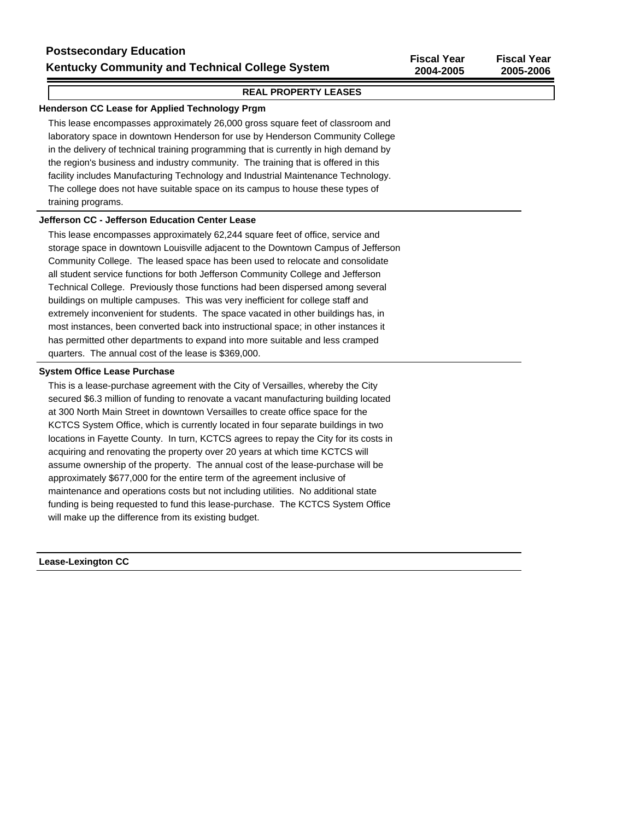#### **REAL PROPERTY LEASES**

#### **Henderson CC Lease for Applied Technology Prgm**

This lease encompasses approximately 26,000 gross square feet of classroom and laboratory space in downtown Henderson for use by Henderson Community College in the delivery of technical training programming that is currently in high demand by the region's business and industry community. The training that is offered in this facility includes Manufacturing Technology and Industrial Maintenance Technology. The college does not have suitable space on its campus to house these types of training programs.

#### **Jefferson CC - Jefferson Education Center Lease**

This lease encompasses approximately 62,244 square feet of office, service and storage space in downtown Louisville adjacent to the Downtown Campus of Jefferson Community College. The leased space has been used to relocate and consolidate all student service functions for both Jefferson Community College and Jefferson Technical College. Previously those functions had been dispersed among several buildings on multiple campuses. This was very inefficient for college staff and extremely inconvenient for students. The space vacated in other buildings has, in most instances, been converted back into instructional space; in other instances it has permitted other departments to expand into more suitable and less cramped quarters. The annual cost of the lease is \$369,000.

#### **System Office Lease Purchase**

This is a lease-purchase agreement with the City of Versailles, whereby the City secured \$6.3 million of funding to renovate a vacant manufacturing building located at 300 North Main Street in downtown Versailles to create office space for the KCTCS System Office, which is currently located in four separate buildings in two locations in Fayette County. In turn, KCTCS agrees to repay the City for its costs in acquiring and renovating the property over 20 years at which time KCTCS will assume ownership of the property. The annual cost of the lease-purchase will be approximately \$677,000 for the entire term of the agreement inclusive of maintenance and operations costs but not including utilities. No additional state funding is being requested to fund this lease-purchase. The KCTCS System Office will make up the difference from its existing budget.

**Lease-Lexington CC**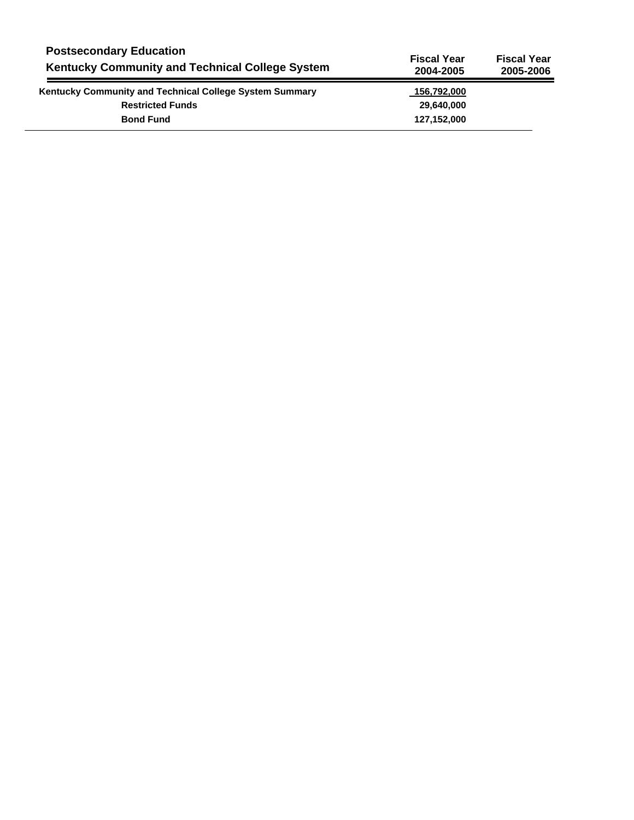| <b>Postsecondary Education</b><br><b>Kentucky Community and Technical College System</b> | <b>Fiscal Year</b><br>2004-2005 | <b>Fiscal Year</b><br>2005-2006 |
|------------------------------------------------------------------------------------------|---------------------------------|---------------------------------|
| <b>Kentucky Community and Technical College System Summary</b>                           | 156,792,000                     |                                 |
| <b>Restricted Funds</b>                                                                  | 29,640,000                      |                                 |
| <b>Bond Fund</b>                                                                         | 127,152,000                     |                                 |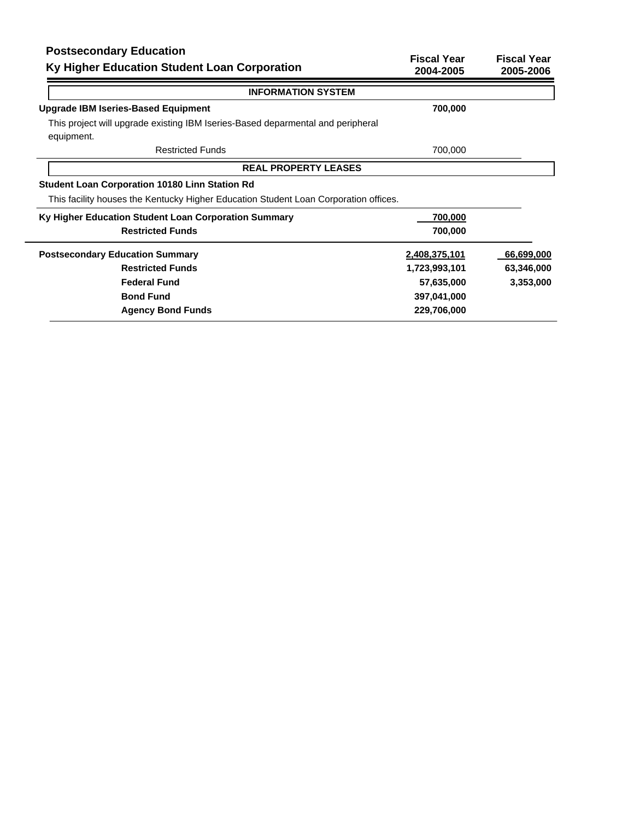# **Postsecondary Education**

| Postsecondary Equeation<br>Ky Higher Education Student Loan Corporation                       | <b>Fiscal Year</b><br>2004-2005 | <b>Fiscal Year</b><br>2005-2006 |
|-----------------------------------------------------------------------------------------------|---------------------------------|---------------------------------|
| <b>INFORMATION SYSTEM</b>                                                                     |                                 |                                 |
| <b>Upgrade IBM Iseries-Based Equipment</b>                                                    | 700,000                         |                                 |
| This project will upgrade existing IBM Iseries-Based deparmental and peripheral<br>equipment. |                                 |                                 |
| <b>Restricted Funds</b>                                                                       | 700,000                         |                                 |
| <b>REAL PROPERTY LEASES</b>                                                                   |                                 |                                 |
| <b>Student Loan Corporation 10180 Linn Station Rd</b>                                         |                                 |                                 |
| This facility houses the Kentucky Higher Education Student Loan Corporation offices.          |                                 |                                 |
| Ky Higher Education Student Loan Corporation Summary                                          | 700,000                         |                                 |
| <b>Restricted Funds</b>                                                                       | 700,000                         |                                 |
| <b>Postsecondary Education Summary</b>                                                        | 2,408,375,101                   | 66,699,000                      |
| <b>Restricted Funds</b>                                                                       | 1,723,993,101                   | 63,346,000                      |
| <b>Federal Fund</b>                                                                           | 57,635,000                      | 3,353,000                       |
| <b>Bond Fund</b>                                                                              | 397,041,000                     |                                 |
| <b>Agency Bond Funds</b>                                                                      | 229,706,000                     |                                 |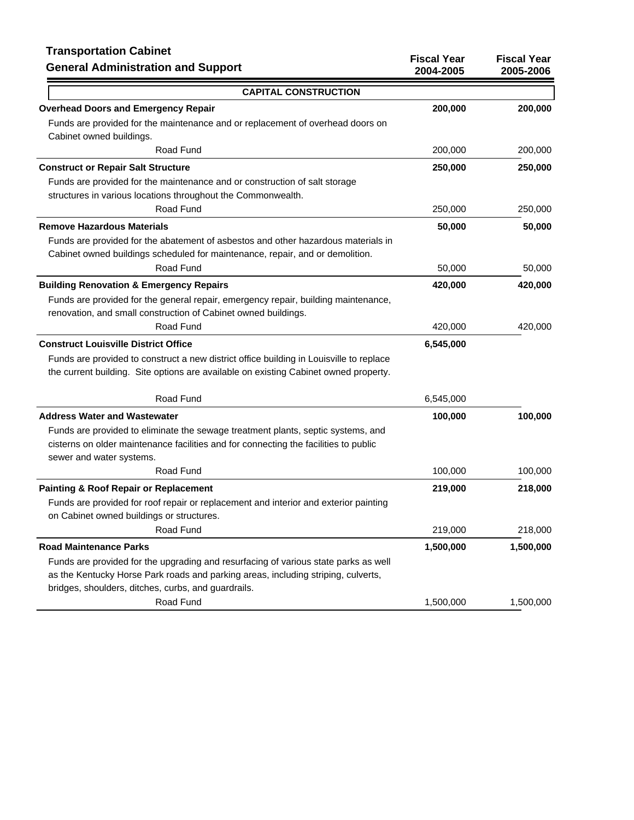## **Transportation Cabinet**

| <b>Transportation Cabinet</b><br><b>General Administration and Support</b>              | <b>Fiscal Year</b><br>2004-2005 | <b>Fiscal Year</b><br>2005-2006 |
|-----------------------------------------------------------------------------------------|---------------------------------|---------------------------------|
| <b>CAPITAL CONSTRUCTION</b>                                                             |                                 |                                 |
| <b>Overhead Doors and Emergency Repair</b>                                              | 200,000                         | 200,000                         |
| Funds are provided for the maintenance and or replacement of overhead doors on          |                                 |                                 |
| Cabinet owned buildings.                                                                |                                 |                                 |
| Road Fund                                                                               | 200,000                         | 200,000                         |
| <b>Construct or Repair Salt Structure</b>                                               | 250,000                         | 250,000                         |
| Funds are provided for the maintenance and or construction of salt storage              |                                 |                                 |
| structures in various locations throughout the Commonwealth.                            |                                 |                                 |
| Road Fund                                                                               | 250,000                         | 250,000                         |
| <b>Remove Hazardous Materials</b>                                                       | 50,000                          | 50,000                          |
| Funds are provided for the abatement of asbestos and other hazardous materials in       |                                 |                                 |
| Cabinet owned buildings scheduled for maintenance, repair, and or demolition.           |                                 |                                 |
| Road Fund                                                                               | 50,000                          | 50,000                          |
| <b>Building Renovation &amp; Emergency Repairs</b>                                      | 420,000                         | 420,000                         |
| Funds are provided for the general repair, emergency repair, building maintenance,      |                                 |                                 |
| renovation, and small construction of Cabinet owned buildings.                          |                                 |                                 |
| Road Fund                                                                               | 420,000                         | 420,000                         |
| <b>Construct Louisville District Office</b>                                             | 6,545,000                       |                                 |
| Funds are provided to construct a new district office building in Louisville to replace |                                 |                                 |
| the current building. Site options are available on existing Cabinet owned property.    |                                 |                                 |
| Road Fund                                                                               | 6,545,000                       |                                 |
| <b>Address Water and Wastewater</b>                                                     | 100,000                         | 100,000                         |
| Funds are provided to eliminate the sewage treatment plants, septic systems, and        |                                 |                                 |
| cisterns on older maintenance facilities and for connecting the facilities to public    |                                 |                                 |
| sewer and water systems.                                                                |                                 |                                 |
| Road Fund                                                                               | 100,000                         | 100,000                         |
| <b>Painting &amp; Roof Repair or Replacement</b>                                        | 219,000                         | 218,000                         |
| Funds are provided for roof repair or replacement and interior and exterior painting    |                                 |                                 |
| on Cabinet owned buildings or structures.                                               |                                 |                                 |
| Road Fund                                                                               | 219,000                         | 218,000                         |
| <b>Road Maintenance Parks</b>                                                           | 1,500,000                       | 1,500,000                       |
| Funds are provided for the upgrading and resurfacing of various state parks as well     |                                 |                                 |
| as the Kentucky Horse Park roads and parking areas, including striping, culverts,       |                                 |                                 |
| bridges, shoulders, ditches, curbs, and guardrails.                                     |                                 |                                 |
| Road Fund                                                                               | 1,500,000                       | 1,500,000                       |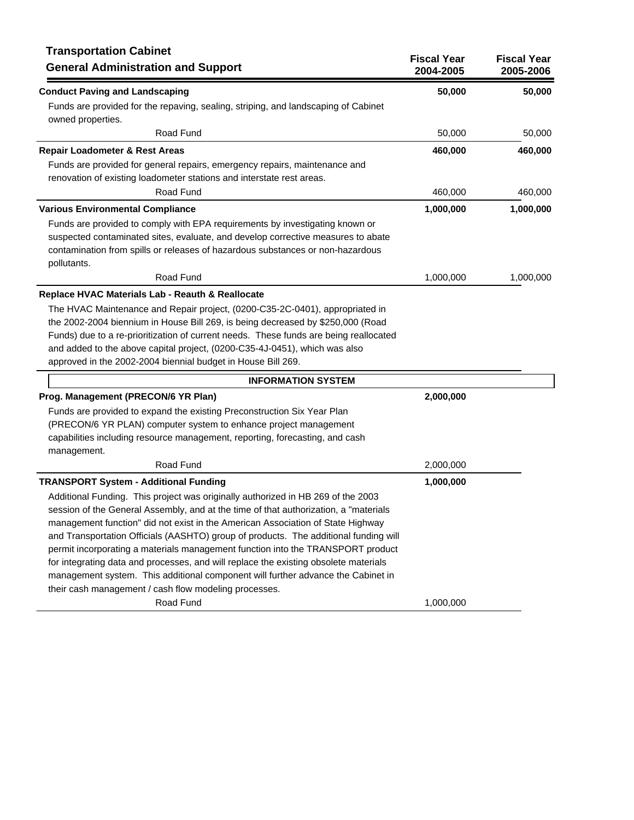| <b>Transportation Cabinet</b><br><b>General Administration and Support</b>                                                                                                                                                                                                                                                                                                                                                                                                                                                                                                                                                                                                  | <b>Fiscal Year</b><br>2004-2005 | <b>Fiscal Year</b><br>2005-2006 |
|-----------------------------------------------------------------------------------------------------------------------------------------------------------------------------------------------------------------------------------------------------------------------------------------------------------------------------------------------------------------------------------------------------------------------------------------------------------------------------------------------------------------------------------------------------------------------------------------------------------------------------------------------------------------------------|---------------------------------|---------------------------------|
| <b>Conduct Paving and Landscaping</b>                                                                                                                                                                                                                                                                                                                                                                                                                                                                                                                                                                                                                                       | 50,000                          | 50,000                          |
| Funds are provided for the repaving, sealing, striping, and landscaping of Cabinet<br>owned properties.                                                                                                                                                                                                                                                                                                                                                                                                                                                                                                                                                                     |                                 |                                 |
| Road Fund                                                                                                                                                                                                                                                                                                                                                                                                                                                                                                                                                                                                                                                                   | 50,000                          | 50,000                          |
| Repair Loadometer & Rest Areas                                                                                                                                                                                                                                                                                                                                                                                                                                                                                                                                                                                                                                              | 460,000                         | 460,000                         |
| Funds are provided for general repairs, emergency repairs, maintenance and<br>renovation of existing loadometer stations and interstate rest areas.                                                                                                                                                                                                                                                                                                                                                                                                                                                                                                                         |                                 |                                 |
| Road Fund                                                                                                                                                                                                                                                                                                                                                                                                                                                                                                                                                                                                                                                                   | 460,000                         | 460,000                         |
| <b>Various Environmental Compliance</b>                                                                                                                                                                                                                                                                                                                                                                                                                                                                                                                                                                                                                                     | 1,000,000                       | 1,000,000                       |
| Funds are provided to comply with EPA requirements by investigating known or<br>suspected contaminated sites, evaluate, and develop corrective measures to abate<br>contamination from spills or releases of hazardous substances or non-hazardous<br>pollutants.                                                                                                                                                                                                                                                                                                                                                                                                           |                                 |                                 |
| Road Fund                                                                                                                                                                                                                                                                                                                                                                                                                                                                                                                                                                                                                                                                   | 1,000,000                       | 1,000,000                       |
| Replace HVAC Materials Lab - Reauth & Reallocate<br>The HVAC Maintenance and Repair project, (0200-C35-2C-0401), appropriated in<br>the 2002-2004 biennium in House Bill 269, is being decreased by \$250,000 (Road<br>Funds) due to a re-prioritization of current needs. These funds are being reallocated<br>and added to the above capital project, (0200-C35-4J-0451), which was also<br>approved in the 2002-2004 biennial budget in House Bill 269.                                                                                                                                                                                                                  |                                 |                                 |
| <b>INFORMATION SYSTEM</b>                                                                                                                                                                                                                                                                                                                                                                                                                                                                                                                                                                                                                                                   |                                 |                                 |
| Prog. Management (PRECON/6 YR Plan)<br>Funds are provided to expand the existing Preconstruction Six Year Plan<br>(PRECON/6 YR PLAN) computer system to enhance project management<br>capabilities including resource management, reporting, forecasting, and cash<br>management.                                                                                                                                                                                                                                                                                                                                                                                           | 2,000,000                       |                                 |
| Road Fund                                                                                                                                                                                                                                                                                                                                                                                                                                                                                                                                                                                                                                                                   | 2,000,000                       |                                 |
| <b>TRANSPORT System - Additional Funding</b>                                                                                                                                                                                                                                                                                                                                                                                                                                                                                                                                                                                                                                | 1,000,000                       |                                 |
| Additional Funding. This project was originally authorized in HB 269 of the 2003<br>session of the General Assembly, and at the time of that authorization, a "materials<br>management function" did not exist in the American Association of State Highway<br>and Transportation Officials (AASHTO) group of products. The additional funding will<br>permit incorporating a materials management function into the TRANSPORT product<br>for integrating data and processes, and will replace the existing obsolete materials<br>management system. This additional component will further advance the Cabinet in<br>their cash management / cash flow modeling processes. |                                 |                                 |
| Road Fund                                                                                                                                                                                                                                                                                                                                                                                                                                                                                                                                                                                                                                                                   | 1,000,000                       |                                 |